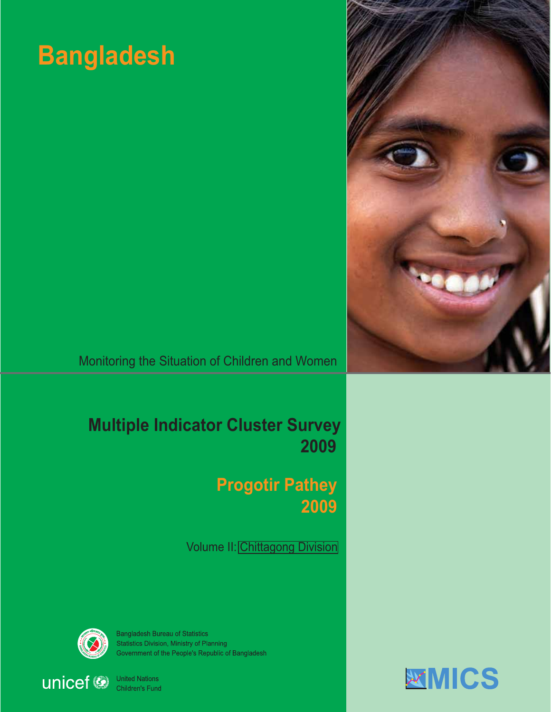# **Bangladesh**



Monitoring the Situation of Children and Women

### **Multiple Indicator Cluster Survey 2009**

### **Progotir Pathey 2009**

Volume II: Chittagong Division



**Bangladesh Bureau of Statistics Statistics Division, Ministry of Planning** Government of the People's Republic of Bangladesh



unicef<sup>®</sup> **United Nations Children's Fund**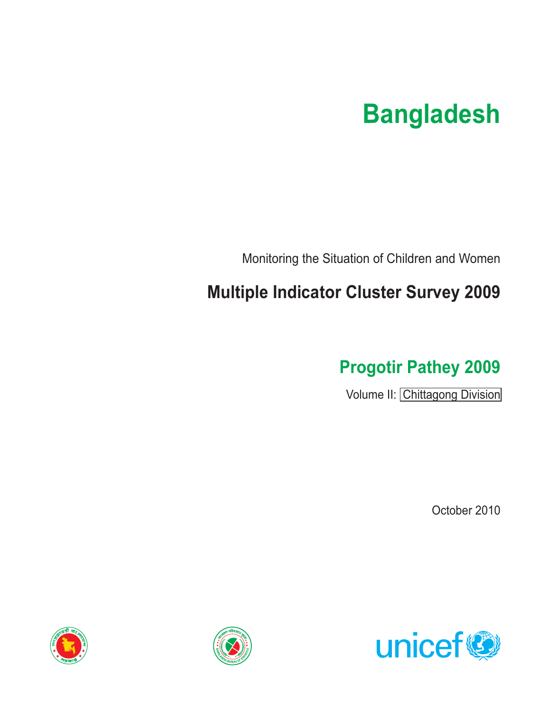# **Bangladesh**

Monitoring the Situation of Children and Women

## **Multiple Indicator Cluster Survey 2009**

### **Progotir Pathey 2009**

Volume II: Chittagong Division

October 2010





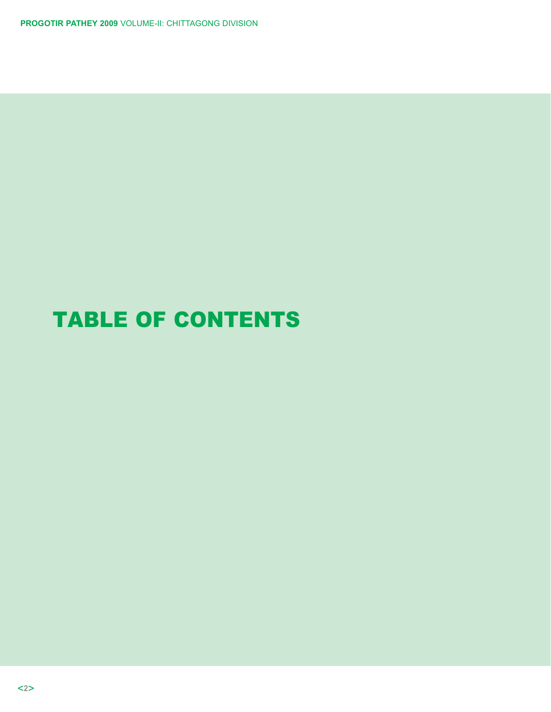**PROGOTIR PATHEY 2009** VOLUME-II: CHITTAGONG DIVISION

# TABLE OF CONTENTS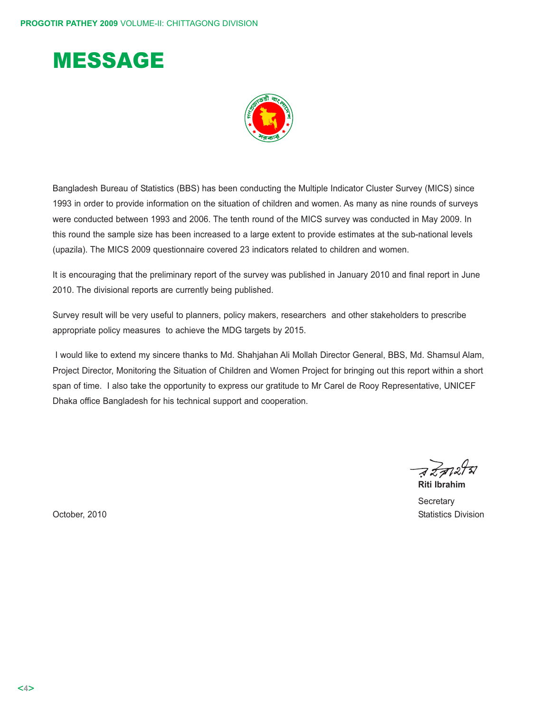



Bangladesh Bureau of Statistics (BBS) has been conducting the Multiple Indicator Cluster Survey (MICS) since 1993 in order to provide information on the situation of children and women. As many as nine rounds of surveys were conducted between 1993 and 2006. The tenth round of the MICS survey was conducted in May 2009. In this round the sample size has been increased to a large extent to provide estimates at the sub-national levels (upazila). The MICS 2009 questionnaire covered 23 indicators related to children and women.

It is encouraging that the preliminary report of the survey was published in January 2010 and final report in June 2010. The divisional reports are currently being published.

Survey result will be very useful to planners, policy makers, researchers and other stakeholders to prescribe appropriate policy measures to achieve the MDG targets by 2015.

I would like to extend my sincere thanks to Md. Shahjahan Ali Mollah Director General, BBS, Md. Shamsul Alam, Project Director, Monitoring the Situation of Children and Women Project for bringing out this report within a short span of time. I also take the opportunity to express our gratitude to Mr Carel de Rooy Representative, UNICEF Dhaka office Bangladesh for his technical support and cooperation.

त्र Z ब्रार्थी H **Riti Ibrahim**

**Secretary** October, 2010 **Statistics Division** Statistics Division Statistics Division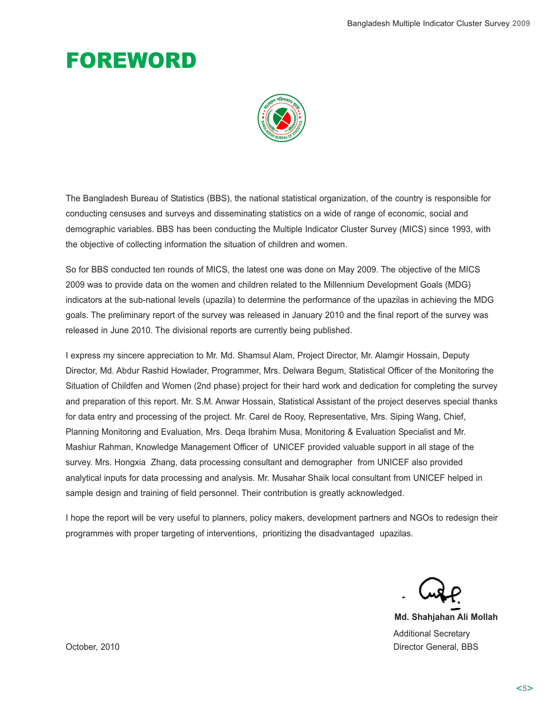# FOREWORD



The Bangladesh Bureau of Statistics (BBS), the national statistical organization, of the country is responsible for conducting censuses and surveys and disseminating statistics on a wide of range of economic, social and demographic variables. BBS has been conducting the Multiple Indicator Cluster Survey (MICS) since 1993, with the objective of collecting information the situation of children and women.

So for BBS conducted ten rounds of MICS, the latest one was done on May 2009. The objective of the MICS 2009 was to provide data on the women and children related to the Millennium Development Goals (MDG) indicators at the sub-national levels (upazila) to determine the performance of the upazilas in achieving the MDG goals. The preliminary report of the survey was released in January 2010 and the final report of the survey was released in June 2010. The divisional reports are currently being published.

I express my sincere appreciation to Mr. Md. Shamsul Alam, Project Director, Mr. Alamgir Hossain, Deputy Director, Md. Abdur Rashid Howlader, Programmer, Mrs. Delwara Begum, Statistical Officer of the Monitoring the Situation of Childfen and Women (2nd phase) project for their hard work and dedication for completing the survey and preparation of this report. Mr. S.M. Anwar Hossain, Statistical Assistant of the project deserves special thanks for data entry and processing of the project. Mr. Carel de Rooy, Representative, Mrs. Siping Wang, Chief, Planning Monitoring and Evaluation, Mrs. Deqa Ibrahim Musa, Monitoring & Evaluation Specialist and Mr. Mashiur Rahman, Knowledge Management Officer of UNICEF provided valuable support in all stage of the survey. Mrs. Hongxia Zhang, data processing consultant and demographer from UNICEF also provided analytical inputs for data processing and analysis. Mr. Musahar Shaik local consultant from UNICEF helped in sample design and training of field personnel. Their contribution is greatly acknowledged.

I hope the report will be very useful to planners, policy makers, development partners and NGOs to redesign their programmes with proper targeting of interventions, prioritizing the disadvantaged upazilas.

**Md. Shahjahan Ali Mollah** Additional Secretary October, 2010 Director General, BBS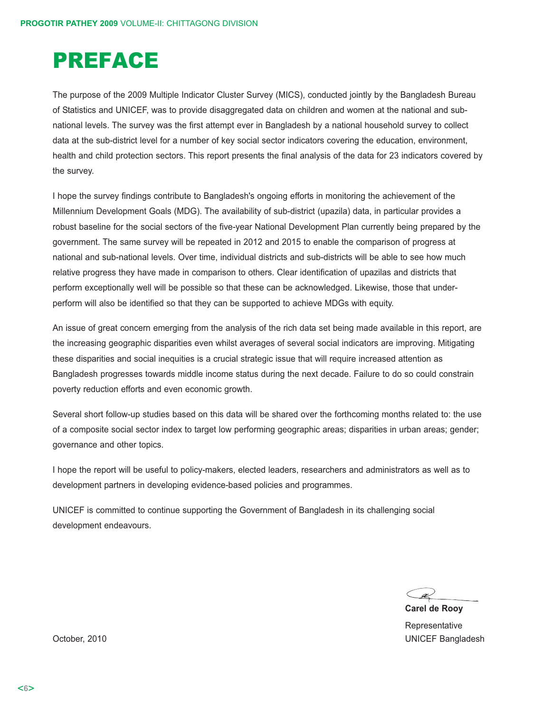### PREFACE

The purpose of the 2009 Multiple Indicator Cluster Survey (MICS), conducted jointly by the Bangladesh Bureau of Statistics and UNICEF, was to provide disaggregated data on children and women at the national and subnational levels. The survey was the first attempt ever in Bangladesh by a national household survey to collect data at the sub-district level for a number of key social sector indicators covering the education, environment, health and child protection sectors. This report presents the final analysis of the data for 23 indicators covered by the survey.

I hope the survey findings contribute to Bangladesh's ongoing efforts in monitoring the achievement of the Millennium Development Goals (MDG). The availability of sub-district (upazila) data, in particular provides a robust baseline for the social sectors of the five-year National Development Plan currently being prepared by the government. The same survey will be repeated in 2012 and 2015 to enable the comparison of progress at national and sub-national levels. Over time, individual districts and sub-districts will be able to see how much relative progress they have made in comparison to others. Clear identification of upazilas and districts that perform exceptionally well will be possible so that these can be acknowledged. Likewise, those that underperform will also be identified so that they can be supported to achieve MDGs with equity.

An issue of great concern emerging from the analysis of the rich data set being made available in this report, are the increasing geographic disparities even whilst averages of several social indicators are improving. Mitigating these disparities and social inequities is a crucial strategic issue that will require increased attention as Bangladesh progresses towards middle income status during the next decade. Failure to do so could constrain poverty reduction efforts and even economic growth.

Several short follow-up studies based on this data will be shared over the forthcoming months related to: the use of a composite social sector index to target low performing geographic areas; disparities in urban areas; gender; governance and other topics.

I hope the report will be useful to policy-makers, elected leaders, researchers and administrators as well as to development partners in developing evidence-based policies and programmes.

UNICEF is committed to continue supporting the Government of Bangladesh in its challenging social development endeavours.

**Carel de Rooy Representative** October, 2010 UNICEF Bangladesh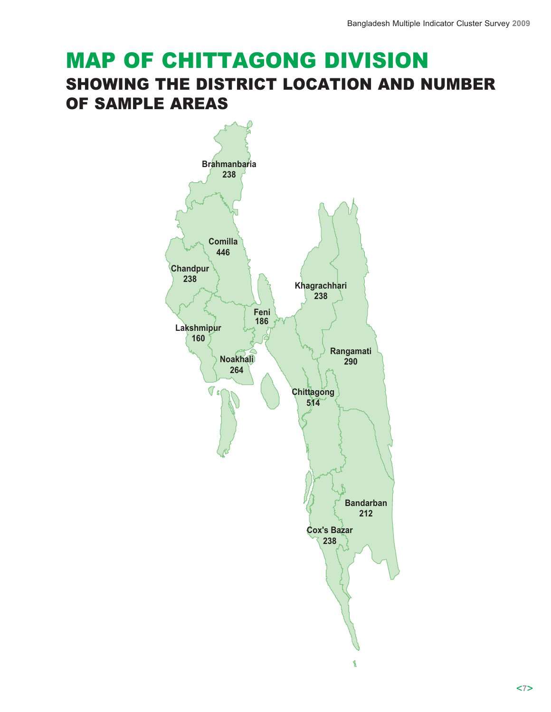### MAP OF CHITTAGONG DIVISION SHOWING THE DISTRICT LOCATION AND NUMBER OF SAMPLE AREAS

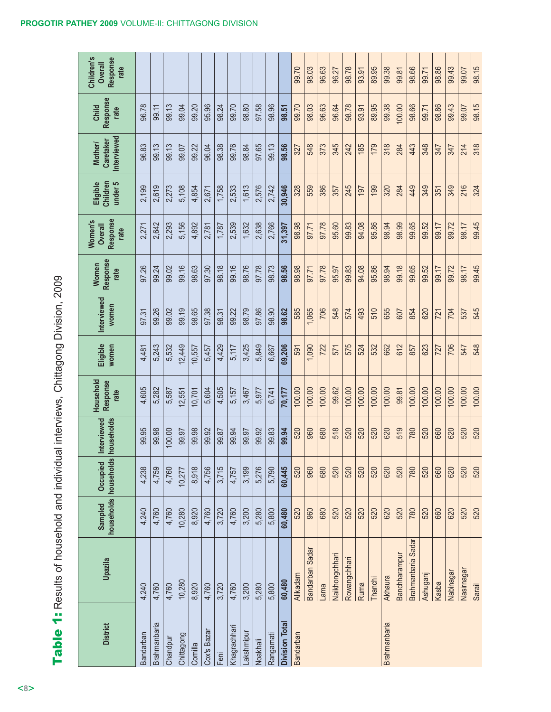| $\frac{1}{2}$<br><b>)))</b><br>)) |
|-----------------------------------|
| くこここ<br>$\frac{1}{1}$             |
| )                                 |
| l                                 |
| うころり ナミニ フニアこうこう                  |
| こくるい                              |
| <b>COINT AS + COINT CH</b>        |
| l                                 |
|                                   |

| Interviewed<br>Caretaker<br>Children<br>under 5<br>Eligible<br>Response<br>Women's<br>Overall<br>rate | 2,199<br>2,271 | 2,619<br>2,642 | 2,273<br>2,293 | 5,108<br>5,156 | 4,854<br>4,892 | 2,671<br>2,781 | 1,758<br>1,787 | 2,533<br>2,539 | 1,613<br>1,632 | 2,576<br>2,638 | 2,742<br>2,766 | 30,946<br>31,397 | 328<br>98.98     | 559<br>07.71    | 386<br>87.78 | 357<br>95.60   | 245<br>99.83 | 197<br>94.08 | 199<br>95.86 | 320<br>98.94 | 284<br>98.99  | 449<br>99.65       | 349<br>99.52 | 351<br>99.17 | 349<br>99.72 |
|-------------------------------------------------------------------------------------------------------|----------------|----------------|----------------|----------------|----------------|----------------|----------------|----------------|----------------|----------------|----------------|------------------|------------------|-----------------|--------------|----------------|--------------|--------------|--------------|--------------|---------------|--------------------|--------------|--------------|--------------|
| Response<br>Women<br>rate                                                                             | 97.26          | 99.24          | 99.02          | 99.16          | 98.63          | 97.30          | 98.18          | 99.16          | 98.76          | 97.78          | 98.73          | 98.56            | 98.98            | 97.71           | 97.78        | 95.97          | 99.83        | 94.08        | 95.86        | 98.94        | 99.18         | 99.65              | 99.52        | 99.17        | 99.72        |
| Interviewed<br>women                                                                                  | 97.31          | 99.26          | 99.02          | 99.19          | 98.65          | 97.38          | 98.31          | 99.22          | 98.79          | 97.86          | 98.90          | 98.62            | 585              | 1,065           | 706          | 548            | 574          | 493          | 510          | 655          | 607           | 854                | 620          | 721          | 704          |
| Eligible<br>women                                                                                     | 4,481          | 5,243          | 5,532          | 12,449         | 10,557         | 5,457          | 4,429          | 5,117          | 3,425          | 5,849          | 6,667          | 69,206           | 591              | 1,090           | 722          | 571            | 575          | 524          | 532          | 662          | 612           | 857                | 623          | 727          | 706          |
| Household<br>Response<br>rate                                                                         | 4,605          | 5,282          | 5,587          | 12,551         | 10,701         | 5,604          | 4,505          | 5,157          | 3,467          | 5,977          | 6,741          | 70,177           | 100.00           | 100.00          | 100.00       | 99.62          | 100.00       | 100.00       | 100.00       | 100.00       | 99.81         | 100.00             | 100.00       | 100.00       | 100.00       |
| Interviewed<br>households                                                                             | 99.95          | 99.98          | 100.00         | 99.97          | 99.98          | 99.92          | 99.87          | 99.94          | 99.97          | 99.92          | 99.83          | 99.94            | 520              | 960             | 680          | 518            | 520          | 520          | 520          | 620          | 519           | 780                | 520          | 660          | 620          |
| households households<br>Occupied                                                                     | 4,238          | 4,759          | 4,760          | 10,277         | 8,918          | 4,756          | 3,715          | 4,757          | 3,199          | 5,276          | 5,790          | 60,445           | 520              | 960             | 680          | 520            | 520          | 520          | 520          | 620          | 520           | 780                | 520          | 660          | 620          |
| Sampled                                                                                               | 4,240          | 4,760          | 4,760          | 10,280         | 8,920          | 4,760          | 3,720          | 4,760          | 3,200          | 5,280          | 5,800          | 60,480           | 520              | 960             | 680          | 520            | 520          | 520          | 520          | 620          | 520           | 780                | 520          | 660          | 620          |
| Upazila                                                                                               | 4,240          | 4,760          | 4,760          | 10,280         | 8,920          | 4,760          | 3,720          | 4,760          | 3,200          | 5,280          | 5,800          | 60,480           | Alikadam         | Bandarban Sadar | Lama         | Naikhongchhari | Rowangchhari | Ruma         | Thanchi      | Akhaura      | Banchharampur | Brahmanbaria Sadar | Ashuganj     | Kasba        | Nabinagar    |
| <b>District</b>                                                                                       | Bandarban      | Brahmanbaria   | Chandpur       | Chittagong     | Comilla        | Cox's Bazar    | Feni           | Khagrachhari   | -akshmipur     | Noakhali       | Rangamati      | Division Total   | <b>Bandarban</b> |                 |              |                |              |              |              | Brahmanbaria |               |                    |              |              |              |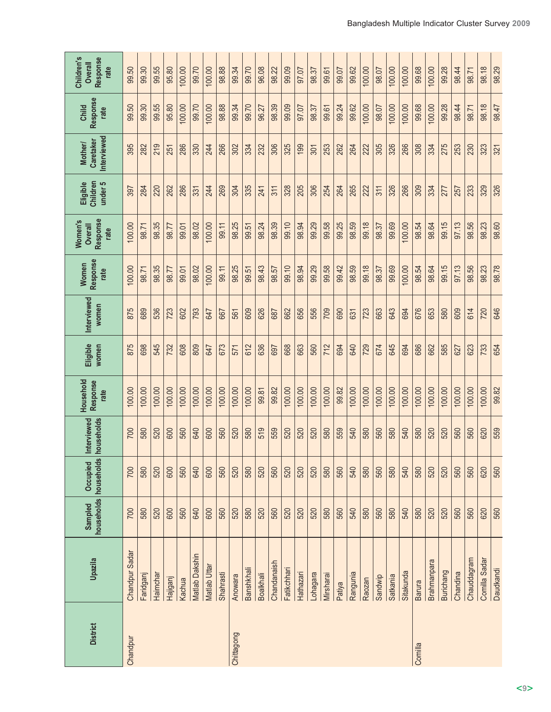| Children's<br>Response<br>Overall<br>rate | 99.50          | 99.30     | 99.55    | 95.80           | 100.00 | 99.70          | 100.00       | 98.88     | 99.34      | 99.70             | 96.08            | 98.22       | 99.09       | 97.07     | 98.37    | 99.61     | 99.07  | 99.62    | 100.00 | 98.07   | 100.00          | 100.00    | 99.68         | 100.00             | 99.28            | 98.44    | 98.71       | 98.18         | 98.29     |
|-------------------------------------------|----------------|-----------|----------|-----------------|--------|----------------|--------------|-----------|------------|-------------------|------------------|-------------|-------------|-----------|----------|-----------|--------|----------|--------|---------|-----------------|-----------|---------------|--------------------|------------------|----------|-------------|---------------|-----------|
| Response<br>Child<br>rate                 | 99.50          | 99.30     | 99.55    | 95.80           | 100.00 | 99.70          | 100.00       | 98.88     | 99.34      | 99.70             | 96.27            | 98.39       | 99.09       | 97.07     | 98.37    | 99.61     | 99.24  | 99.62    | 100.00 | 98.07   | 100.00          | 100.00    | 99.68         | 100.00             | 99.28            | 98.44    | 98.71       | 98.18         | 98.47     |
| Interviewed<br>Caretaker<br>Mother/       | 395            | 282       | 219      | 251             | 286    | 330            | 244          | 266       | 302        | 334               | 232              | 306         | 325         | 199       | 301      | 253       | 262    | 264      | 222    | 305     | 326             | 266       | 308           | 334                | 275              | 253      | 230         | 323           | 321       |
| Children<br>under 5<br>Eligible           | 397            | 284       | 220      | 262             | 286    | 331            | 244          | 269       | 304        | 335               | 241              | 311         | 328         | 205       | 306      | 254       | 264    | 265      | 222    | 311     | 326             | 266       | 309           | 334                | 277              | 257      | 233         | 329           | 326       |
| Response<br>Women's<br>Overall<br>rate    | 100.00         | 98.71     | 98.35    | 98.77           | 99.01  | 98.02          | 100.00       | 99.11     | 98.25      | 99.51             | 98.24            | 98.39       | 99.10       | 98.94     | 99.29    | 99.58     | 99.25  | 98.59    | 99.18  | 98.37   | 99.69           | 100.00    | 98.54         | 98.64              | 99.15            | 97.13    | 98.56       | 98.23         | 98.60     |
| Response<br>Women<br>rate                 | 100.00         | 98.71     | 98.35    | 98.77           | 99.01  | 98.02          | 100.00       | 99.11     | 98.25      | 99.51             | 98.43            | 98.57       | 99.10       | 98.94     | 99.29    | 99.58     | 99.42  | 98.59    | 99.18  | 98.37   | 99.69           | 100.00    | 98.54         | 98.64              | 99.15            | 97.13    | 98.56       | 98.23         | 98.78     |
| Interviewed<br>women                      | 875            | 689       | 536      | 723             | 602    | 793            | 647          | 667       | 561        | 609               | 626              | 687         | 662         | 656       | 556      | 709       | 690    | 631      | 723    | 663     | 643             | 694       | 676           | 653                | 580              | 609      | 614         | 720           | 646       |
| Eligible<br>women                         | 875            | 698       | 545      | 732             | 608    | 809            | 647          | 673       | 571        | 612               | 636              | 697         | 668         | 663       | 560      | 712       | 694    | 640      | 729    | 674     | 645             | 694       | 686           | 662                | 585              | 627      | 623         | 733           | 654       |
| Household<br>Response<br>rate             | 100.00         | 100.00    | 100.00   | 100.00          | 100.00 | 100.00         | 100.00       | 100.00    | 100.00     | 100.00            | 99.81            | 99.82       | 100.00      | 100.00    | 100.00   | 100.00    | 99.82  | 100.00   | 100.00 | 100.00  | 100.00          | 100.00    | 100.00        | 100.00             | 100.00           | 100.00   | 100.00      | 100.00        | 99.82     |
| households<br>Interviewed                 | 700            | 580       | 520      | 600             | 560    | 640            | 600          | 560       | 520        | 580               | 519              | 559         | 520         | 520       | 520      | 580       | 559    | 540      | 580    | 560     | 580             | 540       | 580           | 520                | 520              | 560      | 560         | 620           | 559       |
| Occupied                                  | 700            | 580       | 520      | 600             | 560    | 640            | 600          | 560       | 520        | 580               | 520              | 560         | 520         | 520       | 520      | 580       | 560    | 540      | 580    | 560     | 580             | 540       | 580           | 520                | 520              | 560      | 560         | 620           | 560       |
| households households<br>Sampled          | 700            | 580       | 520      | 600             | 560    | 640            | 600          | 560       | 520        | 580               | 520              | 560         | 520         | 520       | 520      | 580       | 560    | 540      | 580    | 560     | 580             | 540       | 580           | 520                | 520              | 560      | 560         | 620           | 560       |
| Upazila                                   | Chandpur Sadar | Faridganj | Haimchar | <b>Hajiganj</b> | Kachua | Matlab Dakshin | Matlab Uttar | Shahrasti | Anowara    | <b>Banshkhall</b> | <b>Boalkhali</b> | Chandanaish | Fatikchhari | Hathazari | Lohagara | Mirsharai | Patiya | Rangunia | Raozan | Sandwip | <b>Satkania</b> | Sitakunda | <b>Barura</b> | <b>Brahmanpara</b> | <b>Burichang</b> | Chandina | Chauddagram | Comilla Sadar | Daudkandi |
| <b>District</b>                           | Chandpur       |           |          |                 |        |                |              |           | Chittagong |                   |                  |             |             |           |          |           |        |          |        |         |                 |           | Comilla       |                    |                  |          |             |               |           |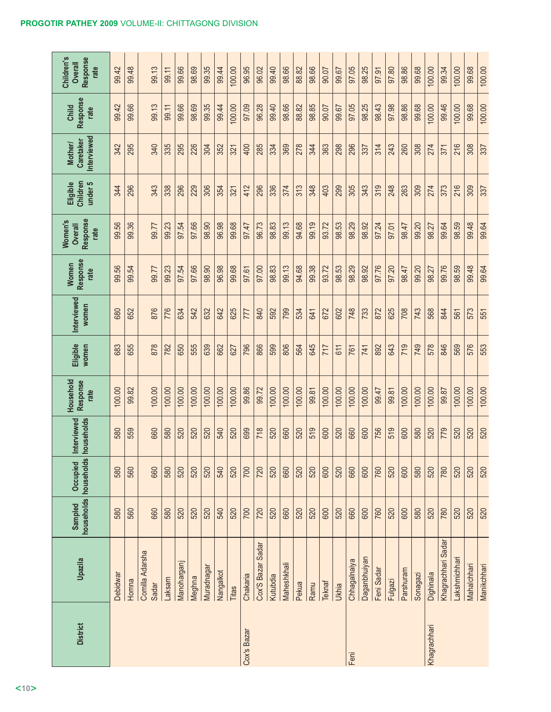| Children's<br>Response<br>Overall<br>rate  | 99.42   | 99.48 | 99.13                    | 99.11  | 99.66       | 98.69  | 99.35      | 99.44     | 100.00 | 96.95      | 96.02             | 99.40    | 98.66       | 88.82  | 98.66 | 90.07  | 99.67        | 97.05        | 98.25        | 97.91      | 97.80   | 98.86     | 99.68    | 100.00           | 99.34              | 100.00        | 99.68       | 100.00      |
|--------------------------------------------|---------|-------|--------------------------|--------|-------------|--------|------------|-----------|--------|------------|-------------------|----------|-------------|--------|-------|--------|--------------|--------------|--------------|------------|---------|-----------|----------|------------------|--------------------|---------------|-------------|-------------|
| Response<br>Child<br>rate                  | 99.42   | 99.66 | 99.13                    | 99.11  | 99.66       | 98.69  | 99.35      | 99.44     | 100.00 | 97.09      | 96.28             | 99.40    | 98.66       | 88.82  | 98.85 | 90.07  | 99.67        | 97.05        | 98.25        | 98.43      | 97.98   | 98.86     | 99.68    | 100.00           | 99.46              | 100.00        | 99.68       | 100.00      |
| Interviewed<br>Caretaker<br><b>Mother/</b> | 342     | 295   | 340                      | 335    | 295         | 226    | 304        | 352       | 321    | 400        | 285               | 334      | 369         | 278    | 344   | 363    | 298          | 296          | 337          | 314        | 243     | 260       | 308      | 274              | 371                | 216           | 308         | 337         |
| Children<br>under 5<br>Eligible            | 344     | 296   | 343                      | 338    | 296         | 229    | 306        | 354       | 321    | 412        | 296               | 336      | 374         | 313    | 348   | 403    | 299          | 305          | 343          | 319        | 248     | 263       | 309      | 274              | 373                | 216           | 309         | 337         |
| Response<br>Women's<br>Overall<br>rate     | 99.56   | 99.36 | 99.77                    | 99.23  | 97.54       | 97.66  | 98.90      | 96.98     | 99.68  | 14.76      | 96.73             | 98.83    | 99.13       | 94.68  | 99.19 | 93.72  | 98.53        | 98.29        | 98.92        | 97.24      | 97.01   | 98.47     | 99.20    | 98.27            | 99.64              | 98.59         | 99.48       | 99.64       |
| Response<br>Women<br>rate                  | 99.56   | 99.54 | 99.77                    | 99.23  | 97.54       | 97.66  | 98.90      | 96.98     | 99.68  | 97.61      | 97.00             | 98.83    | 99.13       | 94.68  | 99.38 | 93.72  | 98.53        | 98.29        | 98.92        | 97.76      | 97.20   | 98.47     | 99.20    | 98.27            | 99.76              | 98.59         | 99.48       | 99.64       |
| Interviewed<br>women                       | 680     | 652   | 876                      | 776    | 634         | 542    | 632        | 642       | 625    | 777        | 840               | 592      | 799         | 534    | 641   | 672    | 602          | 748          | 733          | 872        | 625     | 708       | 743      | 568              | 844                | 561           | 573         | 551         |
| Eligible<br>women                          | 683     | 655   | 878                      | 782    | 650         | 555    | 639        | 662       | 627    | 796        | 866               | 599      | 806         | 564    | 645   | 717    | 611          | 761          | 741          | 892        | 643     | 719       | 749      | 578              | 846                | 569           | 576         | 553         |
| Household<br>Response<br>rate              | 100.00  | 99.82 | 100.00                   | 100.00 | 100.00      | 100.00 | 100.00     | 100.00    | 100.00 | 99.86      | 99.72             | 100.00   | 100.00      | 100.00 | 99.81 | 100.00 | 100.00       | 100.00       | 100.00       | 99.47      | 99.81   | 100.00    | 100.00   | 100.00           | 99.87              | 100.00        | 100.00      | 100.00      |
| households<br>Interviewed                  | 580     | 559   | 660                      | 580    | 520         | 520    | 520        | 540       | 520    | 699        | 718               | 520      | 660         | 520    | 519   | 600    | 520          | 660          | 600          | 756        | 519     | 600       | 580      | 520              | 779                | 520           | 520         | 520         |
| households households<br>Occupied          | 580     | 560   | 660                      | 580    | 520         | 520    | 520        | 540       | 520    | 700        | 720               | 520      | 660         | 520    | 520   | 600    | 520          | 660          | 600          | 760        | 520     | 600       | 580      | 520              | 780                | 520           | 520         | 520         |
| Sampled                                    | 580     | 560   | 660                      | 580    | 520         | 520    | 520        | 540       | 520    | 700        | 720               | 520      | 660         | 520    | 520   | 600    | 520          | 660          | 600          | 760        | 520     | 600       | 580      | 520              | 780                | 520           | 520         | 520         |
| Upazila                                    | Debidwa | Homna | Comilla Adarsha<br>Sadar | Laksam | Manoharganj | Meghna | Muradnagar | Nangalkot | Titas  | Chakaria   | Cox'S Bazar Sadar | Kutubdia | Maheshkhali | Pekua  | Ramu  | Teknaf | <b>Ukhia</b> | Chhagalnaiya | Daganbhuiyan | Feni Sadar | Fulgazi | Parshuram | Sonagazi | <b>Dighinala</b> | Khagrachhari Sadar | Lakshmichhari | Mahalchhari | Manikchhari |
| <b>District</b>                            |         |       |                          |        |             |        |            |           |        | Cox's Baza |                   |          |             |        |       |        |              | Feni         |              |            |         |           |          | Khagrachhari     |                    |               |             |             |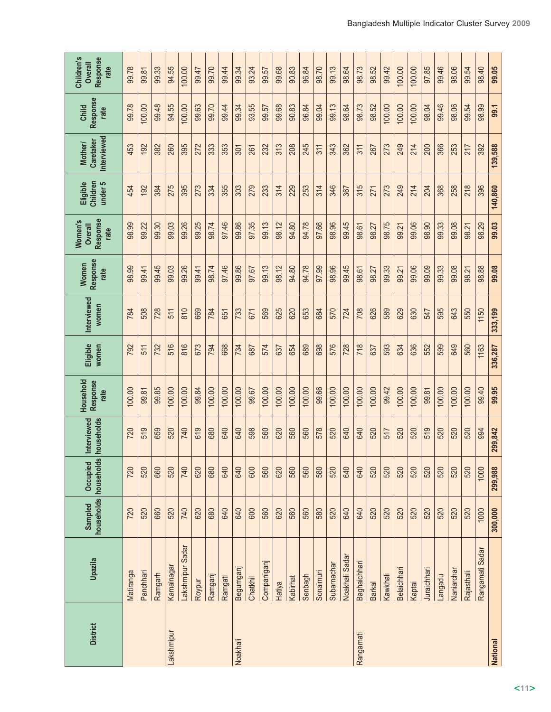| <b>District</b> | Upazila          | households households<br>Sampled | Occupied | Interviewed<br>households | Household<br>Response<br>rate | Eligible<br>women | Interviewed<br>women | Response<br>Women<br>rate | Response<br>Women's<br>Overall<br>rate | Children<br>Eligible<br>under 5 | Interviewed<br>Caretaker<br>Mother/ | Response<br>Child<br>rate | Children's<br>Response<br>Overall<br>rate |
|-----------------|------------------|----------------------------------|----------|---------------------------|-------------------------------|-------------------|----------------------|---------------------------|----------------------------------------|---------------------------------|-------------------------------------|---------------------------|-------------------------------------------|
|                 | Matiranga        | 720                              | 720      | 720                       | 100.00                        | 792               | 784                  | 98.99                     | 98.99                                  | 454                             | 453                                 | 99.78                     | 99.78                                     |
|                 | Panchhari        | 520                              | 520      | 519                       | 99.81                         | 511               | 508                  | 99.41                     | 99.22                                  | 192                             | 192                                 | 100.00                    | 99.81                                     |
|                 | Ramgarh          | 660                              | 660      | 659                       | 99.85                         | 732               | 728                  | 99.45                     | 99.30                                  | 384                             | 382                                 | 99.48                     | 99.33                                     |
| Lakshmipur      | Kamalnagar       | 520                              | 520      | 520                       | 100.00                        | 516               | 511                  | 99.03                     | 99.03                                  | 275                             | 260                                 | 94.55                     | 94.55                                     |
|                 | Lakshmipur Sadar | 740                              | 740      | 740                       | 100.00                        | 816               | 810                  | 99.26                     | 99.26                                  | 395                             | 395                                 | 100.00                    | 100.00                                    |
|                 | Roypur           | 620                              | 620      | 619                       | 99.84                         | 673               | 669                  | 99.41                     | 99.25                                  | 273                             | 272                                 | 99.63                     | 99.47                                     |
|                 | Ramganj          | 680                              | 680      | 680                       | 100.00                        | 794               | 784                  | 98.74                     | 98.74                                  | 334                             | 333                                 | 99.70                     | 99.70                                     |
|                 | Ramgati          | 640                              | 640      | 640                       | 100.00                        | 668               | 651                  | 97.46                     | 97.46                                  | 355                             | 353                                 | 99.44                     | 99.44                                     |
| Noakhali        | Begumganj        | 640                              | 640      | 640                       | 100.00                        | 734               | 733                  | 99.86                     | 99.86                                  | 303                             | 301                                 | 99.34                     | 99.34                                     |
|                 | Chatkhil         | 600                              | 600      | 598                       | 99.67                         | 687               | 671                  | 97.67                     | 97.35                                  | 279                             | 261                                 | 93.55                     | 93.24                                     |
|                 | Companiganj      | 560                              | 560      | 560                       | 100.00                        | 574               | 569                  | 99.13                     | 99.13                                  | 233                             | 232                                 | 99.57                     | 99.57                                     |
|                 | Hatiya           | 620                              | 620      | 620                       | 100.00                        | 637               | 625                  | 98.12                     | 98.12                                  | 314                             | 313                                 | 99.68                     | 99.68                                     |
|                 | Kabirhat         | 560                              | 560      | 560                       | 100.00                        | 654               | 620                  | 94.80                     | 94.80                                  | 229                             | 208                                 | 90.83                     | 90.83                                     |
|                 | Senbagh          | 560                              | 560      | 560                       | 100.00                        | 689               | 653                  | 94.78                     | 94.78                                  | 253                             | 245                                 | 96.84                     | 96.84                                     |
|                 | Sonaimuri        | 580                              | 580      | 578                       | 99.66                         | 698               | 684                  | 97.99                     | 97.66                                  | 314                             | 311                                 | 99.04                     | 98.70                                     |
|                 | Subamachar       | 520                              | 520      | 520                       | 100.00                        | 576               | 570                  | 98.96                     | 98.96                                  | 346                             | 343                                 | 99.13                     | 99.13                                     |
|                 | Noakhali Sadar   | 640                              | 640      | 640                       | 100.00                        | 728               | 724                  | 99.45                     | 99.45                                  | 367                             | 362                                 | 98.64                     | 98.64                                     |
| Rangamati       | Baghaichhari     | 640                              | 640      | 640                       | 100.00                        | 718               | 708                  | 98.61                     | 98.61                                  | 315                             | 311                                 | 98.73                     | 98.73                                     |
|                 | <b>Barkal</b>    | 520                              | 520      | 520                       | 100.00                        | 637               | 626                  | 98.27                     | 98.27                                  | 271                             | 267                                 | 98.52                     | 98.52                                     |
|                 | Kawkhali         | 520                              | 520      | 517                       | 99.42                         | 593               | 589                  | 99.33                     | 98.75                                  | 273                             | 273                                 | 100.00                    | 99.42                                     |
|                 | Belaichhari      | 520                              | 520      | 520                       | 100.00                        | 634               | 629                  | 99.21                     | 99.21                                  | 249                             | 249                                 | 100.00                    | 100.00                                    |
|                 | Kaptai           | 520                              | 520      | 520                       | 100.00                        | 636               | 630                  | 99.06                     | 99.06                                  | 214                             | 214                                 | 100.00                    | 100.00                                    |
|                 | Juraichhari      | 520                              | 520      | 519                       | 99.81                         | 552               | 547                  | 99.09                     | 98.90                                  | 204                             | 200                                 | 98.04                     | 97.85                                     |
|                 | Langadu          | 520                              | 520      | 520                       | 100.00                        | 599               | 595                  | 99.33                     | 99.33                                  | 368                             | 366                                 | 99.46                     | 99.46                                     |
|                 | Naniarchar       | 520                              | 520      | 520                       | 100.00                        | 649               | 643                  | 99.08                     | 99.08                                  | 258                             | 253                                 | 98.06                     | 98.06                                     |
|                 | Rajasthali       | 520                              | 520      | 520                       | 100.00                        | 560               | 550                  | 98.21                     | 98.21                                  | 218                             | 217                                 | 99.54                     | 99.54                                     |
|                 | Rangamati Sadar  | 1000                             | 1000     | 994                       | 99.40                         | 1163              | 1150                 | 98.88                     | 98.29                                  | 396                             | 392                                 | 98.99                     | 98.40                                     |
| <b>National</b> |                  | 300,000                          | 299,988  | 299,842                   | 99.95                         | 336,287           | 333, 199             | 99.08                     | 99.03                                  | 140,860                         | 139,588                             | 99.1                      | 99.05                                     |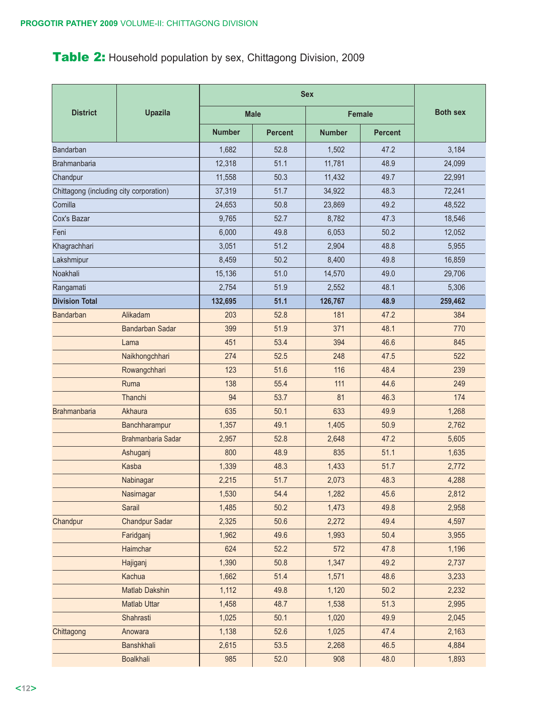### Table 2: Household population by sex, Chittagong Division, 2009

|                                         |                        |               |                | <b>Sex</b>    |                |                 |
|-----------------------------------------|------------------------|---------------|----------------|---------------|----------------|-----------------|
| <b>District</b>                         | <b>Upazila</b>         |               | <b>Male</b>    |               | <b>Female</b>  | <b>Both sex</b> |
|                                         |                        | <b>Number</b> | <b>Percent</b> | <b>Number</b> | <b>Percent</b> |                 |
| Bandarban                               |                        | 1,682         | 52.8           | 1,502         | 47.2           | 3,184           |
| <b>Brahmanbaria</b>                     |                        | 12,318        | 51.1           | 11,781        | 48.9           | 24,099          |
| Chandpur                                |                        | 11,558        | 50.3           | 11,432        | 49.7           | 22,991          |
| Chittagong (including city corporation) |                        | 37,319        | 51.7           | 34,922        | 48.3           | 72,241          |
| Comilla                                 |                        | 24,653        | 50.8           | 23,869        | 49.2           | 48,522          |
| Cox's Bazar                             |                        | 9,765         | 52.7           | 8,782         | 47.3           | 18,546          |
| Feni                                    |                        | 6,000         | 49.8           | 6,053         | 50.2           | 12,052          |
| Khagrachhari                            |                        | 3,051         | 51.2           | 2,904         | 48.8           | 5,955           |
| Lakshmipur                              |                        | 8,459         | 50.2           | 8,400         | 49.8           | 16,859          |
| Noakhali                                |                        | 15,136        | 51.0           | 14,570        | 49.0           | 29,706          |
| Rangamati                               |                        | 2,754         | 51.9           | 2,552         | 48.1           | 5,306           |
| <b>Division Total</b>                   |                        | 132,695       | 51.1           | 126,767       | 48.9           | 259,462         |
| <b>Bandarban</b>                        | Alikadam               | 203           | 52.8           | 181           | 47.2           | 384             |
|                                         | <b>Bandarban Sadar</b> | 399           | 51.9           | 371           | 48.1           | 770             |
|                                         | Lama                   | 451           | 53.4           | 394           | 46.6           | 845             |
|                                         | Naikhongchhari         | 274           | 52.5           | 248           | 47.5           | 522             |
|                                         | Rowangchhari           | 123           | 51.6           | 116           | 48.4           | 239             |
|                                         | Ruma                   | 138           | 55.4           | 111           | 44.6           | 249             |
|                                         | Thanchi                | 94            | 53.7           | 81            | 46.3           | 174             |
| <b>Brahmanbaria</b>                     | Akhaura                | 635           | 50.1           | 633           | 49.9           | 1,268           |
|                                         | Banchharampur          | 1,357         | 49.1           | 1,405         | 50.9           | 2,762           |
|                                         | Brahmanbaria Sadar     | 2,957         | 52.8           | 2,648         | 47.2           | 5,605           |
|                                         | Ashuganj               | 800           | 48.9           | 835           | 51.1           | 1,635           |
|                                         | Kasba                  | 1,339         | 48.3           | 1,433         | 51.7           | 2,772           |
|                                         | Nabinagar              | 2,215         | 51.7           | 2,073         | 48.3           | 4,288           |
|                                         | Nasirnagar             | 1,530         | 54.4           | 1,282         | 45.6           | 2,812           |
|                                         | Sarail                 | 1,485         | 50.2           | 1,473         | 49.8           | 2,958           |
| Chandpur                                | <b>Chandpur Sadar</b>  | 2,325         | 50.6           | 2,272         | 49.4           | 4,597           |
|                                         | Faridganj              | 1,962         | 49.6           | 1,993         | 50.4           | 3,955           |
|                                         | Haimchar               | 624           | 52.2           | 572           | 47.8           | 1,196           |
|                                         | Hajiganj               | 1,390         | 50.8           | 1,347         | 49.2           | 2,737           |
|                                         | Kachua                 | 1,662         | 51.4           | 1,571         | 48.6           | 3,233           |
|                                         | <b>Matlab Dakshin</b>  | 1,112         | 49.8           | 1,120         | 50.2           | 2,232           |
|                                         | Matlab Uttar           | 1,458         | 48.7           | 1,538         | 51.3           | 2,995           |
|                                         | Shahrasti              | 1,025         | 50.1           | 1,020         | 49.9           | 2,045           |
| Chittagong                              | Anowara                | 1,138         | 52.6           | 1,025         | 47.4           | 2,163           |
|                                         | Banshkhali             | 2,615         | 53.5           | 2,268         | 46.5           | 4,884           |
|                                         | <b>Boalkhali</b>       | 985           | 52.0           | 908           | 48.0           | 1,893           |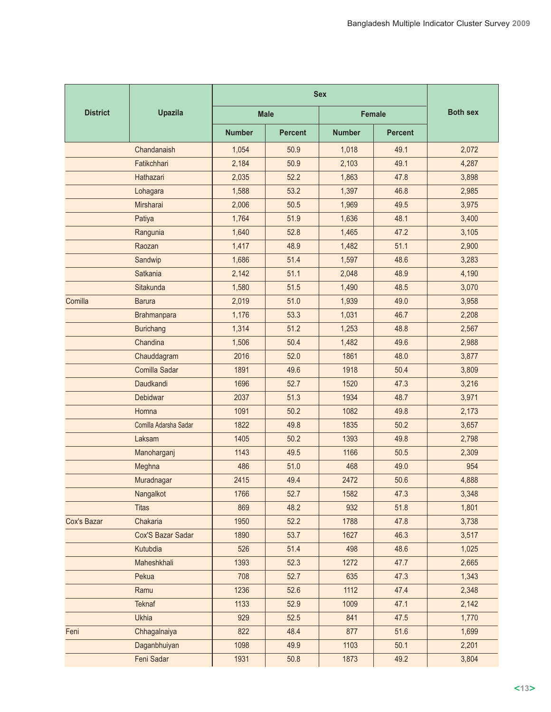|                 |                       |               |                | <b>Sex</b>    |                |                 |
|-----------------|-----------------------|---------------|----------------|---------------|----------------|-----------------|
| <b>District</b> | <b>Upazila</b>        |               | <b>Male</b>    |               | <b>Female</b>  | <b>Both sex</b> |
|                 |                       | <b>Number</b> | <b>Percent</b> | <b>Number</b> | <b>Percent</b> |                 |
|                 | Chandanaish           | 1,054         | 50.9           | 1,018         | 49.1           | 2,072           |
|                 | Fatikchhari           | 2,184         | 50.9           | 2,103         | 49.1           | 4,287           |
|                 | Hathazari             | 2,035         | 52.2           | 1,863         | 47.8           | 3,898           |
|                 | Lohagara              | 1,588         | 53.2           | 1,397         | 46.8           | 2,985           |
|                 | Mirsharai             | 2,006         | 50.5           | 1,969         | 49.5           | 3,975           |
|                 | Patiya                | 1,764         | 51.9           | 1,636         | 48.1           | 3,400           |
|                 | Rangunia              | 1,640         | 52.8           | 1,465         | 47.2           | 3,105           |
|                 | Raozan                | 1,417         | 48.9           | 1,482         | 51.1           | 2,900           |
|                 | Sandwip               | 1,686         | 51.4           | 1,597         | 48.6           | 3,283           |
|                 | Satkania              | 2,142         | 51.1           | 2,048         | 48.9           | 4,190           |
|                 | Sitakunda             | 1,580         | 51.5           | 1,490         | 48.5           | 3,070           |
| Comilla         | <b>Barura</b>         | 2,019         | 51.0           | 1,939         | 49.0           | 3,958           |
|                 | Brahmanpara           | 1,176         | 53.3           | 1,031         | 46.7           | 2,208           |
|                 | <b>Burichang</b>      | 1,314         | 51.2           | 1,253         | 48.8           | 2,567           |
|                 | Chandina              | 1,506         | 50.4           | 1,482         | 49.6           | 2,988           |
|                 | Chauddagram           | 2016          | 52.0           | 1861          | 48.0           | 3,877           |
|                 | Comilla Sadar         | 1891          | 49.6           | 1918          | 50.4           | 3,809           |
|                 | Daudkandi             | 1696          | 52.7           | 1520          | 47.3           | 3,216           |
|                 | Debidwar              | 2037          | 51.3           | 1934          | 48.7           | 3,971           |
|                 | Homna                 | 1091          | 50.2           | 1082          | 49.8           | 2,173           |
|                 | Comilla Adarsha Sadar | 1822          | 49.8           | 1835          | 50.2           | 3,657           |
|                 | Laksam                | 1405          | 50.2           | 1393          | 49.8           | 2,798           |
|                 | Manoharganj           | 1143          | 49.5           | 1166          | 50.5           | 2,309           |
|                 | Meghna                | 486           | 51.0           | 468           | 49.0           | 954             |
|                 | Muradnagar            | 2415          | 49.4           | 2472          | 50.6           | 4,888           |
|                 | Nangalkot             | 1766          | 52.7           | 1582          | 47.3           | 3,348           |
|                 | <b>Titas</b>          | 869           | 48.2           | 932           | 51.8           | 1,801           |
| Cox's Bazar     | Chakaria              | 1950          | 52.2           | 1788          | 47.8           | 3,738           |
|                 | Cox'S Bazar Sadar     | 1890          | 53.7           | 1627          | 46.3           | 3,517           |
|                 | Kutubdia              | 526           | 51.4           | 498           | 48.6           | 1,025           |
|                 | Maheshkhali           | 1393          | 52.3           | 1272          | 47.7           | 2,665           |
|                 | Pekua                 | 708           | 52.7           | 635           | 47.3           | 1,343           |
|                 | Ramu                  | 1236          | 52.6           | 1112          | 47.4           | 2,348           |
|                 | <b>Teknaf</b>         | 1133          | 52.9           | 1009          | 47.1           | 2,142           |
|                 | <b>Ukhia</b>          | 929           | 52.5           | 841           | 47.5           | 1,770           |
| Feni            | Chhagalnaiya          | 822           | 48.4           | 877           | 51.6           | 1,699           |
|                 | Daganbhuiyan          | 1098          | 49.9           | 1103          | 50.1           | 2,201           |
|                 | Feni Sadar            | 1931          | 50.8           | 1873          | 49.2           | 3,804           |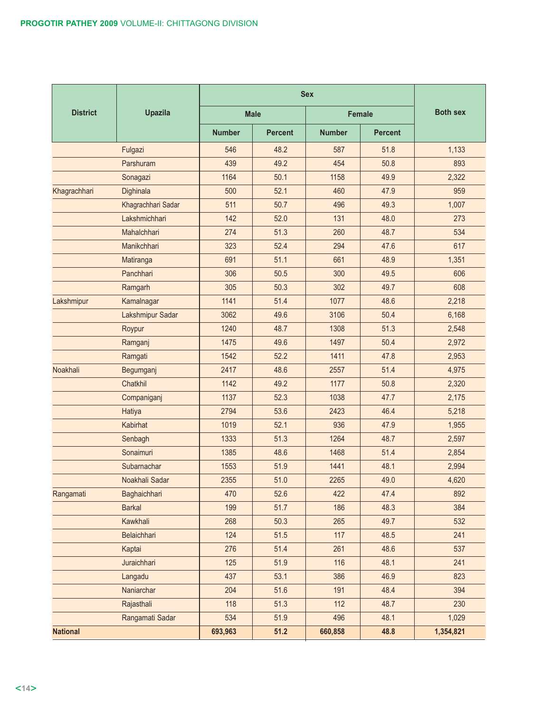|                 |                    |               |                | <b>Sex</b>    |                |                 |
|-----------------|--------------------|---------------|----------------|---------------|----------------|-----------------|
| <b>District</b> | Upazila            |               | <b>Male</b>    | <b>Female</b> |                | <b>Both sex</b> |
|                 |                    | <b>Number</b> | <b>Percent</b> | <b>Number</b> | <b>Percent</b> |                 |
|                 | Fulgazi            | 546           | 48.2           | 587           | 51.8           | 1,133           |
|                 | Parshuram          | 439           | 49.2           | 454           | 50.8           | 893             |
|                 | Sonagazi           | 1164          | 50.1           | 1158          | 49.9           | 2,322           |
| Khagrachhari    | Dighinala          | 500           | 52.1           | 460           | 47.9           | 959             |
|                 | Khagrachhari Sadar | 511           | 50.7           | 496           | 49.3           | 1,007           |
|                 | Lakshmichhari      | 142           | 52.0           | 131           | 48.0           | 273             |
|                 | Mahalchhari        | 274           | 51.3           | 260           | 48.7           | 534             |
|                 | Manikchhari        | 323           | 52.4           | 294           | 47.6           | 617             |
|                 | Matiranga          | 691           | 51.1           | 661           | 48.9           | 1,351           |
|                 | Panchhari          | 306           | 50.5           | 300           | 49.5           | 606             |
|                 | Ramgarh            | 305           | 50.3           | 302           | 49.7           | 608             |
| Lakshmipur      | Kamalnagar         | 1141          | 51.4           | 1077          | 48.6           | 2,218           |
|                 | Lakshmipur Sadar   | 3062          | 49.6           | 3106          | 50.4           | 6,168           |
|                 | Roypur             | 1240          | 48.7           | 1308          | 51.3           | 2,548           |
|                 | Ramganj            | 1475          | 49.6           | 1497          | 50.4           | 2,972           |
|                 | Ramgati            | 1542          | 52.2           | 1411          | 47.8           | 2,953           |
| Noakhali        | Begumganj          | 2417          | 48.6           | 2557          | 51.4           | 4,975           |
|                 | Chatkhil           | 1142          | 49.2           | 1177          | 50.8           | 2,320           |
|                 | Companiganj        | 1137          | 52.3           | 1038          | 47.7           | 2,175           |
|                 | Hatiya             | 2794          | 53.6           | 2423          | 46.4           | 5,218           |
|                 | Kabirhat           | 1019          | 52.1           | 936           | 47.9           | 1,955           |
|                 | Senbagh            | 1333          | 51.3           | 1264          | 48.7           | 2,597           |
|                 | Sonaimuri          | 1385          | 48.6           | 1468          | 51.4           | 2,854           |
|                 | Subarnachar        | 1553          | 51.9           | 1441          | 48.1           | 2,994           |
|                 | Noakhali Sadar     | 2355          | 51.0           | 2265          | 49.0           | 4,620           |
| Rangamati       | Baghaichhari       | 470           | 52.6           | 422           | 47.4           | 892             |
|                 | <b>Barkal</b>      | 199           | 51.7           | 186           | 48.3           | 384             |
|                 | Kawkhali           | 268           | 50.3           | 265           | 49.7           | 532             |
|                 | Belaichhari        | 124           | 51.5           | 117           | 48.5           | 241             |
|                 | Kaptai             | 276           | 51.4           | 261           | 48.6           | 537             |
|                 | Juraichhari        | 125           | 51.9           | 116           | 48.1           | 241             |
|                 | Langadu            | 437           | 53.1           | 386           | 46.9           | 823             |
|                 | Naniarchar         | 204           | 51.6           | 191           | 48.4           | 394             |
|                 | Rajasthali         | 118           | 51.3           | 112           | 48.7           | 230             |
|                 | Rangamati Sadar    | 534           | 51.9           | 496           | 48.1           | 1,029           |
| <b>National</b> |                    | 693,963       | 51.2           | 660,858       | 48.8           | 1,354,821       |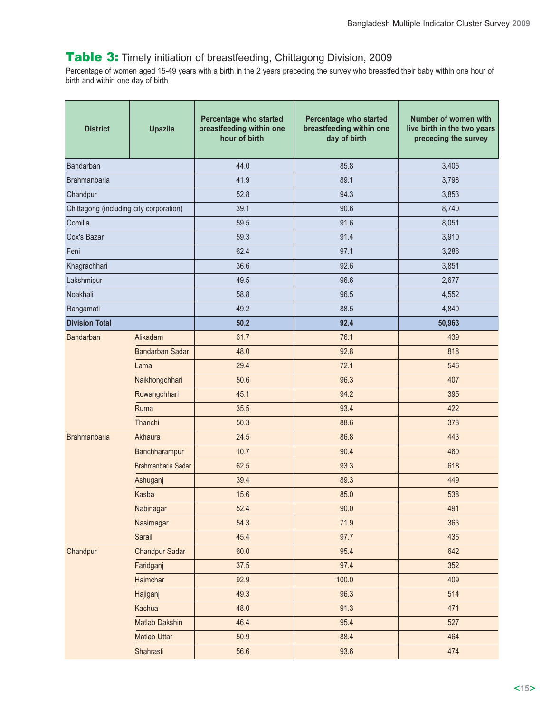### Table 3: Timely initiation of breastfeeding, Chittagong Division, 2009

Percentage of women aged 15-49 years with a birth in the 2 years preceding the survey who breastfed their baby within one hour of birth and within one day of birth

| <b>District</b>                         | <b>Upazila</b>         | Percentage who started<br>breastfeeding within one<br>hour of birth | Percentage who started<br>breastfeeding within one<br>day of birth | Number of women with<br>live birth in the two years<br>preceding the survey |
|-----------------------------------------|------------------------|---------------------------------------------------------------------|--------------------------------------------------------------------|-----------------------------------------------------------------------------|
| Bandarban                               |                        | 44.0                                                                | 85.8                                                               | 3,405                                                                       |
| <b>Brahmanbaria</b>                     |                        | 41.9                                                                | 89.1                                                               | 3,798                                                                       |
| Chandpur                                |                        | 52.8                                                                | 94.3                                                               | 3,853                                                                       |
| Chittagong (including city corporation) |                        | 39.1                                                                | 90.6                                                               | 8,740                                                                       |
| Comilla                                 |                        | 59.5                                                                | 91.6                                                               | 8,051                                                                       |
| Cox's Bazar                             |                        | 59.3                                                                | 91.4                                                               | 3,910                                                                       |
| Feni                                    |                        | 62.4                                                                | 97.1                                                               | 3,286                                                                       |
| Khagrachhari                            |                        | 36.6                                                                | 92.6                                                               | 3,851                                                                       |
| Lakshmipur                              |                        | 49.5                                                                | 96.6                                                               | 2,677                                                                       |
| Noakhali                                |                        | 58.8                                                                | 96.5                                                               | 4,552                                                                       |
| Rangamati                               |                        | 49.2                                                                | 88.5                                                               | 4,840                                                                       |
| <b>Division Total</b>                   |                        | 50.2                                                                | 92.4                                                               | 50,963                                                                      |
| <b>Bandarban</b>                        | Alikadam               | 61.7                                                                | 76.1                                                               | 439                                                                         |
|                                         | <b>Bandarban Sadar</b> | 48.0                                                                | 92.8                                                               | 818                                                                         |
|                                         | Lama                   | 29.4                                                                | 72.1                                                               | 546                                                                         |
|                                         | Naikhongchhari         | 50.6                                                                | 96.3                                                               | 407                                                                         |
|                                         | Rowangchhari           | 45.1                                                                | 94.2                                                               | 395                                                                         |
|                                         | Ruma                   | 35.5                                                                | 93.4                                                               | 422                                                                         |
|                                         | Thanchi                | 50.3                                                                | 88.6                                                               | 378                                                                         |
| <b>Brahmanbaria</b>                     | Akhaura                | 24.5                                                                | 86.8                                                               | 443                                                                         |
|                                         | Banchharampur          | 10.7                                                                | 90.4                                                               | 460                                                                         |
|                                         | Brahmanbaria Sadar     | 62.5                                                                | 93.3                                                               | 618                                                                         |
|                                         | Ashuganj               | 39.4                                                                | 89.3                                                               | 449                                                                         |
|                                         | Kasba                  | 15.6                                                                | 85.0                                                               | 538                                                                         |
|                                         | Nabinagar              | 52.4                                                                | 90.0                                                               | 491                                                                         |
|                                         | Nasirnagar             | 54.3                                                                | 71.9                                                               | 363                                                                         |
|                                         | Sarail                 | 45.4                                                                | 97.7                                                               | 436                                                                         |
| Chandpur                                | <b>Chandpur Sadar</b>  | 60.0                                                                | 95.4                                                               | 642                                                                         |
|                                         | Faridganj              | 37.5                                                                | 97.4                                                               | 352                                                                         |
|                                         | Haimchar               | 92.9                                                                | 100.0                                                              | 409                                                                         |
|                                         | Hajiganj               | 49.3                                                                | 96.3                                                               | 514                                                                         |
|                                         | Kachua                 | 48.0                                                                | 91.3                                                               | 471                                                                         |
|                                         | <b>Matlab Dakshin</b>  | 46.4                                                                | 95.4                                                               | 527                                                                         |
|                                         | <b>Matlab Uttar</b>    | 50.9                                                                | 88.4                                                               | 464                                                                         |
|                                         | Shahrasti              | 56.6                                                                | 93.6                                                               | 474                                                                         |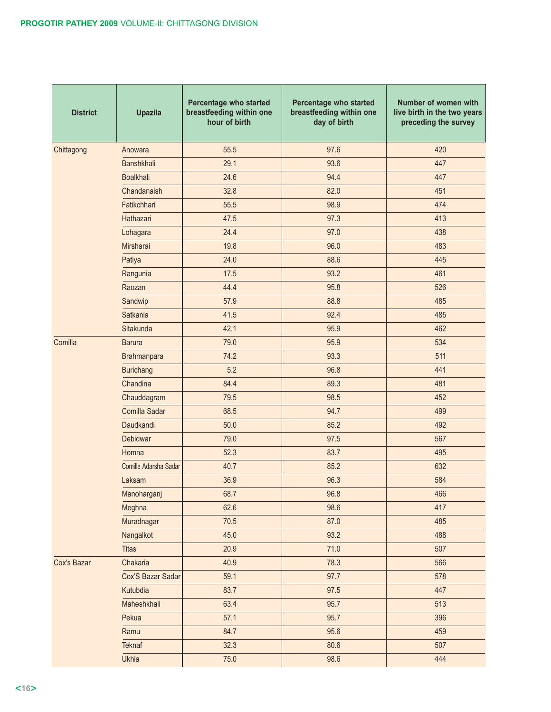| <b>District</b> | <b>Upazila</b>        | Percentage who started<br>breastfeeding within one<br>hour of birth | Percentage who started<br>breastfeeding within one<br>day of birth | Number of women with<br>live birth in the two years<br>preceding the survey |
|-----------------|-----------------------|---------------------------------------------------------------------|--------------------------------------------------------------------|-----------------------------------------------------------------------------|
| Chittagong      | Anowara               | 55.5                                                                | 97.6                                                               | 420                                                                         |
|                 | Banshkhali            | 29.1                                                                | 93.6                                                               | 447                                                                         |
|                 | <b>Boalkhali</b>      | 24.6                                                                | 94.4                                                               | 447                                                                         |
|                 | Chandanaish           | 32.8                                                                | 82.0                                                               | 451                                                                         |
|                 | Fatikchhari           | 55.5                                                                | 98.9                                                               | 474                                                                         |
|                 | Hathazari             | 47.5                                                                | 97.3                                                               | 413                                                                         |
|                 | Lohagara              | 24.4                                                                | 97.0                                                               | 438                                                                         |
|                 | <b>Mirsharai</b>      | 19.8                                                                | 96.0                                                               | 483                                                                         |
|                 | Patiya                | 24.0                                                                | 88.6                                                               | 445                                                                         |
|                 | Rangunia              | 17.5                                                                | 93.2                                                               | 461                                                                         |
|                 | Raozan                | 44.4                                                                | 95.8                                                               | 526                                                                         |
|                 | Sandwip               | 57.9                                                                | 88.8                                                               | 485                                                                         |
|                 | Satkania              | 41.5                                                                | 92.4                                                               | 485                                                                         |
|                 | Sitakunda             | 42.1                                                                | 95.9                                                               | 462                                                                         |
| Comilla         | <b>Barura</b>         | 79.0                                                                | 95.9                                                               | 534                                                                         |
|                 | <b>Brahmanpara</b>    | 74.2                                                                | 93.3                                                               | 511                                                                         |
|                 | <b>Burichang</b>      | 5.2                                                                 | 96.8                                                               | 441                                                                         |
|                 | Chandina              | 84.4                                                                | 89.3                                                               | 481                                                                         |
|                 | Chauddagram           | 79.5                                                                | 98.5                                                               | 452                                                                         |
|                 | Comilla Sadar         | 68.5                                                                | 94.7                                                               | 499                                                                         |
|                 | Daudkandi             | 50.0                                                                | 85.2                                                               | 492                                                                         |
|                 | Debidwar              | 79.0                                                                | 97.5                                                               | 567                                                                         |
|                 | Homna                 | 52.3                                                                | 83.7                                                               | 495                                                                         |
|                 | Comilla Adarsha Sadar | 40.7                                                                | 85.2                                                               | 632                                                                         |
|                 | Laksam                | 36.9                                                                | 96.3                                                               | 584                                                                         |
|                 | Manoharganj           | 68.7                                                                | 96.8                                                               | 466                                                                         |
|                 | Meghna                | 62.6                                                                | 98.6                                                               | 417                                                                         |
|                 | Muradnagar            | 70.5                                                                | 87.0                                                               | 485                                                                         |
|                 | Nangalkot             | 45.0                                                                | 93.2                                                               | 488                                                                         |
|                 | <b>Titas</b>          | 20.9                                                                | 71.0                                                               | 507                                                                         |
| Cox's Bazar     | Chakaria              | 40.9                                                                | 78.3                                                               | 566                                                                         |
|                 | Cox'S Bazar Sadar     | 59.1                                                                | 97.7                                                               | 578                                                                         |
|                 | Kutubdia              | 83.7                                                                | 97.5                                                               | 447                                                                         |
|                 | Maheshkhali           | 63.4                                                                | 95.7                                                               | 513                                                                         |
|                 | Pekua                 | 57.1                                                                | 95.7                                                               | 396                                                                         |
|                 | Ramu                  | 84.7                                                                | 95.6                                                               | 459                                                                         |
|                 | <b>Teknaf</b>         | 32.3                                                                | 80.6                                                               | 507                                                                         |
|                 | <b>Ukhia</b>          | 75.0                                                                | 98.6                                                               | 444                                                                         |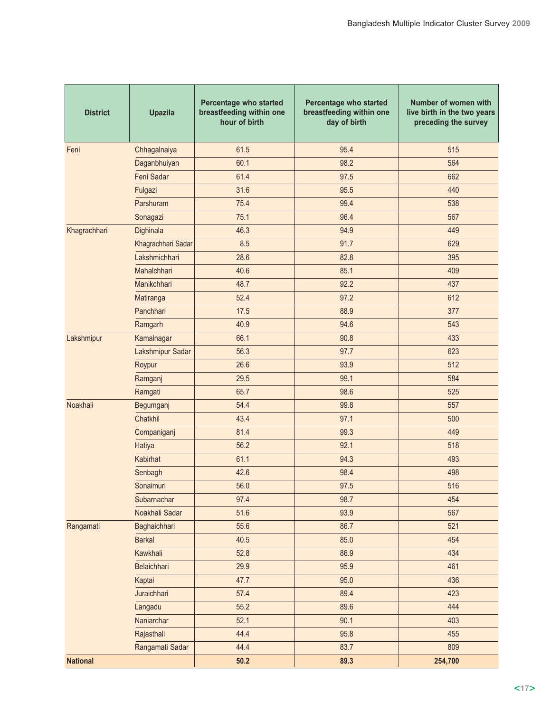| <b>District</b> | <b>Upazila</b>     | Percentage who started<br>breastfeeding within one<br>hour of birth | Percentage who started<br>breastfeeding within one<br>day of birth | Number of women with<br>live birth in the two years<br>preceding the survey |
|-----------------|--------------------|---------------------------------------------------------------------|--------------------------------------------------------------------|-----------------------------------------------------------------------------|
| Feni            | Chhagalnaiya       | 61.5                                                                | 95.4                                                               | 515                                                                         |
|                 | Daganbhuiyan       | 60.1                                                                | 98.2                                                               | 564                                                                         |
|                 | Feni Sadar         | 61.4                                                                | 97.5                                                               | 662                                                                         |
|                 | Fulgazi            | 31.6                                                                | 95.5                                                               | 440                                                                         |
|                 | Parshuram          | 75.4                                                                | 99.4                                                               | 538                                                                         |
|                 | Sonagazi           | 75.1                                                                | 96.4                                                               | 567                                                                         |
| Khagrachhari    | Dighinala          | 46.3                                                                | 94.9                                                               | 449                                                                         |
|                 | Khagrachhari Sadar | 8.5                                                                 | 91.7                                                               | 629                                                                         |
|                 | Lakshmichhari      | 28.6                                                                | 82.8                                                               | 395                                                                         |
|                 | Mahalchhari        | 40.6                                                                | 85.1                                                               | 409                                                                         |
|                 | Manikchhari        | 48.7                                                                | 92.2                                                               | 437                                                                         |
|                 | Matiranga          | 52.4                                                                | 97.2                                                               | 612                                                                         |
|                 | Panchhari          | 17.5                                                                | 88.9                                                               | 377                                                                         |
|                 | Ramgarh            | 40.9                                                                | 94.6                                                               | 543                                                                         |
| Lakshmipur      | Kamalnagar         | 66.1                                                                | 90.8                                                               | 433                                                                         |
|                 | Lakshmipur Sadar   | 56.3                                                                | 97.7                                                               | 623                                                                         |
|                 | Roypur             | 26.6                                                                | 93.9                                                               | 512                                                                         |
|                 | Ramganj            | 29.5                                                                | 99.1                                                               | 584                                                                         |
|                 | Ramgati            | 65.7                                                                | 98.6                                                               | 525                                                                         |
| Noakhali        | Begumganj          | 54.4                                                                | 99.8                                                               | 557                                                                         |
|                 | Chatkhil           | 43.4                                                                | 97.1                                                               | 500                                                                         |
|                 | Companiganj        | 81.4                                                                | 99.3                                                               | 449                                                                         |
|                 | Hatiya             | 56.2                                                                | 92.1                                                               | 518                                                                         |
|                 | Kabirhat           | 61.1                                                                | 94.3                                                               | 493                                                                         |
|                 | Senbagh            | 42.6                                                                | 98.4                                                               | 498                                                                         |
|                 | Sonaimuri          | 56.0                                                                | 97.5                                                               | 516                                                                         |
|                 | Subarnachar        | 97.4                                                                | 98.7                                                               | 454                                                                         |
|                 | Noakhali Sadar     | 51.6                                                                | 93.9                                                               | 567                                                                         |
| Rangamati       | Baghaichhari       | 55.6                                                                | 86.7                                                               | 521                                                                         |
|                 | <b>Barkal</b>      | 40.5                                                                | 85.0                                                               | 454                                                                         |
|                 | Kawkhali           | 52.8                                                                | 86.9                                                               | 434                                                                         |
|                 | Belaichhari        | 29.9                                                                | 95.9                                                               | 461                                                                         |
|                 | Kaptai             | 47.7                                                                | 95.0                                                               | 436                                                                         |
|                 | Juraichhari        | 57.4                                                                | 89.4                                                               | 423                                                                         |
|                 | Langadu            | 55.2                                                                | 89.6                                                               | 444                                                                         |
|                 | Naniarchar         | 52.1                                                                | 90.1                                                               | 403                                                                         |
|                 | Rajasthali         | 44.4                                                                | 95.8                                                               | 455                                                                         |
|                 | Rangamati Sadar    | 44.4                                                                | 83.7                                                               | 809                                                                         |
| <b>National</b> |                    | 50.2                                                                | 89.3                                                               | 254,700                                                                     |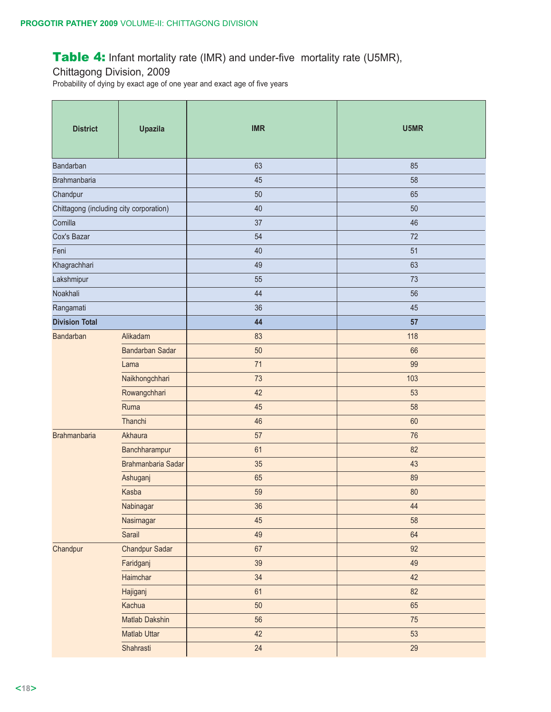### Table 4: Infant mortality rate (IMR) and under-five mortality rate (U5MR),

Chittagong Division, 2009

Probability of dying by exact age of one year and exact age of five years

| <b>District</b>                         | <b>Upazila</b>         | <b>IMR</b> | U5MR   |
|-----------------------------------------|------------------------|------------|--------|
| Bandarban                               |                        | 63         | 85     |
| Brahmanbaria                            |                        | 45         | 58     |
| Chandpur                                |                        | 50         | 65     |
| Chittagong (including city corporation) |                        | 40         | 50     |
| Comilla                                 |                        | 37         | 46     |
| Cox's Bazar                             |                        | 54         | 72     |
| Feni                                    |                        | 40         | 51     |
| Khagrachhari                            |                        | 49         | 63     |
| Lakshmipur                              |                        | 55         | 73     |
| Noakhali                                |                        | 44         | 56     |
| Rangamati                               |                        | 36         | 45     |
| <b>Division Total</b>                   |                        | 44         | 57     |
| <b>Bandarban</b>                        | Alikadam               | 83         | 118    |
|                                         | <b>Bandarban Sadar</b> | 50         | 66     |
|                                         | Lama                   | 71         | 99     |
|                                         | Naikhongchhari         | 73         | 103    |
|                                         | Rowangchhari           | 42         | 53     |
|                                         | Ruma                   | 45         | 58     |
|                                         | Thanchi                | 46         | 60     |
| Brahmanbaria                            | Akhaura                | 57         | 76     |
|                                         | Banchharampur          | 61         | 82     |
|                                         | Brahmanbaria Sadar     | 35         | 43     |
|                                         | Ashuganj               | 65         | 89     |
|                                         | Kasba                  | 59         | 80     |
|                                         | Nabinagar              | 36         | 44     |
|                                         | Nasirnagar             | 45         | 58     |
|                                         | Sarail                 | 49         | 64     |
| Chandpur                                | Chandpur Sadar         | 67         | 92     |
|                                         | Faridganj              | $39\,$     | 49     |
|                                         | Haimchar               | 34         | $42\,$ |
|                                         | Hajiganj               | 61         | 82     |
|                                         | Kachua                 | 50         | 65     |
|                                         | Matlab Dakshin         | 56         | 75     |
|                                         | Matlab Uttar           | $42\,$     | 53     |
|                                         | Shahrasti              | 24         | 29     |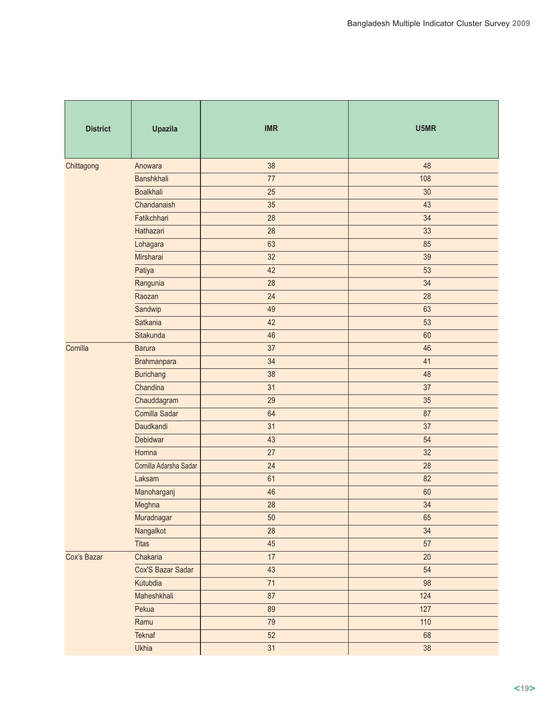| <b>District</b> | <b>Upazila</b>        | <b>IMR</b> | U5MR |
|-----------------|-----------------------|------------|------|
| Chittagong      | Anowara               | 38         | 48   |
|                 | Banshkhali            | 77         | 108  |
|                 | <b>Boalkhali</b>      | 25         | 30   |
|                 | Chandanaish           | 35         | 43   |
|                 | Fatikchhari           | 28         | 34   |
|                 | Hathazari             | 28         | 33   |
|                 | Lohagara              | 63         | 85   |
|                 | Mirsharai             | 32         | 39   |
|                 | Patiya                | 42         | 53   |
|                 | Rangunia              | 28         | 34   |
|                 | Raozan                | 24         | 28   |
|                 | Sandwip               | 49         | 63   |
|                 | Satkania              | 42         | 53   |
|                 | Sitakunda             | 46         | 60   |
| Comilla         | <b>Barura</b>         | 37         | 46   |
|                 | Brahmanpara           | 34         | 41   |
|                 | <b>Burichang</b>      | 38         | 48   |
|                 | Chandina              | 31         | 37   |
|                 | Chauddagram           | 29         | 35   |
|                 | Comilla Sadar         | 64         | 87   |
|                 | Daudkandi             | 31         | 37   |
|                 | Debidwar              | 43         | 54   |
|                 | Homna                 | 27         | 32   |
|                 | Comilla Adarsha Sadar | 24         | 28   |
|                 | Laksam                | 61         | 82   |
|                 | Manoharganj           | 46         | 60   |
|                 | Meghna                | 28         | $34$ |
|                 | Muradnagar            | 50         | 65   |
|                 | Nangalkot             | 28         | 34   |
|                 | <b>Titas</b>          | 45         | 57   |
| Cox's Bazar     | Chakaria              | 17         | 20   |
|                 | Cox'S Bazar Sadar     | 43         | 54   |
|                 | Kutubdia              | 71         | 98   |
|                 | Maheshkhali           | 87         | 124  |
|                 | Pekua                 | 89         | 127  |
|                 | Ramu                  | 79         | 110  |
|                 | Teknaf                | 52         | 68   |
|                 | Ukhia                 | 31         | 38   |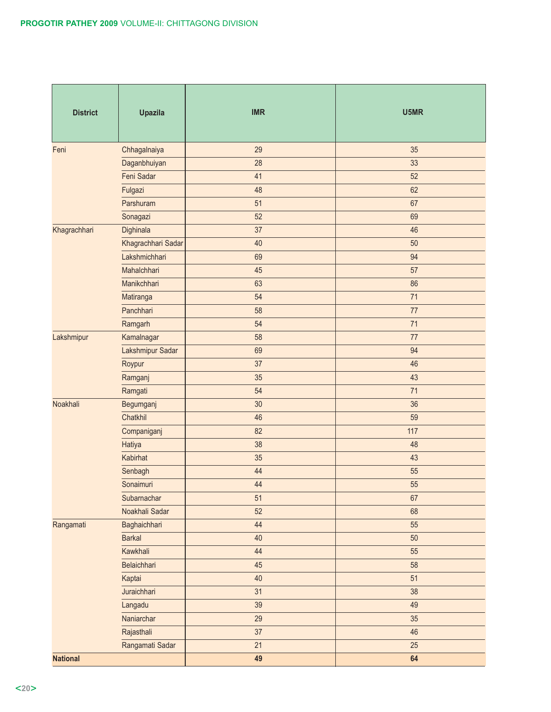| <b>District</b> | <b>Upazila</b>     | <b>IMR</b> | U5MR   |
|-----------------|--------------------|------------|--------|
| Feni            | Chhagalnaiya       | 29         | 35     |
|                 | Daganbhuiyan       | 28         | 33     |
|                 | Feni Sadar         | 41         | 52     |
|                 | Fulgazi            | 48         | 62     |
|                 | Parshuram          | 51         | 67     |
|                 | Sonagazi           | 52         | 69     |
| Khagrachhari    | Dighinala          | 37         | 46     |
|                 | Khagrachhari Sadar | 40         | 50     |
|                 | Lakshmichhari      | 69         | 94     |
|                 | Mahalchhari        | 45         | 57     |
|                 | Manikchhari        | 63         | 86     |
|                 | Matiranga          | 54         | 71     |
|                 | Panchhari          | 58         | 77     |
|                 | Ramgarh            | 54         | 71     |
| Lakshmipur      | Kamalnagar         | 58         | 77     |
|                 | Lakshmipur Sadar   | 69         | 94     |
|                 | Roypur             | 37         | 46     |
|                 | Ramganj            | 35         | 43     |
|                 | Ramgati            | 54         | 71     |
| Noakhali        | Begumganj          | 30         | 36     |
|                 | Chatkhil           | 46         | 59     |
|                 | Companiganj        | 82         | 117    |
|                 | Hatiya             | 38         | 48     |
|                 | Kabirhat           | 35         | 43     |
|                 | Senbagh            | 44         | 55     |
|                 | Sonaimuri          | 44         | 55     |
|                 | Subarnachar        | 51         | 67     |
|                 | Noakhali Sadar     | 52         | 68     |
| Rangamati       | Baghaichhari       | 44         | 55     |
|                 | <b>Barkal</b>      | 40         | 50     |
|                 | Kawkhali           | 44         | 55     |
|                 | Belaichhari        | $45\,$     | 58     |
|                 | Kaptai             | 40         | 51     |
|                 | Juraichhari        | 31         | 38     |
|                 | Langadu            | 39         | 49     |
|                 | Naniarchar         | 29         | $35\,$ |
|                 | Rajasthali         | 37         | 46     |
|                 | Rangamati Sadar    | 21         | 25     |
| <b>National</b> |                    | 49         | 64     |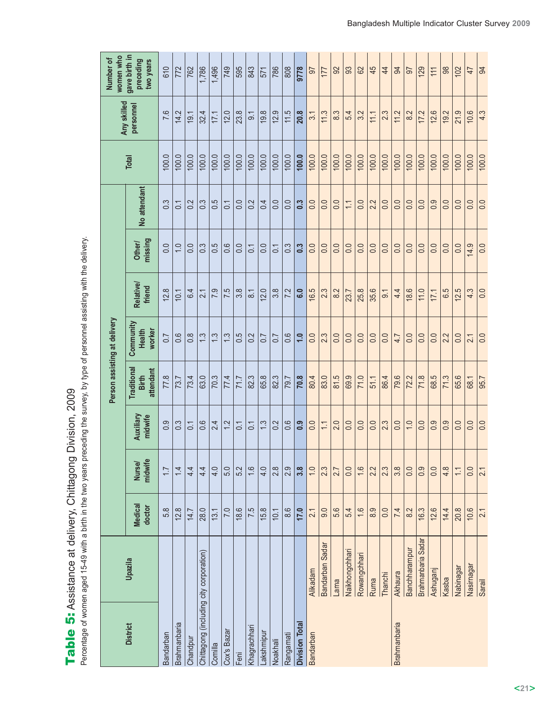|                                         |                    |                          |                          |                      | Person assisting at delivery                    |                               |                     |                  |                  |       | Any skilled      | women who<br>Number of                  |
|-----------------------------------------|--------------------|--------------------------|--------------------------|----------------------|-------------------------------------------------|-------------------------------|---------------------|------------------|------------------|-------|------------------|-----------------------------------------|
| <b>District</b>                         | Upazila            | <b>Medical</b><br>doctor | midwife<br>Nurse/        | Auxiliary<br>midwife | <b>Traditional</b><br>attendant<br><b>Birth</b> | Community<br>worker<br>Health | Relative/<br>friend | missing<br>Other | No attendant     | Total | personnel        | gave birth in<br>preceding<br>two years |
| <b>Bandarban</b>                        |                    | 5.8                      | $\overline{1.7}$         | 0.9                  | 77.8                                            | 0.7                           | 12.8                | 0.0              | $0.\overline{3}$ | 100.0 | 7.6              | 610                                     |
| Brahmanbaria                            |                    | 12.8                     | $1\overline{4}$          | $0.\overline{3}$     | 73.7                                            | 0.6                           | 10.1                | $\frac{0}{1}$    | $\overline{C}$   | 100.0 | 14.2             | 772                                     |
| Chandpur                                |                    | 14.7                     | 4.4                      | $\overline{0}$ :     | 73.4                                            | $\frac{8}{2}$                 | 6.4                 | 0.0              | 0.2              | 100.0 | 19.1             | 762                                     |
| Chittagong (including city corporation) |                    | 28.0                     | 4.4                      | 0.6                  | 63.0                                            | $\ddot{.}3$                   | 21                  | $0.\overline{3}$ | 0.3              | 100.0 | 32.4             | 1,786                                   |
| Comilla                                 |                    | 13.1                     | 4.0                      | 2.4                  | 70.3                                            | $\frac{3}{2}$                 | 7.9                 | 0.5              | 0.5              | 100.0 | 17.1             | 1,496                                   |
| Cox's Bazar                             |                    | 7.0                      | 5.0                      | 12                   | 77.4                                            | $\frac{3}{2}$                 | 7.5                 | 0.6              | $\overline{C}$   | 100.0 | 12.0             | 749                                     |
| Feni                                    |                    | 18.6                     | 5.2                      | $\overline{0}$ .     | 71.7                                            | 0.5                           | 3.8                 | 0.0              | $\overline{0}$ . | 100.0 | 23.8             | 595                                     |
| Khagrachhari                            |                    | 7.5                      | $\frac{6}{1}$            | $\overline{0}$ :     | 82.3                                            | 0.2                           | $\overline{\circ}$  | $\overline{0}$ : | 0.2              | 100.0 | $\overline{9}$ . | 843                                     |
| Lakshmipur                              |                    | 15.8                     | 4.0                      | $\frac{3}{2}$        | 65.8                                            | $\overline{0.7}$              | 12.0                | 0.0              | 0.4              | 100.0 | 19.8             | 571                                     |
| Noakhali                                |                    | 10.1                     | 2.8                      | 0.2                  | 82.3                                            | $\overline{0.7}$              | 3.8                 | $\overline{0}$ . | 0.0              | 100.0 | 12.9             | 786                                     |
| Rangamati                               |                    | 8.6                      | 2.9                      | 0.6                  | 79.7                                            | 0.6                           | 7.2                 | $0.\overline{3}$ | 0.0              | 100.0 | 11.5             | 808                                     |
| Division<br>Total                       |                    | 17.0                     | 3.8                      | 0.9                  | 70.8                                            | 1.0                           | 6.0                 | 0.3              | 0.3              | 100.0 | 20.8             | 9778                                    |
| Bandarban                               | Alikadam           | 2.1                      | $\ddot{ }$ .             | 0.0                  | 80.4                                            | 0.0                           | 16.5                | 0.0              | 0.0              | 100.0 | 3.1              | 76                                      |
|                                         | Bandarban Sadar    | 9.0                      | 2.3                      | $\overline{11}$      | 83.0                                            | 2.3                           | 2.3                 | 0.0              | 0.0              | 100.0 | 11.3             | 177                                     |
|                                         | Lama               | 5.6                      | 2.7                      | 2.0                  | 81.5                                            | 0.0                           | 8.2                 | 0.0              | 0.0              | 100.0 | 8.3              | 92                                      |
|                                         | Naikhongchhari     | 5.4                      | 0.0                      | 0.0                  | 69.9                                            | 0.0                           | 23.7                | 0.0              | $\overline{11}$  | 100.0 | 5.4              | 93                                      |
|                                         | Rowangchhari       | 1.6                      | 1.6                      | 0.0                  | 71.0                                            | 0.0                           | 25.8                | 0.0              | 0.0              | 100.0 | 3.2              | 62                                      |
|                                         | Ruma               | 8.9                      | 2.2                      | 0.0                  | 51.1                                            | 0.0                           | 35.6                | 0.0              | 2.2              | 100.0 | 11.1             | 45                                      |
|                                         | Thanchi            | 0.0                      | 2.3                      | 2.3                  | 86.4                                            | 0.0                           | $\overline{9}$ .    | 0.0              | 0.0              | 100.0 | 2.3              | 44                                      |
| <b>Brahmanbaria</b>                     | Akhaura            | 7.4                      | 3.8                      | 0.0                  | 79.6                                            | 4.7                           | 4.4                 | 0.0              | 0.0              | 100.0 | 11.2             | $\overline{a}$                          |
|                                         | Banchharampur      | 8.2                      | 0.0                      | $\overline{1}$ .0    | 72.2                                            | 0.0                           | 18.6                | 0.0              | 0.0              | 100.0 | 8.2              | 50                                      |
|                                         | Brahmanbaria Sadar | 16.3                     | 0.9                      | 0.0                  | 71.8                                            | 0.0                           | 11.0                | 0.0              | 0.0              | 100.0 | 17.2             | 129                                     |
|                                         | Ashuganj           | 12.6                     | 0.0                      | 0.9                  | 68.5                                            | 0.0                           | 17.1                | 0.0              | 0.9              | 100.0 | 12.6             | 111                                     |
|                                         | Kasba              | 14.4                     | 4.8                      | 0.9                  | 71.3                                            | 2.2                           | 6.5                 | 0.0              | 0.0              | 100.0 | 19.2             | 98                                      |
|                                         | Nabinagar          | 20.8                     | $\overline{\phantom{0}}$ | 0.0                  | 65.6                                            | 0.0                           | 12.5                | 0.0              | 0.0              | 100.0 | 21.9             | 102                                     |
|                                         | Nasirnagar         | 10.6                     | 0.0                      | 0.0                  | 68.1                                            | 2.1                           | 4.3                 | 14.9             | 0.0              | 100.0 | 10.6             | 47                                      |
|                                         | Sarail             | 21                       | 2.1                      | 0.0                  | 95.7                                            | 0.0                           | 0.0                 | 0.0              | 0.0              | 100.0 | 4.3              | 94                                      |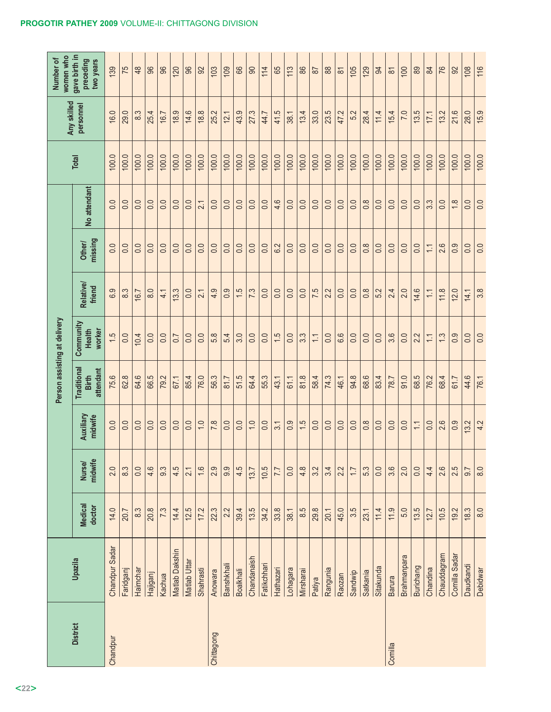|                 |                  |                          |                   |                      |                                                 | Person assisting at delivery  |                            |                          |                  |       |             | Number of                  |
|-----------------|------------------|--------------------------|-------------------|----------------------|-------------------------------------------------|-------------------------------|----------------------------|--------------------------|------------------|-------|-------------|----------------------------|
| <b>District</b> | Upazila          |                          |                   |                      |                                                 |                               |                            |                          |                  | Total | Any skilled | gave birth in<br>women who |
|                 |                  | <b>Medical</b><br>doctor | midwife<br>Nurse/ | Auxiliary<br>midwife | <b>Traditional</b><br>attendant<br><b>Birth</b> | Community<br>worker<br>Health | <b>Relative/</b><br>friend | missing<br><b>Other/</b> | No attendant     |       | personnel   | preceding<br>two years     |
| Chandpur        | Chandpur Sadar   | 14.0                     | 2.0               | 0.0                  | 75.6                                            | $\ddot{5}$                    | 6.9                        | 0.0                      | 0.0              | 100.0 | 16.0        | 139                        |
|                 | Faridganj        | 20.7                     | 8.3               | 0.0                  | 62.8                                            | 0.0                           | 8.3                        | 0.0                      | 0.0              | 100.0 | 29.0        | 75                         |
|                 | Haimchar         | 8.3                      | 0.0               | 0.0                  | 64.6                                            | 10.4                          | 16.7                       | 0.0                      | 0.0              | 100.0 | 8.3         | 48                         |
|                 | Hajiganj         | 20.8                     | 4.6               | 0.0                  | 66.5                                            | 0.0                           | 8.0                        | 0.0                      | 0.0              | 100.0 | 25.4        | 96                         |
|                 | Kachua           | 7.3                      | 9.3               | 0.0                  | 79.2                                            | 0.0                           | 4.1                        | 0.0                      | 0.0              | 100.0 | 16.7        | 96                         |
|                 | Matlab Dakshin   | 14.4                     | 4.5               | 0.0                  | 67.1                                            | 0.7                           | 13.3                       | 0.0                      | 0.0              | 100.0 | 18.9        | 120                        |
|                 | Matlab Uttar     | 12.5                     | 2.1               | 0.0                  | 85.4                                            | 0.0                           | 0.0                        | 0.0                      | 0.0              | 100.0 | 14.6        | 96                         |
|                 | Shahrasti        | 17.2                     | 1.6               | $\overline{1}$ .0    | 76.0                                            | 0.0                           | 2.1                        | 0.0                      | 2.1              | 100.0 | 18.8        | 92                         |
| Chittagong      | Anowara          | 22.3                     | 2.9               | 7.8                  | 56.3                                            | 5.8                           | 4.9                        | 0.0                      | 0.0              | 100.0 | 25.2        | 103                        |
|                 | Banshkhali       | 2.2                      | 9.9               | 0.0                  | 81.7                                            | 5.4                           | 0.9                        | 0.0                      | 0.0              | 100.0 | 12.1        | 109                        |
|                 | <b>Boalkhali</b> | 39.4                     | 4.5               | 0.0                  | 51.5                                            | 3.0                           | 1.5                        | 0.0                      | 0.0              | 100.0 | 43.9        | 86                         |
|                 | Chandanaish      | 13.5                     | 13.7              | $\overline{1.0}$     | 64.4                                            | 0.0                           | 7.3                        | 0.0                      | 0.0              | 100.0 | 27.3        | $\infty$                   |
|                 | Fatikchhari      | 34.2                     | 10.5              | 0.0                  | 55.3                                            | 0.0                           | 0.0                        | 0.0                      | 0.0              | 100.0 | 44.7        | 114                        |
|                 | Hathazari        | 33.8                     | 7.7               | 3.1                  | 43.1                                            | 1.5                           | 0.0                        | 6.2                      | 4.6              | 100.0 | 41.5        | 65                         |
|                 | Lohagara         | 38.1                     | 0.0               | 0.9                  | 61.1                                            | 0.0                           | 0.0                        | 0.0                      | 0.0              | 100.0 | 38.1        | 113                        |
|                 | Mirsharai        | 8.5                      | 4.8               | 1.5                  | 81.8                                            | 3.3                           | 0.0                        | 0.0                      | 0.0              | 100.0 | 13.4        | 86                         |
|                 | Patiya           | 29.8                     | 3.2               | 0.0                  | 58.4                                            | $\overline{1}$                | 7.5                        | 0.0                      | 0.0              | 100.0 | 33.0        | 18                         |
|                 | Rangunia         | 20.1                     | 3.4               | 0.0                  | 74.3                                            | 0.0                           | 2.2                        | 0.0                      | 0.0              | 100.0 | 23.5        | $88\,$                     |
|                 | Raozan           | 45.0                     | 2.2               | 0.0                  | 46.1                                            | 6.6                           | 0.0                        | 0.0                      | 0.0              | 100.0 | 47.2        | $\overline{8}$             |
|                 | Sandwip          | 3.5                      | $\overline{1.7}$  | 0.0                  | 94.8                                            | 0.0                           | 0.0                        | 0.0                      | 0.0              | 100.0 | 5.2         | 105                        |
|                 | Satkania         | 23.1                     | 5.3               | 0.8                  | 68.6                                            | 0.0                           | $0.\overline{8}$           | 0.8                      | $0.\overline{8}$ | 100.0 | 28.4        | 129                        |
|                 | Sitakunda        | 11.4                     | 0.0               | 0.0                  | 83.4                                            | 0.0                           | 5.2                        | 0.0                      | 0.0              | 100.0 | 11.4        | 94                         |
| Comilla         | <b>Barura</b>    | 11.9                     | 3.6               | 0.0                  | 78.7                                            | 3.6                           | 2.4                        | 0.0                      | 0.0              | 100.0 | 15.4        | $\frac{1}{\infty}$         |
|                 | Brahmanpara      | 5.0                      | 2.0               | 0.0                  | 91.0                                            | 0.0                           | 2.0                        | 0.0                      | 0.0              | 100.0 | 0.7         | 100                        |
|                 | <b>Burichang</b> | 13.5                     | 0.0               | $\overline{11}$      | 68.5                                            | 2.2                           | 14.6                       | 0.0                      | 0.0              | 100.0 | 13.5        | 89                         |
|                 | Chandina         | 12.7                     | 4.4               | 0.0                  | 76.2                                            | $\overline{11}$               | $\overline{11}$            | $\overline{11}$          | 3.3              | 100.0 | 17.1        | 84                         |
|                 | Chauddagram      | 10.5                     | 2.6               | 2.6                  | 68.4                                            | 1.3                           | 11.8                       | 2.6                      | 0.0              | 100.0 | 13.2        | 76                         |
|                 | Comilla Sadar    | 19.2                     | 2.5               | 0.9                  | 61.7                                            | 0.9                           | 12.0                       | 0.9                      | $\frac{8}{1}$    | 100.0 | 21.6        | 92                         |
|                 | Daudkandi        | 18.3                     | 9.7               | 13.2                 | 44.6                                            | 0.0                           | 14.1                       | 0.0                      | 0.0              | 100.0 | 28.0        | 108                        |
|                 | Debidwar         | 8.0                      | 8.0               | 4.2                  | 76.1                                            | 0.0                           | 3.8                        | 0.0                      | 0.0              | 100.0 | 15.9        | 116                        |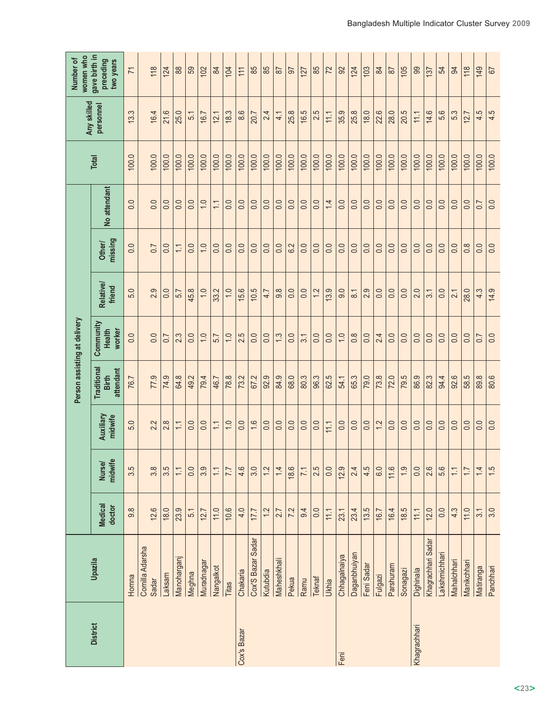|                 |                          |                          |                          |                      |                                                 | Person assisting at delivery  |                     |                          |                  |              | Any skilled | women who<br>Number of                  |
|-----------------|--------------------------|--------------------------|--------------------------|----------------------|-------------------------------------------------|-------------------------------|---------------------|--------------------------|------------------|--------------|-------------|-----------------------------------------|
| <b>District</b> | Upazila                  | <b>Medical</b><br>doctor | midwife<br>Nurse/        | Auxiliary<br>midwife | <b>Traditional</b><br>attendant<br><b>Birth</b> | Community<br>Health<br>worker | Relative/<br>friend | missing<br><b>Other/</b> | No attendant     | <b>Total</b> | personnel   | gave birth in<br>preceding<br>two years |
|                 | Homna                    | 9.8                      | 3.5                      | 5.0                  | 76.7                                            | 0.0                           | 5.0                 | 0.0                      | 0.0              | 100.0        | 13.3        | $\overline{7}$                          |
|                 | Comilla Adarsha<br>Sadar | 12.6                     | 3.8                      | 2.2                  | 77.9                                            | 0.0                           | 2.9                 | $\overline{0.7}$         | 0.0              | 100.0        | 16.4        | 118                                     |
|                 | Laksam                   | 18.0                     | 3.5                      | 2.8                  | 74.9                                            | $\overline{0}$ .              | 0.0                 | 0.0                      | 0.0              | 100.0        | 21.6        | 124                                     |
|                 | Manoharganj              | 23.9                     | $\sum$                   | $\overline{1}$       | 64.8                                            | 2.3                           | 5.7                 | $\overline{1}$           | 0.0              | 100.0        | 25.0        | 88                                      |
|                 | Meghna                   | 51                       | 0.0                      | 0.0                  | 49.2                                            | 0.0                           | 45.8                | 0.0                      | 0.0              | 100.0        | 51          | 59                                      |
|                 | Muradnagar               | 12.7                     | 3.9                      | 0.0                  | 79.4                                            | $\overline{1.0}$              | $\overline{1.0}$    | $\overline{1.0}$         | $\overline{1.0}$ | 100.0        | 16.7        | 102                                     |
|                 | Nangalkot                | 11.0                     | $\overline{\phantom{0}}$ | $\overline{11}$      | 46.7                                            | 5.7                           | 33.2                | 0.0                      | $\overline{11}$  | 100.0        | 12.1        | 84                                      |
|                 | Titas                    | 10.6                     | 7.7                      | $\overline{1.0}$     | 78.8                                            | $\overline{1}$ .0             | $\frac{0}{1}$       | 0.0                      | 0.0              | 100.0        | 18.3        | 104                                     |
| Cox's Bazar     | Chakaria                 | 4.0                      | 4.6                      | 0.0                  | 73.2                                            | 2.5                           | 15.6                | 0.0                      | 0.0              | 100.0        | 8.6         | 111                                     |
|                 | Cox'S Bazar Sadar        | 17.7                     | 3.0                      | $\frac{6}{1}$        | 67.2                                            | 0.0                           | 10.5                | 0.0                      | 0.0              | 100.0        | 20.7        | 85                                      |
|                 | Kutubdia                 | 12                       | 1.2                      | 0.0                  | 92.9                                            | 0.0                           | 4.7                 | 0.0                      | 0.0              | 100.0        | 2.4         | 85                                      |
|                 | Maheshkhali              | 2.7                      | 1.4                      | 0.0                  | 84.9                                            | 1.3                           | 9.8                 | 0.0                      | 0.0              | 100.0        | 41          | 87                                      |
|                 | Pekua                    | 7.2                      | 18.6                     | 0.0                  | 68.0                                            | 0.0                           | 0.0                 | 6.2                      | 0.0              | 100.0        | 25.8        | 50                                      |
|                 | Ramu                     | 9.4                      | 11                       | 0.0                  | 80.3                                            | 31                            | 0.0                 | 0.0                      | 0.0              | 100.0        | 16.5        | 127                                     |
|                 | Teknaf                   | 0.0                      | 2.5                      | 0.0                  | 96.3                                            | 0.0                           | 12                  | 0.0                      | 0.0              | 100.0        | 2.5         | 85                                      |
|                 | <b>Ukhia</b>             | 11.1                     | 0.0                      | 11.1                 | 62.5                                            | 0.0                           | 13.9                | 0.0                      | 1.4              | 100.0        | 11.1        | 72                                      |
| Feni            | Chhagalnaiya             | 23.1                     | 12.9                     | 0.0                  | 54.1                                            | $\overline{1}$ .0             | 9.0                 | 0.0                      | 0.0              | 100.0        | 35.9        | 92                                      |
|                 | Daganbhuiyan             | 23.4                     | 2.4                      | 0.0                  | 65.3                                            | $0.\overline{8}$              | $\overline{8}$ .    | 0.0                      | 0.0              | 100.0        | 25.8        | 124                                     |
|                 | Feni Sadar               | 13.5                     | 4.5                      | 0.0                  | 79.0                                            | 0.0                           | 2.9                 | 0.0                      | 0.0              | 100.0        | 18.0        | 103                                     |
|                 | Fulgazi                  | 16.7                     | 6.0                      | 12                   | 73.8                                            | 2.4                           | 0.0                 | 0.0                      | 0.0              | 100.0        | 22.6        | 84                                      |
|                 | Parshuram                | 16.4                     | 11.6                     | 0.0                  | 72.0                                            | 0.0                           | 0.0                 | 0.0                      | 0.0              | 100.0        | 28.0        | 87                                      |
|                 | Sonagazi                 | 18.5                     | $\overline{0}$ .         | 0.0                  | 79.5                                            | 0.0                           | 0.0                 | 0.0                      | 0.0              | 100.0        | 20.5        | 105                                     |
| Khagrachhari    | <b>Dighinala</b>         | 11.1                     | 0.0                      | 0.0                  | 86.9                                            | 0.0                           | 2.0                 | 0.0                      | 0.0              | 100.0        | 11.1        | 8                                       |
|                 | Khagrachhari Sadar       | 12.0                     | 2.6                      | 0.0                  | 82.3                                            | 0.0                           | 31                  | 0.0                      | 0.0              | 100.0        | 14.6        | $\overline{37}$                         |
|                 | Lakshmichhari            | 0.0                      | 5.6                      | 0.0                  | 94.4                                            | 0.0                           | 0.0                 | 0.0                      | 0.0              | 100.0        | 5.6         | 54                                      |
|                 | Mahalchhari              | 4.3                      | $\sum$                   | 0.0                  | 92.6                                            | 0.0                           | 2.1                 | 0.0                      | 0.0              | 100.0        | 5.3         | $\frac{9}{4}$                           |
|                 | Manikchhari              | 11.0                     | $\overline{1.7}$         | 0.0                  | 58.5                                            | 0.0                           | 28.0                | 0.8                      | 0.0              | 100.0        | 12.7        | 118                                     |
|                 | Matiranga                | 3.1                      | 1.4                      | 0.0                  | 89.8                                            | 0.7                           | 4.3                 | 0.0                      | 0.7              | 100.0        | 4.5         | 149                                     |
|                 | Panchhari                | 3.0                      | $\ddot{5}$               | 0.0                  | 80.6                                            | 0.0                           | 14.9                | 0.0                      | 0.0              | 100.0        | 4.5         | 67                                      |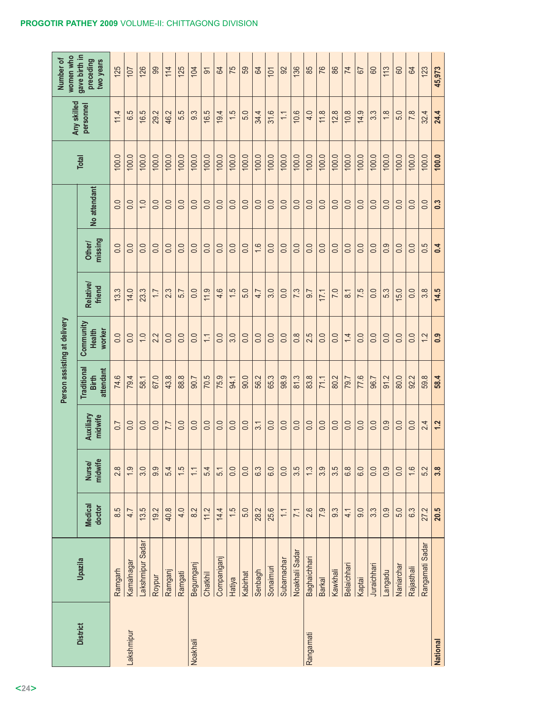|                 |                  |                          |                   |                      |                                                 | Person assisting at delivery  |                            |                          |                   |              | Any skilled   | women who<br>Number of                  |
|-----------------|------------------|--------------------------|-------------------|----------------------|-------------------------------------------------|-------------------------------|----------------------------|--------------------------|-------------------|--------------|---------------|-----------------------------------------|
| <b>District</b> | Upazila          | <b>Medical</b><br>doctor | midwife<br>Nurse/ | Auxiliary<br>midwife | <b>Traditional</b><br>attendant<br><b>Birth</b> | Community<br>worker<br>Health | <b>Relative/</b><br>friend | missing<br><b>Other/</b> | No attendant      | <b>Total</b> | personnel     | gave birth in<br>preceding<br>two years |
|                 | Ramgarh          | 8.5                      | 2.8               | $\overline{0.7}$     | 74.6                                            | 0.0                           | 13.3                       | 0.0                      | 0.0               | 100.0        | 11.4          | 125                                     |
| Lakshmipur      | Kamalnagar       | 4.7                      | $\frac{0}{1}$     | 0.0                  | 79.4                                            | 0.0                           | 14.0                       | 0.0                      | 0.0               | 100.0        | 6.5           | 107                                     |
|                 | Lakshmipur Sadar | 13.5                     | 3.0               | 0.0                  | 58.1                                            | $\overline{1}$ .0             | 23.3                       | 0.0                      | $\overline{1}$ .0 | 100.0        | 16.5          | 126                                     |
|                 | Roypur           | 19.2                     | 9.9               | 0.0                  | 67.0                                            | 2.2                           | $\ddot{ }$ :               | 0.0                      | 0.0               | 100.0        | 29.2          | 8                                       |
|                 | Ramganj          | 40.8                     | 5.4               | 7.7                  | 43.8                                            | 0.0                           | 2.3                        | 0.0                      | 0.0               | 100.0        | 46.2          | 114                                     |
|                 | Ramgati          | 4.0                      | 1.5               | 0.0                  | 88.8                                            | 0.0                           | 5.7                        | 0.0                      | 0.0               | 100.0        | 5.5           | 125                                     |
| Noakhali        | Begumganj        | 8.2                      | $\overline{1}$ .  | 0.0                  | 90.7                                            | 0.0                           | 0.0                        | 0.0                      | 0.0               | 100.0        | 9.3           | 104                                     |
|                 | Chatkhil         | 11.2                     | 5.4               | 0.0                  | 70.5                                            | $\overline{1}$                | 11.9                       | 0.0                      | 0.0               | 100.0        | 16.5          | $\overline{5}$                          |
|                 | Companiganj      | 14.4                     | 5.1               | 0.0                  | 75.9                                            | 0.0                           | 4.6                        | 0.0                      | 0.0               | 100.0        | 19.4          | 84                                      |
|                 | Hatiya           | 1.5                      | 0.0               | 0.0                  | 94.1                                            | 3.0                           | $\frac{5}{3}$              | 0.0                      | 0.0               | 100.0        | 1.5           | 75                                      |
|                 | Kabirhat         | 5.0                      | 0.0               | 0.0                  | 90.0                                            | 0.0                           | 5.0                        | 0.0                      | 0.0               | 100.0        | 5.0           | 59                                      |
|                 | Senbagh          | 28.2                     | 6.3               | 3.1                  | 56.2                                            | 0.0                           | 4.7                        | $\frac{6}{1}$            | 0.0               | 100.0        | 34.4          | \$                                      |
|                 | Sonaimuri        | 25.6                     | 6.0               | 0.0                  | 65.3                                            | 0.0                           | 3.0                        | 0.0                      | 0.0               | 100.0        | 31.6          | 101                                     |
|                 | Subamachar       | $\overline{11}$          | 0.0               | 0.0                  | 98.9                                            | 0.0                           | 0.0                        | 0.0                      | 0.0               | 100.0        | 1.1           | 92                                      |
|                 | Noakhali Sadar   | 71                       | 3.5               | 0.0                  | 81.3                                            | $\frac{8}{2}$                 | 7.3                        | 0.0                      | 0.0               | 100.0        | 10.6          | 136                                     |
| Rangamati       | Baghaichhari     | 2.6                      | 1.3               | 0.0                  | 83.8                                            | 2.5                           | 9.7                        | 0.0                      | 0.0               | 100.0        | 4.0           | 85                                      |
|                 | <b>Barkal</b>    | 7.9                      | 3.9               | 0.0                  | 71.1                                            | 0.0                           | 17.1                       | 0.0                      | 0.0               | 100.0        | 11.8          | 76                                      |
|                 | Kawkhali         | 9.3                      | 3.5               | 0.0                  | 80.2                                            | 0.0                           | 7.0                        | 0.0                      | 0.0               | 100.0        | 12.8          | 86                                      |
|                 | Belaichhari      | 4.1                      | 6.8               | 0.0                  | 79.7                                            | 1.4                           | $\overline{8}$             | 0.0                      | 0.0               | 100.0        | 10.8          | $\overline{74}$                         |
|                 | Kaptai           | 9.0                      | 6.0               | 0.0                  | 77.6                                            | 0.0                           | 7.5                        | 0.0                      | 0.0               | 100.0        | 14.9          | 67                                      |
|                 | Juraichhari      | 3.3                      | 0.0               | 0.0                  | 96.7                                            | 0.0                           | 0.0                        | 0.0                      | 0.0               | 100.0        | 3.3           | 60                                      |
|                 | Langadu          | 0.9                      | 0.9               | 0.9                  | 91.2                                            | 0.0                           | 5.3                        | 0.9                      | 0.0               | 100.0        | $\frac{8}{1}$ | 113                                     |
|                 | Naniarchar       | 5.0                      | 0.0               | 0.0                  | 80.0                                            | 0.0                           | 15.0                       | 0.0                      | 0.0               | 100.0        | 5.0           | 60                                      |
|                 | Rajasthali       | 6.3                      | 1,6               | 0.0                  | 92.2                                            | 0.0                           | 0.0                        | 0.0                      | 0.0               | 100.0        | 7.8           | 84                                      |
|                 | Rangamati Sadar  | 27.2                     | 5.2               | 2.4                  | 59.8                                            | 1.2                           | 3.8                        | 0.5                      | 0.0               | 100.0        | 32.4          | 123                                     |
| National        |                  | 20.5                     | 3.8               | 1.2                  | 58.4                                            | 0.9                           | 14.5                       | 0.4                      | 0.3               | 100.0        | 24.4          | 45,973                                  |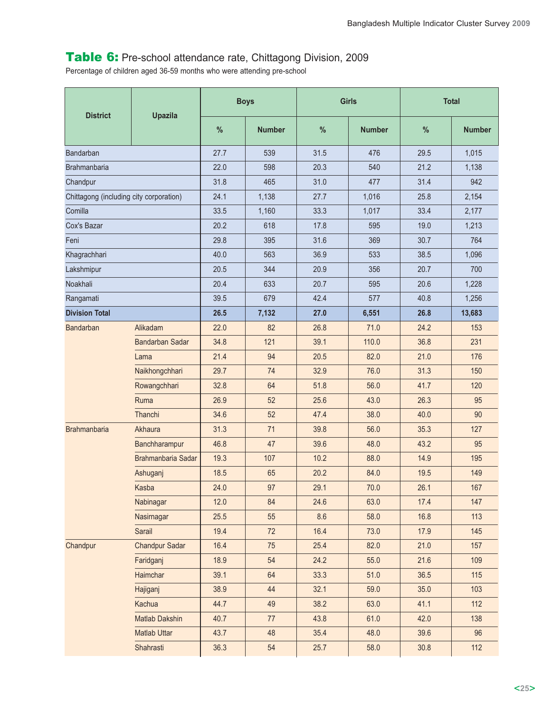### Table 6: Pre-school attendance rate, Chittagong Division, 2009

Percentage of children aged 36-59 months who were attending pre-school

| <b>District</b>                         | <b>Upazila</b>         |      | <b>Boys</b>   |               | <b>Girls</b>  |      | <b>Total</b>  |
|-----------------------------------------|------------------------|------|---------------|---------------|---------------|------|---------------|
|                                         |                        | %    | <b>Number</b> | $\frac{0}{0}$ | <b>Number</b> | %    | <b>Number</b> |
| Bandarban                               |                        | 27.7 | 539           | 31.5          | 476           | 29.5 | 1,015         |
| <b>Brahmanbaria</b>                     |                        | 22.0 | 598           | 20.3          | 540           | 21.2 | 1,138         |
| Chandpur                                |                        | 31.8 | 465           | 31.0          | 477           | 31.4 | 942           |
| Chittagong (including city corporation) |                        | 24.1 | 1,138         | 27.7          | 1,016         | 25.8 | 2,154         |
| Comilla                                 |                        | 33.5 | 1,160         | 33.3          | 1,017         | 33.4 | 2,177         |
| Cox's Bazar                             |                        | 20.2 | 618           | 17.8          | 595           | 19.0 | 1,213         |
| Feni                                    |                        | 29.8 | 395           | 31.6          | 369           | 30.7 | 764           |
| Khagrachhari                            |                        | 40.0 | 563           | 36.9          | 533           | 38.5 | 1,096         |
| Lakshmipur                              |                        | 20.5 | 344           | 20.9          | 356           | 20.7 | 700           |
| Noakhali                                |                        | 20.4 | 633           | 20.7          | 595           | 20.6 | 1,228         |
| Rangamati                               |                        | 39.5 | 679           | 42.4          | 577           | 40.8 | 1,256         |
| <b>Division Total</b>                   |                        | 26.5 | 7,132         | 27.0          | 6,551         | 26.8 | 13,683        |
| <b>Bandarban</b>                        | Alikadam               | 22.0 | 82            | 26.8          | 71.0          | 24.2 | 153           |
|                                         | <b>Bandarban Sadar</b> | 34.8 | 121           | 39.1          | 110.0         | 36.8 | 231           |
|                                         | Lama                   | 21.4 | 94            | 20.5          | 82.0          | 21.0 | 176           |
|                                         | Naikhongchhari         | 29.7 | 74            | 32.9          | 76.0          | 31.3 | 150           |
|                                         | Rowangchhari           | 32.8 | 64            | 51.8          | 56.0          | 41.7 | 120           |
|                                         | Ruma                   | 26.9 | 52            | 25.6          | 43.0          | 26.3 | 95            |
|                                         | Thanchi                | 34.6 | 52            | 47.4          | 38.0          | 40.0 | 90            |
| <b>Brahmanbaria</b>                     | Akhaura                | 31.3 | 71            | 39.8          | 56.0          | 35.3 | 127           |
|                                         | Banchharampur          | 46.8 | 47            | 39.6          | 48.0          | 43.2 | 95            |
|                                         | Brahmanbaria Sadar     | 19.3 | 107           | 10.2          | 88.0          | 14.9 | 195           |
|                                         | Ashuganj               | 18.5 | 65            | 20.2          | 84.0          | 19.5 | 149           |
|                                         | Kasba                  | 24.0 | 97            | 29.1          | 70.0          | 26.1 | 167           |
|                                         | Nabinagar              | 12.0 | 84            | 24.6          | 63.0          | 17.4 | 147           |
|                                         | Nasirnagar             | 25.5 | 55            | 8.6           | 58.0          | 16.8 | 113           |
|                                         | Sarail                 | 19.4 | 72            | 16.4          | 73.0          | 17.9 | 145           |
| Chandpur                                | <b>Chandpur Sadar</b>  | 16.4 | 75            | 25.4          | 82.0          | 21.0 | 157           |
|                                         | Faridganj              | 18.9 | 54            | 24.2          | 55.0          | 21.6 | 109           |
|                                         | Haimchar               | 39.1 | 64            | 33.3          | 51.0          | 36.5 | 115           |
|                                         | Hajiganj               | 38.9 | 44            | 32.1          | 59.0          | 35.0 | 103           |
|                                         | Kachua                 | 44.7 | 49            | 38.2          | 63.0          | 41.1 | 112           |
|                                         | Matlab Dakshin         | 40.7 | 77            | 43.8          | 61.0          | 42.0 | 138           |
|                                         | <b>Matlab Uttar</b>    | 43.7 | 48            | 35.4          | 48.0          | 39.6 | 96            |
|                                         | Shahrasti              | 36.3 | 54            | 25.7          | 58.0          | 30.8 | 112           |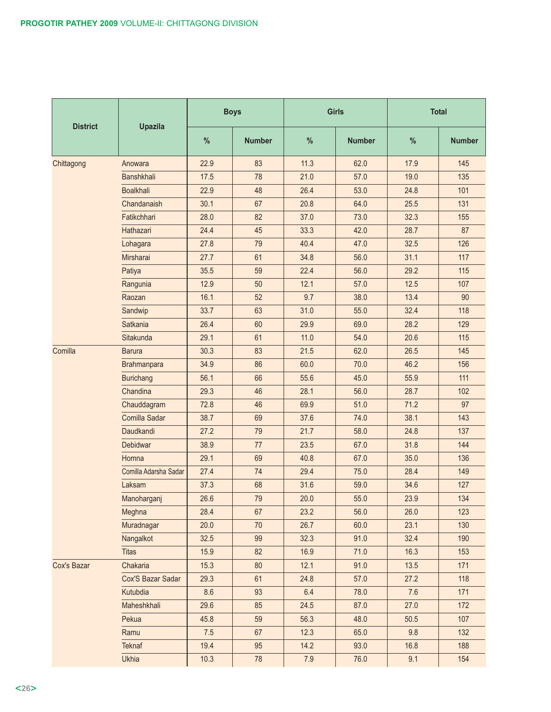| <b>District</b> | <b>Upazila</b>        |      | <b>Boys</b>   |         | Girls         | <b>Total</b> |               |
|-----------------|-----------------------|------|---------------|---------|---------------|--------------|---------------|
|                 |                       | %    | <b>Number</b> | $\%$    | <b>Number</b> | $\%$         | <b>Number</b> |
| Chittagong      | Anowara               | 22.9 | 83            | 11.3    | 62.0          | 17.9         | 145           |
|                 | Banshkhali            | 17.5 | 78            | 21.0    | 57.0          | 19.0         | 135           |
|                 | <b>Boalkhali</b>      | 22.9 | 48            | 26.4    | 53.0          | 24.8         | 101           |
|                 | Chandanaish           | 30.1 | 67            | 20.8    | 64.0          | 25.5         | 131           |
|                 | Fatikchhari           | 28.0 | 82            | 37.0    | 73.0          | 32.3         | 155           |
|                 | Hathazari             | 24.4 | 45            | 33.3    | 42.0          | 28.7         | 87            |
|                 | Lohagara              | 27.8 | 79            | 40.4    | 47.0          | 32.5         | 126           |
|                 | Mirsharai             | 27.7 | 61            | 34.8    | 56.0          | 31.1         | 117           |
|                 | Patiya                | 35.5 | 59            | 22.4    | 56.0          | 29.2         | 115           |
|                 | Rangunia              | 12.9 | 50            | 12.1    | 57.0          | 12.5         | 107           |
|                 | Raozan                | 16.1 | 52            | 9.7     | 38.0          | 13.4         | 90            |
|                 | Sandwip               | 33.7 | 63            | 31.0    | 55.0          | 32.4         | 118           |
|                 | Satkania              | 26.4 | 60            | 29.9    | 69.0          | 28.2         | 129           |
|                 | Sitakunda             | 29.1 | 61            | 11.0    | 54.0          | 20.6         | 115           |
| Comilla         | <b>Barura</b>         | 30.3 | 83            | 21.5    | 62.0          | 26.5         | 145           |
|                 | <b>Brahmanpara</b>    | 34.9 | 86            | 60.0    | 70.0          | 46.2         | 156           |
|                 | <b>Burichang</b>      | 56.1 | 66            | 55.6    | 45.0          | 55.9         | 111           |
|                 | Chandina              | 29.3 | 46            | 28.1    | 56.0          | 28.7         | 102           |
|                 | Chauddagram           | 72.8 | 46            | 69.9    | 51.0          | 71.2         | 97            |
|                 | Comilla Sadar         | 38.7 | 69            | 37.6    | 74.0          | 38.1         | 143           |
|                 | Daudkandi             | 27.2 | 79            | 21.7    | 58.0          | 24.8         | 137           |
|                 | Debidwar              | 38.9 | 77            | 23.5    | 67.0          | 31.8         | 144           |
|                 | Homna                 | 29.1 | 69            | 40.8    | 67.0          | 35.0         | 136           |
|                 | Comilla Adarsha Sadar | 27.4 | 74            | 29.4    | 75.0          | 28.4         | 149           |
|                 | Laksam                | 37.3 | 68            | 31.6    | 59.0          | 34.6         | 127           |
|                 | Manoharganj           | 26.6 | 79            | 20.0    | 55.0          | 23.9         | 134           |
|                 | Meghna                | 28.4 | 67            | 23.2    | 56.0          | 26.0         | 123           |
|                 | Muradnagar            | 20.0 | $70\,$        | 26.7    | 60.0          | 23.1         | 130           |
|                 | Nangalkot             | 32.5 | 99            | 32.3    | 91.0          | 32.4         | 190           |
|                 | <b>Titas</b>          | 15.9 | 82            | 16.9    | 71.0          | 16.3         | 153           |
| Cox's Bazar     | Chakaria              | 15.3 | 80            | 12.1    | 91.0          | 13.5         | 171           |
|                 | Cox'S Bazar Sadar     | 29.3 | 61            | 24.8    | 57.0          | 27.2         | 118           |
|                 | Kutubdia              | 8.6  | 93            | 6.4     | 78.0          | 7.6          | 171           |
|                 | Maheshkhali           | 29.6 | 85            | 24.5    | 87.0          | 27.0         | 172           |
|                 | Pekua                 | 45.8 | 59            | 56.3    | 48.0          | 50.5         | 107           |
|                 | Ramu                  | 7.5  | 67            | 12.3    | 65.0          | 9.8          | 132           |
|                 | <b>Teknaf</b>         | 19.4 | $95\,$        | 14.2    | 93.0          | 16.8         | 188           |
|                 | <b>Ukhia</b>          | 10.3 | $78\,$        | $7.9\,$ | 76.0          | 9.1          | 154           |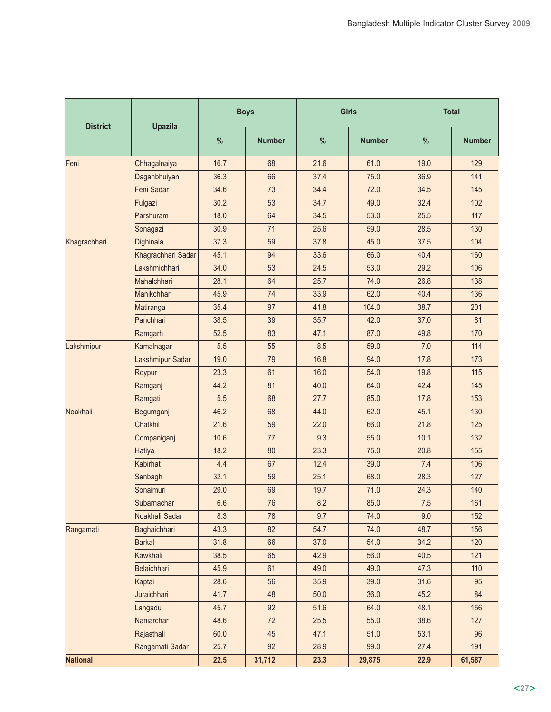| <b>District</b> | <b>Upazila</b>     |      | <b>Boys</b>   |      | <b>Girls</b>  |      | <b>Total</b>  |
|-----------------|--------------------|------|---------------|------|---------------|------|---------------|
|                 |                    | %    | <b>Number</b> | %    | <b>Number</b> | $\%$ | <b>Number</b> |
| Feni            | Chhagalnaiya       | 16.7 | 68            | 21.6 | 61.0          | 19.0 | 129           |
|                 | Daganbhuiyan       | 36.3 | 66            | 37.4 | 75.0          | 36.9 | 141           |
|                 | Feni Sadar         | 34.6 | 73            | 34.4 | 72.0          | 34.5 | 145           |
|                 | Fulgazi            | 30.2 | 53            | 34.7 | 49.0          | 32.4 | 102           |
|                 | Parshuram          | 18.0 | 64            | 34.5 | 53.0          | 25.5 | 117           |
|                 | Sonagazi           | 30.9 | 71            | 25.6 | 59.0          | 28.5 | 130           |
| Khagrachhari    | Dighinala          | 37.3 | 59            | 37.8 | 45.0          | 37.5 | 104           |
|                 | Khagrachhari Sadar | 45.1 | 94            | 33.6 | 66.0          | 40.4 | 160           |
|                 | Lakshmichhari      | 34.0 | 53            | 24.5 | 53.0          | 29.2 | 106           |
|                 | Mahalchhari        | 28.1 | 64            | 25.7 | 74.0          | 26.8 | 138           |
|                 | Manikchhari        | 45.9 | 74            | 33.9 | 62.0          | 40.4 | 136           |
|                 | Matiranga          | 35.4 | 97            | 41.8 | 104.0         | 38.7 | 201           |
|                 | Panchhari          | 38.5 | 39            | 35.7 | 42.0          | 37.0 | 81            |
|                 | Ramgarh            | 52.5 | 83            | 47.1 | 87.0          | 49.8 | 170           |
| Lakshmipur      | Kamalnagar         | 5.5  | 55            | 8.5  | 59.0          | 7.0  | 114           |
|                 | Lakshmipur Sadar   | 19.0 | 79            | 16.8 | 94.0          | 17.8 | 173           |
|                 | Roypur             | 23.3 | 61            | 16.0 | 54.0          | 19.8 | 115           |
|                 | Ramganj            | 44.2 | 81            | 40.0 | 64.0          | 42.4 | 145           |
| Noakhali        | Ramgati            | 5.5  | 68            | 27.7 | 85.0          | 17.8 | 153           |
|                 | Begumganj          | 46.2 | 68            | 44.0 | 62.0          | 45.1 | 130           |
|                 | Chatkhil           | 21.6 | 59            | 22.0 | 66.0          | 21.8 | 125           |
|                 | Companiganj        | 10.6 | 77            | 9.3  | 55.0          | 10.1 | 132           |
|                 | Hatiya             | 18.2 | 80            | 23.3 | 75.0          | 20.8 | 155           |
|                 | Kabirhat           | 4.4  | 67            | 12.4 | 39.0          | 7.4  | 106           |
|                 | Senbagh            | 32.1 | 59            | 25.1 | 68.0          | 28.3 | 127           |
|                 | Sonaimuri          | 29.0 | 69            | 19.7 | 71.0          | 24.3 | 140           |
|                 | Subarnachar        | 6.6  | 76            | 8.2  | 85.0          | 7.5  | 161           |
|                 | Noakhali Sadar     | 8.3  | 78            | 9.7  | 74.0          | 9.0  | 152           |
| Rangamati       | Baghaichhari       | 43.3 | 82            | 54.7 | 74.0          | 48.7 | 156           |
|                 | <b>Barkal</b>      | 31.8 | 66            | 37.0 | 54.0          | 34.2 | 120           |
|                 | Kawkhali           | 38.5 | 65            | 42.9 | 56.0          | 40.5 | 121           |
|                 | Belaichhari        | 45.9 | 61            | 49.0 | 49.0          | 47.3 | 110           |
|                 | Kaptai             | 28.6 | 56            | 35.9 | 39.0          | 31.6 | 95            |
|                 | Juraichhari        | 41.7 | 48            | 50.0 | 36.0          | 45.2 | 84            |
|                 | Langadu            | 45.7 | 92            | 51.6 | 64.0          | 48.1 | 156           |
|                 | Naniarchar         | 48.6 | 72            | 25.5 | 55.0          | 38.6 | 127           |
|                 | Rajasthali         | 60.0 | 45            | 47.1 | 51.0          | 53.1 | 96            |
|                 | Rangamati Sadar    | 25.7 | 92            | 28.9 | 99.0          | 27.4 | 191           |
| <b>National</b> |                    | 22.5 | 31,712        | 23.3 | 29,875        | 22.9 | 61,587        |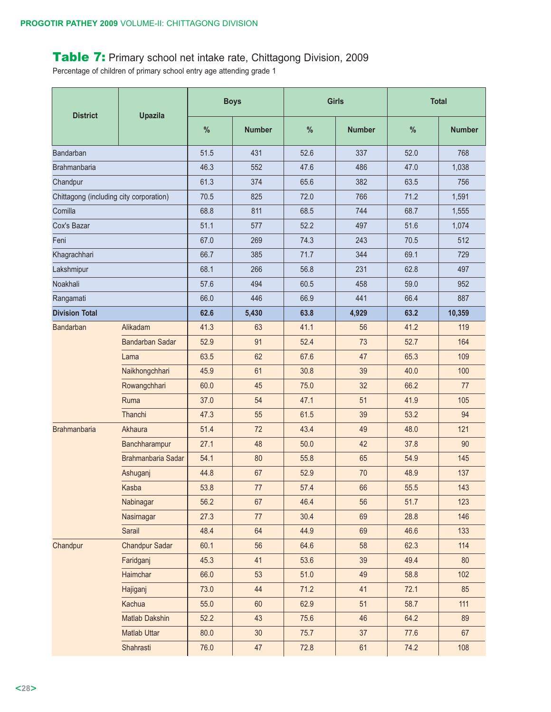### Table 7: Primary school net intake rate, Chittagong Division, 2009

Percentage of children of primary school entry age attending grade 1

| <b>District</b>                         |                        |      | <b>Boys</b>     |               | <b>Girls</b>  | <b>Total</b> |               |
|-----------------------------------------|------------------------|------|-----------------|---------------|---------------|--------------|---------------|
|                                         | <b>Upazila</b>         | %    | <b>Number</b>   | $\frac{0}{0}$ | <b>Number</b> | %            | <b>Number</b> |
| Bandarban                               |                        | 51.5 | 431             | 52.6          | 337           | 52.0         | 768           |
| Brahmanbaria                            |                        | 46.3 | 552             | 47.6          | 486           | 47.0         | 1,038         |
| Chandpur                                |                        | 61.3 | 374             | 65.6          | 382           | 63.5         | 756           |
| Chittagong (including city corporation) |                        | 70.5 | 825             | 72.0          | 766           | 71.2         | 1,591         |
| Comilla                                 |                        | 68.8 | 811             | 68.5          | 744           | 68.7         | 1,555         |
| Cox's Bazar                             |                        | 51.1 | 577             | 52.2          | 497           | 51.6         | 1,074         |
| Feni                                    |                        | 67.0 | 269             | 74.3          | 243           | 70.5         | 512           |
| Khagrachhari                            |                        | 66.7 | 385             | 71.7          | 344           | 69.1         | 729           |
| Lakshmipur                              |                        | 68.1 | 266             | 56.8          | 231           | 62.8         | 497           |
| Noakhali                                |                        | 57.6 | 494             | 60.5          | 458           | 59.0         | 952           |
| Rangamati                               |                        | 66.0 | 446             | 66.9          | 441           | 66.4         | 887           |
| <b>Division Total</b>                   |                        | 62.6 | 5,430           | 63.8          | 4,929         | 63.2         | 10,359        |
| <b>Bandarban</b>                        | Alikadam               | 41.3 | 63              | 41.1          | 56            | 41.2         | 119           |
|                                         | <b>Bandarban Sadar</b> | 52.9 | 91              | 52.4          | 73            | 52.7         | 164           |
|                                         | Lama                   | 63.5 | 62              | 67.6          | 47            | 65.3         | 109           |
|                                         | Naikhongchhari         | 45.9 | 61              | 30.8          | 39            | 40.0         | 100           |
|                                         | Rowangchhari           | 60.0 | 45              | 75.0          | 32            | 66.2         | 77            |
|                                         | Ruma                   | 37.0 | 54              | 47.1          | 51            | 41.9         | 105           |
|                                         | Thanchi                | 47.3 | 55              | 61.5          | 39            | 53.2         | 94            |
| <b>Brahmanbaria</b>                     | Akhaura                | 51.4 | 72              | 43.4          | 49            | 48.0         | 121           |
|                                         | Banchharampur          | 27.1 | 48              | 50.0          | 42            | 37.8         | 90            |
|                                         | Brahmanbaria Sadar     | 54.1 | 80              | 55.8          | 65            | 54.9         | 145           |
|                                         | Ashuganj               | 44.8 | 67              | 52.9          | 70            | 48.9         | 137           |
|                                         | <b>Kasba</b>           | 53.8 | 77              | 57.4          | 66            | 55.5         | 143           |
|                                         | Nabinagar              | 56.2 | 67              | 46.4          | 56            | 51.7         | 123           |
|                                         | Nasirnagar             | 27.3 | $77\,$          | 30.4          | 69            | 28.8         | 146           |
|                                         | Sarail                 | 48.4 | 64              | 44.9          | 69            | 46.6         | 133           |
| Chandpur                                | <b>Chandpur Sadar</b>  | 60.1 | 56              | 64.6          | 58            | 62.3         | 114           |
|                                         | Faridganj              | 45.3 | 41              | 53.6          | 39            | 49.4         | 80            |
|                                         | Haimchar               | 66.0 | 53              | 51.0          | 49            | 58.8         | 102           |
|                                         | Hajiganj               | 73.0 | 44              | 71.2          | 41            | 72.1         | 85            |
|                                         | Kachua                 | 55.0 | 60              | 62.9          | 51            | 58.7         | 111           |
|                                         | Matlab Dakshin         | 52.2 | 43              | 75.6          | 46            | 64.2         | 89            |
|                                         | Matlab Uttar           | 80.0 | 30 <sub>2</sub> | 75.7          | 37            | 77.6         | 67            |
|                                         | Shahrasti              | 76.0 | $47\,$          | 72.8          | 61            | 74.2         | 108           |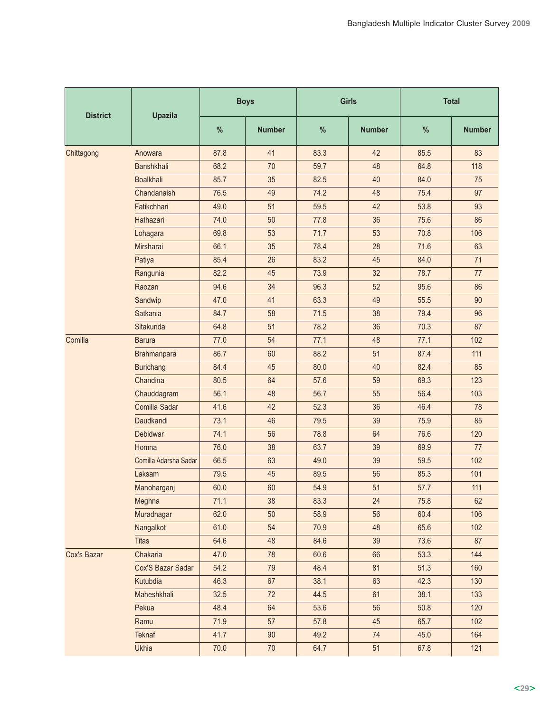| <b>District</b> | <b>Upazila</b>        |      | <b>Boys</b>   |      | <b>Girls</b>  |      | <b>Total</b>  |
|-----------------|-----------------------|------|---------------|------|---------------|------|---------------|
|                 |                       | %    | <b>Number</b> | %    | <b>Number</b> | $\%$ | <b>Number</b> |
| Chittagong      | Anowara               | 87.8 | 41            | 83.3 | 42            | 85.5 | 83            |
|                 | Banshkhali            | 68.2 | 70            | 59.7 | 48            | 64.8 | 118           |
|                 | <b>Boalkhali</b>      | 85.7 | 35            | 82.5 | 40            | 84.0 | 75            |
|                 | Chandanaish           | 76.5 | 49            | 74.2 | 48            | 75.4 | 97            |
|                 | Fatikchhari           | 49.0 | 51            | 59.5 | 42            | 53.8 | 93            |
|                 | Hathazari             | 74.0 | 50            | 77.8 | 36            | 75.6 | 86            |
|                 | Lohagara              | 69.8 | 53            | 71.7 | 53            | 70.8 | 106           |
|                 | Mirsharai             | 66.1 | 35            | 78.4 | 28            | 71.6 | 63            |
|                 | Patiya                | 85.4 | 26            | 83.2 | 45            | 84.0 | 71            |
|                 | Rangunia              | 82.2 | 45            | 73.9 | 32            | 78.7 | 77            |
|                 | Raozan                | 94.6 | 34            | 96.3 | 52            | 95.6 | 86            |
|                 | Sandwip               | 47.0 | 41            | 63.3 | 49            | 55.5 | 90            |
|                 | Satkania              | 84.7 | 58            | 71.5 | 38            | 79.4 | 96            |
|                 | Sitakunda             | 64.8 | 51            | 78.2 | 36            | 70.3 | 87            |
| Comilla         | <b>Barura</b>         | 77.0 | 54            | 77.1 | 48            | 77.1 | 102           |
|                 | <b>Brahmanpara</b>    | 86.7 | 60            | 88.2 | 51            | 87.4 | 111           |
|                 | <b>Burichang</b>      | 84.4 | 45            | 80.0 | 40            | 82.4 | 85            |
|                 | Chandina              | 80.5 | 64            | 57.6 | 59            | 69.3 | 123           |
|                 | Chauddagram           | 56.1 | 48            | 56.7 | 55            | 56.4 | 103           |
|                 | Comilla Sadar         | 41.6 | 42            | 52.3 | 36            | 46.4 | 78            |
|                 | Daudkandi             | 73.1 | 46            | 79.5 | 39            | 75.9 | 85            |
|                 | Debidwar              | 74.1 | 56            | 78.8 | 64            | 76.6 | 120           |
|                 | Homna                 | 76.0 | 38            | 63.7 | 39            | 69.9 | 77            |
|                 | Comilla Adarsha Sadar | 66.5 | 63            | 49.0 | 39            | 59.5 | 102           |
|                 | Laksam                | 79.5 | 45            | 89.5 | 56            | 85.3 | 101           |
|                 | Manoharganj           | 60.0 | 60            | 54.9 | 51            | 57.7 | $111$         |
|                 | Meghna                | 71.1 | 38            | 83.3 | 24            | 75.8 | 62            |
|                 | Muradnagar            | 62.0 | 50            | 58.9 | 56            | 60.4 | 106           |
|                 | Nangalkot             | 61.0 | 54            | 70.9 | 48            | 65.6 | 102           |
|                 | <b>Titas</b>          | 64.6 | 48            | 84.6 | 39            | 73.6 | 87            |
| Cox's Bazar     | Chakaria              | 47.0 | 78            | 60.6 | 66            | 53.3 | 144           |
|                 | Cox'S Bazar Sadar     | 54.2 | 79            | 48.4 | 81            | 51.3 | 160           |
|                 | Kutubdia              | 46.3 | 67            | 38.1 | 63            | 42.3 | 130           |
|                 | Maheshkhali           | 32.5 | 72            | 44.5 | 61            | 38.1 | 133           |
|                 | Pekua                 | 48.4 | 64            | 53.6 | 56            | 50.8 | 120           |
|                 | Ramu                  | 71.9 | 57            | 57.8 | 45            | 65.7 | 102           |
|                 | <b>Teknaf</b>         | 41.7 | $90\,$        | 49.2 | 74            | 45.0 | 164           |
|                 | <b>Ukhia</b>          | 70.0 | $70\,$        | 64.7 | 51            | 67.8 | 121           |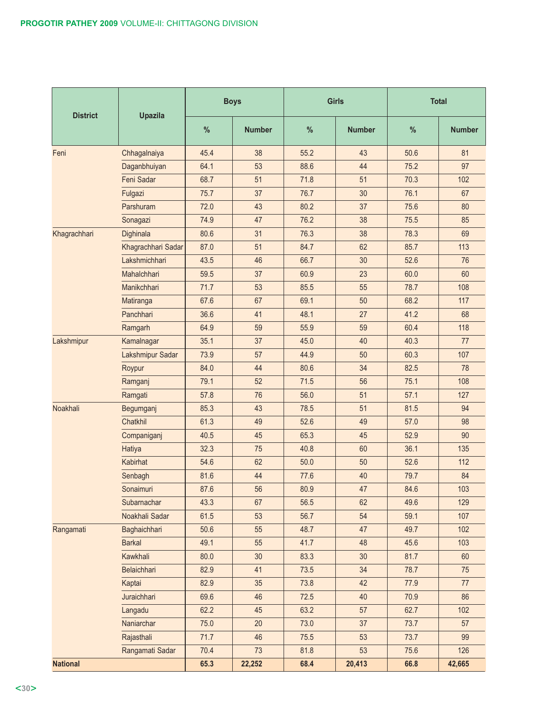| <b>District</b> | <b>Upazila</b>     | <b>Boys</b> |                 | <b>Girls</b> |                 | <b>Total</b> |               |
|-----------------|--------------------|-------------|-----------------|--------------|-----------------|--------------|---------------|
|                 |                    | %           | <b>Number</b>   | %            | <b>Number</b>   | %            | <b>Number</b> |
| Feni            | Chhagalnaiya       | 45.4        | 38              | 55.2         | 43              | 50.6         | 81            |
|                 | Daganbhuiyan       | 64.1        | 53              | 88.6         | 44              | 75.2         | 97            |
|                 | Feni Sadar         | 68.7        | 51              | 71.8         | 51              | 70.3         | 102           |
|                 | Fulgazi            | 75.7        | 37              | 76.7         | 30              | 76.1         | 67            |
|                 | Parshuram          | 72.0        | 43              | 80.2         | 37              | 75.6         | 80            |
|                 | Sonagazi           | 74.9        | 47              | 76.2         | 38              | 75.5         | 85            |
| Khagrachhari    | Dighinala          | 80.6        | 31              | 76.3         | 38              | 78.3         | 69            |
|                 | Khagrachhari Sadar | 87.0        | 51              | 84.7         | 62              | 85.7         | 113           |
|                 | Lakshmichhari      | 43.5        | 46              | 66.7         | 30              | 52.6         | 76            |
|                 | Mahalchhari        | 59.5        | 37              | 60.9         | 23              | 60.0         | 60            |
|                 | Manikchhari        | 71.7        | 53              | 85.5         | 55              | 78.7         | 108           |
|                 | Matiranga          | 67.6        | 67              | 69.1         | 50              | 68.2         | 117           |
|                 | Panchhari          | 36.6        | 41              | 48.1         | 27              | 41.2         | 68            |
|                 | Ramgarh            | 64.9        | 59              | 55.9         | 59              | 60.4         | 118           |
| Lakshmipur      | Kamalnagar         | 35.1        | 37              | 45.0         | 40              | 40.3         | 77            |
|                 | Lakshmipur Sadar   | 73.9        | 57              | 44.9         | 50              | 60.3         | 107           |
|                 | Roypur             | 84.0        | 44              | 80.6         | 34              | 82.5         | 78            |
|                 | Ramganj            | 79.1        | 52              | 71.5         | 56              | 75.1         | 108           |
|                 | Ramgati            | 57.8        | 76              | 56.0         | 51              | 57.1         | 127           |
| Noakhali        | Begumganj          | 85.3        | 43              | 78.5         | 51              | 81.5         | 94            |
|                 | Chatkhil           | 61.3        | 49              | 52.6         | 49              | 57.0         | 98            |
|                 | Companiganj        | 40.5        | 45              | 65.3         | 45              | 52.9         | 90            |
|                 | Hatiya             | 32.3        | 75              | 40.8         | 60              | 36.1         | 135           |
|                 | Kabirhat           | 54.6        | 62              | 50.0         | 50              | 52.6         | 112           |
|                 | Senbagh            | 81.6        | 44              | 77.6         | 40              | 79.7         | 84            |
|                 | Sonaimuri          | 87.6        | 56              | 80.9         | 47              | 84.6         | 103           |
|                 | Subarnachar        | 43.3        | 67              | 56.5         | 62              | 49.6         | 129           |
|                 | Noakhali Sadar     | 61.5        | 53              | 56.7         | 54              | 59.1         | 107           |
| Rangamati       | Baghaichhari       | 50.6        | 55              | 48.7         | 47              | 49.7         | 102           |
|                 | <b>Barkal</b>      | 49.1        | 55              | 41.7         | 48              | 45.6         | 103           |
|                 | Kawkhali           | 80.0        | 30 <sup>°</sup> | 83.3         | 30 <sub>2</sub> | 81.7         | 60            |
|                 | Belaichhari        | 82.9        | 41              | 73.5         | 34              | 78.7         | 75            |
|                 | Kaptai             | 82.9        | 35              | 73.8         | 42              | 77.9         | 77            |
|                 | Juraichhari        | 69.6        | 46              | 72.5         | 40              | 70.9         | 86            |
|                 | Langadu            | 62.2        | 45              | 63.2         | 57              | 62.7         | 102           |
|                 | Naniarchar         | 75.0        | 20              | 73.0         | 37              | 73.7         | 57            |
|                 | Rajasthali         | 71.7        | 46              | 75.5         | 53              | 73.7         | 99            |
|                 | Rangamati Sadar    | 70.4        | 73              | 81.8         | 53              | 75.6         | 126           |
| <b>National</b> |                    | 65.3        | 22,252          | 68.4         | 20,413          | 66.8         | 42,665        |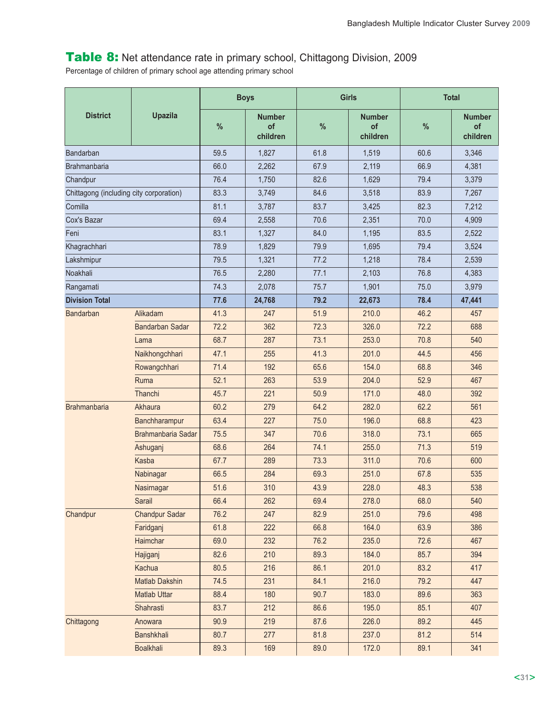### Table 8: Net attendance rate in primary school, Chittagong Division, 2009

Percentage of children of primary school age attending primary school

| <b>District</b>                         | <b>Upazila</b>         | <b>Boys</b> |                                 |      | <b>Girls</b>                    | <b>Total</b> |                                 |
|-----------------------------------------|------------------------|-------------|---------------------------------|------|---------------------------------|--------------|---------------------------------|
|                                         |                        | %           | <b>Number</b><br>of<br>children | $\%$ | <b>Number</b><br>of<br>children | $\%$         | <b>Number</b><br>of<br>children |
| Bandarban                               |                        | 59.5        | 1,827                           | 61.8 | 1,519                           | 60.6         | 3,346                           |
| <b>Brahmanbaria</b>                     |                        | 66.0        | 2,262                           | 67.9 | 2,119                           | 66.9         | 4,381                           |
| Chandpur                                |                        | 76.4        | 1,750                           | 82.6 | 1,629                           | 79.4         | 3,379                           |
| Chittagong (including city corporation) |                        | 83.3        | 3,749                           | 84.6 | 3,518                           | 83.9         | 7,267                           |
| Comilla                                 |                        | 81.1        | 3,787                           | 83.7 | 3,425                           | 82.3         | 7,212                           |
| Cox's Bazar                             |                        | 69.4        | 2,558                           | 70.6 | 2,351                           | 70.0         | 4,909                           |
| Feni                                    |                        | 83.1        | 1,327                           | 84.0 | 1,195                           | 83.5         | 2,522                           |
| Khagrachhari                            |                        | 78.9        | 1,829                           | 79.9 | 1,695                           | 79.4         | 3,524                           |
| Lakshmipur                              |                        | 79.5        | 1,321                           | 77.2 | 1,218                           | 78.4         | 2,539                           |
| Noakhali                                |                        | 76.5        | 2,280                           | 77.1 | 2,103                           | 76.8         | 4,383                           |
| Rangamati                               |                        | 74.3        | 2,078                           | 75.7 | 1,901                           | 75.0         | 3,979                           |
| <b>Division Total</b>                   |                        | 77.6        | 24,768                          | 79.2 | 22,673                          | 78.4         | 47,441                          |
| Bandarban                               | Alikadam               | 41.3        | 247                             | 51.9 | 210.0                           | 46.2         | 457                             |
|                                         | <b>Bandarban Sadar</b> | 72.2        | 362                             | 72.3 | 326.0                           | 72.2         | 688                             |
|                                         | Lama                   | 68.7        | 287                             | 73.1 | 253.0                           | 70.8         | 540                             |
|                                         | Naikhongchhari         | 47.1        | 255                             | 41.3 | 201.0                           | 44.5         | 456                             |
|                                         | Rowangchhari           | 71.4        | 192                             | 65.6 | 154.0                           | 68.8         | 346                             |
|                                         | Ruma                   | 52.1        | 263                             | 53.9 | 204.0                           | 52.9         | 467                             |
|                                         | Thanchi                | 45.7        | 221                             | 50.9 | 171.0                           | 48.0         | 392                             |
| Brahmanbaria                            | Akhaura                | 60.2        | 279                             | 64.2 | 282.0                           | 62.2         | 561                             |
|                                         | Banchharampur          | 63.4        | 227                             | 75.0 | 196.0                           | 68.8         | 423                             |
|                                         | Brahmanbaria Sadar     | 75.5        | 347                             | 70.6 | 318.0                           | 73.1         | 665                             |
|                                         | Ashuganj               | 68.6        | 264                             | 74.1 | 255.0                           | 71.3         | 519                             |
|                                         | Kasba                  | 67.7        | 289                             | 73.3 | 311.0                           | 70.6         | 600                             |
|                                         | Nabinagar              | 66.5        | 284                             | 69.3 | 251.0                           | 67.8         | 535                             |
|                                         | Nasirnagar             | 51.6        | 310                             | 43.9 | 228.0                           | 48.3         | 538                             |
|                                         | Sarail                 | 66.4        | 262                             | 69.4 | 278.0                           | 68.0         | 540                             |
| Chandpur                                | <b>Chandpur Sadar</b>  | 76.2        | 247                             | 82.9 | 251.0                           | 79.6         | 498                             |
|                                         | Faridganj              | 61.8        | 222                             | 66.8 | 164.0                           | 63.9         | 386                             |
|                                         | Haimchar               | 69.0        | 232                             | 76.2 | 235.0                           | 72.6         | 467                             |
|                                         | Hajiganj               | 82.6        | 210                             | 89.3 | 184.0                           | 85.7         | 394                             |
|                                         | Kachua                 | 80.5        | 216                             | 86.1 | 201.0                           | 83.2         | 417                             |
|                                         | <b>Matlab Dakshin</b>  | 74.5        | 231                             | 84.1 | 216.0                           | 79.2         | 447                             |
|                                         | <b>Matlab Uttar</b>    | 88.4        | 180                             | 90.7 | 183.0                           | 89.6         | 363                             |
|                                         | Shahrasti              | 83.7        | 212                             | 86.6 | 195.0                           | 85.1         | 407                             |
| Chittagong                              | Anowara                | 90.9        | 219                             | 87.6 | 226.0                           | 89.2         | 445                             |
|                                         | Banshkhali             | 80.7        | 277                             | 81.8 | 237.0                           | 81.2         | 514                             |
|                                         | <b>Boalkhali</b>       | 89.3        | 169                             | 89.0 | 172.0                           | 89.1         | 341                             |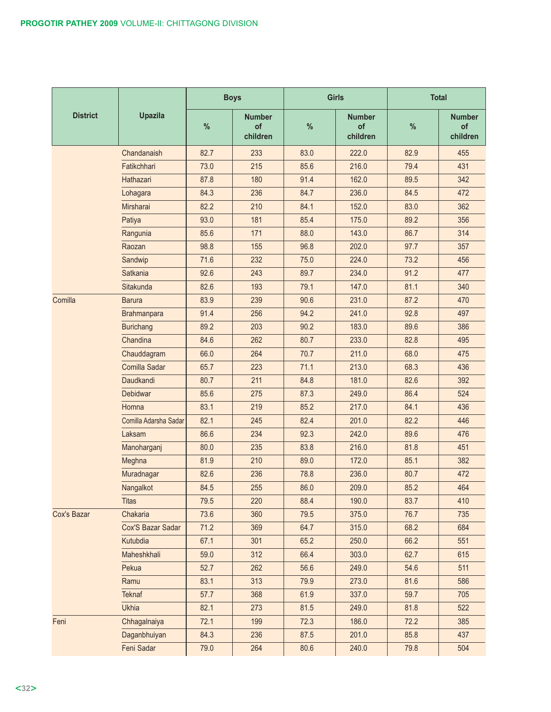| <b>District</b> | <b>Upazila</b>        | <b>Boys</b>   |                                 | <b>Girls</b>  |                                 | <b>Total</b>  |                                 |
|-----------------|-----------------------|---------------|---------------------------------|---------------|---------------------------------|---------------|---------------------------------|
|                 |                       | $\frac{0}{0}$ | <b>Number</b><br>of<br>children | $\frac{0}{0}$ | <b>Number</b><br>of<br>children | $\frac{0}{0}$ | <b>Number</b><br>of<br>children |
|                 | Chandanaish           | 82.7          | 233                             | 83.0          | 222.0                           | 82.9          | 455                             |
|                 | Fatikchhari           | 73.0          | 215                             | 85.6          | 216.0                           | 79.4          | 431                             |
|                 | Hathazari             | 87.8          | 180                             | 91.4          | 162.0                           | 89.5          | 342                             |
|                 | Lohagara              | 84.3          | 236                             | 84.7          | 236.0                           | 84.5          | 472                             |
|                 | Mirsharai             | 82.2          | 210                             | 84.1          | 152.0                           | 83.0          | 362                             |
|                 | Patiya                | 93.0          | 181                             | 85.4          | 175.0                           | 89.2          | 356                             |
|                 | Rangunia              | 85.6          | 171                             | 88.0          | 143.0                           | 86.7          | 314                             |
|                 | Raozan                | 98.8          | 155                             | 96.8          | 202.0                           | 97.7          | 357                             |
|                 | Sandwip               | 71.6          | 232                             | 75.0          | 224.0                           | 73.2          | 456                             |
|                 | Satkania              | 92.6          | 243                             | 89.7          | 234.0                           | 91.2          | 477                             |
|                 | Sitakunda             | 82.6          | 193                             | 79.1          | 147.0                           | 81.1          | 340                             |
| Comilla         | <b>Barura</b>         | 83.9          | 239                             | 90.6          | 231.0                           | 87.2          | 470                             |
|                 | <b>Brahmanpara</b>    | 91.4          | 256                             | 94.2          | 241.0                           | 92.8          | 497                             |
|                 | <b>Burichang</b>      | 89.2          | 203                             | 90.2          | 183.0                           | 89.6          | 386                             |
|                 | Chandina              | 84.6          | 262                             | 80.7          | 233.0                           | 82.8          | 495                             |
|                 | Chauddagram           | 66.0          | 264                             | 70.7          | 211.0                           | 68.0          | 475                             |
|                 | <b>Comilla Sadar</b>  | 65.7          | 223                             | 71.1          | 213.0                           | 68.3          | 436                             |
|                 | Daudkandi             | 80.7          | 211                             | 84.8          | 181.0                           | 82.6          | 392                             |
|                 | Debidwar              | 85.6          | 275                             | 87.3          | 249.0                           | 86.4          | 524                             |
|                 | Homna                 | 83.1          | 219                             | 85.2          | 217.0                           | 84.1          | 436                             |
|                 | Comilla Adarsha Sadar | 82.1          | 245                             | 82.4          | 201.0                           | 82.2          | 446                             |
|                 | Laksam                | 86.6          | 234                             | 92.3          | 242.0                           | 89.6          | 476                             |
|                 | Manoharganj           | 80.0          | 235                             | 83.8          | 216.0                           | 81.8          | 451                             |
|                 | Meghna                | 81.9          | 210                             | 89.0          | 172.0                           | 85.1          | 382                             |
|                 | Muradnagar            | 82.6          | 236                             | 78.8          | 236.0                           | 80.7          | 472                             |
|                 | Nangalkot             | 84.5          | 255                             | 86.0          | 209.0                           | 85.2          | 464                             |
|                 | <b>Titas</b>          | 79.5          | 220                             | 88.4          | 190.0                           | 83.7          | 410                             |
| Cox's Bazar     | Chakaria              | 73.6          | 360                             | 79.5          | 375.0                           | 76.7          | 735                             |
|                 | Cox'S Bazar Sadar     | 71.2          | 369                             | 64.7          | 315.0                           | 68.2          | 684                             |
|                 | Kutubdia              | 67.1          | 301                             | 65.2          | 250.0                           | 66.2          | 551                             |
|                 | Maheshkhali           | 59.0          | 312                             | 66.4          | 303.0                           | 62.7          | 615                             |
|                 | Pekua                 | 52.7          | 262                             | 56.6          | 249.0                           | 54.6          | 511                             |
|                 | Ramu                  | 83.1          | 313                             | 79.9          | 273.0                           | 81.6          | 586                             |
|                 | <b>Teknaf</b>         | 57.7          | 368                             | 61.9          | 337.0                           | 59.7          | 705                             |
|                 | <b>Ukhia</b>          | 82.1          | 273                             | 81.5          | 249.0                           | 81.8          | 522                             |
| Feni            | Chhagalnaiya          | 72.1          | 199                             | 72.3          | 186.0                           | 72.2          | 385                             |
|                 | Daganbhuiyan          | 84.3          | 236                             | 87.5          | 201.0                           | 85.8          | 437                             |
|                 | Feni Sadar            | 79.0          | 264                             | 80.6          | 240.0                           | 79.8          | 504                             |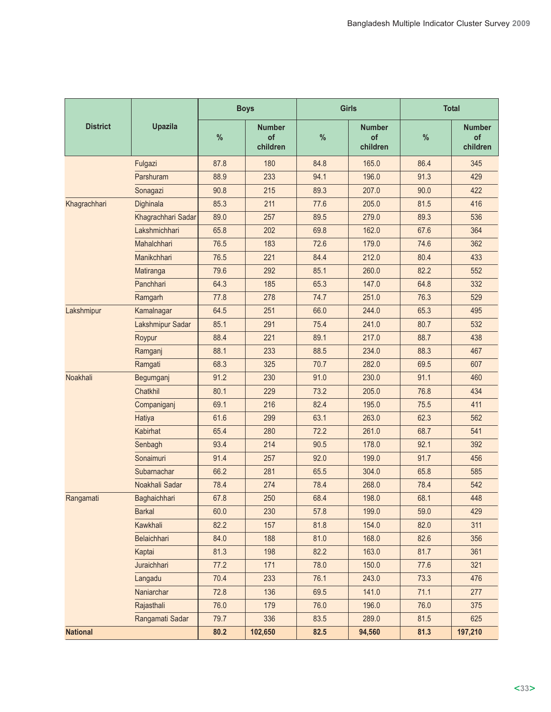| <b>District</b> | <b>Upazila</b>     | <b>Boys</b> |                                 | <b>Girls</b> |                                 | <b>Total</b> |                                 |
|-----------------|--------------------|-------------|---------------------------------|--------------|---------------------------------|--------------|---------------------------------|
|                 |                    | %           | <b>Number</b><br>of<br>children | $\%$         | <b>Number</b><br>of<br>children | $\%$         | <b>Number</b><br>of<br>children |
|                 | Fulgazi            | 87.8        | 180                             | 84.8         | 165.0                           | 86.4         | 345                             |
|                 | Parshuram          | 88.9        | 233                             | 94.1         | 196.0                           | 91.3         | 429                             |
|                 | Sonagazi           | 90.8        | 215                             | 89.3         | 207.0                           | 90.0         | 422                             |
| Khagrachhari    | Dighinala          | 85.3        | 211                             | 77.6         | 205.0                           | 81.5         | 416                             |
|                 | Khagrachhari Sadar | 89.0        | 257                             | 89.5         | 279.0                           | 89.3         | 536                             |
|                 | Lakshmichhari      | 65.8        | 202                             | 69.8         | 162.0                           | 67.6         | 364                             |
|                 | Mahalchhari        | 76.5        | 183                             | 72.6         | 179.0                           | 74.6         | 362                             |
|                 | Manikchhari        | 76.5        | 221                             | 84.4         | 212.0                           | 80.4         | 433                             |
|                 | Matiranga          | 79.6        | 292                             | 85.1         | 260.0                           | 82.2         | 552                             |
|                 | Panchhari          | 64.3        | 185                             | 65.3         | 147.0                           | 64.8         | 332                             |
|                 | Ramgarh            | 77.8        | 278                             | 74.7         | 251.0                           | 76.3         | 529                             |
| Lakshmipur      | Kamalnagar         | 64.5        | 251                             | 66.0         | 244.0                           | 65.3         | 495                             |
|                 | Lakshmipur Sadar   | 85.1        | 291                             | 75.4         | 241.0                           | 80.7         | 532                             |
|                 | Roypur             | 88.4        | 221                             | 89.1         | 217.0                           | 88.7         | 438                             |
|                 | Ramganj            | 88.1        | 233                             | 88.5         | 234.0                           | 88.3         | 467                             |
|                 | Ramgati            | 68.3        | 325                             | 70.7         | 282.0                           | 69.5         | 607                             |
| Noakhali        | Begumganj          | 91.2        | 230                             | 91.0         | 230.0                           | 91.1         | 460                             |
|                 | Chatkhil           | 80.1        | 229                             | 73.2         | 205.0                           | 76.8         | 434                             |
|                 | Companiganj        | 69.1        | 216                             | 82.4         | 195.0                           | 75.5         | 411                             |
|                 | Hatiya             | 61.6        | 299                             | 63.1         | 263.0                           | 62.3         | 562                             |
|                 | Kabirhat           | 65.4        | 280                             | 72.2         | 261.0                           | 68.7         | 541                             |
|                 | Senbagh            | 93.4        | 214                             | 90.5         | 178.0                           | 92.1         | 392                             |
|                 | Sonaimuri          | 91.4        | 257                             | 92.0         | 199.0                           | 91.7         | 456                             |
|                 | Subarnachar        | 66.2        | 281                             | 65.5         | 304.0                           | 65.8         | 585                             |
|                 | Noakhali Sadar     | 78.4        | 274                             | 78.4         | 268.0                           | 78.4         | 542                             |
| Rangamati       | Baghaichhari       | 67.8        | 250                             | 68.4         | 198.0                           | 68.1         | 448                             |
|                 | <b>Barkal</b>      | 60.0        | 230                             | 57.8         | 199.0                           | 59.0         | 429                             |
|                 | Kawkhali           | 82.2        | 157                             | 81.8         | 154.0                           | 82.0         | 311                             |
|                 | Belaichhari        | 84.0        | 188                             | 81.0         | 168.0                           | 82.6         | 356                             |
|                 | Kaptai             | 81.3        | 198                             | 82.2         | 163.0                           | 81.7         | 361                             |
|                 | Juraichhari        | 77.2        | 171                             | 78.0         | 150.0                           | 77.6         | 321                             |
|                 | Langadu            | 70.4        | 233                             | 76.1         | 243.0                           | 73.3         | 476                             |
|                 | Naniarchar         | 72.8        | 136                             | 69.5         | 141.0                           | 71.1         | 277                             |
|                 | Rajasthali         | 76.0        | 179                             | 76.0         | 196.0                           | 76.0         | 375                             |
|                 | Rangamati Sadar    | 79.7        | 336                             | 83.5         | 289.0                           | 81.5         | 625                             |
| <b>National</b> |                    | 80.2        | 102,650                         | 82.5         | 94,560                          | 81.3         | 197,210                         |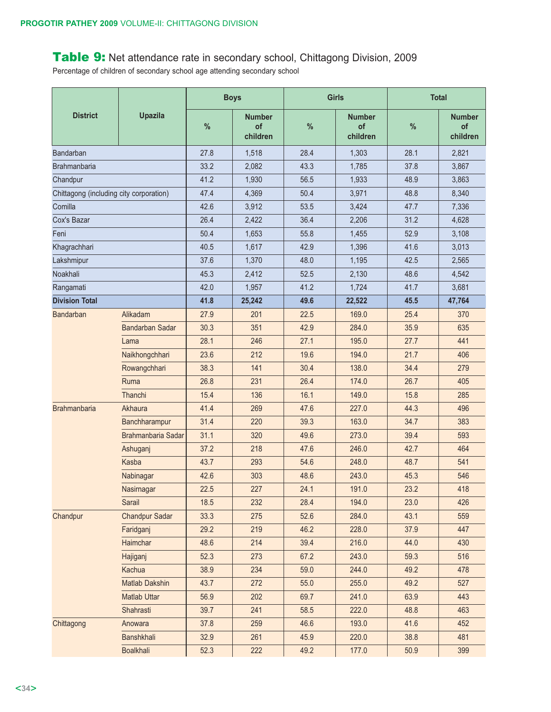### Table 9: Net attendance rate in secondary school, Chittagong Division, 2009

Percentage of children of secondary school age attending secondary school

| <b>District</b>                         | <b>Upazila</b>         | <b>Boys</b> |                                 |               | <b>Girls</b>                    | <b>Total</b> |                                 |
|-----------------------------------------|------------------------|-------------|---------------------------------|---------------|---------------------------------|--------------|---------------------------------|
|                                         |                        | %           | <b>Number</b><br>of<br>children | $\frac{0}{0}$ | <b>Number</b><br>of<br>children | %            | <b>Number</b><br>of<br>children |
| Bandarban                               |                        | 27.8        | 1,518                           | 28.4          | 1,303                           | 28.1         | 2,821                           |
| Brahmanbaria                            |                        | 33.2        | 2,082                           | 43.3          | 1,785                           | 37.8         | 3,867                           |
| Chandpur                                |                        | 41.2        | 1,930                           | 56.5          | 1,933                           | 48.9         | 3,863                           |
| Chittagong (including city corporation) |                        | 47.4        | 4,369                           | 50.4          | 3,971                           | 48.8         | 8,340                           |
| Comilla                                 |                        | 42.6        | 3,912                           | 53.5          | 3,424                           | 47.7         | 7,336                           |
| Cox's Bazar                             |                        | 26.4        | 2,422                           | 36.4          | 2,206                           | 31.2         | 4,628                           |
| Feni                                    |                        | 50.4        | 1,653                           | 55.8          | 1,455                           | 52.9         | 3,108                           |
| Khagrachhari                            |                        | 40.5        | 1,617                           | 42.9          | 1,396                           | 41.6         | 3,013                           |
| Lakshmipur                              |                        | 37.6        | 1,370                           | 48.0          | 1,195                           | 42.5         | 2,565                           |
| Noakhali                                |                        | 45.3        | 2,412                           | 52.5          | 2,130                           | 48.6         | 4,542                           |
| Rangamati                               |                        | 42.0        | 1,957                           | 41.2          | 1,724                           | 41.7         | 3,681                           |
| <b>Division Total</b>                   |                        | 41.8        | 25,242                          | 49.6          | 22,522                          | 45.5         | 47,764                          |
| Bandarban                               | Alikadam               | 27.9        | 201                             | 22.5          | 169.0                           | 25.4         | 370                             |
|                                         | <b>Bandarban Sadar</b> | 30.3        | 351                             | 42.9          | 284.0                           | 35.9         | 635                             |
|                                         | Lama                   | 28.1        | 246                             | 27.1          | 195.0                           | 27.7         | 441                             |
|                                         | Naikhongchhari         | 23.6        | 212                             | 19.6          | 194.0                           | 21.7         | 406                             |
|                                         | Rowangchhari           | 38.3        | 141                             | 30.4          | 138.0                           | 34.4         | 279                             |
|                                         | Ruma                   | 26.8        | 231                             | 26.4          | 174.0                           | 26.7         | 405                             |
|                                         | Thanchi                | 15.4        | 136                             | 16.1          | 149.0                           | 15.8         | 285                             |
| Brahmanbaria                            | Akhaura                | 41.4        | 269                             | 47.6          | 227.0                           | 44.3         | 496                             |
|                                         | Banchharampur          | 31.4        | 220                             | 39.3          | 163.0                           | 34.7         | 383                             |
|                                         | Brahmanbaria Sadar     | 31.1        | 320                             | 49.6          | 273.0                           | 39.4         | 593                             |
|                                         | Ashuganj               | 37.2        | 218                             | 47.6          | 246.0                           | 42.7         | 464                             |
|                                         | Kasba                  | 43.7        | 293                             | 54.6          | 248.0                           | 48.7         | 541                             |
|                                         | Nabinagar              | 42.6        | 303                             | 48.6          | 243.0                           | 45.3         | 546                             |
|                                         | Nasirnagar             | 22.5        | 227                             | 24.1          | 191.0                           | 23.2         | 418                             |
|                                         | Sarail                 | 18.5        | 232                             | 28.4          | 194.0                           | 23.0         | 426                             |
| Chandpur                                | <b>Chandpur Sadar</b>  | 33.3        | 275                             | 52.6          | 284.0                           | 43.1         | 559                             |
|                                         | Faridganj              | 29.2        | 219                             | 46.2          | 228.0                           | 37.9         | 447                             |
|                                         | Haimchar               | 48.6        | 214                             | 39.4          | 216.0                           | 44.0         | 430                             |
|                                         | Hajiganj               | 52.3        | 273                             | 67.2          | 243.0                           | 59.3         | 516                             |
|                                         | Kachua                 | 38.9        | 234                             | 59.0          | 244.0                           | 49.2         | 478                             |
|                                         | <b>Matlab Dakshin</b>  | 43.7        | 272                             | 55.0          | 255.0                           | 49.2         | 527                             |
|                                         | <b>Matlab Uttar</b>    | 56.9        | 202                             | 69.7          | 241.0                           | 63.9         | 443                             |
|                                         | Shahrasti              | 39.7        | 241                             | 58.5          | 222.0                           | 48.8         | 463                             |
| Chittagong                              | Anowara                | 37.8        | 259                             | 46.6          | 193.0                           | 41.6         | 452                             |
|                                         | Banshkhali             | 32.9        | 261                             | 45.9          | 220.0                           | 38.8         | 481                             |
|                                         | <b>Boalkhali</b>       | 52.3        | 222                             | 49.2          | 177.0                           | 50.9         | 399                             |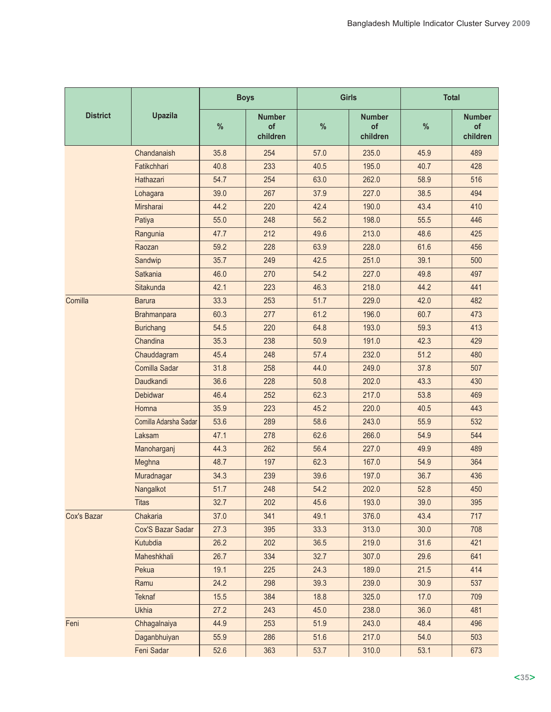|                 |                       | <b>Boys</b> |                                 | <b>Girls</b> |                                 | <b>Total</b> |                                 |
|-----------------|-----------------------|-------------|---------------------------------|--------------|---------------------------------|--------------|---------------------------------|
| <b>District</b> | <b>Upazila</b>        | $\%$        | <b>Number</b><br>of<br>children | $\%$         | <b>Number</b><br>of<br>children | $\%$         | <b>Number</b><br>of<br>children |
|                 | Chandanaish           | 35.8        | 254                             | 57.0         | 235.0                           | 45.9         | 489                             |
|                 | Fatikchhari           | 40.8        | 233                             | 40.5         | 195.0                           | 40.7         | 428                             |
|                 | Hathazari             | 54.7        | 254                             | 63.0         | 262.0                           | 58.9         | 516                             |
|                 | Lohagara              | 39.0        | 267                             | 37.9         | 227.0                           | 38.5         | 494                             |
|                 | Mirsharai             | 44.2        | 220                             | 42.4         | 190.0                           | 43.4         | 410                             |
|                 | Patiya                | 55.0        | 248                             | 56.2         | 198.0                           | 55.5         | 446                             |
|                 | Rangunia              | 47.7        | 212                             | 49.6         | 213.0                           | 48.6         | 425                             |
|                 | Raozan                | 59.2        | 228                             | 63.9         | 228.0                           | 61.6         | 456                             |
|                 | Sandwip               | 35.7        | 249                             | 42.5         | 251.0                           | 39.1         | 500                             |
|                 | Satkania              | 46.0        | 270                             | 54.2         | 227.0                           | 49.8         | 497                             |
|                 | Sitakunda             | 42.1        | 223                             | 46.3         | 218.0                           | 44.2         | 441                             |
| Comilla         | <b>Barura</b>         | 33.3        | 253                             | 51.7         | 229.0                           | 42.0         | 482                             |
|                 | <b>Brahmanpara</b>    | 60.3        | 277                             | 61.2         | 196.0                           | 60.7         | 473                             |
|                 | <b>Burichang</b>      | 54.5        | 220                             | 64.8         | 193.0                           | 59.3         | 413                             |
|                 | Chandina              | 35.3        | 238                             | 50.9         | 191.0                           | 42.3         | 429                             |
|                 | Chauddagram           | 45.4        | 248                             | 57.4         | 232.0                           | 51.2         | 480                             |
|                 | Comilla Sadar         | 31.8        | 258                             | 44.0         | 249.0                           | 37.8         | 507                             |
|                 | Daudkandi             | 36.6        | 228                             | 50.8         | 202.0                           | 43.3         | 430                             |
|                 | Debidwar              | 46.4        | 252                             | 62.3         | 217.0                           | 53.8         | 469                             |
|                 | Homna                 | 35.9        | 223                             | 45.2         | 220.0                           | 40.5         | 443                             |
|                 | Comilla Adarsha Sadar | 53.6        | 289                             | 58.6         | 243.0                           | 55.9         | 532                             |
|                 | Laksam                | 47.1        | 278                             | 62.6         | 266.0                           | 54.9         | 544                             |
|                 | Manoharganj           | 44.3        | 262                             | 56.4         | 227.0                           | 49.9         | 489                             |
|                 | Meghna                | 48.7        | 197                             | 62.3         | 167.0                           | 54.9         | 364                             |
|                 | Muradnagar            | 34.3        | 239                             | 39.6         | 197.0                           | 36.7         | 436                             |
|                 | Nangalkot             | 51.7        | 248                             | 54.2         | 202.0                           | 52.8         | 450                             |
|                 | <b>Titas</b>          | 32.7        | 202                             | 45.6         | 193.0                           | 39.0         | 395                             |
| Cox's Bazar     | Chakaria              | 37.0        | 341                             | 49.1         | 376.0                           | 43.4         | 717                             |
|                 | Cox'S Bazar Sadar     | 27.3        | 395                             | 33.3         | 313.0                           | 30.0         | 708                             |
|                 | Kutubdia              | 26.2        | 202                             | 36.5         | 219.0                           | 31.6         | 421                             |
|                 | Maheshkhali           | 26.7        | 334                             | 32.7         | 307.0                           | 29.6         | 641                             |
|                 | Pekua                 | 19.1        | 225                             | 24.3         | 189.0                           | 21.5         | 414                             |
|                 | Ramu                  | 24.2        | 298                             | 39.3         | 239.0                           | 30.9         | 537                             |
|                 | <b>Teknaf</b>         | 15.5        | 384                             | 18.8         | 325.0                           | 17.0         | 709                             |
|                 | <b>Ukhia</b>          | 27.2        | 243                             | 45.0         | 238.0                           | 36.0         | 481                             |
| Feni            | Chhagalnaiya          | 44.9        | 253                             | 51.9         | 243.0                           | 48.4         | 496                             |
|                 | Daganbhuiyan          | 55.9        | 286                             | 51.6         | 217.0                           | 54.0         | 503                             |
|                 | Feni Sadar            | 52.6        | 363                             | 53.7         | 310.0                           | 53.1         | 673                             |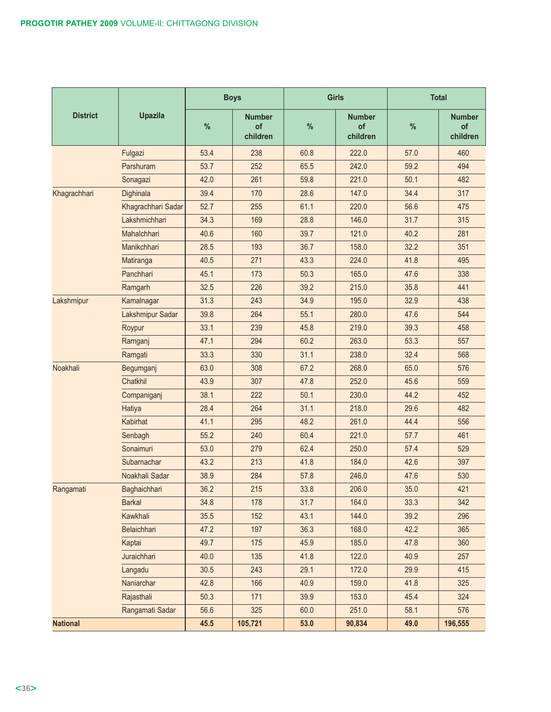|                 |                    | <b>Boys</b>   |                                 | <b>Girls</b> |                                 | <b>Total</b> |                                 |
|-----------------|--------------------|---------------|---------------------------------|--------------|---------------------------------|--------------|---------------------------------|
| <b>District</b> | <b>Upazila</b>     | $\frac{0}{0}$ | <b>Number</b><br>of<br>children | $\%$         | <b>Number</b><br>of<br>children | $\%$         | <b>Number</b><br>of<br>children |
|                 | Fulgazi            | 53.4          | 238                             | 60.8         | 222.0                           | 57.0         | 460                             |
|                 | Parshuram          | 53.7          | 252                             | 65.5         | 242.0                           | 59.2         | 494                             |
|                 | Sonagazi           | 42.0          | 261                             | 59.8         | 221.0                           | 50.1         | 482                             |
| Khagrachhari    | Dighinala          | 39.4          | 170                             | 28.6         | 147.0                           | 34.4         | 317                             |
|                 | Khagrachhari Sadar | 52.7          | 255                             | 61.1         | 220.0                           | 56.6         | 475                             |
|                 | Lakshmichhari      | 34.3          | 169                             | 28.8         | 146.0                           | 31.7         | 315                             |
|                 | Mahalchhari        | 40.6          | 160                             | 39.7         | 121.0                           | 40.2         | 281                             |
|                 | Manikchhari        | 28.5          | 193                             | 36.7         | 158.0                           | 32.2         | 351                             |
|                 | Matiranga          | 40.5          | 271                             | 43.3         | 224.0                           | 41.8         | 495                             |
|                 | Panchhari          | 45.1          | 173                             | 50.3         | 165.0                           | 47.6         | 338                             |
|                 | Ramgarh            | 32.5          | 226                             | 39.2         | 215.0                           | 35.8         | 441                             |
| Lakshmipur      | Kamalnagar         | 31.3          | 243                             | 34.9         | 195.0                           | 32.9         | 438                             |
|                 | Lakshmipur Sadar   | 39.8          | 264                             | 55.1         | 280.0                           | 47.6         | 544                             |
|                 | Roypur             | 33.1          | 239                             | 45.8         | 219.0                           | 39.3         | 458                             |
|                 | Ramganj            | 47.1          | 294                             | 60.2         | 263.0                           | 53.3         | 557                             |
|                 | Ramgati            | 33.3          | 330                             | 31.1         | 238.0                           | 32.4         | 568                             |
| Noakhali        | Begumganj          | 63.0          | 308                             | 67.2         | 268.0                           | 65.0         | 576                             |
|                 | Chatkhil           | 43.9          | 307                             | 47.8         | 252.0                           | 45.6         | 559                             |
|                 | Companiganj        | 38.1          | 222                             | 50.1         | 230.0                           | 44.2         | 452                             |
|                 | Hatiya             | 28.4          | 264                             | 31.1         | 218.0                           | 29.6         | 482                             |
|                 | Kabirhat           | 41.1          | 295                             | 48.2         | 261.0                           | 44.4         | 556                             |
|                 | Senbagh            | 55.2          | 240                             | 60.4         | 221.0                           | 57.7         | 461                             |
|                 | Sonaimuri          | 53.0          | 279                             | 62.4         | 250.0                           | 57.4         | 529                             |
|                 | Subarnachar        | 43.2          | 213                             | 41.8         | 184.0                           | 42.6         | 397                             |
|                 | Noakhali Sadar     | 38.9          | 284                             | 57.8         | 246.0                           | 47.6         | 530                             |
| Rangamati       | Baghaichhari       | 36.2          | 215                             | 33.8         | 206.0                           | 35.0         | 421                             |
|                 | <b>Barkal</b>      | 34.8          | 178                             | 31.7         | 164.0                           | 33.3         | 342                             |
|                 | Kawkhali           | 35.5          | 152                             | 43.1         | 144.0                           | 39.2         | 296                             |
|                 | Belaichhari        | 47.2          | 197                             | 36.3         | 168.0                           | 42.2         | 365                             |
|                 | Kaptai             | 49.7          | 175                             | 45.9         | 185.0                           | 47.8         | 360                             |
|                 | Juraichhari        | 40.0          | 135                             | 41.8         | 122.0                           | 40.9         | 257                             |
|                 | Langadu            | 30.5          | 243                             | 29.1         | 172.0                           | 29.9         | 415                             |
|                 | Naniarchar         | 42.8          | 166                             | 40.9         | 159.0                           | 41.8         | 325                             |
|                 | Rajasthali         | 50.3          | 171                             | 39.9         | 153.0                           | 45.4         | 324                             |
|                 | Rangamati Sadar    | 56.6          | 325                             | 60.0         | 251.0                           | 58.1         | 576                             |
| <b>National</b> |                    | 45.5          | 105,721                         | 53.0         | 90,834                          | 49.0         | 196,555                         |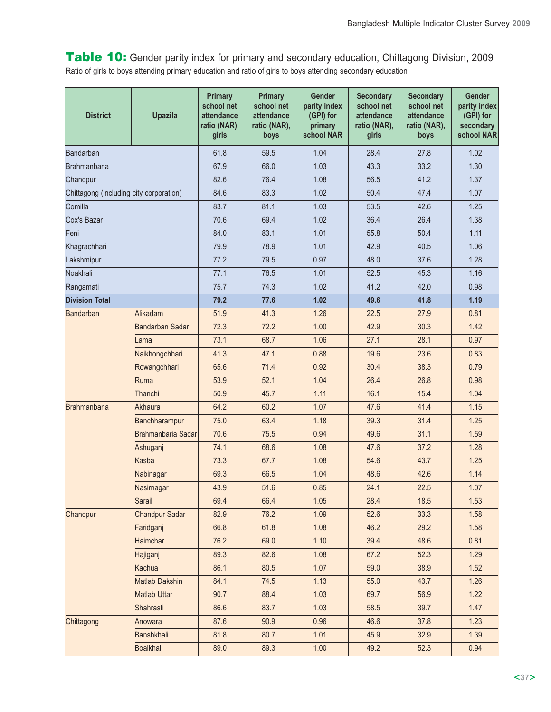Table 10: Gender parity index for primary and secondary education, Chittagong Division, 2009 Ratio of girls to boys attending primary education and ratio of girls to boys attending secondary education

| <b>District</b>                         | <b>Upazila</b>         | <b>Primary</b><br>school net<br>attendance<br>ratio (NAR),<br>girls | <b>Primary</b><br>school net<br>attendance<br>ratio (NAR),<br>boys | Gender<br>parity index<br>(GPI) for<br>primary<br>school NAR | <b>Secondary</b><br>school net<br>attendance<br>ratio (NAR),<br>girls | <b>Secondary</b><br>school net<br>attendance<br>ratio (NAR),<br>boys | <b>Gender</b><br>parity index<br>(GPI) for<br>secondary<br>school NAR |
|-----------------------------------------|------------------------|---------------------------------------------------------------------|--------------------------------------------------------------------|--------------------------------------------------------------|-----------------------------------------------------------------------|----------------------------------------------------------------------|-----------------------------------------------------------------------|
| <b>Bandarban</b>                        |                        | 61.8                                                                | 59.5                                                               | 1.04                                                         | 28.4                                                                  | 27.8                                                                 | 1.02                                                                  |
| <b>Brahmanbaria</b>                     |                        | 67.9                                                                | 66.0                                                               | 1.03                                                         | 43.3                                                                  | 33.2                                                                 | 1.30                                                                  |
| Chandpur                                |                        | 82.6                                                                | 76.4                                                               | 1.08                                                         | 56.5                                                                  | 41.2                                                                 | 1.37                                                                  |
| Chittagong (including city corporation) |                        | 84.6                                                                | 83.3                                                               | 1.02                                                         | 50.4                                                                  | 47.4                                                                 | 1.07                                                                  |
| Comilla                                 |                        | 83.7                                                                | 81.1                                                               | 1.03                                                         | 53.5                                                                  | 42.6                                                                 | 1.25                                                                  |
| Cox's Bazar                             |                        | 70.6                                                                | 69.4                                                               | 1.02                                                         | 36.4                                                                  | 26.4                                                                 | 1.38                                                                  |
| Feni                                    |                        | 84.0                                                                | 83.1                                                               | 1.01                                                         | 55.8                                                                  | 50.4                                                                 | 1.11                                                                  |
| Khagrachhari                            |                        | 79.9                                                                | 78.9                                                               | 1.01                                                         | 42.9                                                                  | 40.5                                                                 | 1.06                                                                  |
| Lakshmipur                              |                        | 77.2                                                                | 79.5                                                               | 0.97                                                         | 48.0                                                                  | 37.6                                                                 | 1.28                                                                  |
| Noakhali                                |                        | 77.1                                                                | 76.5                                                               | 1.01                                                         | 52.5                                                                  | 45.3                                                                 | 1.16                                                                  |
| Rangamati                               |                        | 75.7                                                                | 74.3                                                               | 1.02                                                         | 41.2                                                                  | 42.0                                                                 | 0.98                                                                  |
| <b>Division Total</b>                   |                        | 79.2                                                                | 77.6                                                               | 1.02                                                         | 49.6                                                                  | 41.8                                                                 | 1.19                                                                  |
| Bandarban                               | Alikadam               | 51.9                                                                | 41.3                                                               | 1.26                                                         | 22.5                                                                  | 27.9                                                                 | 0.81                                                                  |
|                                         | <b>Bandarban Sadar</b> | 72.3                                                                | 72.2                                                               | 1.00                                                         | 42.9                                                                  | 30.3                                                                 | 1.42                                                                  |
|                                         | Lama                   | 73.1                                                                | 68.7                                                               | 1.06                                                         | 27.1                                                                  | 28.1                                                                 | 0.97                                                                  |
|                                         | Naikhongchhari         | 41.3                                                                | 47.1                                                               | 0.88                                                         | 19.6                                                                  | 23.6                                                                 | 0.83                                                                  |
|                                         | Rowangchhari           | 65.6                                                                | 71.4                                                               | 0.92                                                         | 30.4                                                                  | 38.3                                                                 | 0.79                                                                  |
|                                         | Ruma                   | 53.9                                                                | 52.1                                                               | 1.04                                                         | 26.4                                                                  | 26.8                                                                 | 0.98                                                                  |
|                                         | Thanchi                | 50.9                                                                | 45.7                                                               | 1.11                                                         | 16.1                                                                  | 15.4                                                                 | 1.04                                                                  |
| <b>Brahmanbaria</b>                     | Akhaura                | 64.2                                                                | 60.2                                                               | 1.07                                                         | 47.6                                                                  | 41.4                                                                 | 1.15                                                                  |
|                                         | Banchharampur          | 75.0                                                                | 63.4                                                               | 1.18                                                         | 39.3                                                                  | 31.4                                                                 | 1.25                                                                  |
|                                         | Brahmanbaria Sadar     | 70.6                                                                | 75.5                                                               | 0.94                                                         | 49.6                                                                  | 31.1                                                                 | 1.59                                                                  |
|                                         | Ashuganj               | 74.1                                                                | 68.6                                                               | 1.08                                                         | 47.6                                                                  | 37.2                                                                 | 1.28                                                                  |
|                                         | <b>Kasba</b>           | 73.3                                                                | 67.7                                                               | 1.08                                                         | 54.6                                                                  | 43.7                                                                 | 1.25                                                                  |
|                                         | Nabinagar              | 69.3                                                                | 66.5                                                               | 1.04                                                         | 48.6                                                                  | 42.6                                                                 | 1.14                                                                  |
|                                         | Nasirnagar             | 43.9                                                                | 51.6                                                               | 0.85                                                         | 24.1                                                                  | 22.5                                                                 | 1.07                                                                  |
|                                         | Sarail                 | 69.4                                                                | 66.4                                                               | 1.05                                                         | 28.4                                                                  | 18.5                                                                 | 1.53                                                                  |
| Chandpur                                | <b>Chandpur Sadar</b>  | 82.9                                                                | 76.2                                                               | 1.09                                                         | 52.6                                                                  | 33.3                                                                 | 1.58                                                                  |
|                                         | Faridganj              | 66.8                                                                | 61.8                                                               | 1.08                                                         | 46.2                                                                  | 29.2                                                                 | 1.58                                                                  |
|                                         | Haimchar               | 76.2                                                                | 69.0                                                               | 1.10                                                         | 39.4                                                                  | 48.6                                                                 | 0.81                                                                  |
|                                         | Hajiganj               | 89.3                                                                | 82.6                                                               | 1.08                                                         | 67.2                                                                  | 52.3                                                                 | 1.29                                                                  |
|                                         | Kachua                 | 86.1                                                                | 80.5                                                               | 1.07                                                         | 59.0                                                                  | 38.9                                                                 | 1.52                                                                  |
|                                         | <b>Matlab Dakshin</b>  | 84.1                                                                | 74.5                                                               | 1.13                                                         | 55.0                                                                  | 43.7                                                                 | 1.26                                                                  |
|                                         | <b>Matlab Uttar</b>    | 90.7                                                                | 88.4                                                               | 1.03                                                         | 69.7                                                                  | 56.9                                                                 | 1.22                                                                  |
|                                         | Shahrasti              | 86.6                                                                | 83.7                                                               | 1.03                                                         | 58.5                                                                  | 39.7                                                                 | 1.47                                                                  |
| Chittagong                              | Anowara                | 87.6                                                                | 90.9                                                               | 0.96                                                         | 46.6                                                                  | 37.8                                                                 | 1.23                                                                  |
|                                         | <b>Banshkhali</b>      | 81.8                                                                | 80.7                                                               | 1.01                                                         | 45.9                                                                  | 32.9                                                                 | 1.39                                                                  |
|                                         | <b>Boalkhali</b>       | 89.0                                                                | 89.3                                                               | 1.00                                                         | 49.2                                                                  | 52.3                                                                 | 0.94                                                                  |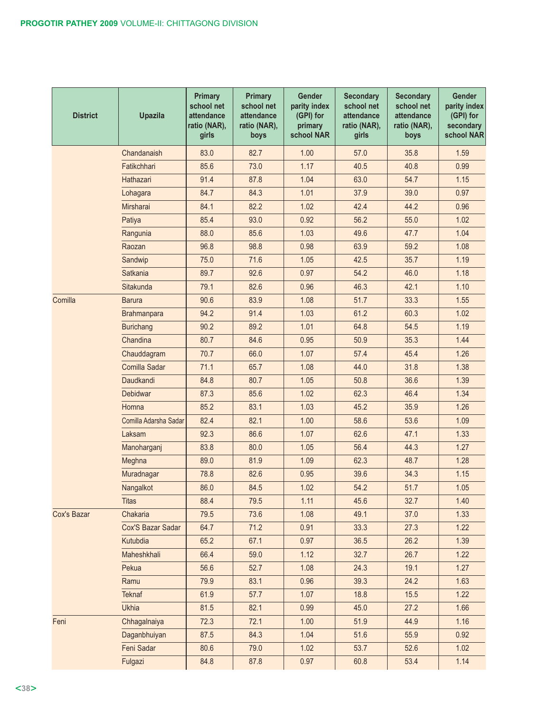| <b>District</b> | <b>Upazila</b>        | <b>Primary</b><br>school net<br>attendance<br>ratio (NAR),<br>girls | <b>Primary</b><br>school net<br>attendance<br>ratio (NAR),<br>boys | <b>Gender</b><br>parity index<br>(GPI) for<br>primary<br>school NAR | <b>Secondary</b><br>school net<br>attendance<br>ratio (NAR),<br>girls | <b>Secondary</b><br>school net<br>attendance<br>ratio (NAR),<br>boys | Gender<br>parity index<br>(GPI) for<br>secondary<br>school NAR |
|-----------------|-----------------------|---------------------------------------------------------------------|--------------------------------------------------------------------|---------------------------------------------------------------------|-----------------------------------------------------------------------|----------------------------------------------------------------------|----------------------------------------------------------------|
|                 | Chandanaish           | 83.0                                                                | 82.7                                                               | 1.00                                                                | 57.0                                                                  | 35.8                                                                 | 1.59                                                           |
|                 | Fatikchhari           | 85.6                                                                | 73.0                                                               | 1.17                                                                | 40.5                                                                  | 40.8                                                                 | 0.99                                                           |
|                 | Hathazari             | 91.4                                                                | 87.8                                                               | 1.04                                                                | 63.0                                                                  | 54.7                                                                 | 1.15                                                           |
|                 | Lohagara              | 84.7                                                                | 84.3                                                               | 1.01                                                                | 37.9                                                                  | 39.0                                                                 | 0.97                                                           |
|                 | Mirsharai             | 84.1                                                                | 82.2                                                               | 1.02                                                                | 42.4                                                                  | 44.2                                                                 | 0.96                                                           |
|                 | Patiya                | 85.4                                                                | 93.0                                                               | 0.92                                                                | 56.2                                                                  | 55.0                                                                 | 1.02                                                           |
|                 | Rangunia              | 88.0                                                                | 85.6                                                               | 1.03                                                                | 49.6                                                                  | 47.7                                                                 | 1.04                                                           |
|                 | Raozan                | 96.8                                                                | 98.8                                                               | 0.98                                                                | 63.9                                                                  | 59.2                                                                 | 1.08                                                           |
|                 | Sandwip               | 75.0                                                                | 71.6                                                               | 1.05                                                                | 42.5                                                                  | 35.7                                                                 | 1.19                                                           |
|                 | Satkania              | 89.7                                                                | 92.6                                                               | 0.97                                                                | 54.2                                                                  | 46.0                                                                 | 1.18                                                           |
|                 | Sitakunda             | 79.1                                                                | 82.6                                                               | 0.96                                                                | 46.3                                                                  | 42.1                                                                 | 1.10                                                           |
| Comilla         | <b>Barura</b>         | 90.6                                                                | 83.9                                                               | 1.08                                                                | 51.7                                                                  | 33.3                                                                 | 1.55                                                           |
|                 | <b>Brahmanpara</b>    | 94.2                                                                | 91.4                                                               | 1.03                                                                | 61.2                                                                  | 60.3                                                                 | 1.02                                                           |
|                 | <b>Burichang</b>      | 90.2                                                                | 89.2                                                               | 1.01                                                                | 64.8                                                                  | 54.5                                                                 | 1.19                                                           |
|                 | Chandina              | 80.7                                                                | 84.6                                                               | 0.95                                                                | 50.9                                                                  | 35.3                                                                 | 1.44                                                           |
|                 | Chauddagram           | 70.7                                                                | 66.0                                                               | 1.07                                                                | 57.4                                                                  | 45.4                                                                 | 1.26                                                           |
|                 | Comilla Sadar         | 71.1                                                                | 65.7                                                               | 1.08                                                                | 44.0                                                                  | 31.8                                                                 | 1.38                                                           |
|                 | Daudkandi             | 84.8                                                                | 80.7                                                               | 1.05                                                                | 50.8                                                                  | 36.6                                                                 | 1.39                                                           |
|                 | <b>Debidwar</b>       | 87.3                                                                | 85.6                                                               | 1.02                                                                | 62.3                                                                  | 46.4                                                                 | 1.34                                                           |
|                 | Homna                 | 85.2                                                                | 83.1                                                               | 1.03                                                                | 45.2                                                                  | 35.9                                                                 | 1.26                                                           |
|                 | Comilla Adarsha Sadar | 82.4                                                                | 82.1                                                               | 1.00                                                                | 58.6                                                                  | 53.6                                                                 | 1.09                                                           |
|                 | Laksam                | 92.3                                                                | 86.6                                                               | 1.07                                                                | 62.6                                                                  | 47.1                                                                 | 1.33                                                           |
|                 | Manoharganj           | 83.8                                                                | 80.0                                                               | 1.05                                                                | 56.4                                                                  | 44.3                                                                 | 1.27                                                           |
|                 | Meghna                | 89.0                                                                | 81.9                                                               | 1.09                                                                | 62.3                                                                  | 48.7                                                                 | 1.28                                                           |
|                 | Muradnagar            | 78.8                                                                | 82.6                                                               | 0.95                                                                | 39.6                                                                  | 34.3                                                                 | 1.15                                                           |
|                 | Nangalkot             | 86.0                                                                | 84.5                                                               | 1.02                                                                | 54.2                                                                  | 51.7                                                                 | 1.05                                                           |
|                 | <b>Titas</b>          | 88.4                                                                | 79.5                                                               | 1.11                                                                | 45.6                                                                  | 32.7                                                                 | 1.40                                                           |
| Cox's Bazar     | Chakaria              | 79.5                                                                | 73.6                                                               | 1.08                                                                | 49.1                                                                  | 37.0                                                                 | 1.33                                                           |
|                 | Cox'S Bazar Sadar     | 64.7                                                                | 71.2                                                               | 0.91                                                                | 33.3                                                                  | 27.3                                                                 | 1.22                                                           |
|                 | Kutubdia              | 65.2                                                                | 67.1                                                               | 0.97                                                                | 36.5                                                                  | 26.2                                                                 | 1.39                                                           |
|                 | Maheshkhali           | 66.4                                                                | 59.0                                                               | 1.12                                                                | 32.7                                                                  | 26.7                                                                 | 1.22                                                           |
|                 | Pekua                 | 56.6                                                                | 52.7                                                               | 1.08                                                                | 24.3                                                                  | 19.1                                                                 | 1.27                                                           |
|                 | Ramu                  | 79.9                                                                | 83.1                                                               | 0.96                                                                | 39.3                                                                  | 24.2                                                                 | 1.63                                                           |
|                 | <b>Teknaf</b>         | 61.9                                                                | 57.7                                                               | 1.07                                                                | 18.8                                                                  | 15.5                                                                 | 1.22                                                           |
|                 | <b>Ukhia</b>          | 81.5                                                                | 82.1                                                               | 0.99                                                                | 45.0                                                                  | 27.2                                                                 | 1.66                                                           |
| Feni            | Chhagalnaiya          | 72.3                                                                | 72.1                                                               | 1.00                                                                | 51.9                                                                  | 44.9                                                                 | 1.16                                                           |
|                 | Daganbhuiyan          | 87.5                                                                | 84.3                                                               | 1.04                                                                | 51.6                                                                  | 55.9                                                                 | 0.92                                                           |
|                 | Feni Sadar            | 80.6                                                                | 79.0                                                               | 1.02                                                                | 53.7                                                                  | 52.6                                                                 | 1.02                                                           |
|                 | Fulgazi               | 84.8                                                                | 87.8                                                               | 0.97                                                                | 60.8                                                                  | 53.4                                                                 | 1.14                                                           |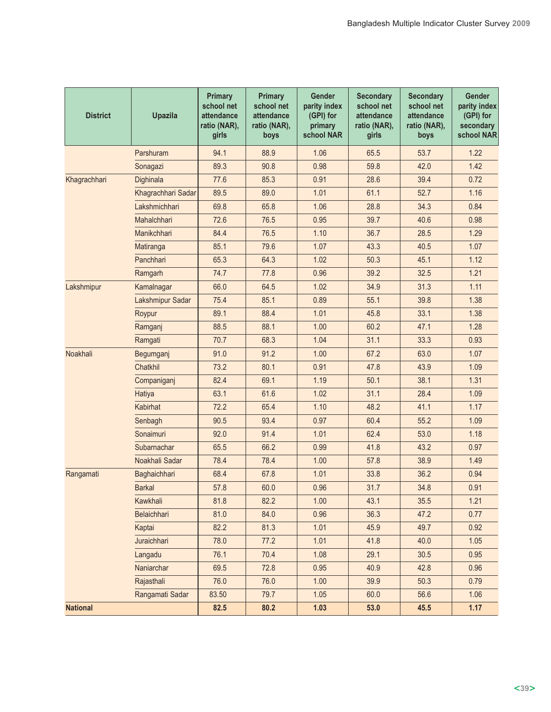| <b>District</b> | <b>Upazila</b>     | <b>Primary</b><br>school net<br>attendance<br>ratio (NAR),<br>girls | <b>Primary</b><br>school net<br>attendance<br>ratio (NAR),<br>boys | <b>Gender</b><br>parity index<br>(GPI) for<br>primary<br>school NAR | <b>Secondary</b><br>school net<br>attendance<br>ratio (NAR),<br>girls | <b>Secondary</b><br>school net<br>attendance<br>ratio (NAR),<br>boys | Gender<br>parity index<br>(GPI) for<br>secondary<br>school NAR |
|-----------------|--------------------|---------------------------------------------------------------------|--------------------------------------------------------------------|---------------------------------------------------------------------|-----------------------------------------------------------------------|----------------------------------------------------------------------|----------------------------------------------------------------|
|                 | Parshuram          | 94.1                                                                | 88.9                                                               | 1.06                                                                | 65.5                                                                  | 53.7                                                                 | 1.22                                                           |
|                 | Sonagazi           | 89.3                                                                | 90.8                                                               | 0.98                                                                | 59.8                                                                  | 42.0                                                                 | 1.42                                                           |
| Khagrachhari    | Dighinala          | 77.6                                                                | 85.3                                                               | 0.91                                                                | 28.6                                                                  | 39.4                                                                 | 0.72                                                           |
|                 | Khagrachhari Sadar | 89.5                                                                | 89.0                                                               | 1.01                                                                | 61.1                                                                  | 52.7                                                                 | 1.16                                                           |
|                 | Lakshmichhari      | 69.8                                                                | 65.8                                                               | 1.06                                                                | 28.8                                                                  | 34.3                                                                 | 0.84                                                           |
|                 | Mahalchhari        | 72.6                                                                | 76.5                                                               | 0.95                                                                | 39.7                                                                  | 40.6                                                                 | 0.98                                                           |
|                 | Manikchhari        | 84.4                                                                | 76.5                                                               | 1.10                                                                | 36.7                                                                  | 28.5                                                                 | 1.29                                                           |
|                 | Matiranga          | 85.1                                                                | 79.6                                                               | 1.07                                                                | 43.3                                                                  | 40.5                                                                 | 1.07                                                           |
|                 | Panchhari          | 65.3                                                                | 64.3                                                               | 1.02                                                                | 50.3                                                                  | 45.1                                                                 | 1.12                                                           |
|                 | Ramgarh            | 74.7                                                                | 77.8                                                               | 0.96                                                                | 39.2                                                                  | 32.5                                                                 | 1.21                                                           |
| Lakshmipur      | Kamalnagar         | 66.0                                                                | 64.5                                                               | 1.02                                                                | 34.9                                                                  | 31.3                                                                 | 1.11                                                           |
|                 | Lakshmipur Sadar   | 75.4                                                                | 85.1                                                               | 0.89                                                                | 55.1                                                                  | 39.8                                                                 | 1.38                                                           |
|                 | Roypur             | 89.1                                                                | 88.4                                                               | 1.01                                                                | 45.8                                                                  | 33.1                                                                 | 1.38                                                           |
|                 | Ramganj            | 88.5                                                                | 88.1                                                               | 1.00                                                                | 60.2                                                                  | 47.1                                                                 | 1.28                                                           |
|                 | Ramgati            | 70.7                                                                | 68.3                                                               | 1.04                                                                | 31.1                                                                  | 33.3                                                                 | 0.93                                                           |
| Noakhali        | Begumganj          | 91.0                                                                | 91.2                                                               | 1.00                                                                | 67.2                                                                  | 63.0                                                                 | 1.07                                                           |
|                 | Chatkhil           | 73.2                                                                | 80.1                                                               | 0.91                                                                | 47.8                                                                  | 43.9                                                                 | 1.09                                                           |
|                 | Companiganj        | 82.4                                                                | 69.1                                                               | 1.19                                                                | 50.1                                                                  | 38.1                                                                 | 1.31                                                           |
|                 | Hatiya             | 63.1                                                                | 61.6                                                               | 1.02                                                                | 31.1                                                                  | 28.4                                                                 | 1.09                                                           |
|                 | Kabirhat           | 72.2                                                                | 65.4                                                               | 1.10                                                                | 48.2                                                                  | 41.1                                                                 | 1.17                                                           |
|                 | Senbagh            | 90.5                                                                | 93.4                                                               | 0.97                                                                | 60.4                                                                  | 55.2                                                                 | 1.09                                                           |
|                 | Sonaimuri          | 92.0                                                                | 91.4                                                               | 1.01                                                                | 62.4                                                                  | 53.0                                                                 | 1.18                                                           |
|                 | Subarnachar        | 65.5                                                                | 66.2                                                               | 0.99                                                                | 41.8                                                                  | 43.2                                                                 | 0.97                                                           |
|                 | Noakhali Sadar     | 78.4                                                                | 78.4                                                               | 1.00                                                                | 57.8                                                                  | 38.9                                                                 | 1.49                                                           |
| Rangamati       | Baghaichhari       | 68.4                                                                | 67.8                                                               | 1.01                                                                | 33.8                                                                  | 36.2                                                                 | 0.94                                                           |
|                 | <b>Barkal</b>      | 57.8                                                                | 60.0                                                               | 0.96                                                                | 31.7                                                                  | 34.8                                                                 | 0.91                                                           |
|                 | Kawkhali           | 81.8                                                                | 82.2                                                               | 1.00                                                                | 43.1                                                                  | 35.5                                                                 | 1.21                                                           |
|                 | Belaichhari        | 81.0                                                                | 84.0                                                               | 0.96                                                                | 36.3                                                                  | 47.2                                                                 | 0.77                                                           |
|                 | Kaptai             | 82.2                                                                | 81.3                                                               | 1.01                                                                | 45.9                                                                  | 49.7                                                                 | 0.92                                                           |
|                 | Juraichhari        | 78.0                                                                | 77.2                                                               | 1.01                                                                | 41.8                                                                  | 40.0                                                                 | 1.05                                                           |
|                 | Langadu            | 76.1                                                                | 70.4                                                               | 1.08                                                                | 29.1                                                                  | 30.5                                                                 | 0.95                                                           |
|                 | Naniarchar         | 69.5                                                                | 72.8                                                               | 0.95                                                                | 40.9                                                                  | 42.8                                                                 | 0.96                                                           |
|                 | Rajasthali         | 76.0                                                                | 76.0                                                               | 1.00                                                                | 39.9                                                                  | 50.3                                                                 | 0.79                                                           |
|                 | Rangamati Sadar    | 83.50                                                               | 79.7                                                               | 1.05                                                                | 60.0                                                                  | 56.6                                                                 | 1.06                                                           |
| <b>National</b> |                    | 82.5                                                                | 80.2                                                               | 1.03                                                                | 53.0                                                                  | 45.5                                                                 | 1.17                                                           |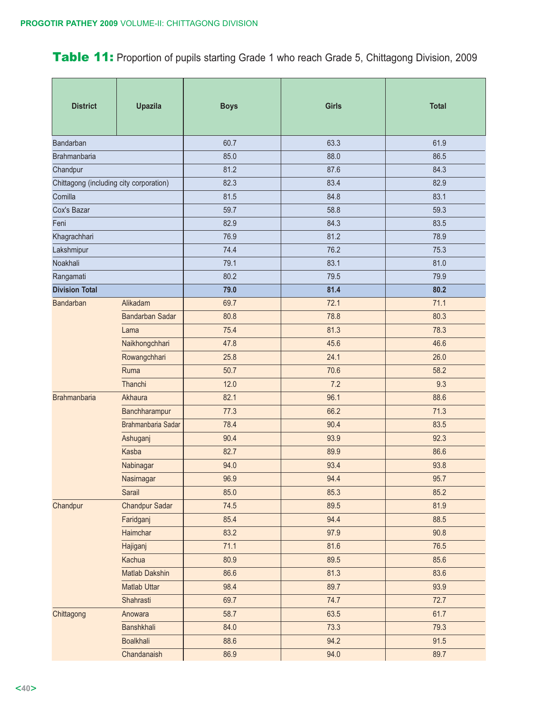Table 11: Proportion of pupils starting Grade 1 who reach Grade 5, Chittagong Division, 2009

| <b>District</b>                         | <b>Upazila</b>         | <b>Boys</b> | <b>Girls</b> | <b>Total</b> |
|-----------------------------------------|------------------------|-------------|--------------|--------------|
| Bandarban                               |                        | 60.7        | 63.3         | 61.9         |
| <b>Brahmanbaria</b>                     |                        | 85.0        | 88.0         | 86.5         |
| Chandpur                                |                        | 81.2        | 87.6         | 84.3         |
| Chittagong (including city corporation) |                        | 82.3        | 83.4         | 82.9         |
| Comilla                                 |                        | 81.5        | 84.8         | 83.1         |
| Cox's Bazar                             |                        | 59.7        | 58.8         | 59.3         |
| Feni                                    |                        | 82.9        | 84.3         | 83.5         |
| Khagrachhari                            |                        | 76.9        | 81.2         | 78.9         |
| Lakshmipur                              |                        | 74.4        | 76.2         | 75.3         |
| Noakhali                                |                        | 79.1        | 83.1         | 81.0         |
| Rangamati                               |                        | 80.2        | 79.5         | 79.9         |
| <b>Division Total</b>                   |                        | 79.0        | 81.4         | 80.2         |
| Bandarban                               | Alikadam               | 69.7        | 72.1         | 71.1         |
|                                         | <b>Bandarban Sadar</b> | 80.8        | 78.8         | 80.3         |
|                                         | Lama                   | 75.4        | 81.3         | 78.3         |
|                                         | Naikhongchhari         | 47.8        | 45.6         | 46.6         |
|                                         | Rowangchhari           | 25.8        | 24.1         | 26.0         |
|                                         | Ruma                   | 50.7        | 70.6         | 58.2         |
|                                         | Thanchi                | 12.0        | 7.2          | 9.3          |
| Brahmanbaria                            | Akhaura                | 82.1        | 96.1         | 88.6         |
|                                         | Banchharampur          | 77.3        | 66.2         | 71.3         |
|                                         | Brahmanbaria Sadar     | 78.4        | 90.4         | 83.5         |
|                                         | Ashuganj               | 90.4        | 93.9         | 92.3         |
|                                         | <b>Kasba</b>           | 82.7        | 89.9         | 86.6         |
|                                         | Nabinagar              | 94.0        | 93.4         | 93.8         |
|                                         | Nasirnagar             | 96.9        | 94.4         | 95.7         |
|                                         | Sarail                 | 85.0        | 85.3         | 85.2         |
| Chandpur                                | <b>Chandpur Sadar</b>  | 74.5        | 89.5         | 81.9         |
|                                         | Faridganj              | 85.4        | 94.4         | 88.5         |
|                                         | Haimchar               | 83.2        | 97.9         | 90.8         |
|                                         | Hajiganj               | 71.1        | 81.6         | 76.5         |
|                                         | Kachua                 | 80.9        | 89.5         | 85.6         |
|                                         | Matlab Dakshin         | 86.6        | 81.3         | 83.6         |
|                                         | Matlab Uttar           | 98.4        | 89.7         | 93.9         |
|                                         | Shahrasti              | 69.7        | 74.7         | 72.7         |
| Chittagong                              | Anowara                | 58.7        | 63.5         | 61.7         |
|                                         | Banshkhali             | 84.0        | 73.3         | 79.3         |
|                                         | <b>Boalkhali</b>       | 88.6        | 94.2         | 91.5         |
|                                         | Chandanaish            | 86.9        | 94.0         | 89.7         |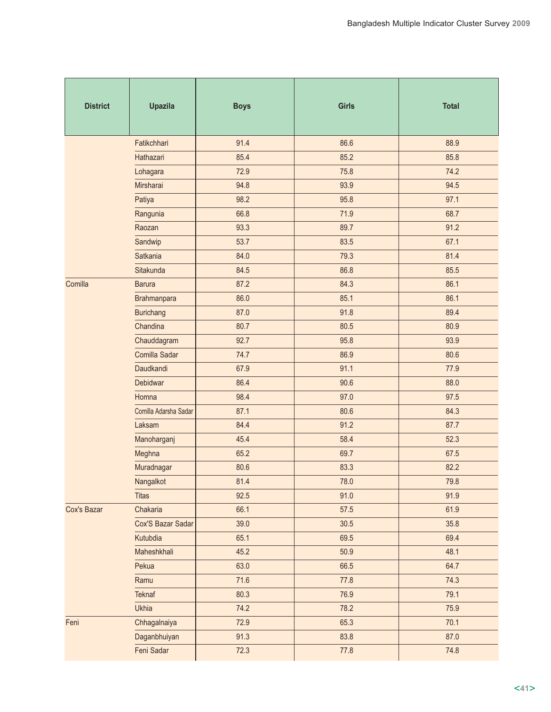| <b>District</b> | <b>Upazila</b>        | <b>Boys</b> | <b>Girls</b> | <b>Total</b> |
|-----------------|-----------------------|-------------|--------------|--------------|
|                 | Fatikchhari           | 91.4        | 86.6         | 88.9         |
|                 | Hathazari             | 85.4        | 85.2         | 85.8         |
|                 | Lohagara              | 72.9        | 75.8         | 74.2         |
|                 | Mirsharai             | 94.8        | 93.9         | 94.5         |
|                 | Patiya                | 98.2        | 95.8         | 97.1         |
|                 | Rangunia              | 66.8        | 71.9         | 68.7         |
|                 | Raozan                | 93.3        | 89.7         | 91.2         |
|                 | Sandwip               | 53.7        | 83.5         | 67.1         |
|                 | Satkania              | 84.0        | 79.3         | 81.4         |
|                 | Sitakunda             | 84.5        | 86.8         | 85.5         |
| Comilla         | <b>Barura</b>         | 87.2        | 84.3         | 86.1         |
|                 | Brahmanpara           | 86.0        | 85.1         | 86.1         |
|                 | <b>Burichang</b>      | 87.0        | 91.8         | 89.4         |
|                 | Chandina              | 80.7        | 80.5         | 80.9         |
|                 | Chauddagram           | 92.7        | 95.8         | 93.9         |
|                 | Comilla Sadar         | 74.7        | 86.9         | 80.6         |
|                 | Daudkandi             | 67.9        | 91.1         | 77.9         |
|                 | Debidwar              | 86.4        | 90.6         | 88.0         |
|                 | Homna                 | 98.4        | 97.0         | 97.5         |
|                 | Comilla Adarsha Sadar | 87.1        | 80.6         | 84.3         |
|                 | Laksam                | 84.4        | 91.2         | 87.7         |
|                 | Manoharganj           | 45.4        | 58.4         | 52.3         |
|                 | Meghna                | 65.2        | 69.7         | 67.5         |
|                 | Muradnagar            | 80.6        | 83.3         | 82.2         |
|                 | Nangalkot             | 81.4        | 78.0         | 79.8         |
|                 | <b>Titas</b>          | 92.5        | 91.0         | 91.9         |
| Cox's Bazar     | Chakaria              | 66.1        | 57.5         | 61.9         |
|                 | Cox'S Bazar Sadar     | 39.0        | 30.5         | 35.8         |
|                 | Kutubdia              | 65.1        | 69.5         | 69.4         |
|                 | Maheshkhali           | 45.2        | 50.9         | 48.1         |
|                 | Pekua                 | 63.0        | 66.5         | 64.7         |
|                 | Ramu                  | 71.6        | 77.8         | 74.3         |
|                 | <b>Teknaf</b>         | 80.3        | 76.9         | 79.1         |
|                 | <b>Ukhia</b>          | 74.2        | 78.2         | 75.9         |
| Feni            | Chhagalnaiya          | 72.9        | 65.3         | 70.1         |
|                 | Daganbhuiyan          | 91.3        | 83.8         | 87.0         |
|                 | Feni Sadar            | 72.3        | 77.8         | 74.8         |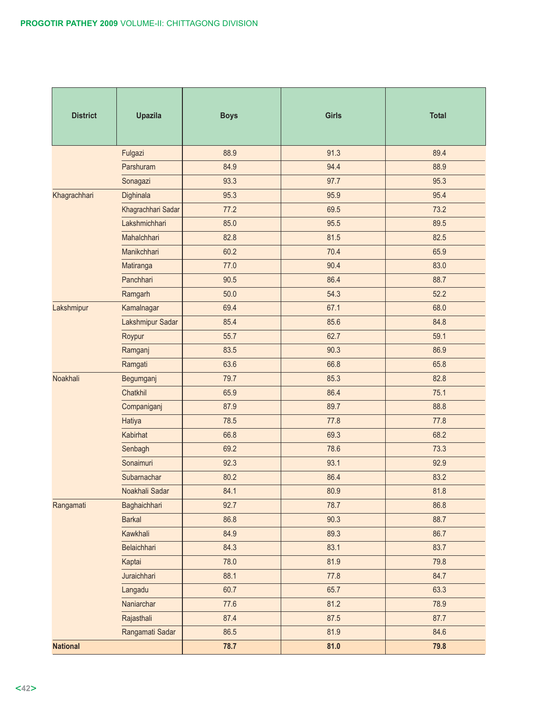| <b>District</b> | <b>Upazila</b>     | <b>Boys</b> | <b>Girls</b> | <b>Total</b> |
|-----------------|--------------------|-------------|--------------|--------------|
|                 | Fulgazi            | 88.9        | 91.3         | 89.4         |
|                 | Parshuram          | 84.9        | 94.4         | 88.9         |
|                 | Sonagazi           | 93.3        | 97.7         | 95.3         |
| Khagrachhari    | Dighinala          | 95.3        | 95.9         | 95.4         |
|                 | Khagrachhari Sadar | 77.2        | 69.5         | 73.2         |
|                 | Lakshmichhari      | 85.0        | 95.5         | 89.5         |
|                 | Mahalchhari        | 82.8        | 81.5         | 82.5         |
|                 | Manikchhari        | 60.2        | 70.4         | 65.9         |
|                 | Matiranga          | 77.0        | 90.4         | 83.0         |
|                 | Panchhari          | 90.5        | 86.4         | 88.7         |
|                 | Ramgarh            | 50.0        | 54.3         | 52.2         |
| Lakshmipur      | Kamalnagar         | 69.4        | 67.1         | 68.0         |
|                 | Lakshmipur Sadar   | 85.4        | 85.6         | 84.8         |
|                 | Roypur             | 55.7        | 62.7         | 59.1         |
|                 | Ramganj            | 83.5        | 90.3         | 86.9         |
|                 | Ramgati            | 63.6        | 66.8         | 65.8         |
| Noakhali        | Begumganj          | 79.7        | 85.3         | 82.8         |
|                 | Chatkhil           | 65.9        | 86.4         | 75.1         |
|                 | Companiganj        | 87.9        | 89.7         | 88.8         |
|                 | Hatiya             | 78.5        | 77.8         | 77.8         |
|                 | Kabirhat           | 66.8        | 69.3         | 68.2         |
|                 | Senbagh            | 69.2        | 78.6         | 73.3         |
|                 | Sonaimuri          | 92.3        | 93.1         | 92.9         |
|                 | Subarnachar        | 80.2        | 86.4         | 83.2         |
|                 | Noakhali Sadar     | 84.1        | 80.9         | 81.8         |
| Rangamati       | Baghaichhari       | 92.7        | 78.7         | 86.8         |
|                 | <b>Barkal</b>      | 86.8        | 90.3         | 88.7         |
|                 | Kawkhali           | 84.9        | 89.3         | 86.7         |
|                 | Belaichhari        | 84.3        | 83.1         | 83.7         |
|                 | Kaptai             | 78.0        | 81.9         | 79.8         |
|                 | Juraichhari        | 88.1        | 77.8         | 84.7         |
|                 | Langadu            | 60.7        | 65.7         | 63.3         |
|                 | Naniarchar         | 77.6        | 81.2         | 78.9         |
|                 | Rajasthali         | 87.4        | 87.5         | 87.7         |
|                 | Rangamati Sadar    | 86.5        | 81.9         | 84.6         |
| <b>National</b> |                    | 78.7        | 81.0         | 79.8         |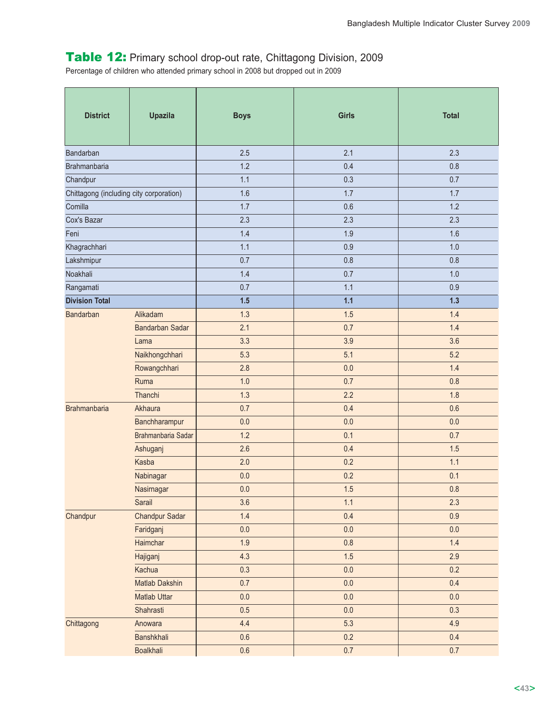### Table 12: Primary school drop-out rate, Chittagong Division, 2009

Percentage of children who attended primary school in 2008 but dropped out in 2009

| <b>District</b>                         | Upazila                | <b>Boys</b> | <b>Girls</b> | <b>Total</b> |
|-----------------------------------------|------------------------|-------------|--------------|--------------|
| Bandarban                               |                        | 2.5         | 2.1          | 2.3          |
| Brahmanbaria                            |                        | 1.2         | 0.4          | 0.8          |
| Chandpur                                |                        | 1.1         | 0.3          | 0.7          |
| Chittagong (including city corporation) |                        | 1.6         | 1.7          | 1.7          |
| Comilla                                 |                        | 1.7         | 0.6          | 1.2          |
| Cox's Bazar                             |                        | 2.3         | 2.3          | 2.3          |
| Feni                                    |                        | 1.4         | 1.9          | 1.6          |
| Khagrachhari                            |                        | 1.1         | 0.9          | 1.0          |
| Lakshmipur                              |                        | 0.7         | 0.8          | 0.8          |
| Noakhali                                |                        | 1.4         | 0.7          | 1.0          |
| Rangamati                               |                        | 0.7         | 1.1          | 0.9          |
| <b>Division Total</b>                   |                        | 1.5         | 1.1          | 1.3          |
| Bandarban                               | Alikadam               | 1.3         | 1.5          | 1.4          |
|                                         | <b>Bandarban Sadar</b> | 2.1         | 0.7          | 1.4          |
|                                         | Lama                   | 3.3         | 3.9          | 3.6          |
|                                         | Naikhongchhari         | 5.3         | 5.1          | 5.2          |
|                                         | Rowangchhari           | 2.8         | 0.0          | 1.4          |
|                                         | Ruma                   | 1.0         | 0.7          | 0.8          |
|                                         | Thanchi                | 1.3         | 2.2          | 1.8          |
| Brahmanbaria                            | Akhaura                | 0.7         | 0.4          | 0.6          |
|                                         | Banchharampur          | 0.0         | 0.0          | 0.0          |
|                                         | Brahmanbaria Sadar     | 1.2         | 0.1          | 0.7          |
|                                         | Ashuganj               | 2.6         | 0.4          | 1.5          |
|                                         | <b>Kasba</b>           | 2.0         | 0.2          | 1.1          |
|                                         | Nabinagar              | 0.0         | 0.2          | 0.1          |
|                                         | Nasirnagar             | 0.0         | 1.5          | 0.8          |
|                                         | Sarail                 | 3.6         | 1.1          | 2.3          |
| Chandpur                                | <b>Chandpur Sadar</b>  | 1.4         | $0.4\,$      | $0.9\,$      |
|                                         | Faridganj              | 0.0         | 0.0          | 0.0          |
|                                         | Haimchar               | 1.9         | 0.8          | $1.4$        |
|                                         | Hajiganj               | 4.3         | 1.5          | 2.9          |
|                                         | Kachua                 | 0.3         | $0.0\,$      | 0.2          |
|                                         | Matlab Dakshin         | 0.7         | 0.0          | 0.4          |
|                                         | Matlab Uttar           | $0.0\,$     | $0.0\,$      | $0.0\,$      |
|                                         | Shahrasti              | 0.5         | 0.0          | 0.3          |
| Chittagong                              | Anowara                | 4.4         | 5.3          | $4.9\,$      |
|                                         | Banshkhali             | 0.6         | 0.2          | 0.4          |
|                                         | <b>Boalkhali</b>       | 0.6         | $0.7\,$      | 0.7          |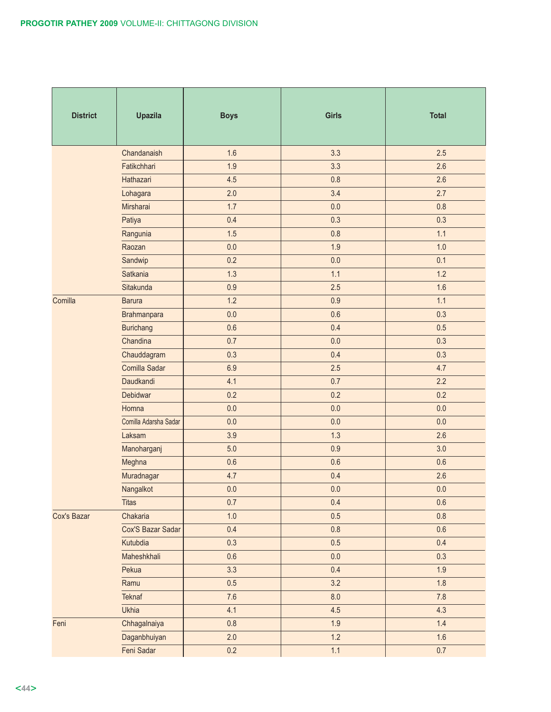| <b>District</b> | Upazila               | <b>Boys</b> | <b>Girls</b> | <b>Total</b> |
|-----------------|-----------------------|-------------|--------------|--------------|
|                 | Chandanaish           | 1.6         | 3.3          | 2.5          |
|                 | Fatikchhari           | 1.9         | 3.3          | 2.6          |
|                 | Hathazari             | 4.5         | 0.8          | 2.6          |
|                 | Lohagara              | 2.0         | 3.4          | 2.7          |
|                 | Mirsharai             | 1.7         | 0.0          | 0.8          |
|                 | Patiya                | 0.4         | 0.3          | 0.3          |
|                 | Rangunia              | 1.5         | 0.8          | 1.1          |
|                 | Raozan                | 0.0         | 1.9          | 1.0          |
|                 | Sandwip               | 0.2         | 0.0          | 0.1          |
|                 | Satkania              | 1.3         | 1.1          | 1.2          |
|                 | Sitakunda             | 0.9         | 2.5          | 1.6          |
| Comilla         | <b>Barura</b>         | 1.2         | 0.9          | 1.1          |
|                 | <b>Brahmanpara</b>    | 0.0         | 0.6          | 0.3          |
|                 | <b>Burichang</b>      | 0.6         | 0.4          | 0.5          |
|                 | Chandina              | 0.7         | 0.0          | 0.3          |
|                 | Chauddagram           | 0.3         | 0.4          | 0.3          |
|                 | Comilla Sadar         | 6.9         | 2.5          | 4.7          |
|                 | Daudkandi             | 4.1         | 0.7          | 2.2          |
|                 | Debidwar              | 0.2         | 0.2          | 0.2          |
|                 | Homna                 | 0.0         | 0.0          | 0.0          |
|                 | Comilla Adarsha Sadar | 0.0         | 0.0          | 0.0          |
|                 | Laksam                | 3.9         | 1.3          | 2.6          |
|                 | Manoharganj           | 5.0         | 0.9          | 3.0          |
|                 | Meghna                | 0.6         | 0.6          | 0.6          |
|                 | Muradnagar            | 4.7         | 0.4          | 2.6          |
|                 | Nangalkot             | 0.0         | $0.0\,$      | $0.0\,$      |
|                 | <b>Titas</b>          | 0.7         | 0.4          | 0.6          |
| Cox's Bazar     | Chakaria              | 1.0         | $0.5\,$      | 0.8          |
|                 | Cox'S Bazar Sadar     | 0.4         | 0.8          | 0.6          |
|                 | Kutubdia              | 0.3         | 0.5          | 0.4          |
|                 | Maheshkhali           | 0.6         | 0.0          | 0.3          |
|                 | Pekua                 | 3.3         | 0.4          | 1.9          |
|                 | Ramu                  | 0.5         | 3.2          | 1.8          |
|                 | <b>Teknaf</b>         | 7.6         | 8.0          | 7.8          |
|                 | <b>Ukhia</b>          | 4.1         | 4.5          | 4.3          |
| Feni            | Chhagalnaiya          | 0.8         | 1.9          | $1.4$        |
|                 | Daganbhuiyan          | 2.0         | $1.2$        | 1.6          |
|                 | Feni Sadar            | 0.2         | 1.1          | 0.7          |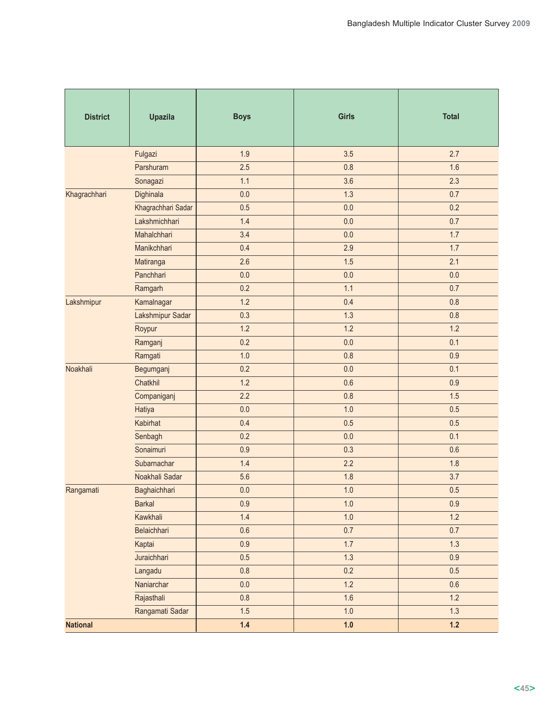| <b>District</b> | <b>Upazila</b>     | <b>Boys</b> | <b>Girls</b> | <b>Total</b> |
|-----------------|--------------------|-------------|--------------|--------------|
|                 | Fulgazi            | 1.9         | 3.5          | 2.7          |
|                 | Parshuram          | 2.5         | 0.8          | 1.6          |
|                 | Sonagazi           | 1.1         | 3.6          | 2.3          |
| Khagrachhari    | Dighinala          | 0.0         | 1.3          | 0.7          |
|                 | Khagrachhari Sadar | 0.5         | 0.0          | 0.2          |
|                 | Lakshmichhari      | 1.4         | 0.0          | 0.7          |
|                 | Mahalchhari        | 3.4         | 0.0          | 1.7          |
|                 | Manikchhari        | 0.4         | 2.9          | 1.7          |
|                 | Matiranga          | 2.6         | 1.5          | 2.1          |
|                 | Panchhari          | 0.0         | 0.0          | 0.0          |
|                 | Ramgarh            | 0.2         | 1.1          | 0.7          |
| Lakshmipur      | Kamalnagar         | 1.2         | 0.4          | 0.8          |
|                 | Lakshmipur Sadar   | 0.3         | 1.3          | 0.8          |
|                 | Roypur             | 1.2         | 1.2          | 1.2          |
|                 | Ramganj            | 0.2         | 0.0          | 0.1          |
|                 | Ramgati            | 1.0         | 0.8          | 0.9          |
| Noakhali        | Begumganj          | 0.2         | 0.0          | 0.1          |
|                 | Chatkhil           | 1.2         | 0.6          | 0.9          |
|                 | Companiganj        | 2.2         | 0.8          | 1.5          |
|                 | Hatiya             | 0.0         | 1.0          | 0.5          |
|                 | Kabirhat           | 0.4         | 0.5          | 0.5          |
|                 | Senbagh            | 0.2         | 0.0          | 0.1          |
|                 | Sonaimuri          | 0.9         | 0.3          | 0.6          |
|                 | Subarnachar        | 1.4         | 2.2          | 1.8          |
|                 | Noakhali Sadar     | 5.6         | 1.8          | 3.7          |
| Rangamati       | Baghaichhari       | $0.0\,$     | $1.0$        | 0.5          |
|                 | <b>Barkal</b>      | 0.9         | 1.0          | 0.9          |
|                 | Kawkhali           | $1.4$       | 1.0          | 1.2          |
|                 | Belaichhari        | $0.6\,$     | 0.7          | 0.7          |
|                 | Kaptai             | 0.9         | 1.7          | 1.3          |
|                 | Juraichhari        | 0.5         | 1.3          | $0.9\,$      |
|                 | Langadu            | 0.8         | 0.2          | $0.5\,$      |
|                 | Naniarchar         | $0.0\,$     | $1.2$        | $0.6\,$      |
|                 | Rajasthali         | 0.8         | 1.6          | 1.2          |
|                 | Rangamati Sadar    | $1.5\,$     | 1.0          | 1.3          |
| <b>National</b> |                    | 1.4         | $1.0$        | $1.2$        |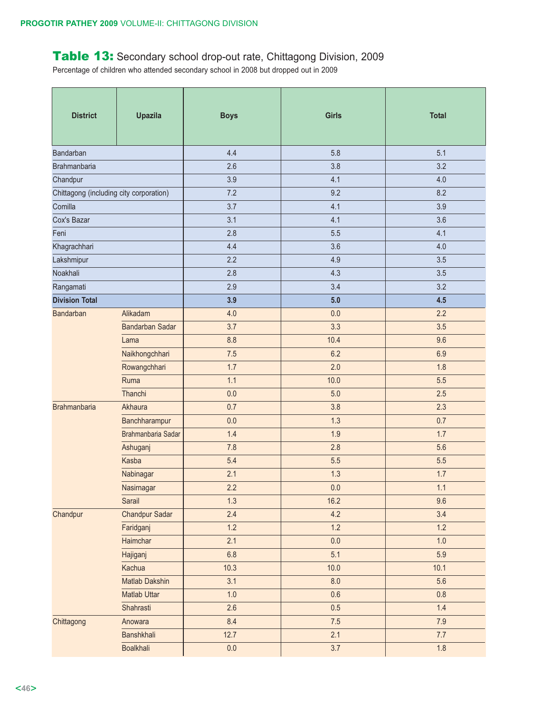## Table 13: Secondary school drop-out rate, Chittagong Division, 2009

Percentage of children who attended secondary school in 2008 but dropped out in 2009

| <b>District</b>                         | <b>Upazila</b>         | <b>Boys</b> | <b>Girls</b> | <b>Total</b> |
|-----------------------------------------|------------------------|-------------|--------------|--------------|
| Bandarban                               |                        | 4.4         | 5.8          | 5.1          |
| Brahmanbaria                            |                        | 2.6         | 3.8          | 3.2          |
| Chandpur                                |                        | 3.9         | 4.1          | 4.0          |
| Chittagong (including city corporation) |                        | 7.2         | 9.2          | 8.2          |
| Comilla                                 |                        | 3.7         | 4.1          | 3.9          |
| Cox's Bazar                             |                        | 3.1         | 4.1          | 3.6          |
| Feni                                    |                        | 2.8         | 5.5          | 4.1          |
| Khagrachhari                            |                        | 4.4         | 3.6          | 4.0          |
| Lakshmipur                              |                        | 2.2         | 4.9          | 3.5          |
| Noakhali                                |                        | 2.8         | 4.3          | 3.5          |
| Rangamati                               |                        | 2.9         | 3.4          | 3.2          |
| <b>Division Total</b>                   |                        | 3.9         | 5.0          | 4.5          |
| Bandarban                               | Alikadam               | 4.0         | 0.0          | 2.2          |
|                                         | <b>Bandarban Sadar</b> | 3.7         | 3.3          | 3.5          |
|                                         | Lama                   | 8.8         | 10.4         | 9.6          |
|                                         | Naikhongchhari         | 7.5         | 6.2          | 6.9          |
|                                         | Rowangchhari           | 1.7         | 2.0          | 1.8          |
|                                         | Ruma                   | 1.1         | 10.0         | 5.5          |
|                                         | Thanchi                | 0.0         | 5.0          | 2.5          |
| <b>Brahmanbaria</b>                     | Akhaura                | 0.7         | 3.8          | 2.3          |
|                                         | Banchharampur          | 0.0         | 1.3          | 0.7          |
|                                         | Brahmanbaria Sadar     | 1.4         | 1.9          | 1.7          |
|                                         | Ashuganj               | 7.8         | 2.8          | 5.6          |
|                                         | <b>Kasba</b>           | 5.4         | 5.5          | 5.5          |
|                                         | Nabinagar              | 2.1         | 1.3          | 1.7          |
|                                         | Nasirnagar             | 2.2         | 0.0          | 1.1          |
|                                         | Sarail                 | 1.3         | 16.2         | 9.6          |
| Chandpur                                | <b>Chandpur Sadar</b>  | 2.4         | 4.2          | 3.4          |
|                                         | Faridganj              | 1.2         | 1.2          | 1.2          |
|                                         | Haimchar               | 2.1         | 0.0          | 1.0          |
|                                         | Hajiganj               | $6.8\,$     | 5.1          | 5.9          |
|                                         | Kachua                 | 10.3        | 10.0         | 10.1         |
|                                         | Matlab Dakshin         | 3.1         | 8.0          | 5.6          |
|                                         | <b>Matlab Uttar</b>    | 1.0         | 0.6          | 0.8          |
|                                         | Shahrasti              | 2.6         | 0.5          | $1.4$        |
| Chittagong                              | Anowara                | 8.4         | 7.5          | 7.9          |
|                                         | Banshkhali             | 12.7        | 2.1          | 7.7          |
|                                         | <b>Boalkhali</b>       | $0.0\,$     | 3.7          | 1.8          |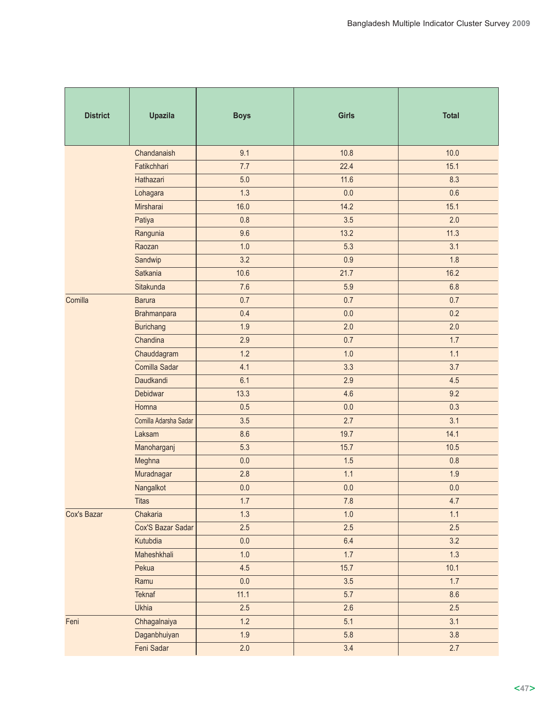| <b>District</b> | <b>Upazila</b>        | <b>Boys</b> | <b>Girls</b> | <b>Total</b> |
|-----------------|-----------------------|-------------|--------------|--------------|
|                 | Chandanaish           | 9.1         | 10.8         | 10.0         |
|                 | Fatikchhari           | 7.7         | 22.4         | 15.1         |
|                 | Hathazari             | 5.0         | 11.6         | 8.3          |
|                 | Lohagara              | 1.3         | 0.0          | 0.6          |
|                 | Mirsharai             | 16.0        | 14.2         | 15.1         |
|                 | Patiya                | 0.8         | 3.5          | 2.0          |
|                 | Rangunia              | 9.6         | 13.2         | 11.3         |
|                 | Raozan                | 1.0         | 5.3          | 3.1          |
|                 | Sandwip               | 3.2         | 0.9          | 1.8          |
|                 | Satkania              | 10.6        | 21.7         | 16.2         |
|                 | Sitakunda             | 7.6         | 5.9          | 6.8          |
| Comilla         | <b>Barura</b>         | 0.7         | 0.7          | 0.7          |
|                 | <b>Brahmanpara</b>    | 0.4         | $0.0\,$      | 0.2          |
|                 | <b>Burichang</b>      | 1.9         | 2.0          | 2.0          |
|                 | Chandina              | 2.9         | 0.7          | 1.7          |
|                 | Chauddagram           | 1.2         | 1.0          | 1.1          |
|                 | Comilla Sadar         | 4.1         | 3.3          | 3.7          |
|                 | Daudkandi             | 6.1         | 2.9          | 4.5          |
|                 | Debidwar              | 13.3        | 4.6          | 9.2          |
|                 | Homna                 | 0.5         | 0.0          | 0.3          |
|                 | Comilla Adarsha Sadar | 3.5         | 2.7          | 3.1          |
|                 | Laksam                | 8.6         | 19.7         | 14.1         |
|                 | Manoharganj           | 5.3         | 15.7         | 10.5         |
|                 | Meghna                | 0.0         | 1.5          | 0.8          |
|                 | Muradnagar            | 2.8         | 1.1          | 1.9          |
|                 | Nangalkot             | 0.0         | 0.0          | $0.0\,$      |
|                 | <b>Titas</b>          | 1.7         | 7.8          | 4.7          |
| Cox's Bazar     | Chakaria              | 1.3         | $1.0$        | 1.1          |
|                 | Cox'S Bazar Sadar     | 2.5         | 2.5          | 2.5          |
|                 | Kutubdia              | 0.0         | $6.4\,$      | 3.2          |
|                 | Maheshkhali           | 1.0         | 1.7          | 1.3          |
|                 | Pekua                 | 4.5         | 15.7         | 10.1         |
|                 | Ramu                  | 0.0         | 3.5          | 1.7          |
|                 | Teknaf                | 11.1        | 5.7          | $8.6\,$      |
|                 | <b>Ukhia</b>          | 2.5         | 2.6          | 2.5          |
| Feni            | Chhagalnaiya          | $1.2$       | 5.1          | 3.1          |
|                 | Daganbhuiyan          | 1.9         | 5.8          | 3.8          |
|                 | Feni Sadar            | 2.0         | 3.4          | 2.7          |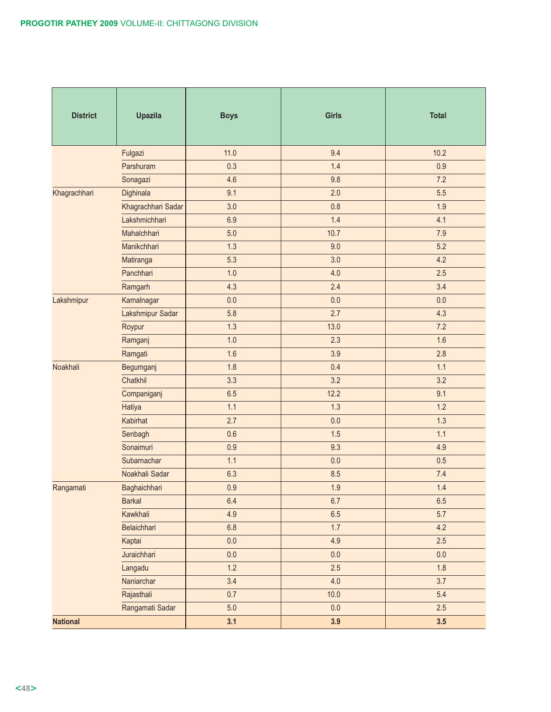| <b>District</b> | Upazila            | <b>Boys</b> | <b>Girls</b> | <b>Total</b> |
|-----------------|--------------------|-------------|--------------|--------------|
|                 | Fulgazi            | 11.0        | 9.4          | 10.2         |
|                 | Parshuram          | 0.3         | 1.4          | 0.9          |
|                 | Sonagazi           | 4.6         | 9.8          | 7.2          |
| Khagrachhari    | Dighinala          | 9.1         | 2.0          | 5.5          |
|                 | Khagrachhari Sadar | 3.0         | 0.8          | 1.9          |
|                 | Lakshmichhari      | 6.9         | 1.4          | 4.1          |
|                 | Mahalchhari        | 5.0         | 10.7         | 7.9          |
|                 | Manikchhari        | 1.3         | 9.0          | 5.2          |
|                 | Matiranga          | 5.3         | 3.0          | 4.2          |
|                 | Panchhari          | 1.0         | 4.0          | 2.5          |
|                 | Ramgarh            | 4.3         | 2.4          | 3.4          |
| Lakshmipur      | Kamalnagar         | 0.0         | 0.0          | 0.0          |
|                 | Lakshmipur Sadar   | 5.8         | 2.7          | 4.3          |
|                 | Roypur             | 1.3         | 13.0         | 7.2          |
|                 | Ramganj            | 1.0         | 2.3          | 1.6          |
|                 | Ramgati            | 1.6         | 3.9          | 2.8          |
| Noakhali        | Begumganj          | 1.8         | 0.4          | 1.1          |
|                 | Chatkhil           | 3.3         | 3.2          | 3.2          |
|                 | Companiganj        | 6.5         | 12.2         | 9.1          |
|                 | Hatiya             | 1.1         | 1.3          | 1.2          |
|                 | Kabirhat           | 2.7         | 0.0          | 1.3          |
|                 | Senbagh            | 0.6         | 1.5          | 1.1          |
|                 | Sonaimuri          | 0.9         | 9.3          | 4.9          |
|                 | Subarnachar        | 1.1         | 0.0          | 0.5          |
|                 | Noakhali Sadar     | 6.3         | 8.5          | 7.4          |
| Rangamati       | Baghaichhari       | 0.9         | 1.9          | 1.4          |
|                 | <b>Barkal</b>      | 6.4         | 6.7          | 6.5          |
|                 | Kawkhali           | $4.9\,$     | $6.5\,$      | 5.7          |
|                 | Belaichhari        | 6.8         | 1.7          | 4.2          |
|                 | Kaptai             | $0.0\,$     | 4.9          | 2.5          |
|                 | Juraichhari        | $0.0\,$     | $0.0\,$      | $0.0\,$      |
|                 | Langadu            | $1.2$       | 2.5          | $1.8$        |
|                 | Naniarchar         | 3.4         | 4.0          | 3.7          |
|                 | Rajasthali         | $0.7\,$     | 10.0         | 5.4          |
|                 | Rangamati Sadar    | 5.0         | $0.0\,$      | 2.5          |
| <b>National</b> |                    | 3.1         | $3.9$        | 3.5          |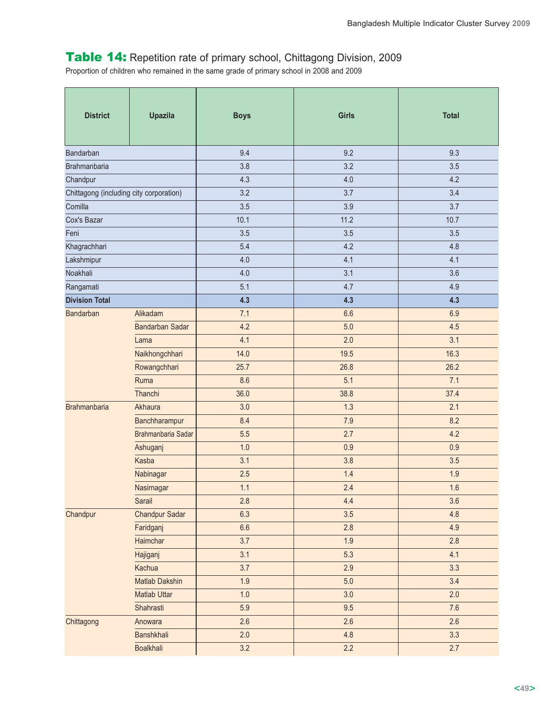# Table 14: Repetition rate of primary school, Chittagong Division, 2009

Proportion of children who remained in the same grade of primary school in 2008 and 2009

| <b>District</b>                         | <b>Upazila</b>         | <b>Boys</b> | <b>Girls</b> | <b>Total</b> |
|-----------------------------------------|------------------------|-------------|--------------|--------------|
| Bandarban                               |                        | 9.4         | 9.2          | 9.3          |
| Brahmanbaria                            |                        | 3.8         | 3.2          | 3.5          |
| Chandpur                                |                        | 4.3         | 4.0          | 4.2          |
| Chittagong (including city corporation) |                        | 3.2         | 3.7          | 3.4          |
| Comilla                                 |                        | 3.5         | 3.9          | 3.7          |
| Cox's Bazar                             |                        | 10.1        | 11.2         | 10.7         |
| Feni                                    |                        | 3.5         | 3.5          | 3.5          |
| Khagrachhari                            |                        | 5.4         | 4.2          | 4.8          |
| Lakshmipur                              |                        | 4.0         | 4.1          | 4.1          |
| Noakhali                                |                        | 4.0         | 3.1          | 3.6          |
| Rangamati                               |                        | 5.1         | 4.7          | 4.9          |
| <b>Division Total</b>                   |                        | 4.3         | 4.3          | 4.3          |
| <b>Bandarban</b>                        | Alikadam               | 7.1         | 6.6          | 6.9          |
|                                         | <b>Bandarban Sadar</b> | 4.2         | 5.0          | 4.5          |
|                                         | Lama                   | 4.1         | 2.0          | 3.1          |
|                                         | Naikhongchhari         | 14.0        | 19.5         | 16.3         |
|                                         | Rowangchhari           | 25.7        | 26.8         | 26.2         |
|                                         | Ruma                   | 8.6         | 5.1          | 7.1          |
|                                         | Thanchi                | 36.0        | 38.8         | 37.4         |
| Brahmanbaria                            | Akhaura                | 3.0         | 1.3          | 2.1          |
|                                         | Banchharampur          | 8.4         | 7.9          | 8.2          |
|                                         | Brahmanbaria Sadar     | 5.5         | 2.7          | 4.2          |
|                                         | Ashuganj               | 1.0         | 0.9          | 0.9          |
|                                         | <b>Kasba</b>           | 3.1         | 3.8          | 3.5          |
|                                         | Nabinagar              | 2.5         | 1.4          | 1.9          |
|                                         | Nasirnagar             | 1.1         | 2.4          | 1.6          |
|                                         | Sarail                 | 2.8         | 4.4          | 3.6          |
| Chandpur                                | <b>Chandpur Sadar</b>  | 6.3         | 3.5          | 4.8          |
|                                         | Faridganj              | 6.6         | 2.8          | 4.9          |
|                                         | Haimchar               | 3.7         | 1.9          | 2.8          |
|                                         | Hajiganj               | 3.1         | 5.3          | 4.1          |
|                                         | Kachua                 | 3.7         | 2.9          | 3.3          |
|                                         | Matlab Dakshin         | 1.9         | $5.0\,$      | 3.4          |
|                                         | <b>Matlab Uttar</b>    | 1.0         | 3.0          | 2.0          |
|                                         | Shahrasti              | $5.9\,$     | 9.5          | $7.6\,$      |
| Chittagong                              | Anowara                | 2.6         | 2.6          | 2.6          |
|                                         | Banshkhali             | 2.0         | 4.8          | 3.3          |
|                                         | <b>Boalkhali</b>       | 3.2         | 2.2          | 2.7          |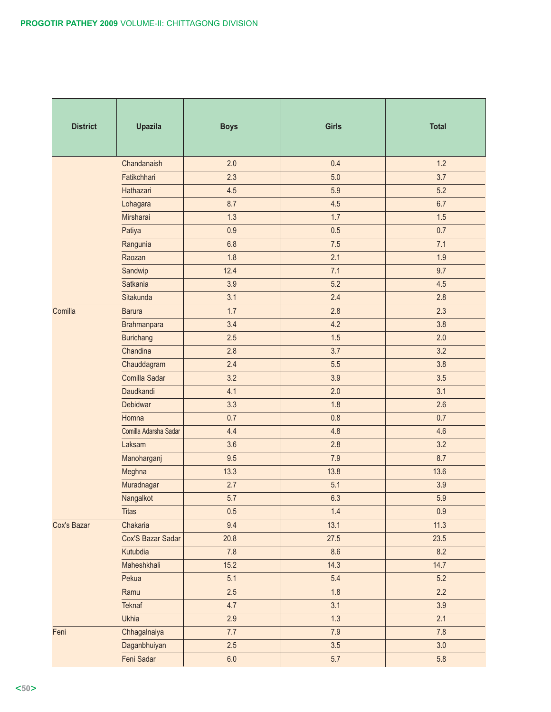| <b>District</b> | Upazila               | <b>Boys</b> | <b>Girls</b> | <b>Total</b> |
|-----------------|-----------------------|-------------|--------------|--------------|
|                 | Chandanaish           | 2.0         | 0.4          | 1.2          |
|                 | Fatikchhari           | 2.3         | 5.0          | 3.7          |
|                 | Hathazari             | 4.5         | 5.9          | 5.2          |
|                 | Lohagara              | 8.7         | 4.5          | 6.7          |
|                 | Mirsharai             | 1.3         | 1.7          | 1.5          |
|                 | Patiya                | 0.9         | 0.5          | 0.7          |
|                 | Rangunia              | 6.8         | 7.5          | 7.1          |
|                 | Raozan                | 1.8         | 2.1          | 1.9          |
|                 | Sandwip               | 12.4        | 7.1          | 9.7          |
|                 | Satkania              | 3.9         | 5.2          | 4.5          |
|                 | Sitakunda             | 3.1         | 2.4          | 2.8          |
| Comilla         | <b>Barura</b>         | 1.7         | 2.8          | 2.3          |
|                 | <b>Brahmanpara</b>    | 3.4         | 4.2          | 3.8          |
|                 | <b>Burichang</b>      | 2.5         | 1.5          | 2.0          |
|                 | Chandina              | 2.8         | 3.7          | 3.2          |
|                 | Chauddagram           | 2.4         | 5.5          | 3.8          |
|                 | Comilla Sadar         | 3.2         | 3.9          | 3.5          |
|                 | Daudkandi             | 4.1         | 2.0          | 3.1          |
|                 | Debidwar              | 3.3         | 1.8          | 2.6          |
|                 | Homna                 | 0.7         | 0.8          | 0.7          |
|                 | Comilla Adarsha Sadar | 4.4         | 4.8          | 4.6          |
|                 | Laksam                | 3.6         | 2.8          | 3.2          |
|                 | Manoharganj           | 9.5         | 7.9          | 8.7          |
|                 | Meghna                | 13.3        | 13.8         | 13.6         |
|                 | Muradnagar            | 2.7         | 5.1          | 3.9          |
|                 | Nangalkot             | 5.7         | 6.3          | 5.9          |
|                 | <b>Titas</b>          | 0.5         | $1.4$        | 0.9          |
| Cox's Bazar     | Chakaria              | 9.4         | 13.1         | 11.3         |
|                 | Cox'S Bazar Sadar     | 20.8        | 27.5         | 23.5         |
|                 | Kutubdia              | 7.8         | 8.6          | 8.2          |
|                 | Maheshkhali           | 15.2        | 14.3         | 14.7         |
|                 | Pekua                 | 5.1         | 5.4          | 5.2          |
|                 | Ramu                  | 2.5         | 1.8          | 2.2          |
|                 | <b>Teknaf</b>         | 4.7         | 3.1          | 3.9          |
|                 | <b>Ukhia</b>          | 2.9         | 1.3          | 2.1          |
| Feni            | Chhagalnaiya          | 7.7         | 7.9          | 7.8          |
|                 | Daganbhuiyan          | 2.5         | 3.5          | 3.0          |
|                 | Feni Sadar            | $6.0\,$     | 5.7          | 5.8          |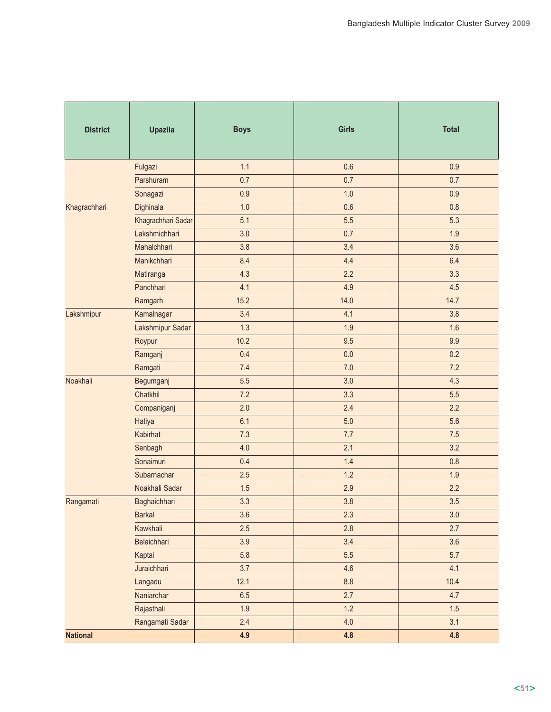| <b>District</b> | <b>Upazila</b>     | <b>Boys</b> | <b>Girls</b> | <b>Total</b> |
|-----------------|--------------------|-------------|--------------|--------------|
|                 | Fulgazi            | 1.1         | 0.6          | 0.9          |
|                 | Parshuram          | 0.7         | 0.7          | 0.7          |
|                 | Sonagazi           | 0.9         | 1.0          | 0.9          |
| Khagrachhari    | Dighinala          | 1.0         | 0.6          | 0.8          |
|                 | Khagrachhari Sadar | 5.1         | 5.5          | 5.3          |
|                 | Lakshmichhari      | 3.0         | 0.7          | 1.9          |
|                 | Mahalchhari        | 3.8         | 3.4          | 3.6          |
|                 | Manikchhari        | 8.4         | 4.4          | 6.4          |
|                 | Matiranga          | 4.3         | 2.2          | 3.3          |
|                 | Panchhari          | 4.1         | 4.9          | 4.5          |
|                 | Ramgarh            | 15.2        | 14.0         | 14.7         |
| Lakshmipur      | Kamalnagar         | 3.4         | 4.1          | 3.8          |
|                 | Lakshmipur Sadar   | 1.3         | 1.9          | 1.6          |
|                 | Roypur             | 10.2        | 9.5          | 9.9          |
|                 | Ramganj            | 0.4         | 0.0          | 0.2          |
|                 | Ramgati            | 7.4         | 7.0          | 7.2          |
| Noakhali        | Begumganj          | 5.5         | 3.0          | 4.3          |
|                 | Chatkhil           | 7.2         | 3.3          | 5.5          |
|                 | Companiganj        | 2.0         | 2.4          | 2.2          |
|                 | Hatiya             | 6.1         | 5.0          | 5.6          |
|                 | Kabirhat           | 7.3         | 7.7          | 7.5          |
|                 | Senbagh            | 4.0         | 2.1          | 3.2          |
|                 | Sonaimuri          | 0.4         | 1.4          | 0.8          |
|                 | Subarnachar        | 2.5         | 1.2          | 1.9          |
|                 | Noakhali Sadar     | 1.5         | 2.9          | 2.2          |
| Rangamati       | Baghaichhari       | 3.3         | 3.8          | 3.5          |
|                 | <b>Barkal</b>      | 3.6         | 2.3          | 3.0          |
|                 | Kawkhali           | 2.5         | 2.8          | 2.7          |
|                 | Belaichhari        | 3.9         | 3.4          | 3.6          |
|                 | Kaptai             | $5.8\,$     | 5.5          | 5.7          |
|                 | Juraichhari        | 3.7         | 4.6          | 4.1          |
|                 | Langadu            | 12.1        | 8.8          | 10.4         |
|                 | Naniarchar         | 6.5         | 2.7          | 4.7          |
|                 | Rajasthali         | 1.9         | $1.2$        | 1.5          |
|                 | Rangamati Sadar    | 2.4         | 4.0          | 3.1          |
| <b>National</b> |                    | 4.9         | 4.8          | 4.8          |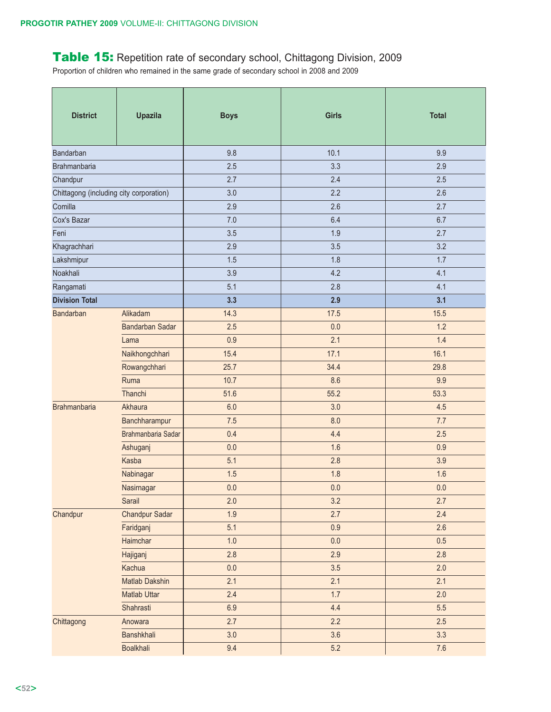### Table 15: Repetition rate of secondary school, Chittagong Division, 2009

Proportion of children who remained in the same grade of secondary school in 2008 and 2009

| <b>District</b>                         | Upazila                | <b>Boys</b> | <b>Girls</b> | <b>Total</b> |
|-----------------------------------------|------------------------|-------------|--------------|--------------|
| Bandarban                               |                        | 9.8         | 10.1         | 9.9          |
| Brahmanbaria                            |                        | 2.5         | 3.3          | 2.9          |
| Chandpur                                |                        | 2.7         | 2.4          | 2.5          |
| Chittagong (including city corporation) |                        | 3.0         | 2.2          | 2.6          |
| Comilla                                 |                        | 2.9         | 2.6          | 2.7          |
| Cox's Bazar                             |                        | 7.0         | 6.4          | 6.7          |
| Feni                                    |                        | 3.5         | 1.9          | 2.7          |
| Khagrachhari                            |                        | 2.9         | 3.5          | 3.2          |
| Lakshmipur                              |                        | 1.5         | 1.8          | 1.7          |
| Noakhali                                |                        | 3.9         | 4.2          | 4.1          |
| Rangamati                               |                        | 5.1         | 2.8          | 4.1          |
| <b>Division Total</b>                   |                        | 3.3         | 2.9          | 3.1          |
| Bandarban                               | Alikadam               | 14.3        | 17.5         | 15.5         |
|                                         | <b>Bandarban Sadar</b> | 2.5         | 0.0          | 1.2          |
|                                         | Lama                   | 0.9         | 2.1          | 1.4          |
|                                         | Naikhongchhari         | 15.4        | 17.1         | 16.1         |
|                                         | Rowangchhari           | 25.7        | 34.4         | 29.8         |
|                                         | Ruma                   | 10.7        | 8.6          | 9.9          |
|                                         | Thanchi                | 51.6        | 55.2         | 53.3         |
| Brahmanbaria                            | Akhaura                | 6.0         | 3.0          | 4.5          |
|                                         | Banchharampur          | 7.5         | 8.0          | 7.7          |
|                                         | Brahmanbaria Sadar     | 0.4         | 4.4          | 2.5          |
|                                         | Ashuganj               | 0.0         | 1.6          | 0.9          |
|                                         | Kasba                  | 5.1         | 2.8          | 3.9          |
|                                         | Nabinagar              | 1.5         | 1.8          | 1.6          |
|                                         | Nasirnagar             | 0.0         | 0.0          | 0.0          |
|                                         | Sarail                 | 2.0         | 3.2          | 2.7          |
| Chandpur                                | <b>Chandpur Sadar</b>  | 1.9         | 2.7          | 2.4          |
|                                         | Faridganj              | 5.1         | 0.9          | $2.6\,$      |
|                                         | Haimchar               | 1.0         | 0.0          | 0.5          |
|                                         | Hajiganj               | 2.8         | 2.9          | 2.8          |
|                                         | Kachua                 | 0.0         | 3.5          | 2.0          |
|                                         | <b>Matlab Dakshin</b>  | 2.1         | 2.1          | 2.1          |
|                                         | <b>Matlab Uttar</b>    | 2.4         | 1.7          | 2.0          |
|                                         | Shahrasti              | 6.9         | $4.4\,$      | 5.5          |
| Chittagong                              | Anowara                | 2.7         | 2.2          | 2.5          |
|                                         | Banshkhali             | 3.0         | 3.6          | 3.3          |
|                                         | <b>Boalkhali</b>       | 9.4         | 5.2          | $7.6\,$      |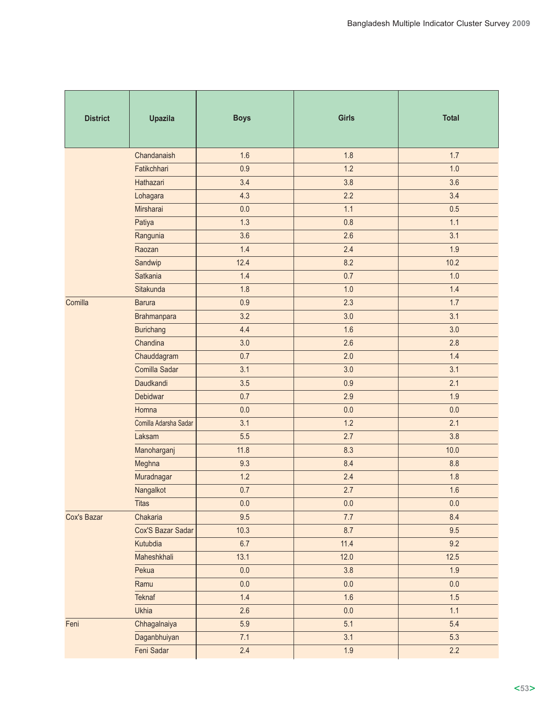| <b>District</b> | <b>Upazila</b>        | <b>Boys</b> | <b>Girls</b> | <b>Total</b> |
|-----------------|-----------------------|-------------|--------------|--------------|
|                 | Chandanaish           | 1.6         | 1.8          | 1.7          |
|                 | Fatikchhari           | 0.9         | 1.2          | 1.0          |
|                 | Hathazari             | 3.4         | 3.8          | 3.6          |
|                 | Lohagara              | 4.3         | 2.2          | 3.4          |
|                 | Mirsharai             | 0.0         | 1.1          | 0.5          |
|                 | Patiya                | 1.3         | 0.8          | 1.1          |
|                 | Rangunia              | 3.6         | 2.6          | 3.1          |
|                 | Raozan                | 1.4         | 2.4          | 1.9          |
|                 | Sandwip               | 12.4        | 8.2          | 10.2         |
|                 | Satkania              | 1.4         | 0.7          | 1.0          |
|                 | Sitakunda             | 1.8         | 1.0          | 1.4          |
| Comilla         | <b>Barura</b>         | 0.9         | 2.3          | 1.7          |
|                 | <b>Brahmanpara</b>    | 3.2         | 3.0          | 3.1          |
|                 | <b>Burichang</b>      | 4.4         | 1.6          | 3.0          |
|                 | Chandina              | 3.0         | 2.6          | 2.8          |
|                 | Chauddagram           | 0.7         | 2.0          | 1.4          |
|                 | Comilla Sadar         | 3.1         | 3.0          | 3.1          |
|                 | Daudkandi             | 3.5         | 0.9          | 2.1          |
|                 | Debidwar              | 0.7         | 2.9          | 1.9          |
|                 | Homna                 | 0.0         | 0.0          | 0.0          |
|                 | Comilla Adarsha Sadar | 3.1         | 1.2          | 2.1          |
|                 | Laksam                | 5.5         | 2.7          | 3.8          |
|                 | Manoharganj           | 11.8        | 8.3          | 10.0         |
|                 | Meghna                | 9.3         | 8.4          | 8.8          |
|                 | Muradnagar            | 1.2         | 2.4          | 1.8          |
|                 | Nangalkot             | 0.7         | 2.7          | 1.6          |
|                 | <b>Titas</b>          | $0.0\,$     | $0.0\,$      | $0.0\,$      |
| Cox's Bazar     | Chakaria              | 9.5         | 7.7          | 8.4          |
|                 | Cox'S Bazar Sadar     | 10.3        | 8.7          | 9.5          |
|                 | Kutubdia              | 6.7         | 11.4         | 9.2          |
|                 | Maheshkhali           | 13.1        | 12.0         | 12.5         |
|                 | Pekua                 | $0.0\,$     | 3.8          | 1.9          |
|                 | Ramu                  | 0.0         | 0.0          | 0.0          |
|                 | Teknaf                | 1.4         | 1.6          | 1.5          |
|                 | <b>Ukhia</b>          | 2.6         | $0.0\,$      | 1.1          |
| Feni            | Chhagalnaiya          | 5.9         | 5.1          | 5.4          |
|                 | Daganbhuiyan          | 7.1         | 3.1          | 5.3          |
|                 | Feni Sadar            | 2.4         | 1.9          | 2.2          |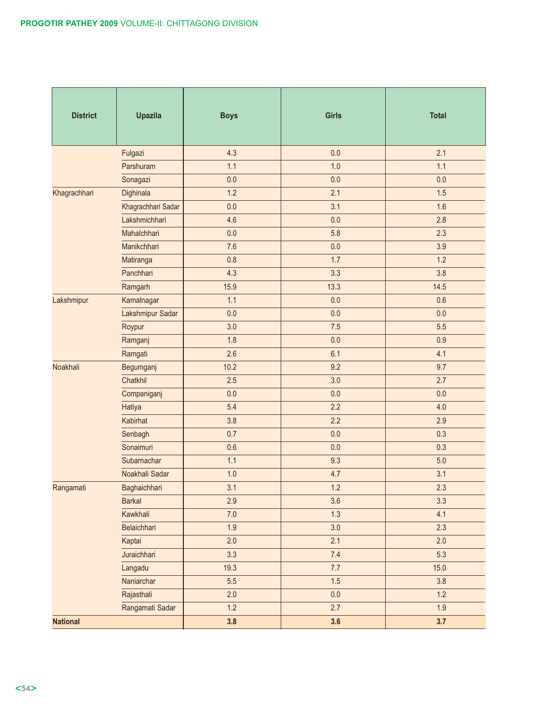| <b>District</b> | <b>Upazila</b>     | <b>Boys</b> | <b>Girls</b> | <b>Total</b> |
|-----------------|--------------------|-------------|--------------|--------------|
|                 | Fulgazi            | 4.3         | $0.0\,$      | 2.1          |
|                 | Parshuram          | 1.1         | 1.0          | 1.1          |
|                 | Sonagazi           | 0.0         | 0.0          | 0.0          |
| Khagrachhari    | Dighinala          | 1.2         | 2.1          | 1.5          |
|                 | Khagrachhari Sadar | 0.0         | 3.1          | 1.6          |
|                 | Lakshmichhari      | 4.6         | 0.0          | 2.8          |
|                 | Mahalchhari        | 0.0         | 5.8          | 2.3          |
|                 | Manikchhari        | 7.6         | 0.0          | 3.9          |
|                 | Matiranga          | 0.8         | 1.7          | 1.2          |
|                 | Panchhari          | 4.3         | 3.3          | 3.8          |
|                 | Ramgarh            | 15.9        | 13.3         | 14.5         |
| Lakshmipur      | Kamalnagar         | 1.1         | 0.0          | 0.6          |
|                 | Lakshmipur Sadar   | 0.0         | $0.0\,$      | 0.0          |
|                 | Roypur             | 3.0         | 7.5          | 5.5          |
|                 | Ramganj            | 1.8         | $0.0\,$      | 0.9          |
|                 | Ramgati            | 2.6         | 6.1          | 4.1          |
| Noakhali        | Begumganj          | 10.2        | 9.2          | 9.7          |
|                 | Chatkhil           | 2.5         | 3.0          | 2.7          |
|                 | Companiganj        | 0.0         | 0.0          | 0.0          |
|                 | Hatiya             | 5.4         | 2.2          | 4.0          |
|                 | Kabirhat           | 3.8         | 2.2          | 2.9          |
|                 | Senbagh            | 0.7         | 0.0          | 0.3          |
|                 | Sonaimuri          | 0.6         | 0.0          | 0.3          |
|                 | Subarnachar        | 1.1         | 9.3          | 5.0          |
|                 | Noakhali Sadar     | 1.0         | 4.7          | 3.1          |
| Rangamati       | Baghaichhari       | 3.1         | 1.2          | 2.3          |
|                 | <b>Barkal</b>      | 2.9         | 3.6          | 3.3          |
|                 | Kawkhali           | $7.0\,$     | 1.3          | 4.1          |
|                 | Belaichhari        | 1.9         | 3.0          | 2.3          |
|                 | Kaptai             | $2.0\,$     | 2.1          | $2.0\,$      |
|                 | Juraichhari        | 3.3         | 7.4          | 5.3          |
|                 | Langadu            | 19.3        | $7.7\,$      | 15.0         |
|                 | Naniarchar         | 5.5         | 1.5          | 3.8          |
|                 | Rajasthali         | $2.0\,$     | $0.0\,$      | 1.2          |
|                 | Rangamati Sadar    | 1.2         | 2.7          | 1.9          |
| <b>National</b> |                    | 3.8         | 3.6          | 3.7          |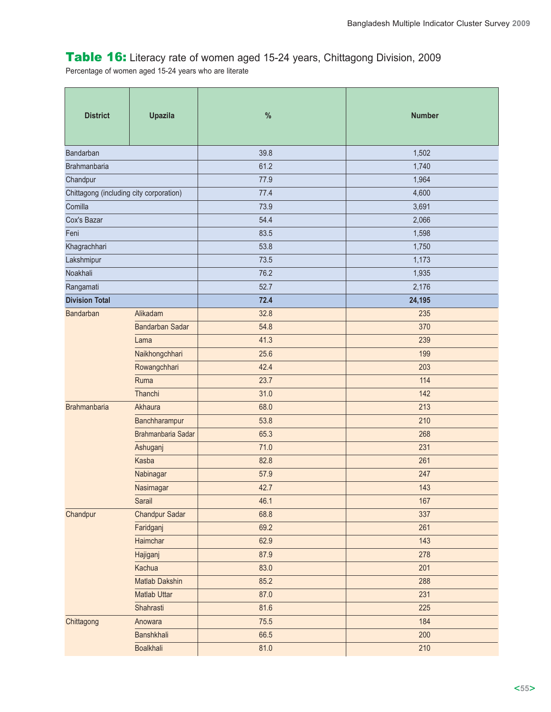### Table 16: Literacy rate of women aged 15-24 years, Chittagong Division, 2009

Percentage of women aged 15-24 years who are literate

| <b>District</b>                         | <b>Upazila</b>         | $\frac{0}{0}$ | <b>Number</b> |
|-----------------------------------------|------------------------|---------------|---------------|
| Bandarban                               |                        | 39.8          | 1,502         |
| Brahmanbaria                            |                        | 61.2          | 1,740         |
| Chandpur                                |                        | 77.9          | 1,964         |
| Chittagong (including city corporation) |                        | 77.4          | 4,600         |
| Comilla                                 |                        | 73.9          | 3,691         |
| Cox's Bazar                             |                        | 54.4          | 2,066         |
| Feni                                    |                        | 83.5          | 1,598         |
| Khagrachhari                            |                        | 53.8          | 1,750         |
| Lakshmipur                              |                        | 73.5          | 1,173         |
| Noakhali                                |                        | 76.2          | 1,935         |
| Rangamati                               |                        | 52.7          | 2,176         |
| <b>Division Total</b>                   |                        | 72.4          | 24,195        |
| <b>Bandarban</b>                        | Alikadam               | 32.8          | 235           |
|                                         | <b>Bandarban Sadar</b> | 54.8          | 370           |
|                                         | Lama                   | 41.3          | 239           |
|                                         | Naikhongchhari         | 25.6          | 199           |
|                                         | Rowangchhari           | 42.4          | 203           |
|                                         | Ruma                   | 23.7          | 114           |
|                                         | Thanchi                | 31.0          | 142           |
| <b>Brahmanbaria</b>                     | Akhaura                | 68.0          | 213           |
|                                         | Banchharampur          | 53.8          | 210           |
|                                         | Brahmanbaria Sadar     | 65.3          | 268           |
|                                         | Ashuganj               | 71.0          | 231           |
|                                         | <b>Kasba</b>           | 82.8          | 261           |
|                                         | Nabinagar              | 57.9          | 247           |
|                                         | Nasirnagar             | 42.7          | 143           |
|                                         | Sarail                 | 46.1          | 167           |
| Chandpur                                | <b>Chandpur Sadar</b>  | 68.8          | 337           |
|                                         | Faridganj              | 69.2          | 261           |
|                                         | Haimchar               | 62.9          | 143           |
|                                         | Hajiganj               | 87.9          | 278           |
|                                         | Kachua                 | 83.0          | 201           |
|                                         | <b>Matlab Dakshin</b>  | 85.2          | 288           |
|                                         | <b>Matlab Uttar</b>    | 87.0          | 231           |
|                                         | Shahrasti              | 81.6          | 225           |
| Chittagong                              | Anowara                | 75.5          | 184           |
|                                         | Banshkhali             | 66.5          | 200           |
|                                         | <b>Boalkhali</b>       | 81.0          | 210           |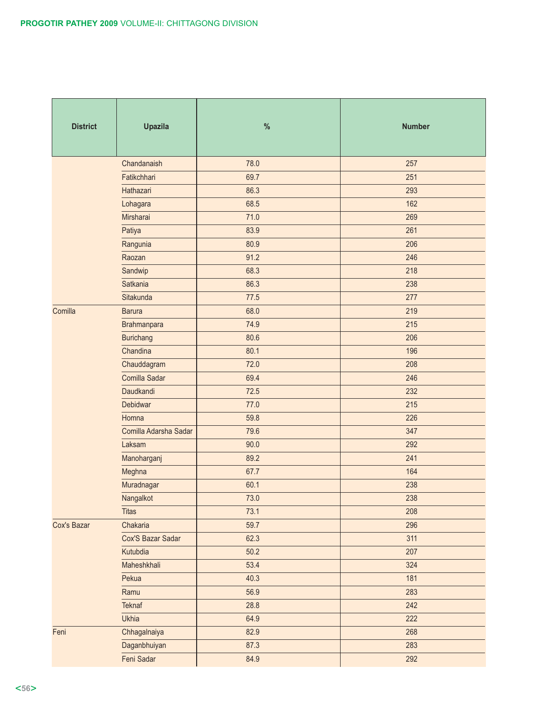| <b>District</b> | Upazila               | $\%$ | <b>Number</b> |
|-----------------|-----------------------|------|---------------|
|                 | Chandanaish           | 78.0 | 257           |
|                 | Fatikchhari           | 69.7 | 251           |
|                 | Hathazari             | 86.3 | 293           |
|                 | Lohagara              | 68.5 | 162           |
|                 | Mirsharai             | 71.0 | 269           |
|                 | Patiya                | 83.9 | 261           |
|                 | Rangunia              | 80.9 | 206           |
|                 | Raozan                | 91.2 | 246           |
|                 | Sandwip               | 68.3 | 218           |
|                 | Satkania              | 86.3 | 238           |
|                 | Sitakunda             | 77.5 | 277           |
| Comilla         | <b>Barura</b>         | 68.0 | 219           |
|                 | Brahmanpara           | 74.9 | 215           |
|                 | <b>Burichang</b>      | 80.6 | 206           |
|                 | Chandina              | 80.1 | 196           |
|                 | Chauddagram           | 72.0 | 208           |
|                 | Comilla Sadar         | 69.4 | 246           |
|                 | Daudkandi             | 72.5 | 232           |
|                 | Debidwar              | 77.0 | 215           |
|                 | Homna                 | 59.8 | 226           |
|                 | Comilla Adarsha Sadar | 79.6 | 347           |
|                 | Laksam                | 90.0 | 292           |
|                 | Manoharganj           | 89.2 | 241           |
|                 | Meghna                | 67.7 | 164           |
|                 | Muradnagar            | 60.1 | 238           |
|                 | Nangalkot             | 73.0 | 238           |
|                 | <b>Titas</b>          | 73.1 | 208           |
| Cox's Bazar     | Chakaria              | 59.7 | 296           |
|                 | Cox'S Bazar Sadar     | 62.3 | 311           |
|                 | Kutubdia              | 50.2 | 207           |
|                 | Maheshkhali           | 53.4 | 324           |
|                 | Pekua                 | 40.3 | 181           |
|                 | Ramu                  | 56.9 | 283           |
|                 | <b>Teknaf</b>         | 28.8 | 242           |
|                 | <b>Ukhia</b>          | 64.9 | 222           |
| Feni            | Chhagalnaiya          | 82.9 | 268           |
|                 | Daganbhuiyan          | 87.3 | 283           |
|                 | Feni Sadar            | 84.9 | 292           |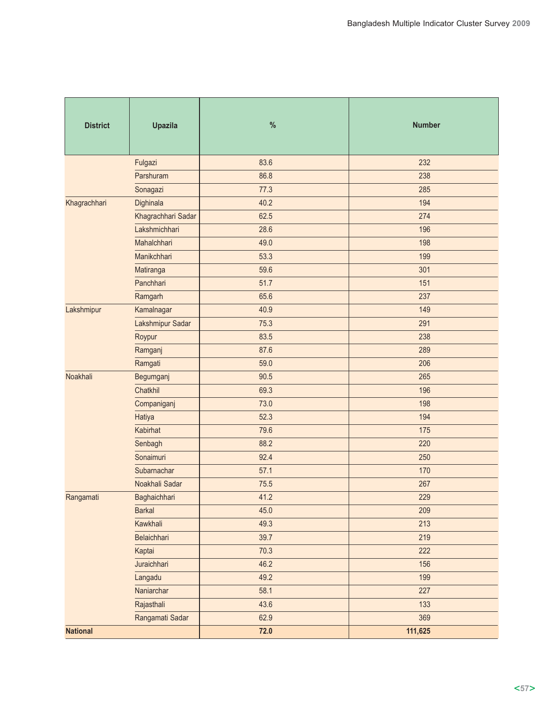| <b>District</b> | <b>Upazila</b>     | $\%$ | <b>Number</b> |
|-----------------|--------------------|------|---------------|
|                 | Fulgazi            | 83.6 | 232           |
|                 | Parshuram          | 86.8 | 238           |
|                 | Sonagazi           | 77.3 | 285           |
| Khagrachhari    | Dighinala          | 40.2 | 194           |
|                 | Khagrachhari Sadar | 62.5 | 274           |
|                 | Lakshmichhari      | 28.6 | 196           |
|                 | Mahalchhari        | 49.0 | 198           |
|                 | Manikchhari        | 53.3 | 199           |
|                 | Matiranga          | 59.6 | 301           |
|                 | Panchhari          | 51.7 | 151           |
|                 | Ramgarh            | 65.6 | 237           |
| Lakshmipur      | Kamalnagar         | 40.9 | 149           |
|                 | Lakshmipur Sadar   | 75.3 | 291           |
|                 | Roypur             | 83.5 | 238           |
|                 | Ramganj            | 87.6 | 289           |
|                 | Ramgati            | 59.0 | 206           |
| Noakhali        | Begumganj          | 90.5 | 265           |
|                 | Chatkhil           | 69.3 | 196           |
|                 | Companiganj        | 73.0 | 198           |
|                 | Hatiya             | 52.3 | 194           |
|                 | Kabirhat           | 79.6 | 175           |
|                 | Senbagh            | 88.2 | 220           |
|                 | Sonaimuri          | 92.4 | 250           |
|                 | Subarnachar        | 57.1 | 170           |
|                 | Noakhali Sadar     | 75.5 | 267           |
| Rangamati       | Baghaichhari       | 41.2 | 229           |
|                 | <b>Barkal</b>      | 45.0 | 209           |
|                 | Kawkhali           | 49.3 | 213           |
|                 | Belaichhari        | 39.7 | 219           |
|                 | Kaptai             | 70.3 | 222           |
|                 | Juraichhari        | 46.2 | 156           |
|                 | Langadu            | 49.2 | 199           |
|                 | Naniarchar         | 58.1 | 227           |
|                 | Rajasthali         | 43.6 | 133           |
|                 | Rangamati Sadar    | 62.9 | 369           |
| <b>National</b> |                    | 72.0 | 111,625       |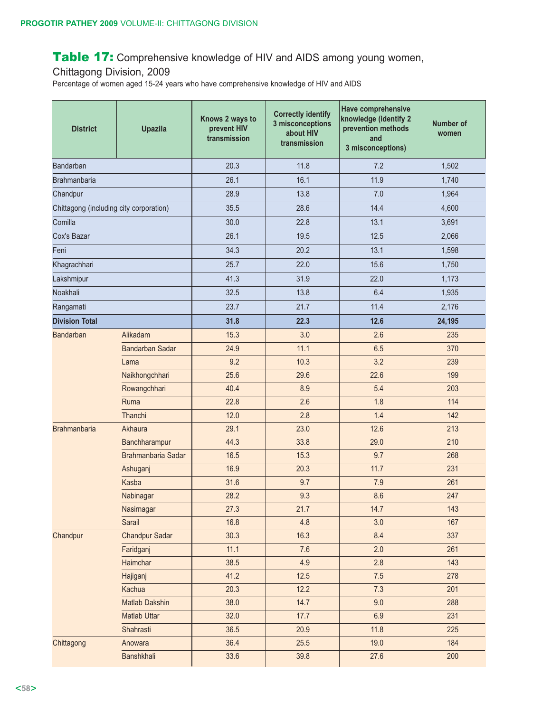### Table 17: Comprehensive knowledge of HIV and AIDS among young women,

Chittagong Division, 2009

Percentage of women aged 15-24 years who have comprehensive knowledge of HIV and AIDS

| <b>District</b>                         | Upazila                | Knows 2 ways to<br>prevent HIV<br>transmission | <b>Correctly identify</b><br>3 misconceptions<br>about HIV<br>transmission | <b>Have comprehensive</b><br>knowledge (identify 2<br>prevention methods<br>and<br>3 misconceptions) | <b>Number of</b><br>women |
|-----------------------------------------|------------------------|------------------------------------------------|----------------------------------------------------------------------------|------------------------------------------------------------------------------------------------------|---------------------------|
| Bandarban                               |                        | 20.3                                           | 11.8                                                                       | 7.2                                                                                                  | 1,502                     |
| <b>Brahmanbaria</b>                     |                        | 26.1                                           | 16.1                                                                       | 11.9                                                                                                 | 1,740                     |
| Chandpur                                |                        | 28.9                                           | 13.8                                                                       | 7.0                                                                                                  | 1,964                     |
| Chittagong (including city corporation) |                        | 35.5                                           | 28.6                                                                       | 14.4                                                                                                 | 4,600                     |
| Comilla                                 |                        | 30.0                                           | 22.8                                                                       | 13.1                                                                                                 | 3,691                     |
| Cox's Bazar                             |                        | 26.1                                           | 19.5                                                                       | 12.5                                                                                                 | 2,066                     |
| Feni                                    |                        | 34.3                                           | 20.2                                                                       | 13.1                                                                                                 | 1,598                     |
| Khagrachhari                            |                        | 25.7                                           | 22.0                                                                       | 15.6                                                                                                 | 1,750                     |
| Lakshmipur                              |                        | 41.3                                           | 31.9                                                                       | 22.0                                                                                                 | 1,173                     |
| Noakhali                                |                        | 32.5                                           | 13.8                                                                       | 6.4                                                                                                  | 1,935                     |
| Rangamati                               |                        | 23.7                                           | 21.7                                                                       | 11.4                                                                                                 | 2,176                     |
| <b>Division Total</b>                   |                        | 31.8                                           | 22.3                                                                       | 12.6                                                                                                 | 24,195                    |
| Bandarban                               | Alikadam               | 15.3                                           | 3.0                                                                        | 2.6                                                                                                  | 235                       |
|                                         | <b>Bandarban Sadar</b> | 24.9                                           | 11.1                                                                       | 6.5                                                                                                  | 370                       |
|                                         | Lama                   | 9.2                                            | 10.3                                                                       | 3.2                                                                                                  | 239                       |
|                                         | Naikhongchhari         | 25.6                                           | 29.6                                                                       | 22.6                                                                                                 | 199                       |
|                                         | Rowangchhari           | 40.4                                           | 8.9                                                                        | 5.4                                                                                                  | 203                       |
|                                         | Ruma                   | 22.8                                           | 2.6                                                                        | 1.8                                                                                                  | 114                       |
|                                         | Thanchi                | 12.0                                           | 2.8                                                                        | 1.4                                                                                                  | 142                       |
| Brahmanbaria                            | Akhaura                | 29.1                                           | 23.0                                                                       | 12.6                                                                                                 | 213                       |
|                                         | Banchharampur          | 44.3                                           | 33.8                                                                       | 29.0                                                                                                 | 210                       |
|                                         | Brahmanbaria Sadar     | 16.5                                           | 15.3                                                                       | 9.7                                                                                                  | 268                       |
|                                         | Ashuganj               | 16.9                                           | 20.3                                                                       | 11.7                                                                                                 | 231                       |
|                                         | Kasba                  | 31.6                                           | 9.7                                                                        | 7.9                                                                                                  | 261                       |
|                                         | Nabinagar              | 28.2                                           | 9.3                                                                        | 8.6                                                                                                  | 247                       |
|                                         | Nasirnagar             | 27.3                                           | 21.7                                                                       | 14.7                                                                                                 | 143                       |
|                                         | Sarail                 | 16.8                                           | 4.8                                                                        | 3.0                                                                                                  | 167                       |
| Chandpur                                | <b>Chandpur Sadar</b>  | 30.3                                           | 16.3                                                                       | 8.4                                                                                                  | 337                       |
|                                         | Faridganj              | 11.1                                           | 7.6                                                                        | 2.0                                                                                                  | 261                       |
|                                         | Haimchar               | 38.5                                           | 4.9                                                                        | 2.8                                                                                                  | 143                       |
|                                         | Hajiganj               | 41.2                                           | $12.5$                                                                     | 7.5                                                                                                  | 278                       |
|                                         | Kachua                 | 20.3                                           | 12.2                                                                       | 7.3                                                                                                  | 201                       |
|                                         | Matlab Dakshin         | 38.0                                           | 14.7                                                                       | 9.0                                                                                                  | 288                       |
|                                         | <b>Matlab Uttar</b>    | 32.0                                           | 17.7                                                                       | 6.9                                                                                                  | 231                       |
|                                         | Shahrasti              | 36.5                                           | 20.9                                                                       | 11.8                                                                                                 | 225                       |
| Chittagong                              | Anowara                | 36.4                                           | 25.5                                                                       | 19.0                                                                                                 | 184                       |
|                                         | Banshkhali             | 33.6                                           | 39.8                                                                       | 27.6                                                                                                 | 200                       |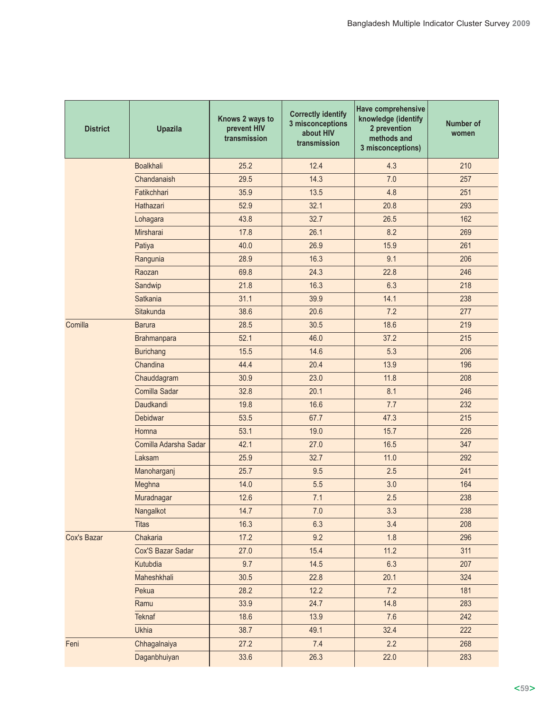| <b>District</b> | <b>Upazila</b>        | Knows 2 ways to<br>prevent HIV<br>transmission | <b>Correctly identify</b><br>3 misconceptions<br>about HIV<br>transmission | <b>Have comprehensive</b><br>knowledge (identify<br>2 prevention<br>methods and<br>3 misconceptions) | <b>Number of</b><br>women |
|-----------------|-----------------------|------------------------------------------------|----------------------------------------------------------------------------|------------------------------------------------------------------------------------------------------|---------------------------|
|                 | <b>Boalkhali</b>      | 25.2                                           | 12.4                                                                       | 4.3                                                                                                  | 210                       |
|                 | Chandanaish           | 29.5                                           | 14.3                                                                       | 7.0                                                                                                  | 257                       |
|                 | Fatikchhari           | 35.9                                           | 13.5                                                                       | 4.8                                                                                                  | 251                       |
|                 | Hathazari             | 52.9                                           | 32.1                                                                       | 20.8                                                                                                 | 293                       |
|                 | Lohagara              | 43.8                                           | 32.7                                                                       | 26.5                                                                                                 | 162                       |
|                 | Mirsharai             | 17.8                                           | 26.1                                                                       | 8.2                                                                                                  | 269                       |
|                 | Patiya                | 40.0                                           | 26.9                                                                       | 15.9                                                                                                 | 261                       |
|                 | Rangunia              | 28.9                                           | 16.3                                                                       | 9.1                                                                                                  | 206                       |
|                 | Raozan                | 69.8                                           | 24.3                                                                       | 22.8                                                                                                 | 246                       |
|                 | Sandwip               | 21.8                                           | 16.3                                                                       | 6.3                                                                                                  | 218                       |
|                 | Satkania              | 31.1                                           | 39.9                                                                       | 14.1                                                                                                 | 238                       |
|                 | Sitakunda             | 38.6                                           | 20.6                                                                       | 7.2                                                                                                  | 277                       |
| Comilla         | <b>Barura</b>         | 28.5                                           | 30.5                                                                       | 18.6                                                                                                 | 219                       |
|                 | <b>Brahmanpara</b>    | 52.1                                           | 46.0                                                                       | 37.2                                                                                                 | 215                       |
|                 | <b>Burichang</b>      | 15.5                                           | 14.6                                                                       | 5.3                                                                                                  | 206                       |
|                 | Chandina              | 44.4                                           | 20.4                                                                       | 13.9                                                                                                 | 196                       |
|                 | Chauddagram           | 30.9                                           | 23.0                                                                       | 11.8                                                                                                 | 208                       |
|                 | Comilla Sadar         | 32.8                                           | 20.1                                                                       | 8.1                                                                                                  | 246                       |
|                 | Daudkandi             | 19.8                                           | 16.6                                                                       | 7.7                                                                                                  | 232                       |
|                 | Debidwar              | 53.5                                           | 67.7                                                                       | 47.3                                                                                                 | 215                       |
|                 | Homna                 | 53.1                                           | 19.0                                                                       | 15.7                                                                                                 | 226                       |
|                 | Comilla Adarsha Sadar | 42.1                                           | 27.0                                                                       | 16.5                                                                                                 | 347                       |
|                 | Laksam                | 25.9                                           | 32.7                                                                       | 11.0                                                                                                 | 292                       |
|                 | Manoharganj           | 25.7                                           | 9.5                                                                        | 2.5                                                                                                  | 241                       |
|                 | Meghna                | 14.0                                           | 5.5                                                                        | 3.0                                                                                                  | 164                       |
|                 | Muradnagar            | 12.6                                           | 7.1                                                                        | 2.5                                                                                                  | 238                       |
|                 | Nangalkot             | 14.7                                           | 7.0                                                                        | 3.3                                                                                                  | 238                       |
|                 | <b>Titas</b>          | 16.3                                           | 6.3                                                                        | 3.4                                                                                                  | 208                       |
| Cox's Bazar     | Chakaria              | 17.2                                           | 9.2                                                                        | 1.8                                                                                                  | 296                       |
|                 | Cox'S Bazar Sadar     | 27.0                                           | 15.4                                                                       | 11.2                                                                                                 | 311                       |
|                 | Kutubdia              | 9.7                                            | 14.5                                                                       | 6.3                                                                                                  | 207                       |
|                 | Maheshkhali           | 30.5                                           | 22.8                                                                       | 20.1                                                                                                 | 324                       |
|                 | Pekua                 | 28.2                                           | 12.2                                                                       | 7.2                                                                                                  | 181                       |
|                 | Ramu                  | 33.9                                           | 24.7                                                                       | 14.8                                                                                                 | 283                       |
|                 | <b>Teknaf</b>         | 18.6                                           | 13.9                                                                       | 7.6                                                                                                  | 242                       |
|                 | <b>Ukhia</b>          | 38.7                                           | 49.1                                                                       | 32.4                                                                                                 | 222                       |
| Feni            | Chhagalnaiya          | 27.2                                           | 7.4                                                                        | 2.2                                                                                                  | 268                       |
|                 | Daganbhuiyan          | 33.6                                           | 26.3                                                                       | 22.0                                                                                                 | 283                       |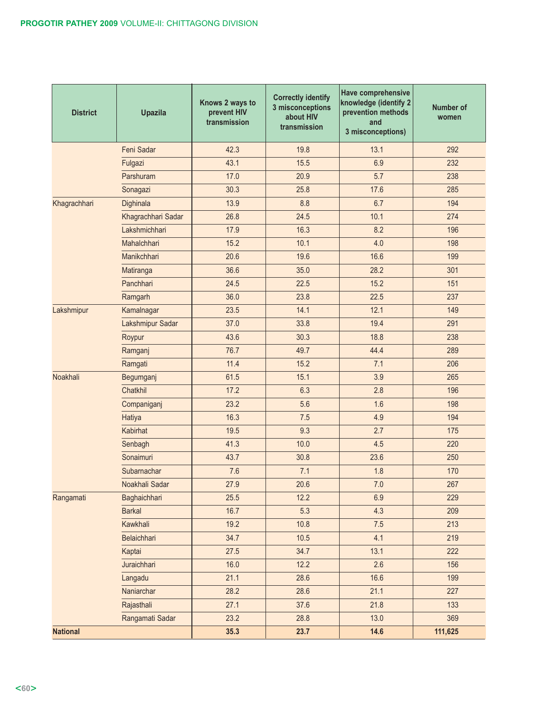| <b>District</b> | <b>Upazila</b>     | Knows 2 ways to<br>prevent HIV<br>transmission | <b>Correctly identify</b><br>3 misconceptions<br>about HIV<br>transmission | Have comprehensive<br>knowledge (identify 2<br>prevention methods<br>and<br>3 misconceptions) | <b>Number of</b><br>women |
|-----------------|--------------------|------------------------------------------------|----------------------------------------------------------------------------|-----------------------------------------------------------------------------------------------|---------------------------|
|                 | Feni Sadar         | 42.3                                           | 19.8                                                                       | 13.1                                                                                          | 292                       |
|                 | Fulgazi            | 43.1                                           | 15.5                                                                       | 6.9                                                                                           | 232                       |
|                 | Parshuram          | 17.0                                           | 20.9                                                                       | 5.7                                                                                           | 238                       |
|                 | Sonagazi           | 30.3                                           | 25.8                                                                       | 17.6                                                                                          | 285                       |
| Khagrachhari    | Dighinala          | 13.9                                           | 8.8                                                                        | 6.7                                                                                           | 194                       |
|                 | Khagrachhari Sadar | 26.8                                           | 24.5                                                                       | 10.1                                                                                          | 274                       |
|                 | Lakshmichhari      | 17.9                                           | 16.3                                                                       | 8.2                                                                                           | 196                       |
|                 | Mahalchhari        | 15.2                                           | 10.1                                                                       | 4.0                                                                                           | 198                       |
|                 | Manikchhari        | 20.6                                           | 19.6                                                                       | 16.6                                                                                          | 199                       |
|                 | Matiranga          | 36.6                                           | 35.0                                                                       | 28.2                                                                                          | 301                       |
|                 | Panchhari          | 24.5                                           | 22.5                                                                       | 15.2                                                                                          | 151                       |
|                 | Ramgarh            | 36.0                                           | 23.8                                                                       | 22.5                                                                                          | 237                       |
| Lakshmipur      | Kamalnagar         | 23.5                                           | 14.1                                                                       | 12.1                                                                                          | 149                       |
|                 | Lakshmipur Sadar   | 37.0                                           | 33.8                                                                       | 19.4                                                                                          | 291                       |
|                 | Roypur             | 43.6                                           | 30.3                                                                       | 18.8                                                                                          | 238                       |
|                 | Ramganj            | 76.7                                           | 49.7                                                                       | 44.4                                                                                          | 289                       |
|                 | Ramgati            | 11.4                                           | 15.2                                                                       | 7.1                                                                                           | 206                       |
| Noakhali        | Begumganj          | 61.5                                           | 15.1                                                                       | 3.9                                                                                           | 265                       |
|                 | Chatkhil           | 17.2                                           | 6.3                                                                        | 2.8                                                                                           | 196                       |
|                 | Companiganj        | 23.2                                           | 5.6                                                                        | 1.6                                                                                           | 198                       |
|                 | Hatiya             | 16.3                                           | 7.5                                                                        | 4.9                                                                                           | 194                       |
|                 | Kabirhat           | 19.5                                           | 9.3                                                                        | 2.7                                                                                           | 175                       |
|                 | Senbagh            | 41.3                                           | 10.0                                                                       | 4.5                                                                                           | 220                       |
|                 | Sonaimuri          | 43.7                                           | 30.8                                                                       | 23.6                                                                                          | 250                       |
|                 | Subarnachar        | 7.6                                            | 7.1                                                                        | 1.8                                                                                           | 170                       |
|                 | Noakhali Sadar     | 27.9                                           | 20.6                                                                       | $7.0\,$                                                                                       | 267                       |
| Rangamati       | Baghaichhari       | 25.5                                           | 12.2                                                                       | 6.9                                                                                           | 229                       |
|                 | <b>Barkal</b>      | 16.7                                           | 5.3                                                                        | 4.3                                                                                           | 209                       |
|                 | Kawkhali           | 19.2                                           | 10.8                                                                       | 7.5                                                                                           | 213                       |
|                 | Belaichhari        | 34.7                                           | 10.5                                                                       | 4.1                                                                                           | 219                       |
|                 | Kaptai             | 27.5                                           | 34.7                                                                       | 13.1                                                                                          | 222                       |
|                 | Juraichhari        | 16.0                                           | 12.2                                                                       | 2.6                                                                                           | 156                       |
|                 | Langadu            | 21.1                                           | 28.6                                                                       | 16.6                                                                                          | 199                       |
|                 | Naniarchar         | 28.2                                           | 28.6                                                                       | 21.1                                                                                          | 227                       |
|                 | Rajasthali         | 27.1                                           | 37.6                                                                       | 21.8                                                                                          | 133                       |
|                 | Rangamati Sadar    | 23.2                                           | 28.8                                                                       | 13.0                                                                                          | 369                       |
| <b>National</b> |                    | 35.3                                           | 23.7                                                                       | 14.6                                                                                          | 111,625                   |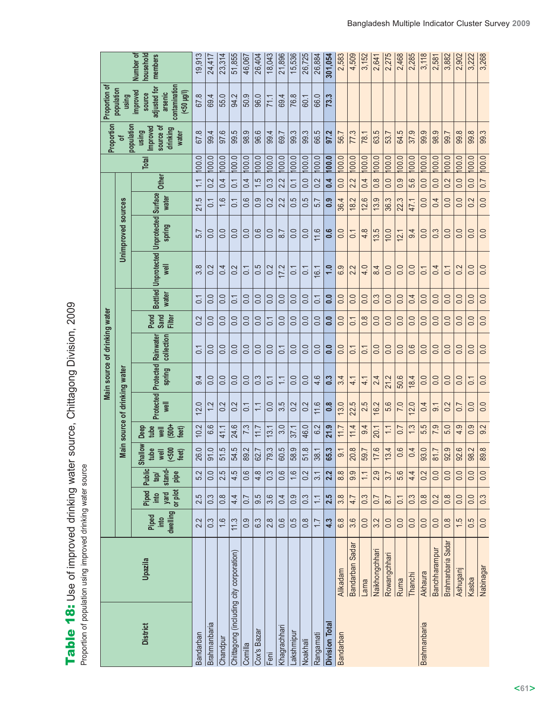|                                         |                        |                           |                                  |                                         |                                           |                                           |                               | Main source of drinking water                  |                  |                               |                  |                  |                                                   |                  |                          |       | Proportion                                                 | Proportion of                                                                        |                                   |
|-----------------------------------------|------------------------|---------------------------|----------------------------------|-----------------------------------------|-------------------------------------------|-------------------------------------------|-------------------------------|------------------------------------------------|------------------|-------------------------------|------------------|------------------|---------------------------------------------------|------------------|--------------------------|-------|------------------------------------------------------------|--------------------------------------------------------------------------------------|-----------------------------------|
|                                         |                        |                           |                                  |                                         |                                           |                                           | Main source of drinking water |                                                |                  |                               |                  |                  | Unimproved sources                                |                  |                          |       | population<br>ㅎ                                            | population<br>using                                                                  |                                   |
| <b>District</b>                         | Upazila                | dwelling<br>Piped<br>into | Piped<br>into<br>yard<br>or plot | <b>Public</b><br>tap/<br>stand-<br>pipe | Shallow<br>well<br>(<500<br>feet)<br>tube | $(500 +$<br>Deep<br>tube<br>well<br>feet) | well                          | <b>Protected Protected Rainwater</b><br>spring | collection       | <b>Filter</b><br>Sand<br>Pond | water            | well             | Bottled Unprotected Unprotected Surface<br>spring | water            | Other                    | Total | source of<br>Improved<br>drinking<br>using<br><b>water</b> | contamination<br>adjusted for<br>improved<br>$($ //6h $\,$ 0g>)<br>arsenic<br>source | Number of<br>household<br>members |
| <b>Bandarban</b>                        |                        | 2.2                       | 2.5                              | 5.2                                     | 26.0                                      | 10.2                                      | 12.0                          | 9.4                                            | $\overline{C}$   | 0.2                           | $\overline{C}$   | 3.8              | 5.7                                               | 21.5             | $\overline{\phantom{0}}$ | 100.0 | 67.8                                                       | 67.8                                                                                 | 19,913                            |
| Brahmanbaria                            |                        | 0.3                       | $\ddot{0}$ :3                    | 0.0                                     | 91.0                                      | 6.6                                       | 1.2                           | 0.0                                            | 0.0              | $\frac{0}{0}$                 | 0.0              | 0.2              | 0.0                                               | $\overline{C}$   | 0.2                      | 100.0 | 99.4                                                       | 69.4                                                                                 | 24,417                            |
| Chandpur                                |                        | $\frac{6}{1}$             | 0.8                              | 2.5                                     | 51.5                                      | 41.1                                      | 0.2                           | 0.0                                            | 0.0              | 0.0                           | 0.0              | 0.4              | 0.0                                               | $\frac{6}{1}$    | 0.4                      | 100.0 | 97.6                                                       | 55.0                                                                                 | 23,314                            |
| Chittagong (including city corporation) |                        | 11.3                      | 4.4                              | 4.5                                     | 54.5                                      | 24.6                                      | 0.2                           | 0.0                                            | 0.0              | 0.0                           | $\overline{0}$ . | 0.2              | 0.0                                               | $\overline{0}$ . | $\overline{0}$           | 100.0 | 99.5                                                       | 94.2                                                                                 | 51,855                            |
| Comilla                                 |                        | 0.9                       | $\overline{0.7}$                 | 0.6                                     | 89.2                                      | 7.3                                       | $\overline{C}$                | 0.0                                            | 0.0              | 0.0                           | 0.0              | $\overline{C}$   | 0.0                                               | 0.6              | 0.4                      | 100.0 | 98.9                                                       | 50.9                                                                                 | 46,067                            |
| Cox's Bazar                             |                        | 6.3                       | 9.5                              | 4.8                                     | 62.7                                      | 7.11                                      | $\overline{11}$               | 0.3                                            | $\overline{0}$ . | 0.0                           | 0.0              | 0.5              | 0.6                                               | $\overline{0}$ . | $\frac{5}{1}$            | 100.0 | 96.6                                                       | 96.0                                                                                 | 26,404                            |
| Feni                                    |                        | 2.8                       | 3.6                              | $0.\overline{3}$                        | 79.3                                      | 13.1                                      | $\frac{0}{0}$                 | $\overline{0}$ :                               | 0.0              | $\overline{0}$                | $\frac{0}{0}$    | 0.2              | 0.0                                               | 0.2              | $0.\overline{3}$         | 100.0 | 99.4                                                       | 71.1                                                                                 | 18,043                            |
| Khagrachhari                            |                        | 0.6                       | 0.4                              | 0.6                                     | 60.5                                      | 3.0                                       | 3.5                           | $\overline{\phantom{0}}$                       | $\overline{0}$ : | 0.0                           | 0.0              | 17.2             | 8.7                                               | 2.2              | 2.2                      | 100.0 | 69.7                                                       | 69.4                                                                                 | 21,896                            |
| Lakshmipur                              |                        | 0.5                       | 0.9                              | $\frac{6}{1}$                           | 58.9                                      | 37.1                                      | 0.2                           | 0.0                                            | 0.0              | 0.0                           | 0.0              | $\overline{0}$ : | 0.0                                               | 0.5              | $\overline{C}$           | 100.0 | 99.3                                                       | 76.8                                                                                 | 15,536                            |
| Noakhali                                |                        | $\frac{8}{2}$             | 0.3                              | 0.2                                     | 51.8                                      | 46.0                                      | 0.2                           | 0.0                                            | $\overline{0}$ . | 0.0                           | 0.0              | $\overline{0}$   | 0.0                                               | 0.5              | $\overline{0}$ .         | 100.0 | 99.3                                                       | 60.1                                                                                 | 26,725                            |
| Rangamati                               |                        | $\overline{1.7}$          | $\overline{11}$                  | 31                                      | 38.1                                      | 6.2                                       | 11.6                          | 4.6                                            | 0.0              | 0.0                           | $\overline{0}$ . | 16.1             | 11.6                                              | 5.7              | 0.2                      | 100.0 | 66.5                                                       | 66.0                                                                                 | 26,884                            |
| Division<br>Total                       |                        | 4.3                       | 2.5                              | $\overline{2.2}$                        | 65.3                                      | 21.9                                      | $0.\overline{8}$              | 0.3                                            | 0.0              | 0.0                           | 0.0              | 1.0              | 0.6                                               | 0.9              | 0.4                      | 100.0 | 97.2                                                       | 73.3                                                                                 | 301,054                           |
| <b>Bandarban</b>                        | Alikadam               | 6.8                       | 3.8                              | 8.8                                     | 9.1                                       | 717                                       | 13.0                          | 3.4                                            | 0.0              | 0.0                           | 0.0              | 6.9              | 0.0                                               | 36.4             | 0.0                      | 100.0 | 56.7                                                       |                                                                                      | 2,583                             |
|                                         | <b>Bandarban Sadar</b> | 3.6                       | 4.7                              | 9.9                                     | 20.8                                      | 11.4                                      | 22.5                          | 4.1                                            | $\overline{0}$ : | $\overline{C}$                | 0.0              | 2.2              | $\overline{0}$ .                                  | 18.2             | 2.2                      | 100.0 | 77.3                                                       |                                                                                      | 4,509                             |
|                                         | Lama                   | 0.0                       | 0.3                              | $\overline{1}$                          | 59.7                                      | 9.4                                       | 2.5                           | 4.1                                            | $\overline{0}$   | $0.\overline{8}$              | 0.0              | 4.0              | 4.8                                               | 12.6             | 0.4                      | 100.0 | 78.1                                                       |                                                                                      | 3,152                             |
|                                         | Naikhongchhari         | 3.2                       | 0.7                              | 2.9                                     | 17.6                                      | 20.1                                      | 16.2                          | 2.4                                            | 0.0              | 0.0                           | 0.3              | 8.4              | 13.5                                              | 13.9             | $\frac{8}{2}$            | 100.0 | 63.5                                                       |                                                                                      | 2,641                             |
|                                         | Rowangchhari           | 0.0                       | 8.7                              | 3.7                                     | 3.4<br>$\overline{\phantom{0}}$           | $\overline{11}$                           | 5.6                           | 21.2                                           | 0.0              | 0.0                           | 0.0              | 0.0              | 10.0                                              | 36.3             | 0.0                      | 100.0 | 53.7                                                       |                                                                                      | 2,275                             |
|                                         | Ruma                   | 0.0                       | $\overline{0}$ .                 | 5.6                                     | 0.6                                       | 0.7                                       | 7.0                           | 50.6                                           | 0.0              | 0.0                           | 0.0              | 0.0              | 12.1                                              | 22.3             | 0.9                      | 100.0 | 64.5                                                       |                                                                                      | 2,468                             |
|                                         | Thanchi                | 0.0                       | 0.3                              | 4.4                                     | 0.4                                       | 1.3                                       | 12.0                          | 18.4                                           | 0.6              | 0.0                           | 0.4              | 0.0              | 9.4                                               | 47.1             | 5.6                      | 100.0 | 37.9                                                       |                                                                                      | 2,285                             |
| <b>Brahmanbaria</b>                     | Akhaura                | 0.0                       | $0.\overline{8}$                 | 0.2                                     | 93.0                                      | 5.5                                       | 0.4                           | 0.0                                            | 0.0              | 0.0                           | 0.0              | $\overline{0}$ . | 0.0                                               | 0.0              | 0.0                      | 100.0 | 99.9                                                       |                                                                                      | 3,118                             |
|                                         | Banchharampur          | 0.0                       | 0.2                              | 0.0                                     | 81.7                                      | 7.9                                       | $\overline{9}$ .              | 0.0                                            | 0.0              | 0.0                           | 0.0              | 0.4              | $0.\overline{3}$                                  | 0.4              | 0.0                      | 100.0 | 98.9                                                       |                                                                                      | 2,581                             |
|                                         | Brahmanbaria Sadar     | $\frac{8}{2}$             | 0.8                              | 0.0                                     | 92.9                                      | 5.0                                       | 0.2                           | 0.0                                            | 0.0              | 0.0                           | 0.0              | $\overline{0}$ : | 0.0                                               | 0.0              | 0.2                      | 100.0 | 99.7                                                       |                                                                                      | 3,882                             |
|                                         | Ashuganj               | 1.5                       | 0.0                              | 0.0                                     | 92.6                                      | 4.9                                       | 0.7                           | 0.0                                            | 0.0              | 0.0                           | 0.0              | 0.2              | 0.0                                               | 0.0              | 0.0                      | 100.0 | 99.8                                                       |                                                                                      | 2,902                             |
|                                         | Kasba                  | 0.5                       | 0.0                              | 0.0                                     | <b>98.2</b>                               | 0.9                                       | 0.0                           | $\overline{0}$ .                               | 0.0              | 0.0                           | 0.0              | 0.0              | 0.0                                               | 0.2              | 0.0                      | 100.0 | 99.8                                                       |                                                                                      | 3,222                             |
|                                         | Nabinagar              | 0.0                       | 0.3                              | 0.0                                     | 89.8                                      | 9.2                                       | 0.0                           | 0.0                                            | 0.0              | 0.0                           | 0.0              | 0.0              | 0.0                                               | 0.0              | 0.7                      | 100.0 | 99.3                                                       |                                                                                      | 3,268                             |

Table 18: Use of improved drinking water source, Chittagong Division, 2009 Table 18: Use of improved drinking water source, Chittagong Division, Proportion of population using improved drinking water source Proportion of population using improved drinking water source

<**61**>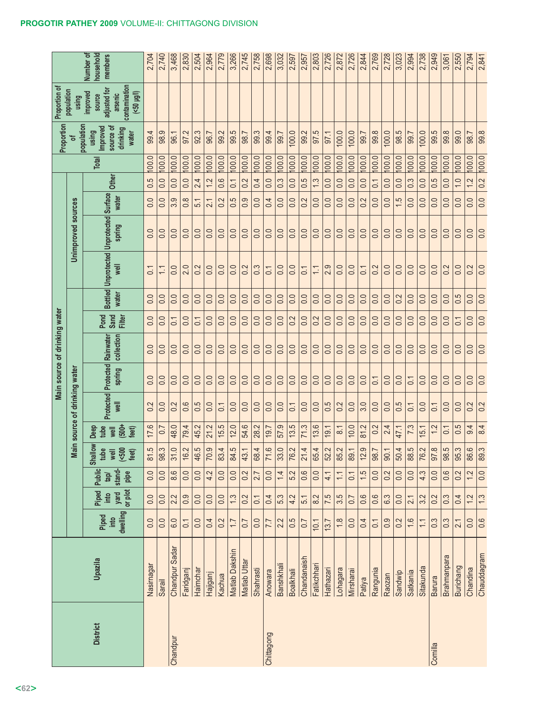|                               |                               | Number of<br>household<br>members                                                                | 2,704                | 2,740                      | 3,468                        | 2,830            | 2,504            | 2,964                            | 2,779            | 3,266                        | 2,745        | 2,758            | 2,698                       | 3,032                          | 2,597                        | 2,957              | 2,803             | 2,726                 | 2,872                    | 2,726            | 2,844            | 2,769            | 2,728         | 3,023    | 2,994            | 2,738                 | 2,949            | 3,061                | 2,550             | 2,794               | 2,841             |
|-------------------------------|-------------------------------|--------------------------------------------------------------------------------------------------|----------------------|----------------------------|------------------------------|------------------|------------------|----------------------------------|------------------|------------------------------|--------------|------------------|-----------------------------|--------------------------------|------------------------------|--------------------|-------------------|-----------------------|--------------------------|------------------|------------------|------------------|---------------|----------|------------------|-----------------------|------------------|----------------------|-------------------|---------------------|-------------------|
| Proportion of                 | population<br>using           | contamination<br>adjusted for<br>improved<br>$($ //6h $($ 0 $\mathsf{g}$ >)<br>arsenic<br>source |                      |                            |                              |                  |                  |                                  |                  |                              |              |                  |                             |                                |                              |                    |                   |                       |                          |                  |                  |                  |               |          |                  |                       |                  |                      |                   |                     |                   |
| Proportion                    | population                    | Improved<br>source of<br>drinking<br>using<br>water                                              | 99.                  | 98.9                       | 96.1                         | 97.2             | 92.3             | 96.7                             | 99.2             | 99.5                         | 98.7         | 99.3             | 99.4                        | 99.7                           | 100.0                        | 99.2               | 97.5              | 97.1                  | 100.0                    | 100.0            | 99.7             | 99.8             | 100.0         | 98.5     | 99.7             | 100.0                 | 99.5             | 99.8                 | $\overline{0.66}$ | 98.7                | 99.8              |
|                               |                               | Total                                                                                            | 100.0                | 100.0                      | 100.0                        | 100.0            | 100.0            | 100.0                            | 100.0            | 100.0                        | 100.0        | 100.0            | 100.0                       | 100.0                          | 100.0                        | 100.0              | 100.0             | 100.0                 | 100.0                    | 100.0            | 100.0            | 100.0            | 100.0         | 100.0    | 100.0            | 100.0                 | 100.0            | 100.0                | 100.0             | 100.0               | 100.0             |
|                               |                               | <b>Other</b>                                                                                     | 0.5                  | 0.0                        | 0.0                          | 0.0              | 2.4              | 1.2                              | 0.6              | $\overline{0}$ .             | 0.2          | 0.4              | 0.0                         | 0.3                            | 0.0                          | 0.5                | 1.3               | 0.0                   | 0.0                      | 0.0              | 0.0              | $\overline{0}$ . | 0.0           | 0.0      | 0.3              | 0.0                   | 0.5              | 0.0                  | 1.0               | 1.2                 | 0.2               |
|                               |                               | water                                                                                            | 0.0                  | 0.0                        | 3.9                          | $0.\overline{8}$ | 51               | 2.1                              | 0.2              | 0.5                          | 0.9          | 0.0              | 0.4                         | 0.0                            | 0.0                          | 0.2                | 0.0               | 0.0                   | 0.0                      | 0.0              | 0.2              | 0.0              | 0.0           | 1.5      | 0.0              | 0.0                   | 0.0              | 0.0                  | 0.0               | 0.0                 | 0.0               |
|                               | Unimproved sources            | Bottled Unprotected Unprotected Surface<br>spring                                                | 0.0                  | 0.0                        | 0.0                          | 0.0              | 0.0              | 0.0                              | 0.0              | 0.0                          | 0.0          | 0.0              | 0.0                         | 0.0                            | 0.0                          | 0.0                | 0.0               | 0.0                   | 0.0                      | 0.0              | 0.0              | 0.0              | 0.0           | 0.0      | 0.0              | 0.0                   | 0.0              | 0.0                  | 0.0               | 0.0                 | 0.0               |
|                               |                               | Well                                                                                             | $\overline{0}$ :     | $\overline{1}$             | 0.0                          | 2.0              | 0.2              | 0.0                              | 0.0              | 0.0                          | 0.2          | 0.3              | $\overline{0}$ .            | 0.0                            | 0.0                          | $\overline{0}$ .   | $\overline{11}$   | 2.9                   | 0.0                      | 0.0              | $\overline{0}$ : | 0.2              | 0.0           | 0.0      | 0.0              | 0.0                   | 0.0              | 0.2                  | 0.0               | 0.2                 | 0.0               |
|                               |                               | water                                                                                            | 0.0                  | 0.0                        | 0.0                          | 0.0              | 0.0              | 0.0                              | 0.0              | 0.0                          | 0.0          | 0.0              | 0.0                         | 0.0                            | 0.0                          | 0.0                | 0.0               | 0.0                   | 0.0                      | 0.0              | 0.0              | 0.0              | 0.0           | 0.2      | 0.0              | 0.0                   | 0.0              | 0.0                  | 0.5               | 0.0                 | 0.0               |
|                               |                               | Sand<br>Pond<br>Filter                                                                           | 0.0                  | 0.0                        | $\overline{0}$ :             | 0.0              | $\overline{0}$ . | 0.0                              | 0.0              | 0.0                          | 0.0          | 0.0              | 0.0                         | 0.0                            | 0.2                          | 0.0                | 0.2               | 0.0                   | 0.0                      | 0.0              | 0.0              | 0.0              | 0.0           | 0.0      | 0.0              | 0.0                   | 0.0              | 0.0                  | $\overline{0}$ .  | 0.0                 | 0.0               |
| Main source of drinking water |                               | collection                                                                                       | 0.0                  | 0.0                        | 0.0                          | 0.0              | 0.0              | 0.0                              | 0.0              | 0.0                          | 0.0          | 0.0              | 0.0                         | 0.0                            | 0.0                          | 0.0                | 0.0               | 0.0                   | 0.0                      | 0.0              | 0.0              | 0.0              | 0.0           | 0.0      | 0.0              | 0.0                   | 0.0              | 0.0                  | 0.0               | 0.0                 | 0.0               |
|                               |                               | Protected Protected Rainwater<br>spring                                                          | 0.0                  | 0.0                        | 0.0                          | 0.0              | 0.0              | 0.0                              | 0.0              | 0.0                          | 0.0          | 0.0              | 0.0                         | 0.0                            | 0.0                          | 0.0                | 0.0               | 0.0                   | 0.0                      | 0.0              | 0.0              | $\overline{0}$ . | 0.0           | 0.0      | $\overline{0}$ . | 0.0                   | 0.0              | 0.0                  | 0.0               | 0.0                 | 0.0               |
|                               | Main source of drinking water | well                                                                                             | 0.2                  | 0.0                        | 0.2                          | 0.6              | 0.5              | 0.0                              | $\overline{0}$ : | 0.0                          | 0.0          | 0.0              | 0.0                         | 0.0                            | $\overline{0}$ .             | 0.0                | 0.0               | 0.5                   | 0.2                      | 0.0              | 3.0              | 0.0              | 0.0           | 0.5      | $\overline{0}$ . | 0.0                   | $\overline{0}$ . | 0.0                  | 0.0               | 0.2                 | 0.2               |
|                               |                               | $(500 +$<br>tube<br>Deep<br>feet)<br>well                                                        | 17.6                 | $\overline{0.7}$           | 48.0                         | 79.4             | 45.2             | 21.2                             | 15.5             | 12.0                         | 54.6         | 28.2             | 19.7                        | 57.9                           | 13.5                         | 71.3               | 13.6              | 19.1                  | $\overline{8}$ .         | 10.0             | 81.2             | 0.2              | 2.4           | 47.1     | 7.3              | 15.1                  | 1.2              | $\overline{0}$ :     | 0.5               | 9.4                 | 8.4               |
|                               |                               | <b>Shallow</b><br>tube<br>$\frac{1}{1000}$<br>$\frac{1}{1000}$                                   | بت<br>$\overline{8}$ | <u>က္</u><br>$\frac{8}{2}$ | $\bigcirc$<br>$\overline{3}$ | Ņ<br>$\approx$   | īΟ.<br>46        | $\overline{Q}$<br>$\overline{z}$ | 4<br>$\infty$    | $\ddot{5}$<br>$\mathfrak{B}$ | 43.1         | 68.4             | $\ddot{\circ}$<br>$\vert$ 7 | $\sum_{i=1}^{n}$<br>$\sqrt{3}$ | $\ddot{\Omega}$<br>$\approx$ | 4<br>$ \tilde{z} $ | $\ddot{4}$<br>65  | $\ddot{\Omega}$<br>52 | 85.2                     | 89.1             | ာ<br>$\approx$   | 98.7             | $\sqrt{90.1}$ | 4<br>န္တ | ΓÒ.<br>88        | Σ,<br>$\overline{76}$ | $\infty$<br>60   | īΟ.<br>$\frac{8}{2}$ | ς.<br>95          | $\frac{1}{2}$<br>86 | $\ddot{3}$<br> 89 |
|                               |                               | stand-<br>Public<br>pipe<br>$q_{\rm B}$                                                          | 0.0                  | 0.0                        | 8.6                          | 0.0              | 0.0              | 4.2                              | 0.0              | 0.0                          | 0.2          | 2.7              | 0.0                         | 1.4                            | 5.2                          | $0.\overline{6}$   | 0.0               | 4.1                   | $\overline{\phantom{0}}$ | $\overline{0}$ . | 1.5              | 0.0              | 0.2           | 0.0      | 0.0              | 4.3                   | 0.0              | 0.6                  | $\overline{0.2}$  | 1.2                 | 0.0               |
|                               |                               | or plot<br>Piped<br>yard<br>into                                                                 | 0.0                  | 0.0                        | 2.2                          | $0.\overline{9}$ | 0.0              | 0.0                              | 0.0              | $\ddot{.}3$                  | 0.2          | $\overline{0}$ : | 0.4                         | 5.3                            | 4.2                          | 5.1                | 8.2               | 7.5                   | 3.5                      | 0.7              | 0.6              | 0.6              | 6.3           | 0.0      | 2.1              | 3.2                   | 0.2              | 0.3                  | 0.4               | 12                  | 1.3               |
|                               |                               | dwelling<br>Piped<br>into                                                                        | 0.0                  | 0.0                        | 6.0                          | $\overline{0}$ . | 0.0              | 0.4                              | 0.2              | $\overline{1.7}$             | 0.7          | 0.0              | 7.7                         | 2.2                            | 0.5                          | $\overline{0.7}$   | $\overline{10.1}$ | 13.7                  | $\frac{8}{18}$           | 0.0              | 0.4              | $\overline{0}$ : | 0.9           | 0.2      | 1.6              | $\overline{11}$       | 0.3              | 0.3                  | 2.1               | 0.0                 | 0.6               |
|                               |                               | Upazila                                                                                          | Nasirnagar           | Sarail                     | Sadar<br>Chandpur            | Faridganj        | Haimchar         | Hajiganj                         | Kachua           | Matlab Dakshin               | Matlab Uttar | Shahrasti        | Anowara                     | <b>Banshkhali</b>              | <b>Boalkhali</b>             | Chandanaish        | Fatikchhari       | Hathazari             | Lohagara                 | Mirsharai        | Patiya           | Rangunia         | Raozan        | Sandwip  | Satkania         | Sitakunda             | Barura           | Brahmanpara          | <b>Burichang</b>  | Chandina            | Chauddagram       |
|                               |                               | <b>District</b>                                                                                  |                      |                            | Chandpur                     |                  |                  |                                  |                  |                              |              |                  | Chittagong                  |                                |                              |                    |                   |                       |                          |                  |                  |                  |               |          |                  |                       | Comilla          |                      |                   |                     |                   |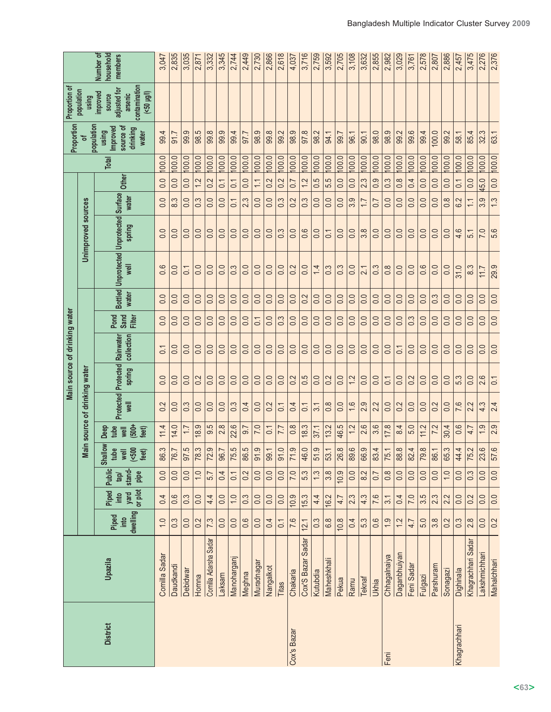|                               |                               | Number of<br>household<br>members                                                | 3,047            | 2,835              | 3,035            | 2,871                | 3,332                 | 3,345            | 2,744                  | 2,449     | 2,730               | 2,866            | 2,618               | 4,037                | 3,716                | 2,759                 | 3,592            | 2,705          | 3,108         | 3,632            | 2,855       | 2,982            | 3,029            | 3,761            | 2,578          | 2,807            | 2,886             | 2,457                | 3,475                          | 2,276            | 2,376                    |
|-------------------------------|-------------------------------|----------------------------------------------------------------------------------|------------------|--------------------|------------------|----------------------|-----------------------|------------------|------------------------|-----------|---------------------|------------------|---------------------|----------------------|----------------------|-----------------------|------------------|----------------|---------------|------------------|-------------|------------------|------------------|------------------|----------------|------------------|-------------------|----------------------|--------------------------------|------------------|--------------------------|
| Proportion of                 | population<br>using           | contamination<br>adjusted for<br>improved<br>$(50 \mu g/l)$<br>arsenic<br>source |                  |                    |                  |                      |                       |                  |                        |           |                     |                  |                     |                      |                      |                       |                  |                |               |                  |             |                  |                  |                  |                |                  |                   |                      |                                |                  |                          |
| Proportion                    | population                    | source of<br>Improved<br>drinking<br>using<br>water                              | 99.4             | $-1.7$             | 99.9             | 98.5                 | 99.8                  | 99.9             | 99.4                   | 57.7      | 98.9                | 99.8             | 99.2                | 98.9                 | 97.8                 | 98.2                  | 94.1             | 99.7           | 96.1          | 90.1             | 98.0        | 98.9             | 99.2             | 99.6             | 99.4           | 100.0            | 99.2              | 58.1                 | 85.4                           | 32.3             | 63.1                     |
|                               |                               | Total                                                                            | 100.0            | 100.0              | 100.0            | 100.0                | 100.0                 | 100.0            | 100.0                  | 100.0     | 100.0               | 100.0            | 100.0               | 100.0                | 100.0                | 100.0                 | 100.0            | 100.0          | 100.0         | 100.0            | 100.0       | 100.0            | 100.0            | 100.0            | 100.0          | 100.0            | 100.0             | 100.0                | 100.0                          | 100.0            | 100.0                    |
|                               |                               | Other                                                                            | 0.0              | $\frac{0}{2}$      | 0.0              | 1.2                  | 0.2                   | $\overline{0}$ . | $\overline{0}$ .       | 0.0       | $\overline{11}$     | 0.2              | 0.2                 | 0.7                  | 1.2                  | 0.5                   | 5.5              | 0.0            | 0.0           | 2.3              | 0.9         | $0.\overline{3}$ | $\frac{8}{2}$    | 0.4              | 0.0            | 0.0              | 0.0               | $\overline{0}$ :     | 0.0                            | 45.0             | 0.0                      |
|                               |                               | water                                                                            | 0.0              | 8.3                | 0.0              | 0.3                  | 0.0                   | 0.0              | $\overline{0}$ .       | 23        | 0.0                 | 0.0              | 0.3                 | 0.2                  | 0.3                  | 0.0                   | 0.0              | 0.0            | 3.9           | $\overline{1.7}$ | 0.7         | 0.0              | 0.0              | 0.0              | 0.0            | 0.0              | $0.\overline{8}$  | 6.2                  | $\overline{1}$                 | 3.9              | 1.3                      |
|                               | Unimproved sources            | Bottled Unprotected Unprotected Surface<br>spring                                | 0.0              | 0.0                | 0.0              | 0.0                  | 0.0                   | 0.0              | 0.0                    | 0.0       | 0.0                 | 0.0              | 0.3                 | 0.0                  | 0.6                  | 0.0                   | $\overline{0}$ . | 0.0            | 0.0           | 3.8              | 0.0         | 0.0              | 0.0              | 0.0              | 0.0            | 0.0              | 0.0               | 4.6                  | 51                             | $\overline{7.0}$ | 5.6                      |
|                               |                               | Well                                                                             | $0.\overline{6}$ | 0.0                | $\overline{0}$ : | 0.0                  | 0.0                   | 0.0              | 0.3                    | 0.0       | 0.0                 | 0.0              | 0.0                 | 0.2                  | 0.0                  | 1.4                   | 0.3              | 0.3            | 0.0           | 2.1              | 0.3         | $0.\overline{8}$ | 0.0              | 0.0              | 0.6            | 0.0              | 0.0               | 31.0                 | 8.3                            | 11.7             | 29.9                     |
|                               |                               | water                                                                            | 0.0              | 0.0                | 0.0              | 0.0                  | 0.0                   | 0.0              | 0.0                    | 0.0       | 0.0                 | 0.0              | 0.0                 | 0.0                  | 0.2                  | 0.0                   | 0.0              | 0.0            | 0.0           | 0.0              | 0.0         | 0.0              | 0.0              | 0.0              | 0.0            | $0.\overline{3}$ | 0.0               | 0.0                  | 0.0                            | 0.0              | 0.0                      |
|                               |                               | Sand<br>Pond<br>Filter                                                           | 0.0              | $\frac{0}{0}$      | 0.0              | 0.0                  | 0.0                   | 0.0              | 0.0                    | 0.0       | $\overline{0}$      | 0.0              | 0.3                 | 0.0                  | 0.0                  | 0.0                   | 0.0              | 0.0            | 0.0           | 0.0              | 0.0         | 0.0              | 0.0              | $0.\overline{3}$ | 0.0            | 0.0              | 0.0               | 0.0                  | 0.0                            | 0.0              | 0.0                      |
| Main source of drinking water |                               | collection                                                                       | $\overline{0}$ . | $_{\circ}^{\circ}$ | 0.0              | 0.0                  | 0.0                   | 0.0              | 0.0                    | 0.0       | 0.0                 | 0.0              | 0.0                 | 0.0                  | 0.0                  | 0.0                   | 0.0              | 0.0            | 0.0           | 0.0              | 0.0         | 0.0              | $\overline{C}$   | 0.0              | 0.0            | 0.0              | 0.0               | 0.0                  | 0.0                            | 0.0              | 0.0                      |
|                               | Main source of drinking water | Protected   Protected   Rainwater<br>spring                                      | 0.0              | 0.0                | 0.0              | 0.2                  | 0.0                   | 0.0              | 0.0                    | 0.0       | 0.0                 | 0.0              | 0.0                 | 0.2                  | 0.5                  | 0.0                   | 0.2              | 0.0            | 1.2           | 0.0              | 0.0         | $\overline{0}$ : | 0.0              | 0.2              | 0.0            | 0.0              | 0.0               | 5.3                  | 0.0                            | 2.6              | $\overline{0}$ .         |
|                               |                               | well                                                                             | 0.2              | 0.0                | $0.\overline{3}$ | 0.0                  | 0.0                   | 0.0              | 0.3                    | 0.4       | 0.0                 | 0.2              | $\overline{0}$ .    | 0.4                  | $\overline{0}$ .     | 31                    | $0.\overline{8}$ | 0.0            | $\frac{6}{1}$ | 2.9              | 2.2         | 0.0              | 0.2              | 0.0              | 0.0            | 0.2              | 0.0               | 7.6                  | 2.2                            | 4.3              | 2.4                      |
|                               |                               | $(500 +$<br>tube<br>Deep<br>well<br>feet)                                        | 11.4             | 14.0               | 7.7              | 18.9                 | 9.5                   | 2.8              | 22.6                   | 9.7       | 7.0                 | $\overline{0}$ : | 7.7                 | 0.8                  | 18.3                 | 37.1                  | 13.2             | 46.5           | 12            | 2.6              | 3.6         | 17.8             | 8.4              | 5.0              | 11.2           | 7.2              | 30.4              | 0.6                  | 4.7                            | $\frac{1}{2}$    | 2.9                      |
|                               |                               | <b>Shallow</b><br>well<br>(<500<br>feet)<br>tube                                 | S<br>86          | 76                 | rö.<br>60        | 3<br>$\overline{78}$ | ၜ<br>$\overline{z}$   | г.<br>96         | rö.<br>$\overline{75}$ | ΓÙ.<br>86 | ၜ<br>$\overline{5}$ | ↽.<br>88         | Q<br>$\overline{5}$ | တ္<br>$\overline{7}$ | O.<br>46             | တ္<br>$\overline{51}$ | 53.1             | $\infty$<br>26 | 9<br>89       | ၜ<br>89          | 4<br>$83\,$ | 75.1             | $\infty$<br>88   | 4<br>82          | $\infty$<br>79 | 86.1             | S<br>65           | 4.<br>$\overline{4}$ | $\overline{\mathcal{L}}$<br>75 | 6<br>23          | $\circ$<br>$\frac{1}{6}$ |
|                               |                               | stand-<br><b>Public</b><br>pipe<br>q                                             | 0.0              | 0.0                | 0.0              | 1.0                  | $\overline{5.7}$      | 0.4              | $\overline{0}$ .       | 0.2       | 0.0                 | 0.0              | 0.0                 | $\overline{0.1}$     | 5.3                  | $\ddot{.}$            | 3.8              | 10.9           | 0.0           | 8.2              | 0.7         | $0.\overline{8}$ | $\overline{0.0}$ | 0.0              | 0.0            | 0.0              | $\overline{1}$ .0 | $\overline{0.0}$     | 0.3                            | 0.0              | $\overline{)}$           |
|                               |                               | or plot<br>yard<br>Piped<br>into                                                 | 0.4              | 0.6                | 0.3              | 0.0                  | 4.4                   | 0.0              | $\overline{1}$ .0      | 0.3       | 0.0                 | 0.0              | 0.0                 | 10.9                 | 15.3                 | 4.4                   | 16.2             | 4.7            | 2.3           | 4.3              | 7.6         | 3.1              | 0.4              | 7.0              | 3.5            | 2.3              | 2.2               | 0.0                  | 0.2                            | 0.0              | S<br>                    |
|                               |                               | dwelling<br>Piped<br>into                                                        | 1.0              | 0.3                | 0.0              | 0.2                  | 7.3                   | 0.0              | 0.0                    | 0.6       | 0.0                 | 0.4              | $\overline{0.1}$    | 7.6                  | 12.1                 | 0.3                   | 6.8              | 10.8           | 0.4           | 5.3              | 0.6         | $\ddot{.}$       | 1.2              | 4.7              | 5.0            | 3.8              | 0.2               | 0.3                  | 2.8                            | 0.0              | $\overline{0.2}$         |
|                               |                               | Upazila                                                                          | Comilla Sadar    | Daudkandi          | Debidwar         | Homna                | Comilla Adarsha Sadar | Laksam           | Manoharganj            | Meghna    | Muradnagar          | Nangalkot        | Titas               | Chakaria             | Sadar<br>Cox'S Bazar | Kutubdia              | Maheshkhal       | Pekua          | Ramu          | Teknaf           | Ukhia       | Chhagalnaiya     | Daganbhuiyan     | Feni Sadar       | Fulgazi        | Parshuram        | Sonagazi          | <b>Dighinala</b>     | Khagrachhari Sadar             | Lakshmichhari    | Mahalchhari              |
|                               |                               | <b>District</b>                                                                  |                  |                    |                  |                      |                       |                  |                        |           |                     |                  |                     | Cox's Bazar          |                      |                       |                  |                |               |                  |             | Feni             |                  |                  |                |                  |                   | Khagrachhari         |                                |                  |                          |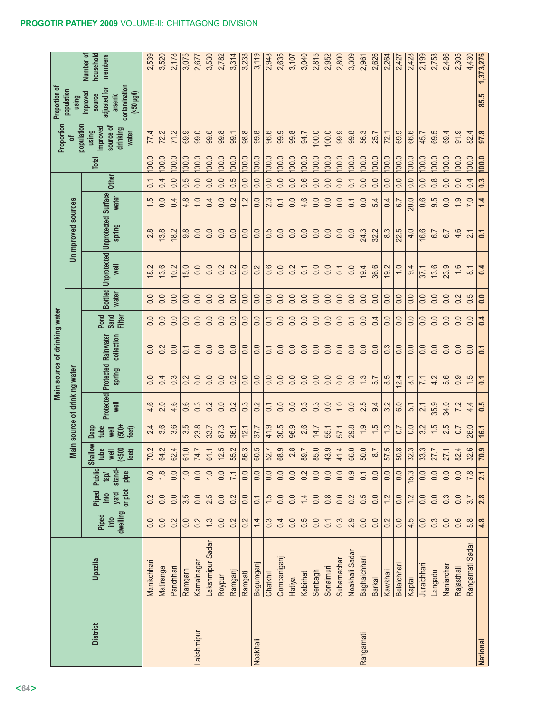| Main source of drinking water<br>Main source of drinking water<br>Deep<br>$\frac{1}{2}$<br>Shall                                                                                                                       |  |  |               |                  |                  |                                                 |                        |       |                  | <b>Unimproved sources</b>                         |                   |                  | Proportion<br>population<br>using                          | Proportion of<br>population<br>improved<br>using                     | Number of            |
|------------------------------------------------------------------------------------------------------------------------------------------------------------------------------------------------------------------------|--|--|---------------|------------------|------------------|-------------------------------------------------|------------------------|-------|------------------|---------------------------------------------------|-------------------|------------------|------------------------------------------------------------|----------------------------------------------------------------------|----------------------|
| $(500 +$<br>tube<br>feet)<br>well<br>well<br>(<500<br>$\mathbf{\Phi}$<br>feet)<br>$\frac{1}{2}$<br><b>Public</b><br>stand-<br>pipe<br>tapl<br>or plot<br>Piped<br>into<br>yard<br>dwelling<br>Piped<br>into<br>Upazila |  |  |               | well             | spring           | Protected   Protected   Rainwater<br>collection | Sand<br>Filter<br>Pond | water | Well             | Bottled Unprotected Unprotected Surface<br>spring | water             | Other            | <b>Improved</b><br>source of<br>drinking<br>water<br>Total | contamination<br>adjusted for<br>$(50 \mu g/l)$<br>arsenic<br>source | household<br>members |
| 2.4<br>$\sim$<br>70.<br>0.0<br>0.2<br>0.0<br>Manikchhari                                                                                                                                                               |  |  |               | 4.6              | 0.0              | 0.0                                             | 0.0                    | 0.0   | 18.2             | 2.8                                               | 1.5               | $\overline{C}$   | 77.4<br>100.0                                              |                                                                      | 2,539                |
| $\sim$<br>\$4.<br>$\frac{8}{1}$<br>0.0<br>0.0<br>Matiranga                                                                                                                                                             |  |  | 3.6           | 2.0              | 0.4              | 0.2                                             | 0.0                    | 0.0   | 13.6             | 13.8                                              | 0.0               | 0.4              | 72.2<br>100.0                                              |                                                                      | 3,520                |
| 4<br>62.<br>0.0<br>0.0<br>0.2<br>Panchhari                                                                                                                                                                             |  |  | 3.6           | 4.6              | $0.\overline{3}$ | 0.0                                             | 0.0                    | 0.0   | 10.2             | 18.2                                              | 0.4               | 0.0              | 71.2<br>100.0                                              |                                                                      | 2,178                |
| $\circ$<br>$\overline{6}$<br>1.0<br>3.5<br>0.0<br>Ramgarh                                                                                                                                                              |  |  | 3.5           | 0.6              | 0.2              | $\overline{0}$ .                                | 0.0                    | 0.0   | 15.0             | 9.8                                               | 4.8               | 0.5              | 69.9<br>100.0                                              |                                                                      | 3,075                |
| 23.8<br>$\overline{ }$<br>74.<br>0.0<br>0.0<br>0.2<br>Kamalnagar                                                                                                                                                       |  |  |               | 0.3              | 0.0              | 0.0                                             | 0.0                    | 0.0   | 0.0              | 0.0                                               | $\overline{1}$ .0 | 0.0              | 99.0<br>100.0                                              |                                                                      | 2,677                |
| 33.7<br>$\overline{\phantom{0}}$<br>$\overline{6}$<br>1.0<br>2.5<br>1.3<br>Lakshmipur Sadar                                                                                                                            |  |  |               | 0.2              | 0.0              | 0.0                                             | 0.0                    | 0.0   | 0.0              | 0.0                                               | 0.4               | 0.0              | 99.6<br>100.0                                              |                                                                      | 3,530                |
| 87.3<br>$\overline{5}$<br>12.<br>0.0<br>0.0<br>0.0<br>Roypur                                                                                                                                                           |  |  |               | 0.0              | 0.0              | 0.0                                             | 0.0                    | 0.0   | 0.2              | 0.0                                               | 0.0               | 0.0              | 99.8<br>100.0                                              |                                                                      | 2,782                |
| 36.1<br>$\sim$<br>55.<br>$\overline{71}$<br>0.2<br>0.2<br>Ramganj                                                                                                                                                      |  |  |               | 0.2              | 0.2              | 0.0                                             | 0.0                    | 0.0   | 0.2              | 0.0                                               | 0.2               | 0.5              | 99.1<br>100.0                                              |                                                                      | 3,314                |
| 12.1<br>3<br>86.<br>0.0<br>0.0<br>0.2<br>Ramgati                                                                                                                                                                       |  |  |               | $0.\overline{3}$ | 0.0              | 0.0                                             | 0.0                    | 0.0   | 0.0              | 0.0                                               | 1.2               | 0.0              | 98.8<br>100.0                                              |                                                                      | 3,233                |
| 37.7<br>$\mathfrak{c}$<br>60.<br>0.0<br>0.1<br>1.4<br>Begumganj                                                                                                                                                        |  |  |               | 0.2              | 0.0              | 0.0                                             | 0.0                    | 0.0   | 0.2              | 0.0                                               | 0.0               | 0.0              | 99.8<br>100.0                                              |                                                                      | 3,119                |
| 41.9<br>$\overline{v}$<br>52.<br>0.0<br>1.5<br>0.3<br>Chatkhil                                                                                                                                                         |  |  |               | $\overline{0}$ . | 0.0              | $\overline{0}$ :                                | $\overline{C}$         | 0.0   | 0.6              | 0.5                                               | 2.3               | 0.0              | 96.6<br>100.0                                              |                                                                      | 2,948                |
| 30.5<br>$\infty$<br>68.<br>0.0<br>0.0<br>0.4<br>Companiganj                                                                                                                                                            |  |  |               | 0.0              | 0.0              | 0.0                                             | 0.0                    | 0.0   | 0.0              | 0.0                                               | $\overline{0}$ .  | 0.0              | 99.9<br>100.0                                              |                                                                      | 2,635                |
| 96.9<br>$\infty$<br>$\mathbf{z}$<br>0.0<br>0.0<br>0.0<br>Hatiya                                                                                                                                                        |  |  |               | 0.0              | 0.0              | 0.0                                             | 0.0                    | 0.0   | 0.2              | 0.0                                               | 0.0               | 0.0              | 99.8<br>100.0                                              |                                                                      | 3,107                |
| 2.6<br>$\overline{\phantom{0}}$<br>89.<br>0.2<br>1.4<br>0.5<br>Kabirhat                                                                                                                                                |  |  |               | 0.3              | 0.0              | 0.0                                             | 0.0                    | 0.0   | $\overline{0}$ : | 0.0                                               | 4.6               | 0.6              | 94.7<br>100.0                                              |                                                                      | 3,040                |
| 14.7<br>$\circ$<br>85.<br>0.0<br>0.0<br>0.0<br>Senbagh                                                                                                                                                                 |  |  |               | 0.3              | 0.0              | 0.0                                             | 0.0                    | 0.0   | 0.0              | 0.0                                               | 0.0               | 0.0              | 100.0<br>100.0                                             |                                                                      | 2,815                |
| ၜ<br>43.<br>0.0<br>$0.\overline{8}$<br>$\overline{0}$ .<br>Sonaimuri                                                                                                                                                   |  |  | 55.1          | 0.0              | 0.0              | 0.0                                             | 0.0                    | 0.0   | 0.0              | 0.0                                               | 0.0               | 0.0              | 100.0<br>100.0                                             |                                                                      | 2,952                |
| 4<br>$\frac{4}{1}$<br>0.0<br>0.0<br>0.3<br>Subamachar                                                                                                                                                                  |  |  | 57.1          | 1.0              | 0.0              | 0.0                                             | 0.0                    | 0.0   | $\overline{0}$ . | 0.0                                               | 0.0               | 0.0              | 99.9<br>100.0                                              |                                                                      | 2,800                |
| 29.8<br>$\circ$<br>66.<br>0.9<br>0.2<br>2.9<br>Noakhali Sadar                                                                                                                                                          |  |  |               | 0.0              | 0.0              | 0.0                                             | $\overline{0}$ .       | 0.0   | 0.0              | 0.0                                               | $\overline{0}$ :  | $\overline{0}$ . | 99.8<br>100.0                                              |                                                                      | 3,309                |
| $\circ$<br>50.<br>$\overline{0}$ .<br>0.5<br>0.0<br>Baghaichhari                                                                                                                                                       |  |  | $\ddot{0}$    | 2.5              | 1.3              | 0.0                                             | 0.0                    | 0.0   | 19.4             | 24.3                                              | 0.0               | 0.0              | 56.3<br>100.0                                              |                                                                      | 2,961                |
| $\overline{ }$<br>$\infty$<br>0.0<br>0.0<br>0.0<br><b>Barkal</b>                                                                                                                                                       |  |  | 1.5           | 9.4              | 5.7              | 0.0                                             | 0.4                    | 0.0   | 36.6             | 32.2                                              | 5.4               | 0.0              | 25.7<br>100.0                                              |                                                                      | 2,626                |
| 5<br>57.<br>0.0<br>1.2<br>0.2<br>Kawkhali                                                                                                                                                                              |  |  | $\frac{3}{2}$ | 3.2              | 8.5              | 0.3                                             | 0.0                    | 0.0   | 19.2             | 8.3                                               | 0.4               | 0.0              | 72.1<br>100.0                                              |                                                                      | 2,264                |
| $\infty$<br>$\overline{5}$<br>0.0<br>0.0<br>0.0<br>Belaichhari                                                                                                                                                         |  |  | 0.7           | 6.0              | 12.4             | 0.0                                             | 0.0                    | 0.0   | 1.0              | 22.5                                              | 6.7               | 0.0              | 69.9<br>100.0                                              |                                                                      | 2,427                |
| 3<br>32<br>15.3<br>1.2<br>4.5<br>Kaptai                                                                                                                                                                                |  |  | 0.0           | 51               | $\overline{8.1}$ | 0.0                                             | 0.0                    | 0.0   | 9.4              | 4.0                                               | 20.0              | 0.0              | 66.6<br>100.0                                              |                                                                      | 2,428                |
| 3<br>33.<br>0.0<br>0.0<br>0.0<br>Juraichhari                                                                                                                                                                           |  |  | 3.2           | 21               | 7.1              | 0.0                                             | 0.0                    | 0.0   | 37.1             | 16.6                                              | 0.6               | 0.0              | 45.7<br>100.0                                              |                                                                      | 2,199                |
| $\overline{ }$<br>27.<br>0.0<br>0.0<br>0.3<br>Langadu                                                                                                                                                                  |  |  | 1.5           | 35.9             | 4.2              | 0.0                                             | 0.0                    | 0.0   | 13.6             | 6.7                                               | 9.5               | 0.8              | 69.5<br>100.0                                              |                                                                      | 2,758                |
| ↽.<br>27<br>0.0<br>0.3<br>0.0<br>Naniarchar                                                                                                                                                                            |  |  | 2.5           | 34.0             | 5.6              | 0.0                                             | 0.0                    | 0.0   | 23.9             | 6.7                                               | 0.0               | 0.0              | 69.4<br>100.0                                              |                                                                      | 2,486                |
| 4<br>82.<br>0.0<br>0.0<br>0.6<br>Rajasthali                                                                                                                                                                            |  |  | 0.7           | 7.2              | 0.9              | 0.0                                             | 0.0                    | 0.2   | 1.6              | 4.6                                               | $\ddot{0}$        | 0.0              | 91.9<br>100.0                                              |                                                                      | 2,305                |
| 6<br>$\mathfrak{D}$<br>7.8<br>3.7<br>5.8<br>Rangamati Sadar                                                                                                                                                            |  |  | 26.0          | 4.4              | 1.5              | 0.0                                             | 0.0                    | 0.5   | 8.1              | 2.1                                               | 7.0               | 0.4              | 82.4<br>100.0                                              |                                                                      | 4,430                |
| 16.1<br>ၜ<br>$\overline{R}$<br>2.1<br>2.8<br>4.8                                                                                                                                                                       |  |  |               | 0.5              | $\overline{a}$   | $\overline{a}$                                  | 0.4                    | 0.0   | 0.4              | $\overline{a}$                                    | 1.4               | 0.3              | 97.8<br>100.0                                              | 85.5                                                                 | 1,373,276            |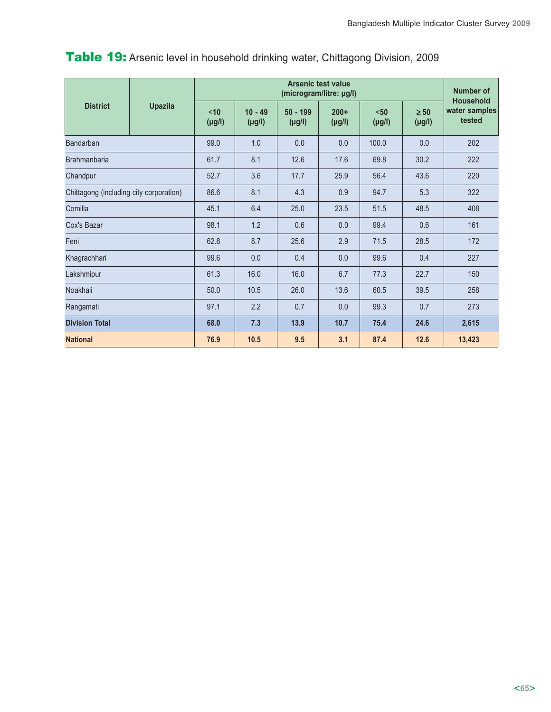|                                         |                |                     |                          |                           | <b>Arsenic test value</b><br>(microgram/litre: µg/l) |                     |                          | Number of<br><b>Household</b> |
|-----------------------------------------|----------------|---------------------|--------------------------|---------------------------|------------------------------------------------------|---------------------|--------------------------|-------------------------------|
| <b>District</b>                         | <b>Upazila</b> | < 10<br>$(\mu g/I)$ | $10 - 49$<br>$(\mu g/l)$ | $50 - 199$<br>$(\mu g/I)$ | $200+$<br>$(\mu g/I)$                                | $50$<br>$(\mu g/l)$ | $\geq 50$<br>$(\mu g/I)$ | water samples<br>tested       |
| Bandarban                               |                | 99.0                | 1.0                      | 0.0                       | 0.0                                                  | 100.0               | 0.0                      | 202                           |
| <b>Brahmanbaria</b>                     |                | 61.7                | 8.1                      | 12.6                      | 17.6                                                 | 69.8                | 30.2                     | 222                           |
| Chandpur                                |                | 52.7                | 3.6                      | 17.7                      | 25.9                                                 | 56.4                | 43.6                     | 220                           |
| Chittagong (including city corporation) |                | 86.6                | 8.1                      | 4.3                       | 0.9                                                  | 94.7                | 5.3                      | 322                           |
| Comilla                                 |                | 45.1                | 6.4                      | 25.0                      | 23.5                                                 | 51.5                | 48.5                     | 408                           |
| Cox's Bazar                             |                | 98.1                | 1.2                      | 0.6                       | 0.0                                                  | 99.4                | 0.6                      | 161                           |
| Feni                                    |                | 62.8                | 8.7                      | 25.6                      | 2.9                                                  | 71.5                | 28.5                     | 172                           |
| Khagrachhari                            |                | 99.6                | 0.0                      | 0.4                       | 0.0                                                  | 99.6                | 0.4                      | 227                           |
| Lakshmipur                              |                | 61.3                | 16.0                     | 16.0                      | 6.7                                                  | 77.3                | 22.7                     | 150                           |
| Noakhali                                |                | 50.0                | 10.5                     | 26.0                      | 13.6                                                 | 60.5                | 39.5                     | 258                           |
| Rangamati                               |                | 97.1                | 2.2                      | 0.7                       | 0.0                                                  | 99.3                | 0.7                      | 273                           |
| <b>Division Total</b>                   |                | 68.0                | 7.3                      | 13.9                      | 10.7                                                 | 75.4                | 24.6                     | 2,615                         |
| <b>National</b>                         |                | 76.9                | 10.5                     | 9.5                       | 3.1                                                  | 87.4                | 12.6                     | 13,423                        |

## Table 19: Arsenic level in household drinking water, Chittagong Division, 2009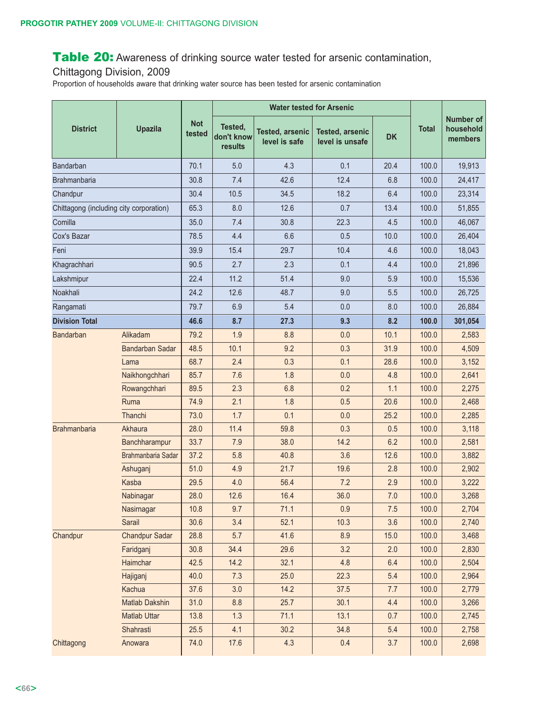### Table 20: Awareness of drinking source water tested for arsenic contamination,

#### Chittagong Division, 2009

Proportion of households aware that drinking water source has been tested for arsenic contamination

|                                         |                        |                      |                                  | <b>Water tested for Arsenic</b>         |                                           |           |              |                                          |
|-----------------------------------------|------------------------|----------------------|----------------------------------|-----------------------------------------|-------------------------------------------|-----------|--------------|------------------------------------------|
| <b>District</b>                         | <b>Upazila</b>         | <b>Not</b><br>tested | Tested,<br>don't know<br>results | <b>Tested, arsenic</b><br>level is safe | <b>Tested, arsenic</b><br>level is unsafe | <b>DK</b> | <b>Total</b> | <b>Number of</b><br>household<br>members |
| Bandarban                               |                        | 70.1                 | 5.0                              | 4.3                                     | 0.1                                       | 20.4      | 100.0        | 19,913                                   |
| <b>Brahmanbaria</b>                     |                        | 30.8                 | 7.4                              | 42.6                                    | 12.4                                      | 6.8       | 100.0        | 24,417                                   |
| Chandpur                                |                        | 30.4                 | 10.5                             | 34.5                                    | 18.2                                      | 6.4       | 100.0        | 23,314                                   |
| Chittagong (including city corporation) |                        | 65.3                 | 8.0                              | 12.6                                    | 0.7                                       | 13.4      | 100.0        | 51,855                                   |
| Comilla                                 |                        | 35.0                 | 7.4                              | 30.8                                    | 22.3                                      | 4.5       | 100.0        | 46,067                                   |
| Cox's Bazar                             |                        | 78.5                 | 4.4                              | 6.6                                     | 0.5                                       | 10.0      | 100.0        | 26,404                                   |
| Feni                                    |                        | 39.9                 | 15.4                             | 29.7                                    | 10.4                                      | 4.6       | 100.0        | 18,043                                   |
| Khagrachhari                            |                        | 90.5                 | 2.7                              | 2.3                                     | 0.1                                       | 4.4       | 100.0        | 21,896                                   |
| Lakshmipur                              |                        | 22.4                 | 11.2                             | 51.4                                    | 9.0                                       | 5.9       | 100.0        | 15,536                                   |
| Noakhali                                |                        | 24.2                 | 12.6                             | 48.7                                    | 9.0                                       | 5.5       | 100.0        | 26,725                                   |
| Rangamati                               |                        | 79.7                 | 6.9                              | 5.4                                     | 0.0                                       | 8.0       | 100.0        | 26,884                                   |
| <b>Division Total</b>                   |                        | 46.6                 | 8.7                              | 27.3                                    | 9.3                                       | 8.2       | 100.0        | 301,054                                  |
| <b>Bandarban</b>                        | Alikadam               | 79.2                 | 1.9                              | 8.8                                     | 0.0                                       | 10.1      | 100.0        | 2,583                                    |
|                                         | <b>Bandarban Sadar</b> | 48.5                 | 10.1                             | 9.2                                     | 0.3                                       | 31.9      | 100.0        | 4,509                                    |
|                                         | Lama                   | 68.7                 | 2.4                              | 0.3                                     | 0.1                                       | 28.6      | 100.0        | 3,152                                    |
|                                         | Naikhongchhari         | 85.7                 | 7.6                              | 1.8                                     | 0.0                                       | 4.8       | 100.0        | 2,641                                    |
|                                         | Rowangchhari           | 89.5                 | 2.3                              | 6.8                                     | 0.2                                       | 1.1       | 100.0        | 2,275                                    |
|                                         | Ruma                   | 74.9                 | 2.1                              | 1.8                                     | 0.5                                       | 20.6      | 100.0        | 2,468                                    |
|                                         | Thanchi                | 73.0                 | 1.7                              | 0.1                                     | 0.0                                       | 25.2      | 100.0        | 2,285                                    |
| <b>Brahmanbaria</b>                     | Akhaura                | 28.0                 | 11.4                             | 59.8                                    | 0.3                                       | 0.5       | 100.0        | 3,118                                    |
|                                         | Banchharampur          | 33.7                 | 7.9                              | 38.0                                    | 14.2                                      | 6.2       | 100.0        | 2,581                                    |
|                                         | Brahmanbaria Sadar     | 37.2                 | 5.8                              | 40.8                                    | 3.6                                       | 12.6      | 100.0        | 3,882                                    |
|                                         | Ashuganj               | 51.0                 | 4.9                              | 21.7                                    | 19.6                                      | 2.8       | 100.0        | 2,902                                    |
|                                         | <b>Kasba</b>           | 29.5                 | 4.0                              | 56.4                                    | 7.2                                       | 2.9       | 100.0        | 3,222                                    |
|                                         | Nabinagar              | 28.0                 | 12.6                             | 16.4                                    | 36.0                                      | 7.0       | 100.0        | 3,268                                    |
|                                         | Nasirnagar             | 10.8                 | 9.7                              | 71.1                                    | 0.9                                       | 7.5       | 100.0        | 2,704                                    |
|                                         | Sarail                 | 30.6                 | 3.4                              | 52.1                                    | 10.3                                      | 3.6       | 100.0        | 2,740                                    |
| Chandpur                                | <b>Chandpur Sadar</b>  | 28.8                 | 5.7                              | 41.6                                    | 8.9                                       | 15.0      | 100.0        | 3,468                                    |
|                                         | Faridganj              | 30.8                 | 34.4                             | 29.6                                    | 3.2                                       | 2.0       | 100.0        | 2,830                                    |
|                                         | Haimchar               | 42.5                 | 14.2                             | 32.1                                    | 4.8                                       | 6.4       | 100.0        | 2,504                                    |
|                                         | Hajiganj               | 40.0                 | 7.3                              | 25.0                                    | 22.3                                      | 5.4       | 100.0        | 2,964                                    |
|                                         | Kachua                 | 37.6                 | 3.0                              | 14.2                                    | 37.5                                      | 7.7       | 100.0        | 2,779                                    |
|                                         | <b>Matlab Dakshin</b>  | 31.0                 | 8.8                              | 25.7                                    | 30.1                                      | 4.4       | 100.0        | 3,266                                    |
|                                         | <b>Matlab Uttar</b>    | 13.8                 | 1.3                              | 71.1                                    | 13.1                                      | 0.7       | 100.0        | 2,745                                    |
|                                         | Shahrasti              | 25.5                 | 4.1                              | 30.2                                    | 34.8                                      | 5.4       | 100.0        | 2,758                                    |
| Chittagong                              | Anowara                | 74.0                 | 17.6                             | 4.3                                     | 0.4                                       | 3.7       | 100.0        | 2,698                                    |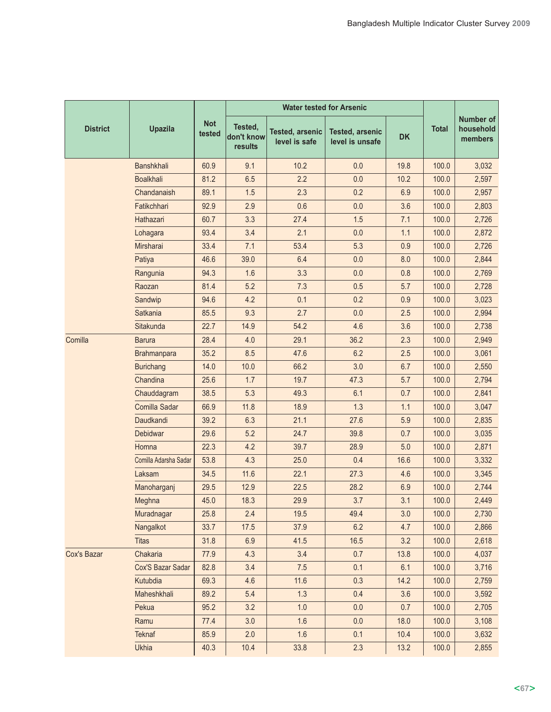|                 |                       |                      |                                  | <b>Water tested for Arsenic</b>         |                                           |           |              |                                          |
|-----------------|-----------------------|----------------------|----------------------------------|-----------------------------------------|-------------------------------------------|-----------|--------------|------------------------------------------|
| <b>District</b> | <b>Upazila</b>        | <b>Not</b><br>tested | Tested,<br>don't know<br>results | <b>Tested, arsenic</b><br>level is safe | <b>Tested, arsenic</b><br>level is unsafe | <b>DK</b> | <b>Total</b> | <b>Number of</b><br>household<br>members |
|                 | Banshkhali            | 60.9                 | 9.1                              | 10.2                                    | 0.0                                       | 19.8      | 100.0        | 3,032                                    |
|                 | <b>Boalkhali</b>      | 81.2                 | 6.5                              | 2.2                                     | 0.0                                       | 10.2      | 100.0        | 2,597                                    |
|                 | Chandanaish           | 89.1                 | 1.5                              | 2.3                                     | 0.2                                       | 6.9       | 100.0        | 2,957                                    |
|                 | Fatikchhari           | 92.9                 | 2.9                              | 0.6                                     | 0.0                                       | 3.6       | 100.0        | 2,803                                    |
|                 | Hathazari             | 60.7                 | 3.3                              | 27.4                                    | 1.5                                       | 7.1       | 100.0        | 2,726                                    |
|                 | Lohagara              | 93.4                 | 3.4                              | 2.1                                     | 0.0                                       | 1.1       | 100.0        | 2,872                                    |
|                 | Mirsharai             | 33.4                 | 7.1                              | 53.4                                    | 5.3                                       | 0.9       | 100.0        | 2,726                                    |
|                 | Patiya                | 46.6                 | 39.0                             | 6.4                                     | 0.0                                       | 8.0       | 100.0        | 2,844                                    |
|                 | Rangunia              | 94.3                 | 1.6                              | 3.3                                     | 0.0                                       | 0.8       | 100.0        | 2,769                                    |
|                 | Raozan                | 81.4                 | 5.2                              | 7.3                                     | 0.5                                       | 5.7       | 100.0        | 2,728                                    |
|                 | Sandwip               | 94.6                 | 4.2                              | 0.1                                     | 0.2                                       | 0.9       | 100.0        | 3,023                                    |
|                 | Satkania              | 85.5                 | 9.3                              | 2.7                                     | 0.0                                       | 2.5       | 100.0        | 2,994                                    |
|                 | Sitakunda             | 22.7                 | 14.9                             | 54.2                                    | 4.6                                       | 3.6       | 100.0        | 2,738                                    |
| Comilla         | <b>Barura</b>         | 28.4                 | 4.0                              | 29.1                                    | 36.2                                      | 2.3       | 100.0        | 2,949                                    |
|                 | <b>Brahmanpara</b>    | 35.2                 | 8.5                              | 47.6                                    | 6.2                                       | 2.5       | 100.0        | 3,061                                    |
|                 | <b>Burichang</b>      | 14.0                 | 10.0                             | 66.2                                    | 3.0                                       | 6.7       | 100.0        | 2,550                                    |
|                 | Chandina              | 25.6                 | 1.7                              | 19.7                                    | 47.3                                      | 5.7       | 100.0        | 2,794                                    |
|                 | Chauddagram           | 38.5                 | 5.3                              | 49.3                                    | 6.1                                       | 0.7       | 100.0        | 2,841                                    |
|                 | Comilla Sadar         | 66.9                 | 11.8                             | 18.9                                    | 1.3                                       | 1.1       | 100.0        | 3,047                                    |
|                 | Daudkandi             | 39.2                 | 6.3                              | 21.1                                    | 27.6                                      | 5.9       | 100.0        | 2,835                                    |
|                 | Debidwar              | 29.6                 | 5.2                              | 24.7                                    | 39.8                                      | 0.7       | 100.0        | 3,035                                    |
|                 | Homna                 | 22.3                 | 4.2                              | 39.7                                    | 28.9                                      | 5.0       | 100.0        | 2,871                                    |
|                 | Comilla Adarsha Sadar | 53.8                 | 4.3                              | 25.0                                    | 0.4                                       | 16.6      | 100.0        | 3,332                                    |
|                 | Laksam                | 34.5                 | 11.6                             | 22.1                                    | 27.3                                      | 4.6       | 100.0        | 3,345                                    |
|                 | Manoharganj           | 29.5                 | 12.9                             | 22.5                                    | 28.2                                      | 6.9       | 100.0        | 2,744                                    |
|                 | Meghna                | 45.0                 | 18.3                             | 29.9                                    | 3.7                                       | 3.1       | 100.0        | 2,449                                    |
|                 | Muradnagar            | 25.8                 | 2.4                              | 19.5                                    | 49.4                                      | 3.0       | 100.0        | 2,730                                    |
|                 | Nangalkot             | 33.7                 | 17.5                             | 37.9                                    | 6.2                                       | 4.7       | 100.0        | 2,866                                    |
|                 | <b>Titas</b>          | 31.8                 | 6.9                              | 41.5                                    | 16.5                                      | 3.2       | 100.0        | 2,618                                    |
| Cox's Bazar     | Chakaria              | 77.9                 | 4.3                              | 3.4                                     | 0.7                                       | 13.8      | 100.0        | 4,037                                    |
|                 | Cox'S Bazar Sadar     | 82.8                 | 3.4                              | 7.5                                     | 0.1                                       | 6.1       | 100.0        | 3,716                                    |
|                 | Kutubdia              | 69.3                 | 4.6                              | 11.6                                    | 0.3                                       | 14.2      | 100.0        | 2,759                                    |
|                 | Maheshkhali           | 89.2                 | 5.4                              | 1.3                                     | 0.4                                       | 3.6       | 100.0        | 3,592                                    |
|                 | Pekua                 | 95.2                 | 3.2                              | 1.0                                     | 0.0                                       | 0.7       | 100.0        | 2,705                                    |
|                 | Ramu                  | 77.4                 | 3.0                              | 1.6                                     | 0.0                                       | 18.0      | 100.0        | 3,108                                    |
|                 | <b>Teknaf</b>         | 85.9                 | $2.0\,$                          | 1.6                                     | 0.1                                       | 10.4      | 100.0        | 3,632                                    |
|                 | Ukhia                 | 40.3                 | 10.4                             | 33.8                                    | 2.3                                       | 13.2      | 100.0        | 2,855                                    |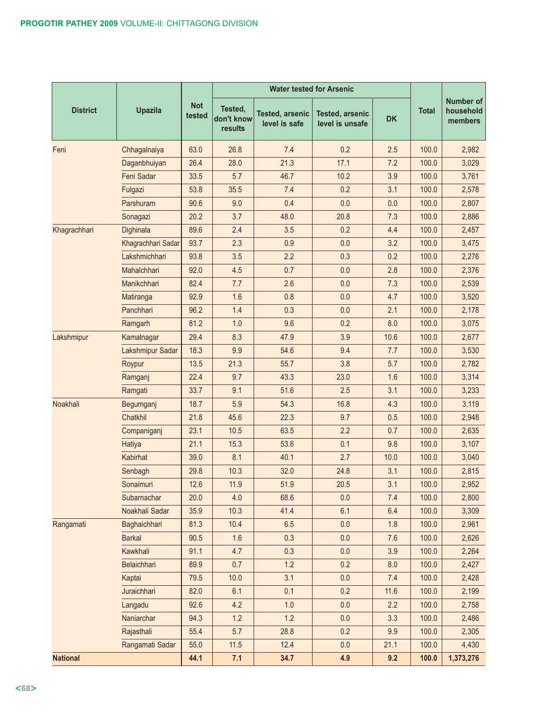|                 |                    |                      |                                  | <b>Water tested for Arsenic</b>         |                                           |           |              |                                          |
|-----------------|--------------------|----------------------|----------------------------------|-----------------------------------------|-------------------------------------------|-----------|--------------|------------------------------------------|
| <b>District</b> | <b>Upazila</b>     | <b>Not</b><br>tested | Tested,<br>don't know<br>results | <b>Tested, arsenic</b><br>level is safe | <b>Tested, arsenic</b><br>level is unsafe | <b>DK</b> | <b>Total</b> | <b>Number of</b><br>household<br>members |
| Feni            | Chhagalnaiya       | 63.0                 | 26.8                             | 7.4                                     | 0.2                                       | 2.5       | 100.0        | 2,982                                    |
|                 | Daganbhuiyan       | 26.4                 | 28.0                             | 21.3                                    | 17.1                                      | 7.2       | 100.0        | 3,029                                    |
|                 | Feni Sadar         | 33.5                 | 5.7                              | 46.7                                    | 10.2                                      | 3.9       | 100.0        | 3,761                                    |
|                 | Fulgazi            | 53.8                 | 35.5                             | 7.4                                     | 0.2                                       | 3.1       | 100.0        | 2,578                                    |
|                 | Parshuram          | 90.6                 | 9.0                              | 0.4                                     | 0.0                                       | 0.0       | 100.0        | 2,807                                    |
|                 | Sonagazi           | 20.2                 | 3.7                              | 48.0                                    | 20.8                                      | 7.3       | 100.0        | 2,886                                    |
| Khagrachhari    | Dighinala          | 89.6                 | 2.4                              | 3.5                                     | 0.2                                       | 4.4       | 100.0        | 2,457                                    |
|                 | Khagrachhari Sadar | 93.7                 | 2.3                              | 0.9                                     | 0.0                                       | 3.2       | 100.0        | 3,475                                    |
|                 | Lakshmichhari      | 93.8                 | 3.5                              | 2.2                                     | 0.3                                       | 0.2       | 100.0        | 2,276                                    |
|                 | Mahalchhari        | 92.0                 | 4.5                              | 0.7                                     | 0.0                                       | 2.8       | 100.0        | 2,376                                    |
|                 | Manikchhari        | 82.4                 | 7.7                              | 2.6                                     | 0.0                                       | 7.3       | 100.0        | 2,539                                    |
|                 | Matiranga          | 92.9                 | 1.6                              | 0.8                                     | 0.0                                       | 4.7       | 100.0        | 3,520                                    |
|                 | Panchhari          | 96.2                 | 1.4                              | 0.3                                     | 0.0                                       | 2.1       | 100.0        | 2,178                                    |
|                 | Ramgarh            | 81.2                 | 1.0                              | 9.6                                     | 0.2                                       | 8.0       | 100.0        | 3,075                                    |
| Lakshmipur      | Kamalnagar         | 29.4                 | 8.3                              | 47.9                                    | 3.9                                       | 10.6      | 100.0        | 2,677                                    |
|                 | Lakshmipur Sadar   | 18.3                 | 9.9                              | 54.6                                    | 9.4                                       | 7.7       | 100.0        | 3,530                                    |
|                 | Roypur             | 13.5                 | 21.3                             | 55.7                                    | 3.8                                       | 5.7       | 100.0        | 2,782                                    |
|                 | Ramganj            | 22.4                 | 9.7                              | 43.3                                    | 23.0                                      | 1.6       | 100.0        | 3,314                                    |
|                 | Ramgati            | 33.7                 | 9.1                              | 51.6                                    | 2.5                                       | 3.1       | 100.0        | 3,233                                    |
| Noakhali        | Begumganj          | 18.7                 | 5.9                              | 54.3                                    | 16.8                                      | 4.3       | 100.0        | 3,119                                    |
|                 | Chatkhil           | 21.8                 | 45.6                             | 22.3                                    | 9.7                                       | 0.5       | 100.0        | 2,948                                    |
|                 | Companiganj        | 23.1                 | 10.5                             | 63.5                                    | 2.2                                       | 0.7       | 100.0        | 2,635                                    |
|                 | Hatiya             | 21.1                 | 15.3                             | 53.6                                    | 0.1                                       | 9.8       | 100.0        | 3,107                                    |
|                 | Kabirhat           | 39.0                 | 8.1                              | 40.1                                    | 2.7                                       | 10.0      | 100.0        | 3,040                                    |
|                 | Senbagh            | 29.8                 | 10.3                             | 32.0                                    | 24.8                                      | 3.1       | 100.0        | 2,815                                    |
|                 | Sonaimuri          | 12.6                 | 11.9                             | 51.9                                    | 20.5                                      | 3.1       | 100.0        | 2,952                                    |
|                 | Subarnachar        | 20.0                 | 4.0                              | 68.6                                    | 0.0                                       | 7.4       | 100.0        | 2,800                                    |
|                 | Noakhali Sadar     | 35.9                 | 10.3                             | 41.4                                    | 6.1                                       | 6.4       | 100.0        | 3,309                                    |
| Rangamati       | Baghaichhari       | 81.3                 | 10.4                             | 6.5                                     | 0.0                                       | 1.8       | 100.0        | 2,961                                    |
|                 | <b>Barkal</b>      | 90.5                 | 1.6                              | 0.3                                     | 0.0                                       | 7.6       | 100.0        | 2,626                                    |
|                 | Kawkhali           | 91.1                 | 4.7                              | 0.3                                     | 0.0                                       | 3.9       | 100.0        | 2,264                                    |
|                 | Belaichhari        | 89.9                 | 0.7                              | 1.2                                     | 0.2                                       | 8.0       | 100.0        | 2,427                                    |
|                 | Kaptai             | 79.5                 | 10.0                             | 3.1                                     | 0.0                                       | 7.4       | 100.0        | 2,428                                    |
|                 | Juraichhari        | 82.0                 | 6.1                              | 0.1                                     | 0.2                                       | 11.6      | 100.0        | 2,199                                    |
|                 | Langadu            | 92.6                 | 4.2                              | 1.0                                     | 0.0                                       | 2.2       | 100.0        | 2,758                                    |
|                 | Naniarchar         | 94.3                 | 1.2                              | 1.2                                     | 0.0                                       | 3.3       | 100.0        | 2,486                                    |
|                 | Rajasthali         | 55.4                 | 5.7                              | 28.8                                    | 0.2                                       | 9.9       | 100.0        | 2,305                                    |
|                 | Rangamati Sadar    | 55.0                 | 11.5                             | 12.4                                    | 0.0                                       | 21.1      | 100.0        | 4,430                                    |
| <b>National</b> |                    | 44.1                 | 7.1                              | 34.7                                    | 4.9                                       | 9.2       | 100.0        | 1,373,276                                |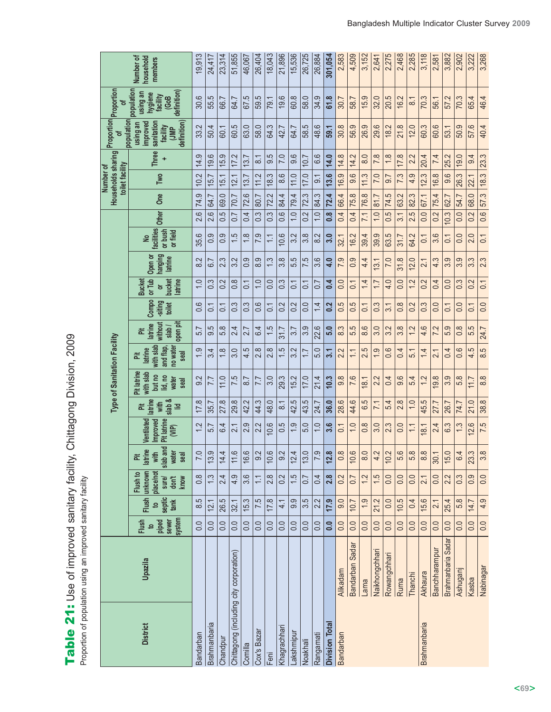| きょく てくこ<br>mon ne noin unit<br>Proportion of popular |
|------------------------------------------------------|
|------------------------------------------------------|

|                                         |                    |                                         |                                       |                                                                 |                                                         |                                                |                                     | Type of Sanitation Facility                                    |                                                       |                                              |                           |                                                          |                               |                                               |                    |                 | Households sharing<br>toilet facility<br>Number of | Proportion<br>population<br>٦f                                                             | Proportion                                                           |                                   |         |
|-----------------------------------------|--------------------|-----------------------------------------|---------------------------------------|-----------------------------------------------------------------|---------------------------------------------------------|------------------------------------------------|-------------------------------------|----------------------------------------------------------------|-------------------------------------------------------|----------------------------------------------|---------------------------|----------------------------------------------------------|-------------------------------|-----------------------------------------------|--------------------|-----------------|----------------------------------------------------|--------------------------------------------------------------------------------------------|----------------------------------------------------------------------|-----------------------------------|---------|
| <b>District</b>                         | Upazila            | system<br>piped<br>Flush<br>to<br>sewer | septic<br>tank<br>$\ddot{\mathbf{e}}$ | place/not<br>Flush unknown<br>Flush to<br>don't<br>know<br>sure | 흐<br>latrine<br>Ive quels<br>water<br>seal<br>with<br>ä | Ventilated<br>Pit latrine<br>Improved<br>(VIP) | slab &<br>latrine<br>with<br>三<br>ᄒ | Pit latrine<br>with slab<br>but no<br>lid, no<br>water<br>seal | with slab<br>and flap,<br>no water<br>latrine<br>seal | open pit<br>without<br>latrine<br>slab/<br>赱 | Compo<br>siting<br>toilet | <b>bucket</b><br>or Tub<br><b>Bucket</b><br>latrine<br>ð | hanging<br>Open or<br>latrine | <b>facilities</b><br>or bush<br>or field<br>₽ | Other <sup>1</sup> | <b>One</b>      | Two                                                | definition)<br>sanitation<br>improved<br>using an<br>facility<br>(JMP<br><b>Three</b><br>÷ | population<br>definition)<br>using an<br>hygiene<br>facility<br>(GoB | Number of<br>household<br>members |         |
| Bandarban                               |                    | 0.0                                     | 8.5                                   | $0.\overline{8}$                                                | $\overline{2}$                                          | Ņ.                                             | 17.8                                | 9.2                                                            | တ္<br>$\overline{\phantom{0}}$                        | $\overline{ }$<br>ယ                          | ဖ<br>ö                    | $\frac{0}{1}$                                            | $\mathbf{a}$<br>∞             | 35.6                                          | 6<br>$\sim$        | 74.9            | 10.2                                               | တ<br>$\overline{4}$ .                                                                      | 30.6<br>33.2                                                         |                                   | 19,913  |
| Brahmanbaria                            |                    | 0.0                                     | 12.1                                  | $\frac{3}{2}$                                                   | 13.9                                                    | 5.7                                            | 35.7                                | 7.7                                                            | 3.4                                                   | 9.5                                          | $\overline{C}$            | $0.\overline{3}$                                         | 6.7                           | $\frac{0}{2}$                                 | 2.6                | 64.7            | 15.7                                               | 19.6                                                                                       | 55.5<br>50.4                                                         |                                   | 24,417  |
| Chandpur                                |                    | 0.0                                     | 26.5                                  | 2.4                                                             | 14.4                                                    | 6.4                                            | 27.8                                | 11.0                                                           | $\frac{8}{1}$                                         | 5.8                                          | $\overline{C}$            | 0.2                                                      | 2.3                           | 0.9                                           | 0.5                | 69.0            | 15.1                                               | 15.9                                                                                       | 66.7<br>60.1                                                         |                                   | 23,314  |
| Chittagong (including city corporation) |                    | 0.0                                     | 32.1                                  | 4.9                                                             | 11.6                                                    | 21                                             | 29.8                                | 7.5                                                            | Q<br>ຕ່                                               | 2.4                                          | 0.3                       | $0.\overline{8}$                                         | 3.2                           | 1.5                                           | 0.7                | 70.7            | 12.1                                               | 17.2                                                                                       | 64.7<br>60.5                                                         |                                   | 51,855  |
| Comilla                                 |                    | 0.0                                     | 15.3                                  | 3.6                                                             | 16.6                                                    | 2.9                                            | 42.2                                | 6.7                                                            | гÚ<br>4                                               | 2.7                                          | 0.3                       | $\overline{0.1}$                                         | <u>ဇာ</u><br>ö                | 1.8                                           | 0.4                | 72.6            | 13.7                                               | 13.7                                                                                       | 67.5<br>63.0                                                         |                                   | 46,067  |
| Cox's Bazar                             |                    | 0.0                                     | 7.5                                   | $\overline{11}$                                                 | 9.2                                                     | 2.2                                            | 44.3                                | 7.7                                                            | 2.8                                                   | 6.4                                          | 0.6                       | $\frac{0}{1}$                                            | 8.9                           | 7.9                                           | $0.\overline{3}$   | 80.7            | 11.2                                               | $\overline{\circ}$                                                                         | 59.5<br>58.0                                                         |                                   | 26,404  |
| Feni                                    |                    | 0.0                                     | 17.8                                  | 2.8                                                             | 10.6                                                    | 0.6                                            | 48.0                                | 3.0                                                            | 2.8                                                   | 1.5                                          | $\overline{0}$ .          | 0.0                                                      | 1.3                           | $\Xi$                                         | $0.\overline{3}$   | 72.2            | 18.3                                               | 5<br>တ                                                                                     | 79.1<br>64.3                                                         |                                   | 18,043  |
| Khagrachhari                            |                    | 0.0                                     | 4.1                                   | 0.2                                                             | 9.2                                                     | ΓĊ.<br>ö                                       | $\infty$                            | 29.3                                                           | īσ.<br>$\overline{ }$                                 | 31.7                                         | 0.2                       | 0.3                                                      | $\infty$<br>က                 | 0.6                                           | 0.6                | 4<br>$\ddot{a}$ | 8.6                                                | $\frac{1}{2}$<br>7.0                                                                       | 19.6                                                                 |                                   | 21,896  |
| akshmipur                               |                    | 0.0                                     | 9.9                                   | 1.5                                                             | 12.4                                                    | $\frac{0}{1}$                                  | 42.5                                | 15.2                                                           | 3.2                                                   | 3.7                                          | 0.2                       | 0.1                                                      | 5.5                           | 3.2                                           | $\frac{0}{1}$      | 79.4            | 11.0                                               | 9.6                                                                                        | 60.8<br>64.7                                                         |                                   | 15,536  |
| Noakhali                                |                    | 0.0                                     | 3.5                                   | 0.7                                                             | 13.0                                                    | 5.0                                            | 43.5                                | 17.0                                                           | $\overline{1.7}$                                      | 3.9                                          | 0.0                       | $\overline{0}$ .                                         | 7.5                           | 3.8                                           | 0.2                | 72.3            | 17.0                                               | 10.7                                                                                       | 58.0<br>58.5                                                         |                                   | 26,725  |
| Rangamati                               |                    | 0.0                                     | 2.2                                   | 0.4                                                             | $\overline{52}$                                         | $\frac{0}{1}$                                  | 24.7                                | 21.4                                                           | 5.0                                                   | 22.6                                         | $\overline{4}$            | $\overline{0.7}$                                         | 3.6                           | 8.2                                           | $\frac{0}{1}$      | 84.3            | $\overline{9}$ .                                   | 6.6                                                                                        | 34.9<br>48.6                                                         |                                   | 26,884  |
| Division Total                          |                    | $\overline{0.0}$                        | 17.9                                  | 2.8                                                             | 12.8                                                    | 3.6                                            | 36.0                                | 10.3                                                           | 31                                                    | 5.0                                          | 0.2                       | $\overline{6}$                                           | 4.0                           | 3.0                                           | $0.\overline{8}$   | 72.4            | 13.6                                               | 14.0                                                                                       | 61.8<br>59.1                                                         |                                   | 301,054 |
| Bandarban                               | Alikadam           | 0.0                                     | 9.0                                   | 0.2                                                             | $0.\overline{8}$                                        | $\overline{0}$ :                               | 28.6                                | $9.\overline{8}$                                               | 2.2                                                   | 8.3                                          | 0.5                       | 0.0                                                      | 7.9                           | 32.1                                          | 0.4                | 66.4            | 16.9                                               | 14.8                                                                                       | 30.7<br>30.8                                                         |                                   | 2,583   |
|                                         | Bandarban Sadar    | 0.0                                     | 10.7                                  | 0.7                                                             | 10.6                                                    | $\overline{1}$ .0                              | 44.6                                | 7.6                                                            | $\overline{11}$                                       | 5.5                                          | 0.5                       | $\overline{0}$ :                                         | 0.9                           | 16.2                                          | 0.4                | 75.8            | 9.6                                                | 14.2                                                                                       | 58.7<br>56.9                                                         |                                   | 4,509   |
|                                         | Lama               | 0.0                                     | $\frac{0}{1}$                         | 1.2                                                             | $\frac{8}{6}$                                           | $\frac{8}{2}$                                  | 5<br>$\ddot{\circ}$                 | 18.1                                                           | 2.5                                                   | 8.6                                          | $\overline{0}$ .          | 1.4                                                      | 4.4                           | 39.4                                          | 71                 | 76.8            | 11.3                                               | $\frac{8}{6}$                                                                              | 15.9<br>26.9                                                         |                                   | 3,152   |
|                                         | Naikhongchhari     | 0.0                                     | 21.2                                  | 1.5                                                             | 4.2                                                     | 3.0                                            | 7.1                                 | 2.2                                                            | တ္                                                    | 3.0                                          | 0.3                       | $\overline{1.7}$                                         | 3.1                           | တ<br>39.                                      | $\overline{1}$ .0  | 81.7            | 7.0                                                | 7.8                                                                                        | 32.0<br>29.6                                                         |                                   | 2,641   |
|                                         | Rowangchhari       | 0.0                                     | 0.0                                   | 0.0                                                             | 10.2                                                    | 2.3                                            | 5.4                                 | 0.4                                                            | 0.6                                                   | 3.2                                          | 3.1                       | 4.0                                                      | 7.0                           | 63.5                                          | 5<br>ö             | 74.5            | 9.7                                                | $\frac{8}{1}$                                                                              | 20.5<br>18.2                                                         |                                   | 2,275   |
|                                         | Ruma               | 0.0                                     | 10.5                                  | 0.0                                                             | 5.6                                                     | 0.0                                            | 2.8                                 | 9.6                                                            | 0.4                                                   | 3.8                                          | $\frac{8}{2}$             | 0.0                                                      | 31.8                          | 31.7                                          | 31                 | 63.2            | 7.3                                                | 17.8                                                                                       | 16.2<br>21.8                                                         |                                   | 2,468   |
|                                         | Thanchi            | 0.0                                     | 0.4                                   | 0.0                                                             | 5.8                                                     | $\overline{11}$                                | $\frac{0}{1}$                       | 5.4                                                            | 5.1                                                   | 1.2                                          | 0.2                       | $\frac{2}{1}$                                            | 12.0                          | 64.2                                          | 5<br>Ń۰            | 82.3            | 4.9                                                | 2.2                                                                                        | $\overline{8}$ .<br>12.0                                             |                                   | 2,285   |
| <b>Brahmanbaria</b>                     | Akhaura            | 0.0                                     | 15.6                                  | 2.1                                                             | $\frac{8}{3}$                                           | $\overline{8}$                                 | 5<br>45.                            | 1.2                                                            | 1.4                                                   | 4.6                                          | 0.3                       | 0.2                                                      | 2.1                           | $\overline{0}$ :                              | 0.0                | 67.1            | 12.3                                               | 20.4                                                                                       | 70.3<br>60.3                                                         |                                   | 3,118   |
|                                         | Banchharampur      | 0.0                                     | 2.1                                   | 0.0                                                             | 30.1                                                    | 2.4                                            | 27.7                                | 19.8                                                           | 21                                                    | 7.2                                          | 0.0                       | 0.4                                                      | 4.3                           | 3.6                                           | 0.2                | 75.4            | 16.8                                               | 7.4                                                                                        | 56.1<br>60.6                                                         |                                   | 2,581   |
|                                         | Brahmanbaria Sadar | 0.0                                     | 25.4                                  | 2.2                                                             | 15.0                                                    | 6.3                                            | 26.7                                | 3.9                                                            | 0.4                                                   | 5.9                                          | $\overline{0}$ .          | 0.0                                                      | 3.9                           | $\overline{C}$                                | 10.3               | 62.7            | 9.6                                                | 25.2                                                                                       | 57.2<br>53.1                                                         |                                   | 3,882   |
|                                         | Ashuganj           | 0.0                                     | 5.8                                   | 0.3                                                             | 6.4                                                     | 1.3                                            | 74.7                                | 5.8                                                            | <u>(၁</u><br>ö                                        | $0.\overline{8}$                             | 0.0                       | $0.\overline{3}$                                         | 3.9                           | 0.0                                           | 0.0                | 54.7            | 26.3                                               | 19.0                                                                                       | 70.3<br>50.9                                                         |                                   | 2,902   |
|                                         | Kasba              | 0.0                                     | 14.7                                  | 0.9                                                             | 23.3                                                    | 12.6                                           | 21.0                                | 717                                                            | 5<br>4                                                | 5<br>ξ.                                      | $\overline{0}$ :          | 0.2                                                      | 3.3                           | 2.0                                           | 0.2                | 68.0            | 22.1                                               | 4<br>တ                                                                                     | 65.4<br>57.6                                                         |                                   | 3,222   |
|                                         | Nabinagar          | 0.0                                     | 4.9                                   | 0.0                                                             | 3.8                                                     | 7.5                                            | 38.8                                | 8.8                                                            | 8.5                                                   | 24.7                                         | 0.0                       | $\overline{0}$ .                                         | 2.3                           | $\overline{0}$ .                              | $\overline{0.6}$   | 57.3            | 18.3                                               | 23.3                                                                                       | 46.4<br>40.4                                                         |                                   | 3,268   |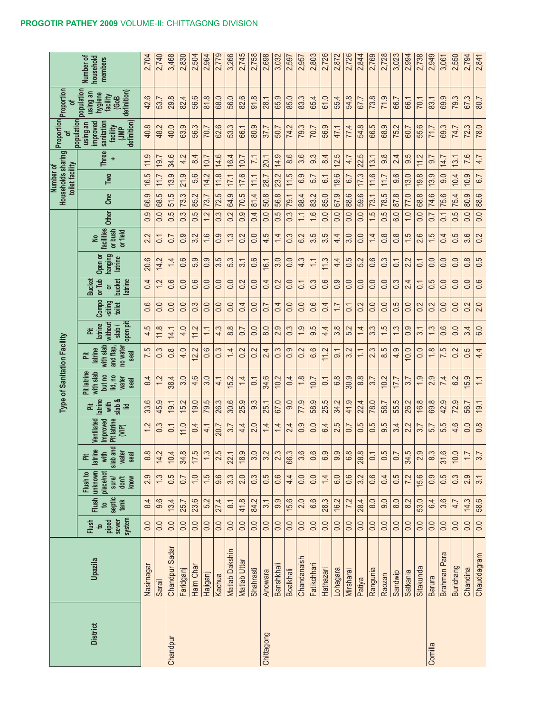|                 |                   |                                         |                                |                                                                      |                                                   |                                                |                                     | Type of Sanitation Facility                                    |                                                            |                                              |                            |                                                          |                               |                                        |                               | Households sharing | toilet facility<br>Number of | population                                                                             | Proportion   Proportion                                              |                                   |
|-----------------|-------------------|-----------------------------------------|--------------------------------|----------------------------------------------------------------------|---------------------------------------------------|------------------------------------------------|-------------------------------------|----------------------------------------------------------------|------------------------------------------------------------|----------------------------------------------|----------------------------|----------------------------------------------------------|-------------------------------|----------------------------------------|-------------------------------|--------------------|------------------------------|----------------------------------------------------------------------------------------|----------------------------------------------------------------------|-----------------------------------|
| <b>District</b> | Upazila           | system<br>piped<br>sewer<br>Flush<br>to | septic<br>tank<br>$\mathbf{e}$ | Flush to<br>Flush unknown<br>place/not<br>$rac{1}{2}$<br>$rac{1}{2}$ | slab and<br>latrine<br>water<br>with<br>seal<br>ä | Ventilated<br>Improved<br>Pit latrine<br>(VIP) | slab &<br>latrine<br>with<br>置<br>這 | Pit latrine<br>with slab<br>but no<br>lid, no<br>water<br>seal | with slab<br>and flap,<br>no water<br>latrine<br>seal<br>赱 | open pit<br>without<br>latrine<br>slab/<br>衁 | Compo<br>-siting<br>toilet | or Tub<br><b>bucket</b><br><b>Bucket</b><br>latrine<br>៦ | Open or<br>hanging<br>latrine | facilities<br>or bush<br>or field<br>ş | Other                         | One                | ÷<br>Two                     | definition)<br>sanitation<br>improved<br>using an<br>facility<br>(JMP)<br><b>Three</b> | population<br>definition)<br>using an<br>hygiene<br>facility<br>(GoB | Number of<br>household<br>members |
|                 | Nasirnagar        | 0.0                                     | 8.4                            | 2.9                                                                  | $\infty$<br>$\infty$                              | 1.2                                            | 33.6                                | 4<br>$\infty$                                                  | 7.5                                                        | 4.5                                          | 0.6                        | 0.4                                                      | 20.6                          | 2.2                                    | ၜ<br>ö                        | 66.9               | 11.9<br>16.5                 | 40.8                                                                                   | 42.6                                                                 | 2,704                             |
|                 | Sarail            | 0.0                                     | 9.6                            | 1.3                                                                  | $\sim$<br>$\overline{4}$                          | $0.\overline{3}$                               | 45.9                                | 12                                                             | 0.3                                                        | 11.8                                         | 0.0                        | $\frac{2}{3}$                                            | 14.2                          | $\overline{C}$                         | 0.0                           | 68.5               | 19.7<br>717                  | 48.2                                                                                   | 53.7                                                                 | 2,740                             |
| Chandpur        | Chandpur Sadar    | 0.0                                     | 13.4                           | 0.5                                                                  | 4<br>$\overline{10}$                              | $\overline{0}$ .                               | 19.1                                | 38.4                                                           | $0.\overline{8}$                                           | 14.1                                         | 0.0                        | 0.6                                                      | $1\overline{4}$               | $\overline{0}$ .                       | 0.5                           | 51.5               | 34.6<br>13.9                 | 40.0                                                                                   | 29.8                                                                 | 3,468                             |
|                 | Faridganj         | 0.0                                     | 25.7                           | 0.7                                                                  | $\infty$<br>34.                                   | 11.0                                           | 15.2                                | 3.0                                                            | 4.0                                                        | 4.0                                          | 0.0                        | 0.0                                                      | 0.6                           | 0.9                                    | 0.3                           | 73.3               | 4.2<br>21.9                  | 63.9                                                                                   | 82.4                                                                 | 2,830                             |
|                 | Haim Char         | 0.0                                     | 23.6                           | 1.0                                                                  | 5<br>$\overline{17}$                              | 0.4                                            | 19.0                                | 4.6                                                            | 12.2                                                       | 11.2                                         | $0.\overline{3}$           | 0.6                                                      | 5.9                           | 3.2                                    | 0.5                           | 85.2               | 8.4<br>5.6                   | 56.3                                                                                   | 56.6                                                                 | 2,504                             |
|                 | Hajiganj          | 0.0                                     | 5.2                            | 1.5                                                                  | 3                                                 | 4.1                                            | 79.5                                | 3.0                                                            | 0.6                                                        | $\overline{\phantom{0}}$                     | 0.0                        | 0.0                                                      | 0.9                           | 1,6                                    | 1.2                           | 14.2<br>73.7       | 70.7                         | 70.7                                                                                   | 81.8                                                                 | 2,964                             |
|                 | Kachua            | 0.0                                     | 27.4                           | 9.6                                                                  | $\overline{5}$<br>$\sim$                          | 20.7                                           | 26.3                                | 4 <sub>1</sub>                                                 | 0.3                                                        | 4.3                                          | 0.0                        | 0.0                                                      | 3.5                           | 0.9                                    | $0.\overline{3}$              | 72.5               | 14.6<br>11.8                 | 62.6                                                                                   | 68.0                                                                 | 2,779                             |
|                 | Matlab Dakshin    | 0.0                                     | $\overline{8}$ .               | 3.3                                                                  | ↽.<br>22.                                         | 3.7                                            | 30.6                                | 15.2                                                           | 1.4                                                        | 8.8                                          | 0.0                        | 0.0                                                      | 5.3                           | 1.3                                    | 0.2                           | 17.1<br>64.9       | 16.4                         | 53.3                                                                                   | 56.0                                                                 | 3,266                             |
|                 | Matlab Uttar      | 0.0                                     | 41.8                           | 2.0                                                                  | ၜ<br>$\frac{8}{3}$                                | 4.4                                            | 25.9                                | 1.4                                                            | 0.2                                                        | 0.7                                          | 0.4                        | 0.2                                                      | 31                            | 0.2                                    | 0.9                           | 70.5               | 70.7<br>17.6                 | 66.1                                                                                   | 82.6                                                                 | 2,745                             |
|                 | Shahrasti         | 0.0                                     | 84.2                           | 0.3                                                                  | $\circ$<br>$\sim$                                 | 2.0                                            | 9.3                                 | $\overline{0}$ .                                               | 0.2                                                        | 0.0                                          | 0.0                        | 0.0                                                      | 0.6                           | $\frac{0}{2}$                          | $\overline{6}$                | 81.4               | 11<br>11.1                   | 80.9                                                                                   | 91.8                                                                 | 2,758                             |
| Chittagong      | Anowara           | 0.0                                     | 3.1                            | 0.5                                                                  | $\sim$<br>$\sim$                                  | $\overline{4}$                                 | 25.1                                | 34.6                                                           | 2.4                                                        | 8.0                                          | 0.7                        | 0.4                                                      | 16.1                          | 4.5                                    | $\overline{0.0}$              | 28.7<br>50.8       | 20.1                         | 37.7                                                                                   | 28.1                                                                 | 2,698                             |
|                 | <b>Banshkhali</b> | 0.0                                     | 9.9                            | 0.6                                                                  | $\overline{\mathcal{S}}$<br>$\sim$                | $1\overline{4}$                                | 67.0                                | 10.2                                                           | 0.3                                                        | 2.9                                          | 0.4                        | 0.2                                                      | 3.0                           | $\overline{4}$                         | $\overline{6}$                | 23.2<br>56.8       | 14.9                         | 50.7                                                                                   | 65.9                                                                 | 3,032                             |
|                 | <b>Boalkhali</b>  | 0.0                                     | 15.6                           | 4.4                                                                  | $\overline{\mathcal{S}}$<br>66.                   | 2.4                                            | 9.0                                 | 0.4                                                            | 0.9                                                        | 0.3                                          | 0.0                        | 0.0                                                      | 0.0                           | 0.3                                    | $0.\overline{3}$              | 79.1               | 8.6<br>11,5                  | 74.2                                                                                   | 85.0                                                                 | 2,597                             |
|                 | Chandanaish       | 0.0                                     | 2.0                            | 0.0                                                                  | $\circ$<br>က                                      | 0.9                                            | 77.9                                | 1.8                                                            | 0.2                                                        | $\frac{0}{1}$                                | 0.0                        | $\overline{C}$                                           | 4.3                           | 6.2                                    | $\overline{1}$                | 88.4               | 3.6<br>6.9                   | 79.3                                                                                   | 83.3                                                                 | 2,957                             |
|                 | Fatikchhar        | 0.0                                     | 6.6                            | 0.0                                                                  | 6<br>$\circ$                                      | 0.0                                            | 58.9                                | 701                                                            | 6.6                                                        | 9.5                                          | 0.6                        | $0.\overline{3}$                                         | $\overline{11}$               | 3.5                                    | $\frac{6}{1}$                 | 83.2               | 9.3<br>5.7                   | 70.7                                                                                   | 65.4                                                                 | 2,803                             |
|                 | Hathazari         | 0.0                                     | 28.3                           | 1.4                                                                  | $\infty$<br>$\ddot{\circ}$                        | 6.4                                            | 25.5                                | $\overline{0}$ :                                               | 11.2                                                       | 4.4                                          | 0.4                        | 0.6                                                      | 11.3                          | 3.5                                    | 0.0                           | 85.0               | 8.4<br>61                    | 56.9                                                                                   | 61.0                                                                 | 2,726                             |
|                 | Lohagara          | 0.0                                     | 16.2                           | 6.0                                                                  | $\sigma$<br>$\infty$                              | 2.5                                            | 34.2                                | 6.8                                                            | 9.1                                                        | 3.8                                          | $\overline{1.7}$           | 0.9                                                      | 4.4                           | 4.4                                    | 0.0                           | 67.9               | 12.5<br>19.6                 | 47.1                                                                                   | 55.4                                                                 | 2,872                             |
|                 | Mirsharai         | 0.0                                     | 7.2                            | 0.6                                                                  | $\infty$<br>$\ddot{\circ}$                        | 0.7                                            | 41.9                                | 30.9                                                           | 3.2                                                        | 5.2                                          | $\overline{0}$ .           | 0.0                                                      | 0.5                           | 3.0                                    | 0.0                           | 88.6               | 4.7<br>6.7                   | 77.4                                                                                   | 54.8                                                                 | 2,726                             |
|                 | Patiya            | 0.0                                     | 28.4                           | 3.2                                                                  | $\infty$<br>28.                                   | 0.5                                            | 22.4                                | 8.8                                                            | $\overline{11}$                                            | 1.4                                          | 0.2                        | 0.0                                                      | 5.2                           | 0.0                                    | 0.0                           | 59.6               | 22.5<br>17.3                 | 54.8                                                                                   | 67.7                                                                 | 2,844                             |
|                 | Rangunia          | 0.0                                     | 8.0                            | 0.6                                                                  | 0.1                                               | 0.5                                            | 78.0                                | 3.7                                                            | 2.3                                                        | $3.\overline{3}$                             | 0.0                        | 0.0                                                      | 0.6                           | 1.4                                    | 1.5                           | 73.1               | 13.1<br>11.6                 | 66.5                                                                                   | 73.8                                                                 | 2,769                             |
|                 | Raozan            | 0.0                                     | 9.0                            | 0.4                                                                  | 5<br>$\circ$                                      | 5<br>တ                                         | 58.7                                | 10.2                                                           | 8.5                                                        | 1.5                                          | 0.0                        | 0.0                                                      | $0.\overline{3}$              | $\infty$<br>ö                          | 5<br>ö                        | 78.5               | 9.8<br>11.7                  | 68.9                                                                                   | 71.9                                                                 | 2,728                             |
|                 | Sandwip           | 0.0                                     | 8.0                            | 0.5                                                                  | $\overline{\phantom{0}}$<br>$\circ$               | 3.4                                            | 55.5                                | 17.7                                                           | 4.9                                                        | $\ddot{.}3$                                  | 0.5                        | 0.3                                                      | $\overline{C}$                | $0.\overline{8}$                       | 6.0                           | 87.8               | $\overline{2.4}$<br>9.6      | 75.2                                                                                   | 66.7                                                                 | 3,023                             |
|                 | Satkania          | 0.0                                     | 8.2                            | 7.2                                                                  | 5<br>34.                                          | 2.2                                            | 26.2                                | 3.7                                                            | 10.0                                                       | 0.9                                          | 0.0                        | 2.4                                                      | 2.2                           | 1.5                                    | $\overline{0}$ .              | 77.0               | 13.0                         | 60.7<br>9.5                                                                            | 66.1                                                                 | 2,994                             |
|                 | Sitakunda         | 0.0                                     | 53.0                           | 15.6                                                                 | ၜ<br>2.                                           | 3.7                                            | 16.8                                | တ.                                                             | 0.0                                                        | 31                                           | 0.2                        | $\overline{0}$ .                                         | $\overline{0}$                | 2.6                                    | 0.0                           | 68.8               | 11.2<br>19.8                 | 55.6                                                                                   | 70.1                                                                 | 2,738                             |
| Comilla         | <b>Barura</b>     | 0.0                                     | 6.4                            | 0.9                                                                  | 3<br>$\infty$                                     | 5.7                                            | 69.8                                | 2.9                                                            | $\frac{8}{1}$                                              | $\ddot{.}3$                                  | 0.2                        | $0.\overline{5}$                                         | 0.0                           | 1.5                                    | $\overline{ }$<br>ö           | 74.6               | 9.7<br>13.9                  | 71.7                                                                                   | 83.1                                                                 | 2,949                             |
|                 | Brahman Para      | 0.0                                     | 3.6                            | 0.5                                                                  | $\circ$<br>$\overline{31}$                        | 5.5                                            | တ<br>42.                            | 74                                                             | 7.5                                                        | 0.6                                          | 0.0                        | 0.0                                                      | 0.0                           | 4<br>ö                                 | $\overline{\phantom{0}}$<br>ö | 75.6               | 14.7<br>0.6                  | 69.3                                                                                   | ၜ<br>69.                                                             | 3,061                             |
|                 | <b>Burichang</b>  | 0.0                                     | 4.7                            | 0.3                                                                  | $\circ$<br>$\overline{10}$                        | 4.6                                            | တ<br>72.                            | Ņ<br>$\dot{\circ}$                                             | 0.2                                                        | 0.0                                          | 0.0                        | 0.0                                                      | 0.0                           | 5<br>ö                                 | 5<br>ö                        | 75.4               | 13.1<br>10.4                 | 74.7                                                                                   | 79.3                                                                 | 2,550                             |
|                 | Chandina          | 0.0                                     | 14.3                           | 2.9                                                                  | $\overline{ }$<br>$\overline{ }$                  | 0.0                                            | 56.7                                | 5.9                                                            | 0.5                                                        | 3.4                                          | 0.2                        | 0.0                                                      | $\infty$<br>ö                 | 3.6                                    | 0.0                           | ၜ<br>80.           | 10.9                         | 72.3<br>7.6                                                                            | 67.3                                                                 | 2,794                             |
|                 | Chauddagram       | 0.0                                     | 58.6                           | 3.1                                                                  | $\overline{ }$<br>$\sim$                          | $0.\overline{8}$                               | 19.1                                | $\overline{11}$                                                | 4.4                                                        | 6.0                                          | 2.0                        | 0.6                                                      | 0.5                           | 0.2                                    | 0.0                           | 88.6               | 4.7<br>6.7                   | 78.0                                                                                   | 80.7                                                                 | 2,841                             |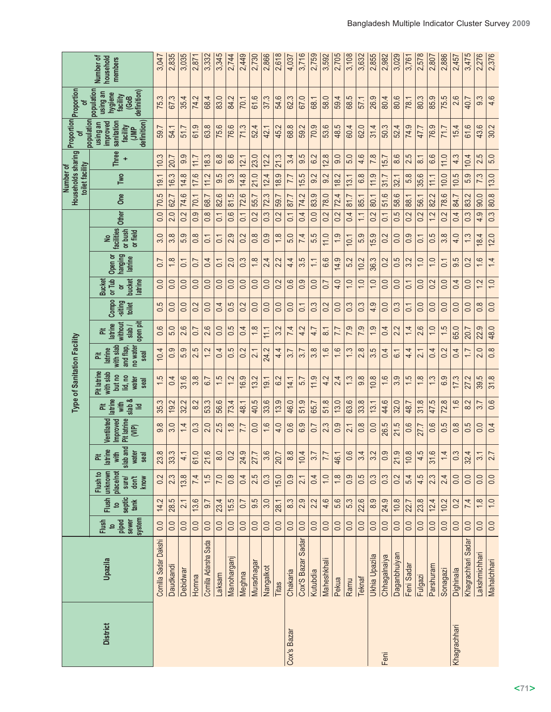|                 |                      |                                                   |                                |                                                                 |                                                   |                                                       |                                     | Type of Sanitation Facility                                    |                                                            |                                              |                           |                                                                |                               |                                        |                   | Households sharing | toilet facility<br>Number of |                   | <b>Proportion Proportion</b>                                                         | ቴ                                                                    |                                   |
|-----------------|----------------------|---------------------------------------------------|--------------------------------|-----------------------------------------------------------------|---------------------------------------------------|-------------------------------------------------------|-------------------------------------|----------------------------------------------------------------|------------------------------------------------------------|----------------------------------------------|---------------------------|----------------------------------------------------------------|-------------------------------|----------------------------------------|-------------------|--------------------|------------------------------|-------------------|--------------------------------------------------------------------------------------|----------------------------------------------------------------------|-----------------------------------|
| <b>District</b> | Upazila              | system<br>piped<br>sewer<br>Flush<br>$\mathbf{e}$ | septic<br>tank<br>$\mathbf{e}$ | Flush unknown<br>place/not<br>Flush to<br>know<br>$sure/$ don't | slab and<br>latrine<br>water<br>with<br>ä<br>seal | Ventilated<br><b>Improved</b><br>Pit latrine<br>(VIP) | slab &<br>latrine<br>with<br>赱<br>르 | Pit latrine<br>with slab<br>but no<br>lid, no<br>water<br>seal | with slab<br>and flap,<br>no water<br>latrine<br>seal<br>赱 | open pit<br>without<br>latrine<br>slab/<br>赱 | Compo<br>siting<br>toilet | bucket<br><b>Bucket</b><br>or Tub<br>latrine<br>$\overline{5}$ | Open or<br>hanging<br>latrine | facilities<br>or bush<br>or field<br>ş | Other             | One                | Two                          | <b>Three</b><br>٠ | population<br>definition)<br>sanitation<br>using an<br>improved<br>facility<br>(JMP) | population<br>definition)<br>using an<br>hygiene<br>facility<br>(GoB | Number of<br>household<br>members |
|                 | Comilla Sadar Dakshi | 0.0                                               | 14.2                           | 0.2                                                             | 23.8                                              | 9.8                                                   | 35.3                                | 1.5                                                            | 10.4                                                       | 0.6                                          | 0.5                       | 0.0                                                            | 0.7                           | 3.0                                    | 0.0               | 70.5               | 19.1                         | 10.3              | 59.7                                                                                 | 75.3                                                                 | 3,047                             |
|                 | Daudkandi            | 0.0                                               | 28.5                           | 2.3                                                             | 33.3                                              | 3.0                                                   | 19.2                                | 0.4                                                            | 0.9                                                        | 5.0                                          | 0.0                       | 0.0                                                            | $\frac{8}{1}$                 | 3.8                                    | 2.0               | 62.7               | 16.3                         | 20.7              | 54.1                                                                                 | 67.3                                                                 | 2,835                             |
|                 | Debidwar             | 0.0                                               | 21                             | 13.8                                                            | 4.                                                | 1.4                                                   | 32.2                                | 31.6                                                           | 5.9                                                        | 2.6                                          | 0.0                       | 0.0                                                            | $\overline{C}$                | ၜ<br>$\overline{5}$                    | 0.2               | 74.6               | 14.8                         | 9.9               | 51.7                                                                                 | 35.4                                                                 | 3,035                             |
|                 | Homna                | 0.0                                               | 13.6                           | 7.4                                                             | 61.0                                              | 0.3                                                   | 8.2                                 | 3.8                                                            | 2.5                                                        | $\overline{0.7}$                             | 0.2                       | 0.0                                                            | $\overline{0}$ .              | $0.\overline{8}$                       | 0.9               | 70.1               | 17.6                         | 11.7              | 61.9                                                                                 | 74.2                                                                 | 2,871                             |
|                 | Comilla Adarsha Sada | 0.0                                               | 9.7                            | 1.5                                                             | 21.6                                              | 2.0                                                   | 53.3                                | 6.7                                                            | 1.2                                                        | 2.6                                          | 0.0                       | 0.0                                                            | 0.4                           | $\overline{0}$ .                       | $\frac{8}{2}$     | 68.7               | 11.2                         | 18.3              | 63.8                                                                                 | 68.4                                                                 | 3,332                             |
|                 | Laksam               | 0.0                                               | 23.4                           | 7.0                                                             | $\frac{1}{\infty}$                                | 2.5                                                   | 56.6                                | 1.5                                                            | 0.4                                                        | 0.0                                          | 0.4                       | 0.0                                                            | $\overline{C}$                | $\overline{C}$                         | $\overline{0}$ .  | 82.6               | 9.5                          | 6.8               | 75.6                                                                                 | 83.0                                                                 | 3,345                             |
|                 | Manoharganj          | 0.0                                               | 15.5                           | $0.\overline{8}$                                                | 0.2                                               | 1.8                                                   | 73.4                                | 12                                                             | 0.5                                                        | 0.5                                          | 0.5                       | 0.0                                                            | 2.0                           | ၜ<br>$\overline{\mathcal{C}}$          | 0.6               | 81.5               | 9.3                          | 8.6               | 76.6                                                                                 | 84.2                                                                 | 2,744                             |
|                 | Meghna               | 0.0                                               | $\overline{0.7}$               | 0.4                                                             | 24.9                                              | 7.7                                                   | 48.1                                | 16.9                                                           | 0.2                                                        | 0.4                                          | 0.2                       | 0.0                                                            | 0.3                           | 0.2                                    | $\overline{0}$ .  | 72.6               | 14.8                         | 12.1              | 71.3                                                                                 | 70.1                                                                 | 2,449                             |
|                 | Muradnagar           | 0.0                                               | 9.5                            | 2.5                                                             | 27.                                               | 0.0                                                   | 40.5                                | 13.2                                                           | 2.1                                                        | $\frac{8}{1}$                                | 0.0                       | 0.0                                                            | $\frac{8}{1}$                 | $0.\overline{8}$                       | 0.2               | 55.7               | 21.0                         | 23.0              | 52.4                                                                                 | 61.6                                                                 | 2,730                             |
|                 | Nangalkot            | 0.0                                               | 3.0                            | 0.3                                                             | $\frac{1}{2}$                                     | 1.6                                                   | 33.6                                | 19.1                                                           | 24.2                                                       | 11.1                                         | 0.0                       | 0.0                                                            | 2.4                           | 0.9                                    | 0.3               | 72.3               | 12.4                         | 12.2              | 42.1                                                                                 | 37.3                                                                 | 2,866                             |
|                 | Titas                | 0.0                                               | 28.1                           | 15.0                                                            | 20.                                               | 4.0                                                   | 13.9                                | 6.2                                                            | 4.4                                                        | 3.2                                          | 0.0                       | 0.2                                                            | 2.2                           | 1.8                                    | 0.2               | 59.7               | 18.9                         | 21.3              | 45.2                                                                                 | 54.6                                                                 | 2,618                             |
| Cox's Baza      | Chakaria             | 0.0                                               | 8.3                            | 0.9                                                             | $\frac{1}{\infty}$                                | 0.6                                                   | 46.0                                | 14.1                                                           | 3.7                                                        | 7.4                                          | 0.0                       | 0.6                                                            | 4.4                           | 5.0                                    | $\overline{0}$ .  | 87.7               | 7.7                          | 3.4               | 68.8                                                                                 | 62.3                                                                 | 4,037                             |
|                 | Cox'S Bazar Sadar    | 0.0                                               | 2.9                            | 2.1                                                             | 10.4                                              | 6.9                                                   | 51.9                                | 5.7                                                            | 3.7                                                        | 4.2                                          | $\overline{0}$ .          | 0.9                                                            | 3.5                           | 7.4                                    | 0.4               | 74.2               | 15.5                         | 9.5               | 59.2                                                                                 | 67.0                                                                 | 3,716                             |
|                 | Kutubdia             | 0.0                                               | 2.2                            | 0.4                                                             | $\overline{\mathcal{E}}$                          | 0.7                                                   | 65.7                                | 11.9                                                           | 3.8                                                        | 4.7                                          | 0.3                       | 0.0                                                            | $\overline{1}$                | 5.5                                    | $\overline{0}$ .0 | 83.9               | 9.2                          | 6.2               | 70.9                                                                                 | 68.1                                                                 | 2,759                             |
|                 | Maheshkhali          | 0.0                                               | 4.6                            | 1.0                                                             | $\frac{1}{2}$                                     | 2.3                                                   | 51.8                                | 4.2                                                            | $\frac{6}{1}$                                              | $\overline{8}$ .                             | 0.2                       | 0.7                                                            | 6.6                           | 11.0                                   | 0.2               | 78.0               | 9.2                          | 12.8              | 53.6                                                                                 | 58.0                                                                 | 3,592                             |
|                 | Pekua                | 0.0                                               | 5.6                            | $\frac{8}{1}$                                                   | 46.                                               | 0.9                                                   | 13.0                                | 2.4                                                            | $\frac{6}{1}$                                              | 7.7                                          | 0.0                       | 4.0                                                            | 14.9                          | $\frac{0}{1}$                          | 0.2               | 72.4               | 18.2                         | 9.0               | 48.5                                                                                 | 59.4                                                                 | 2,705                             |
|                 | Ramu                 | 0.0                                               | 5.3                            | 0.9                                                             | $\tilde{\circ}$                                   | 21                                                    | 63.6                                | $\ddot{1}$                                                     | $\ddot{.}3$                                                | 7.9                                          | 0.3                       | 0.1                                                            | 5.2                           | 10.1                                   | 0.4               | 81,7               | 13.1                         | 5.0               | 60.4                                                                                 | 68.5                                                                 | 3,108                             |
|                 | Teknaf               | 0.0                                               | 22.6                           | 0.5                                                             | 3.4                                               | $0.\overline{8}$                                      | 33.8                                | 9.8                                                            | 2.8                                                        | 7.9                                          | 0.3                       | $\overline{1}$ .0                                              | 10.2                          | 5.9                                    | $\overline{11}$   | 85.1               | 6.8                          | 4.6               | 62.0                                                                                 | 57.1                                                                 | 3,632                             |
|                 | Ukhia Upazila        | 0.0                                               | 8.9                            | 0.3                                                             | 3.2                                               | 0.0                                                   | 13.1                                | 10.8                                                           | 3.5                                                        | $\frac{0}{1}$                                | 4.9                       | $\overline{1}$ .0                                              | 36.3                          | 15.9                                   | 0.2               | 80.1               | 11.9                         | 7.8               | 31.4                                                                                 | 26.9                                                                 | 2,855                             |
| Feni            | Chhagalnaiya         | 0.0                                               | 24.9                           | 0.3                                                             | 0.9                                               | 26.5                                                  | 44.6                                | 1.6                                                            | 0.4                                                        | 0.4                                          | 0.0                       | 0.0                                                            | 0.2                           | 0.2                                    | $\overline{0}$ .  | 51.6               | 31.7                         | 15.7              | 50.3                                                                                 | 80.4                                                                 | 2,982                             |
|                 | Daganbhuiyan         | 0.0                                               | 10.8                           | 0.2                                                             | 21.9                                              | 21.5                                                  | 32.0                                | <u>ဇ</u><br>က                                                  | 6.1                                                        | 2.2                                          | 0.3                       | 0.0                                                            | 0.5                           | 0.0                                    | 0.5               | 58.6               | 32.1                         | 8.6               | 52.4                                                                                 | 80.6                                                                 | 3,029                             |
|                 | Feni Sadar           | 0.0                                               | 22.7                           | 5.4                                                             | 10.8                                              | 0.6                                                   | 48.7                                | 1.5                                                            | 4.4                                                        | 1.4                                          | $\overline{0}$ .          | $\overline{0}$ .                                               | 3.2                           | 0.9                                    | 0.2               | 88.1               | 5.8                          | 2.5               | 74.9                                                                                 | 78.1                                                                 | 3,761                             |
|                 | Fulgazi              | 0.0                                               | 23.8                           | 4.5                                                             | 4.5                                               | 27.7                                                  | 31.8                                | $\frac{8}{1}$                                                  | 2.1                                                        | 2.6                                          | 0.0                       | 0.0                                                            | $\overline{1.0}$              | $\overline{0}$ .                       | 0.2               | 56.1               | 35.6                         | $\overline{8}$ .  | 47.7                                                                                 | 80.3                                                                 | 2,578                             |
|                 | Parshuram            | 0.0                                               | 12.4                           | 2.3                                                             | 31.6                                              | 0.6                                                   | 47.5                                | 1.3                                                            | 0.4                                                        | $\overline{1}$ .0                            | 0.0                       | Ņ<br>ö                                                         | 1.0                           | 0.5                                    | 1.2               | 82.2               | 11.1                         | 6.6               | 76.9                                                                                 | 85.9                                                                 | 2,807                             |
|                 | Sonagazi             | 0.0                                               | 10.2                           | 2.4                                                             | 1.4                                               | 0.5                                                   | $\infty$<br>72.                     | တ္<br>$\circ$                                                  | 0.2                                                        | 1.5                                          | 0.0                       | 0.0                                                            | $\overline{C}$                | 3.8                                    | $\mathbf{a}$<br>ö | 78.6               | 10.0                         | 11.0              | 71.7                                                                                 | 75.5                                                                 | 2,886                             |
| Khagrachhari    | <b>Dighinala</b>     | 0.0                                               | 0.2                            | 0.0                                                             | 0.3                                               | $\frac{8}{2}$                                         | $\frac{6}{1}$                       | 17.3                                                           | 0.4                                                        | 65.0                                         | 0.0                       | 4<br>ö                                                         | 9.5                           | 4.0                                    | 4<br>ö            | 84.7               | 10.5                         | 4.3               | 15.4                                                                                 | 2.6                                                                  | 2,457                             |
|                 | Khagrachhari Sadar   | 0.0                                               | 7.4                            | 0.0                                                             | 32.4                                              | 5<br>ö                                                | 8.2                                 | 27.2                                                           | $\overline{1.7}$                                           | 20.7                                         | 0.0                       | $\cup$<br>ö                                                    | 0.2                           | 1.3                                    | 0.3               | 83.2               | 5.9                          | 10.4              | 61.6                                                                                 | 40.7                                                                 | 3,475                             |
|                 | Lakshmichhari        | 0.0                                               | $\frac{8}{1}$                  | 0.0                                                             | $\frac{1}{3}$                                     | 0.0                                                   | 3.7                                 | 39.5                                                           | 2.0                                                        | 22.9                                         | $0.\overline{8}$          | ζ.                                                             | $\frac{6}{1}$                 | 4<br>$\infty$                          | ၜ<br>4.           | 90.0               | 73                           | 2.5               | 43.6                                                                                 | 9.3                                                                  | 2,276                             |
|                 | Mahalchhari          | 0.0                                               | 1.0                            | 0.0                                                             | $\overline{\tilde{c}}$                            | 0.4                                                   | 0.6                                 | 31.8                                                           | $0.\overline{8}$                                           | 48.0                                         | 0.0                       | $\overline{1.0}$                                               | 1.4                           | 12.0                                   | $\overline{0.3}$  | 80.8               | 13.0                         | 5.0               | 30.2                                                                                 | 4.6                                                                  | 2,376                             |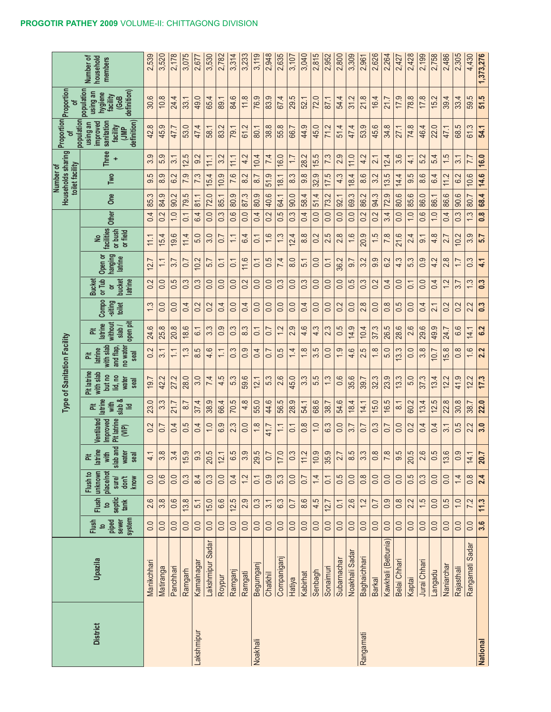|                              | Number of<br>household<br>members                                                    | 2,539       | 3,520             | 2,178           | 3,075          | 2,677      | 3,530            | 2,782            | 3,314            | 3,233            | 3,119            | 2,948          | 2,635            | 3,107            | 3,040            | 2,815         | 2,952            | 2,800             | 3,309          | 2,961            | 2,626            | 2,264               | 2,427            | 2,428            | 2,199                    | 2,758         | 2,486      | 2,305             | 4,430            | 1,373,276        |
|------------------------------|--------------------------------------------------------------------------------------|-------------|-------------------|-----------------|----------------|------------|------------------|------------------|------------------|------------------|------------------|----------------|------------------|------------------|------------------|---------------|------------------|-------------------|----------------|------------------|------------------|---------------------|------------------|------------------|--------------------------|---------------|------------|-------------------|------------------|------------------|
| Proportion Proportion        | population<br>definition)<br>using an<br>hygiene<br>facility<br>(GoB                 | 30.6        | 10.8              | 24.4            | 33.1           | 49.0       | 65.4             | 89.1             | 84.6             | 11.8             | 76.9             | 83.9           | 67.4             | 29.5             | 52.1             | 72.0          | 87.1             | 54.4              | 31.2           | 21.8             | 16.4             | 21.7                | 17.9             | 78.8             | 17.8                     | 15.2          | 39.4       | 33.4              | 59.5             | 51.5             |
| ō                            | population<br>definition)<br>improved<br>sanitation<br>using an<br>facility<br>(JMP) | 42.8        | 45.9              | 47.7            | 53.0           | 47.4       | 58.1             | 83.2             | 79.1             | 61.2             | 80.1             | 38.8           | 55.8             | 66.7             | 44.9             | 45.0          | 71.2             | 51.4              | 47.4           | 53.9             | 45.6             | 34.8                | 27.1             | 74.8             | 46.4                     | 22.0          | 47.1       | 68.5              | 61.3             | 54.1             |
| Households sharing           | Three<br>٠                                                                           | 3.9         | 5.9               | 31              | $12.5$         | 9.2        | 11.1             | 3.2              | 11.1             | 4.2              | 10.4             | 7.4            | 16.0             | $\overline{1.7}$ | 28.2             | 15.5          | 7.3              | 2.9               | 11.0           | 4.2              | 21               | 12.4                | 3.6              | 4.1              | 5.2                      | 5.4           | 1.5        | 31                | 7.7              | 16.0             |
| toilet facility<br>Number of | Two                                                                                  | rö<br>တ     | $\overline{8}$ .8 | 6.2             | 7.9            | 7.3        | 15.4             | 10.9             | 7.6              | 8.2              | 8.7              | 51.9           | 18.1             | 8.3              | 9.8              | 32.9          | 17.5             | 4.3               | 18.4           | 8.6              | 3.2              | 13.5                | 14.4             | 9.5              | 9<br>$\infty$            | 4<br>6        | 11.2       | 6.2               | 10.6             | 14.6             |
|                              | One                                                                                  | 85.3        | 84.9              | 90.2            | 79.5           | 81.1       | 72.0             | 85.1             | 80.9             | 87.3             | 80.9             | 40.6           | 64.1             | 90.0             | 58.4             | 51.4          | 73.2             | 92.1              | 69.3           | 86.2             | 94.3             | 72.9                | 80.6             | 85.6             | 86.0                     | 86.1          | 86.6       | 90.6              | 80.7             | 68.4             |
|                              | Other                                                                                | 4<br>ö      | 0.2               | 1.0             | $\overline{C}$ | 6.4        | $\overline{0}$ . | 3.0              | $\frac{6}{2}$    | $\overline{0}$ . | 0.4              | 0.2            | 0.5              | $\ddot{0}$ .     | 0.4              | $\frac{0}{2}$ | $\frac{0}{0}$    | $\overline{0}$ .0 | 0.0            | 0.2              | 0.2              | 3.4                 | 0.0              | 1.0              | 0.6                      | $\frac{0}{1}$ | 0.4        | 0.3               | 1.3              | $\overline{0.8}$ |
|                              | facilities<br>or bush<br>or field<br>₽                                               | 11.1        | 5.4               | 9.6             | 11.4           | 5.0        | 3.0              | $\overline{0.7}$ | $\overline{11}$  | 6.4              | $\overline{0}$   | 1.6            | 1.3              | 12.4             | 8.8              | 0.2           | 2.5              | 2.8               | 1,6            | 20.9             | 1.5              | 7.8                 | 21.6             | 2.4              | $\overline{9}$           | 4.8           | 2.7        | 10.2              | 3.9              | 5.7              |
|                              | Open or<br>hanging<br>latrine                                                        | 12.7        | $\overline{1}$    | 3.7             | 0.7            | 10.2       | 5.7              | $\overline{0}$ . | $\overline{0}$ : | 11.6             | $\overline{0}$ . | 0.5            | 7.4              | 8.0              | 5.1              | 0.0           | $\overline{0}$ . | 36.2              | 9.7            | 3.2              | 9.9              | 6.2                 | 4.3              | 5.3              | 0.9                      | 4.2           | 2.8        | $\overline{1.7}$  | 0.3              | 41               |
|                              | <b>Bucket</b><br>bucket<br>or Tub<br>latrine<br>៦                                    | 0.2         | $\frac{0}{0}$     | 0.5             | 0.3            | 0.3        | 0.0              | 0.0              | 0.0              | 0.2              | 0.0              | 0.0            | $0.\overline{3}$ | 0.0              | $0.\overline{3}$ | 0.0           | 0.0              | 0.0               | 0.5            | $0.\overline{3}$ | 0.2              | 0.4                 | 0.0              | $\overline{0}$ . | 0.0                      | 0.4           | 1.2        | 3.7               | 1.3              | 0.3              |
|                              | Compo<br>siting<br>toilet                                                            | 1.3         | $\frac{0}{2}$     | 0.0             | 0.4            | 0.2        | 0.2              | 0.4              | 0.0              | 0.4              | 0.0              | 0.0            | 0.0              | 0.0              | 0.4              | 0.0           | 0.0              | 0.2               | 0.0            | 2.8              | 0.0              | $0.\overline{8}$    | 0.5              | 0.0              | 0.4                      | 2.1           | 0.2        | 0.2               | 2.2              | 0.3              |
|                              | open pit<br>without<br>latrine<br>slab/<br>赱                                         | 24.6        | 25.8              | 20.8            | 18.6           | 61         | 3.3              | 0.9              | $0.\overline{3}$ | 8.3              | $\overline{0}$ : | 0.7            | 1.2              | 2.9              | 4.6              | 4.3           | 2.3              | 0.5               | 14.9           | 10.4             | 37.3             | 26.5                | 28.6             | 2.6              | 29.6                     | 49.9          | 24.7       | 6<br>Ġ            | 14.1             | 6.2              |
|                              | with slab<br>and flap,<br>no water<br>latrine<br>seal<br>赱                           | 0.2         | 3.1               | $\overline{11}$ | 1.3            | 8.5        | 4.6              | $\overline{11}$  | 0.3              | 0.9              | 0.4              | 0.7            | 0.5              | 1.4              | $\frac{8}{1}$    | 3.5           | 0.0              | $\frac{0}{1}$     | 4.6            | 2.5              | 1.8              | 5.0                 | 13.3             | 0.0              | 3.8                      | 10.7          | 15.8       | 0.8               | $\frac{6}{1}$    | 2.2              |
| Type of Sanitation Facility  | Pit latrine<br>with slab<br>but no<br>lid, no<br>water<br>seal                       | 19.7        | 42.2              | 27.2            | 28.0           | 3.0        | 7.4              | 4.5              | 5.3              | 59.6             | 12.1             | 5.3            | 2.6              | 45.0             | $3.\overline{3}$ | 5.5           | $\frac{3}{3}$    | 0.6               | 35.6           | 39.7             | 32.3             | 23.9                | 13.3             | 5.0              | 37.3                     | 13.4          | 12.2       | 41.9              | 12.2             | 17.3             |
|                              | latrine<br>slab &<br>with<br>盂<br>르                                                  | 23.0        | 3.3               | 21.7            | 8.7            | 37.4       | 38.9             | 66.4             | 70.5             | 4.8              | 55.0             | 44.6           | 56.5             | 28.9             | 54.1             | 68.6          | 38.7             | 54.6              | 18.4           | 14.1             | 15.0             | 16.5                | $\overline{8}$ . | 60.2             | 13.4                     | 12.5          | 22.8       | 30.8              | 38.7             | 22.0             |
|                              | Ventilated<br>Pit latrine<br>Improved<br>(VIP)                                       | 0.2         | 0.7               | 0.4             | 5 O            | 0.4        | 1.0              | 6.9              | 2.3              | 0.0              | $\frac{8}{1}$    | 41.7           | $\overline{11}$  | $\overline{0}$ : | $\frac{8}{2}$    | $\frac{0}{1}$ | 6.3              | $\frac{0}{0}$     | 3.7            | 0.7              | 0.3              | 0.7                 | 0.0              | 0.2              | 0.4                      | 0.4           | 31         | 0.5               | 2.2              | 3.0              |
|                              | $\overline{e}$<br>latrine<br>water<br>with<br>ä<br>slab a<br>seal                    | 4.          | 3.8               | 3.4             | 15.9           | 9.3        | 20.5             | 12.              | 6.5              | 3.9              | 29.5             | $\ddot{\circ}$ | 17.0             | 0.3              | 11.2             | 10.9          | 35.9             | $\alpha$          | 8.5            | 3.3              | $0.\overline{8}$ | 7.8                 | 9.5              | 20.5             | $\circ$<br>$\frac{1}{2}$ | 0.5           | 13.6       | 0.9               | $\frac{4}{1}$    | 20.7             |
|                              | Flush unknown<br>place/not<br>Flush to<br>know<br>$s$ ure/<br>don't                  | 0.0         | 0.6               | 0.0             | 0.3            | 8.4        | 0.3              | 0.0              | 0.4              | 1.2              | 0.1              | 0.9            | 5.3              | 0.0              | 0.7              | 1.4           | $\overline{0}$ . | 0.5               | 0.0            | $0.\overline{8}$ | 0.0              | 0.0                 | 0.0              | 0.5              | 0.3                      | 0.0           | 0.0        | 1.4               | $0.\overline{8}$ | 2.4              |
|                              | septic<br>tan k<br>$\mathbf{S}$                                                      | 2.6         | 3.8               | 0.6             | 13.8           | 5.1        | 15.0             | 6.6              | 12.5             | 2.9              | 0.3              | 3.1            | 6.3              | 0.7              | 8.6              | 4.5           | 12.7             | 0.1               | 2.6            | 1.2              | 0.7              | 0.9                 | $0.\overline{8}$ | 2.2              | 1.5                      | 0.0           | 0.5        | $\overline{1}$ .0 | 7.2              | 11.3             |
|                              | system<br>piped<br>sewer<br>Flush<br>$\mathbf{e}$                                    | 0.0         | 0.0               | 0.0             | 0.0            | 0.0        | 0.0              | 0.0              | 0.0              | 0.0              | 0.0              | 0.0            | 0.0              | 0.0              | 0.0              | 0.0           | 0.0              | 0.0               | 0.0            | 0.0              | 0.0              | 0.0                 | 0.0              | 0.0              | 0.0                      | 0.0           | 0.0        | 0.0               | 0.0              | 3.6              |
|                              | Upazila                                                                              | Manikchhari | Matiranga         | Panchhari       | Ramgarh        | Kamalnagar | Lakshmipur Sadar | Roypur           | Ramganj          | Ramgati          | Begumganj        | Chatkhil       | Companiganj      | Hatiya           | Kabirhat         | Senbagh       | Sonaimuri        | Subamachar        | Noakhali Sadar | Baghaichhari     | <b>Barkal</b>    | Kawkhali (Betbunia) | Belai Chhari     | Kaptai           | Jurai Chhari             | Langadu       | Naniarchar | Rajasthali        | Rangamati Sadar  |                  |
|                              | <b>District</b>                                                                      |             |                   |                 |                | Lakshmipur |                  |                  |                  |                  | Noakhali         |                |                  |                  |                  |               |                  |                   |                | Rangamati        |                  |                     |                  |                  |                          |               |            |                   |                  | National         |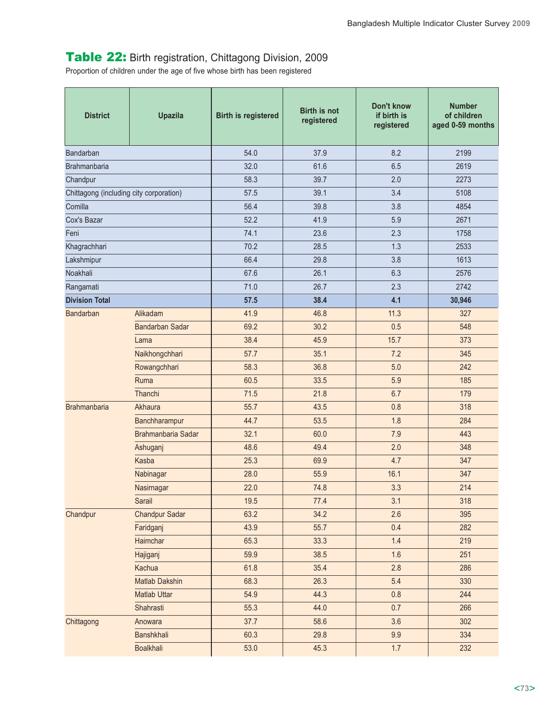## Table 22: Birth registration, Chittagong Division, 2009

Proportion of children under the age of five whose birth has been registered

| <b>District</b>                         | <b>Upazila</b>         | <b>Birth is registered</b> | <b>Birth is not</b><br>registered | <b>Don't know</b><br>if birth is<br>registered | <b>Number</b><br>of children<br>aged 0-59 months |
|-----------------------------------------|------------------------|----------------------------|-----------------------------------|------------------------------------------------|--------------------------------------------------|
| <b>Bandarban</b>                        |                        | 54.0                       | 37.9                              | 8.2                                            | 2199                                             |
| <b>Brahmanbaria</b>                     |                        | 32.0                       | 61.6                              | 6.5                                            | 2619                                             |
| Chandpur                                |                        | 58.3                       | 39.7                              | 2.0                                            | 2273                                             |
| Chittagong (including city corporation) |                        | 57.5                       | 39.1                              | 3.4                                            | 5108                                             |
| Comilla                                 |                        | 56.4                       | 39.8                              | 3.8                                            | 4854                                             |
| Cox's Bazar                             |                        | 52.2                       | 41.9                              | 5.9                                            | 2671                                             |
| Feni                                    |                        | 74.1                       | 23.6                              | 2.3                                            | 1758                                             |
| Khagrachhari                            |                        | 70.2                       | 28.5                              | 1.3                                            | 2533                                             |
| Lakshmipur                              |                        | 66.4                       | 29.8                              | 3.8                                            | 1613                                             |
| Noakhali                                |                        | 67.6                       | 26.1                              | 6.3                                            | 2576                                             |
| Rangamati                               |                        | 71.0                       | 26.7                              | 2.3                                            | 2742                                             |
| <b>Division Total</b>                   |                        | 57.5                       | 38.4                              | 4.1                                            | 30,946                                           |
| <b>Bandarban</b>                        | Alikadam               | 41.9                       | 46.8                              | 11.3                                           | 327                                              |
|                                         | <b>Bandarban Sadar</b> | 69.2                       | 30.2                              | 0.5                                            | 548                                              |
|                                         | Lama                   | 38.4                       | 45.9                              | 15.7                                           | 373                                              |
|                                         | Naikhongchhari         | 57.7                       | 35.1                              | 7.2                                            | 345                                              |
|                                         | Rowangchhari           | 58.3                       | 36.8                              | 5.0                                            | 242                                              |
|                                         | Ruma                   | 60.5                       | 33.5                              | 5.9                                            | 185                                              |
|                                         | Thanchi                | 71.5                       | 21.8                              | 6.7                                            | 179                                              |
| Brahmanbaria                            | Akhaura                | 55.7                       | 43.5                              | 0.8                                            | 318                                              |
|                                         | Banchharampur          | 44.7                       | 53.5                              | 1.8                                            | 284                                              |
|                                         | Brahmanbaria Sadar     | 32.1                       | 60.0                              | 7.9                                            | 443                                              |
|                                         | Ashuganj               | 48.6                       | 49.4                              | 2.0                                            | 348                                              |
|                                         | <b>Kasba</b>           | 25.3                       | 69.9                              | 4.7                                            | 347                                              |
|                                         | Nabinagar              | 28.0                       | 55.9                              | 16.1                                           | 347                                              |
|                                         | Nasirnagar             | 22.0                       | 74.8                              | 3.3                                            | 214                                              |
|                                         | Sarail                 | 19.5                       | 77.4                              | 3.1                                            | 318                                              |
| Chandpur                                | <b>Chandpur Sadar</b>  | 63.2                       | 34.2                              | 2.6                                            | 395                                              |
|                                         | Faridganj              | 43.9                       | 55.7                              | 0.4                                            | 282                                              |
|                                         | Haimchar               | 65.3                       | 33.3                              | $1.4$                                          | 219                                              |
|                                         | Hajiganj               | 59.9                       | 38.5                              | $1.6\,$                                        | 251                                              |
|                                         | Kachua                 | 61.8                       | 35.4                              | 2.8                                            | 286                                              |
|                                         | <b>Matlab Dakshin</b>  | 68.3                       | 26.3                              | $5.4\,$                                        | 330                                              |
|                                         | <b>Matlab Uttar</b>    | 54.9                       | 44.3                              | 0.8                                            | 244                                              |
|                                         | Shahrasti              | 55.3                       | 44.0                              | 0.7                                            | 266                                              |
| Chittagong                              | Anowara                | 37.7                       | 58.6                              | 3.6                                            | 302                                              |
|                                         | Banshkhali             | 60.3                       | 29.8                              | 9.9                                            | 334                                              |
|                                         | Boalkhali              | 53.0                       | 45.3                              | 1.7                                            | 232                                              |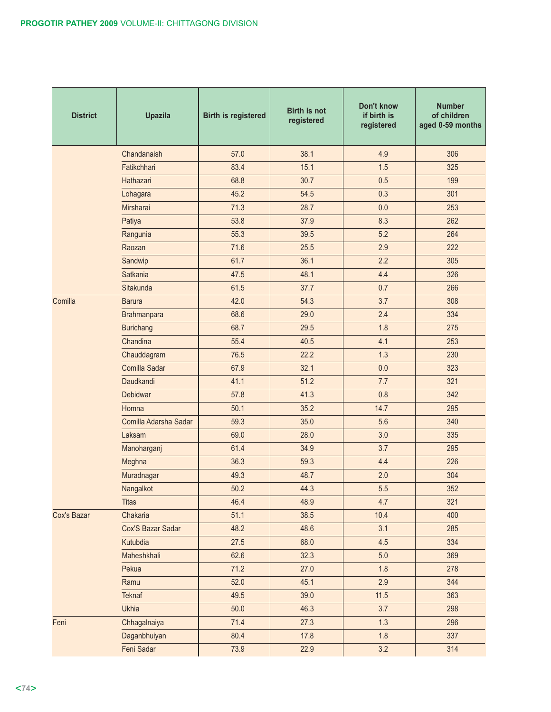| <b>District</b> | <b>Upazila</b>        | <b>Birth is registered</b> | <b>Birth is not</b><br>registered | <b>Don't know</b><br>if birth is<br>registered | <b>Number</b><br>of children<br>aged 0-59 months |
|-----------------|-----------------------|----------------------------|-----------------------------------|------------------------------------------------|--------------------------------------------------|
|                 | Chandanaish           | 57.0                       | 38.1                              | 4.9                                            | 306                                              |
|                 | Fatikchhari           | 83.4                       | 15.1                              | 1.5                                            | 325                                              |
|                 | Hathazari             | 68.8                       | 30.7                              | 0.5                                            | 199                                              |
|                 | Lohagara              | 45.2                       | 54.5                              | 0.3                                            | 301                                              |
|                 | Mirsharai             | 71.3                       | 28.7                              | 0.0                                            | 253                                              |
|                 | Patiya                | 53.8                       | 37.9                              | 8.3                                            | 262                                              |
|                 | Rangunia              | 55.3                       | 39.5                              | 5.2                                            | 264                                              |
|                 | Raozan                | 71.6                       | 25.5                              | 2.9                                            | 222                                              |
|                 | Sandwip               | 61.7                       | 36.1                              | 2.2                                            | 305                                              |
|                 | Satkania              | 47.5                       | 48.1                              | 4.4                                            | 326                                              |
|                 | Sitakunda             | 61.5                       | 37.7                              | 0.7                                            | 266                                              |
| Comilla         | <b>Barura</b>         | 42.0                       | 54.3                              | 3.7                                            | 308                                              |
|                 | <b>Brahmanpara</b>    | 68.6                       | 29.0                              | 2.4                                            | 334                                              |
|                 | <b>Burichang</b>      | 68.7                       | 29.5                              | 1.8                                            | 275                                              |
|                 | Chandina              | 55.4                       | 40.5                              | 4.1                                            | 253                                              |
|                 | Chauddagram           | 76.5                       | 22.2                              | 1.3                                            | 230                                              |
|                 | Comilla Sadar         | 67.9                       | 32.1                              | 0.0                                            | 323                                              |
|                 | Daudkandi             | 41.1                       | 51.2                              | 7.7                                            | 321                                              |
|                 | Debidwar              | 57.8                       | 41.3                              | 0.8                                            | 342                                              |
|                 | Homna                 | 50.1                       | 35.2                              | 14.7                                           | 295                                              |
|                 | Comilla Adarsha Sadar | 59.3                       | 35.0                              | 5.6                                            | 340                                              |
|                 | Laksam                | 69.0                       | 28.0                              | 3.0                                            | 335                                              |
|                 | Manoharganj           | 61.4                       | 34.9                              | 3.7                                            | 295                                              |
|                 | Meghna                | 36.3                       | 59.3                              | 4.4                                            | 226                                              |
|                 | Muradnagar            | 49.3                       | 48.7                              | 2.0                                            | 304                                              |
|                 | Nangalkot             | 50.2                       | 44.3                              | 5.5                                            | 352                                              |
|                 | <b>Titas</b>          | 46.4                       | 48.9                              | 4.7                                            | 321                                              |
| Cox's Bazar     | Chakaria              | 51.1                       | 38.5                              | 10.4                                           | 400                                              |
|                 | Cox'S Bazar Sadar     | 48.2                       | 48.6                              | 3.1                                            | 285                                              |
|                 | Kutubdia              | 27.5                       | 68.0                              | 4.5                                            | 334                                              |
|                 | Maheshkhali           | 62.6                       | 32.3                              | 5.0                                            | 369                                              |
|                 | Pekua                 | 71.2                       | 27.0                              | 1.8                                            | 278                                              |
|                 | Ramu                  | 52.0                       | 45.1                              | 2.9                                            | 344                                              |
|                 | <b>Teknaf</b>         | 49.5                       | 39.0                              | 11.5                                           | 363                                              |
|                 | <b>Ukhia</b>          | 50.0                       | 46.3                              | 3.7                                            | 298                                              |
| Feni            | Chhagalnaiya          | 71.4                       | 27.3                              | 1.3                                            | 296                                              |
|                 | Daganbhuiyan          | 80.4                       | 17.8                              | 1.8                                            | 337                                              |
|                 | Feni Sadar            | 73.9                       | 22.9                              | 3.2                                            | 314                                              |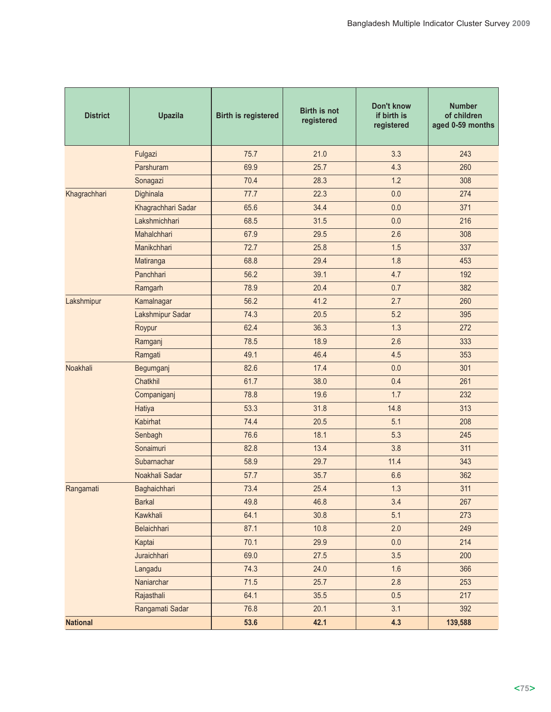| <b>District</b> | <b>Upazila</b>     | <b>Birth is registered</b> | <b>Birth is not</b><br>registered | Don't know<br>if birth is<br>registered | <b>Number</b><br>of children<br>aged 0-59 months |
|-----------------|--------------------|----------------------------|-----------------------------------|-----------------------------------------|--------------------------------------------------|
|                 | Fulgazi            | 75.7                       | 21.0                              | 3.3                                     | 243                                              |
|                 | Parshuram          | 69.9                       | 25.7                              | 4.3                                     | 260                                              |
|                 | Sonagazi           | 70.4                       | 28.3                              | 1.2                                     | 308                                              |
| Khagrachhari    | Dighinala          | 77.7                       | 22.3                              | 0.0                                     | 274                                              |
|                 | Khagrachhari Sadar | 65.6                       | 34.4                              | 0.0                                     | 371                                              |
|                 | Lakshmichhari      | 68.5                       | 31.5                              | 0.0                                     | 216                                              |
|                 | Mahalchhari        | 67.9                       | 29.5                              | 2.6                                     | 308                                              |
|                 | Manikchhari        | 72.7                       | 25.8                              | 1.5                                     | 337                                              |
|                 | Matiranga          | 68.8                       | 29.4                              | 1.8                                     | 453                                              |
|                 | Panchhari          | 56.2                       | 39.1                              | 4.7                                     | 192                                              |
|                 | Ramgarh            | 78.9                       | 20.4                              | 0.7                                     | 382                                              |
| Lakshmipur      | Kamalnagar         | 56.2                       | 41.2                              | 2.7                                     | 260                                              |
|                 | Lakshmipur Sadar   | 74.3                       | 20.5                              | 5.2                                     | 395                                              |
|                 | Roypur             | 62.4                       | 36.3                              | 1.3                                     | 272                                              |
|                 | Ramganj            | 78.5                       | 18.9                              | 2.6                                     | 333                                              |
|                 | Ramgati            | 49.1                       | 46.4                              | 4.5                                     | 353                                              |
| Noakhali        | Begumganj          | 82.6                       | 17.4                              | 0.0                                     | 301                                              |
|                 | Chatkhil           | 61.7                       | 38.0                              | 0.4                                     | 261                                              |
|                 | Companiganj        | 78.8                       | 19.6                              | 1.7                                     | 232                                              |
|                 | Hatiya             | 53.3                       | 31.8                              | 14.8                                    | 313                                              |
|                 | Kabirhat           | 74.4                       | 20.5                              | 5.1                                     | 208                                              |
|                 | Senbagh            | 76.6                       | 18.1                              | 5.3                                     | 245                                              |
|                 | Sonaimuri          | 82.8                       | 13.4                              | 3.8                                     | 311                                              |
|                 | Subarnachar        | 58.9                       | 29.7                              | 11.4                                    | 343                                              |
|                 | Noakhali Sadar     | 57.7                       | 35.7                              | 6.6                                     | 362                                              |
| Rangamati       | Baghaichhari       | 73.4                       | 25.4                              | 1.3                                     | 311                                              |
|                 | <b>Barkal</b>      | 49.8                       | 46.8                              | 3.4                                     | 267                                              |
|                 | Kawkhali           | 64.1                       | 30.8                              | 5.1                                     | 273                                              |
|                 | Belaichhari        | 87.1                       | 10.8                              | 2.0                                     | 249                                              |
|                 | Kaptai             | 70.1                       | 29.9                              | 0.0                                     | 214                                              |
|                 | Juraichhari        | 69.0                       | 27.5                              | 3.5                                     | 200                                              |
|                 | Langadu            | 74.3                       | 24.0                              | 1.6                                     | 366                                              |
|                 | Naniarchar         | 71.5                       | 25.7                              | 2.8                                     | 253                                              |
|                 | Rajasthali         | 64.1                       | 35.5                              | 0.5                                     | 217                                              |
|                 | Rangamati Sadar    | 76.8                       | 20.1                              | 3.1                                     | 392                                              |
| <b>National</b> |                    | 53.6                       | 42.1                              | 4.3                                     | 139,588                                          |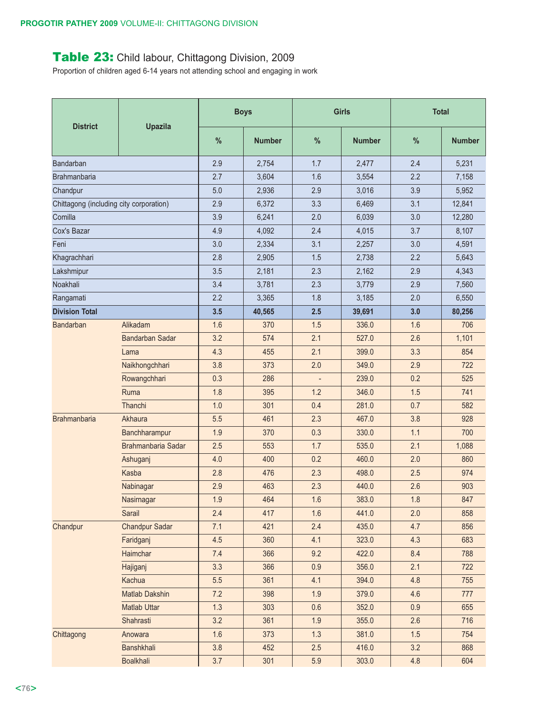## Table 23: Child labour, Chittagong Division, 2009

Proportion of children aged 6-14 years not attending school and engaging in work

|                                         |                       |         | <b>Boys</b>   |         | <b>Girls</b>  |     | <b>Total</b>  |
|-----------------------------------------|-----------------------|---------|---------------|---------|---------------|-----|---------------|
| <b>District</b>                         | <b>Upazila</b>        | $\%$    | <b>Number</b> | %       | <b>Number</b> | %   | <b>Number</b> |
| Bandarban                               |                       | 2.9     | 2,754         | 1.7     | 2,477         | 2.4 | 5,231         |
| <b>Brahmanbaria</b>                     |                       | 2.7     | 3,604         | 1.6     | 3,554         | 2.2 | 7,158         |
| Chandpur                                |                       | 5.0     | 2,936         | 2.9     | 3,016         | 3.9 | 5,952         |
| Chittagong (including city corporation) |                       | 2.9     | 6,372         | 3.3     | 6,469         | 3.1 | 12,841        |
| Comilla                                 |                       | 3.9     | 6,241         | 2.0     | 6,039         | 3.0 | 12,280        |
| Cox's Bazar                             |                       | 4.9     | 4,092         | 2.4     | 4,015         | 3.7 | 8,107         |
| Feni                                    |                       | 3.0     | 2,334         | 3.1     | 2,257         | 3.0 | 4,591         |
| Khagrachhari                            |                       | 2.8     | 2,905         | 1.5     | 2,738         | 2.2 | 5,643         |
| Lakshmipur                              |                       | 3.5     | 2,181         | 2.3     | 2,162         | 2.9 | 4,343         |
| Noakhali                                |                       | 3.4     | 3,781         | 2.3     | 3,779         | 2.9 | 7,560         |
| Rangamati                               |                       | 2.2     | 3,365         | 1.8     | 3,185         | 2.0 | 6,550         |
| <b>Division Total</b>                   |                       | 3.5     | 40,565        | 2.5     | 39,691        | 3.0 | 80,256        |
| <b>Bandarban</b>                        | Alikadam              | 1.6     | 370           | 1.5     | 336.0         | 1.6 | 706           |
|                                         | Bandarban Sadar       | 3.2     | 574           | 2.1     | 527.0         | 2.6 | 1,101         |
|                                         | Lama                  | 4.3     | 455           | 2.1     | 399.0         | 3.3 | 854           |
| <b>Brahmanbaria</b>                     | Naikhongchhari        | 3.8     | 373           | 2.0     | 349.0         | 2.9 | 722           |
|                                         | Rowangchhari          | 0.3     | 286           |         | 239.0         | 0.2 | 525           |
|                                         | Ruma                  | 1.8     | 395           | 1.2     | 346.0         | 1.5 | 741           |
|                                         | Thanchi               | 1.0     | 301           | 0.4     | 281.0         | 0.7 | 582           |
|                                         | Akhaura               | 5.5     | 461           | 2.3     | 467.0         | 3.8 | 928           |
|                                         | Banchharampur         | 1.9     | 370           | 0.3     | 330.0         | 1.1 | 700           |
|                                         | Brahmanbaria Sadar    | 2.5     | 553           | 1.7     | 535.0         | 2.1 | 1,088         |
|                                         | Ashuganj              | 4.0     | 400           | 0.2     | 460.0         | 2.0 | 860           |
|                                         | Kasba                 | 2.8     | 476           | 2.3     | 498.0         | 2.5 | 974           |
|                                         | Nabinagar             | 2.9     | 463           | 2.3     | 440.0         | 2.6 | 903           |
|                                         | Nasirnagar            | 1.9     | 464           | 1.6     | 383.0         | 1.8 | 847           |
|                                         | Sarail                | 2.4     | 417           | 1.6     | 441.0         | 2.0 | 858           |
| Chandpur                                | <b>Chandpur Sadar</b> | 7.1     | 421           | 2.4     | 435.0         | 4.7 | 856           |
|                                         | Faridganj             | 4.5     | 360           | 4.1     | 323.0         | 4.3 | 683           |
|                                         | Haimchar              | 7.4     | 366           | 9.2     | 422.0         | 8.4 | 788           |
|                                         | Hajiganj              | 3.3     | 366           | 0.9     | 356.0         | 2.1 | 722           |
|                                         | Kachua                | 5.5     | 361           | 4.1     | 394.0         | 4.8 | 755           |
|                                         | <b>Matlab Dakshin</b> | 7.2     | 398           | 1.9     | 379.0         | 4.6 | 777           |
|                                         | <b>Matlab Uttar</b>   | 1.3     | 303           | 0.6     | 352.0         | 0.9 | 655           |
|                                         | Shahrasti             | 3.2     | 361           | 1.9     | 355.0         | 2.6 | 716           |
| Chittagong                              | Anowara               | 1.6     | 373           | 1.3     | 381.0         | 1.5 | 754           |
|                                         | Banshkhali            | 3.8     | 452           | $2.5\,$ | 416.0         | 3.2 | 868           |
|                                         | <b>Boalkhali</b>      | $3.7\,$ | 301           | $5.9\,$ | 303.0         | 4.8 | 604           |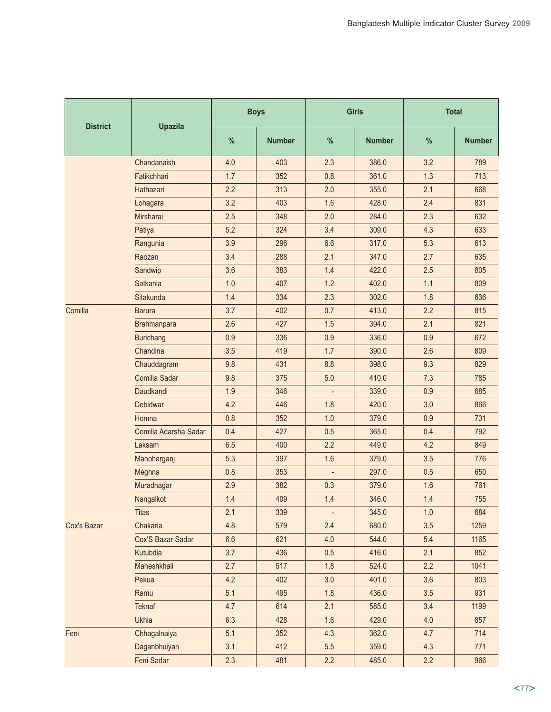| <b>District</b> | <b>Upazila</b>        |     | <b>Boys</b>   |                          | <b>Girls</b>  |      | <b>Total</b>  |
|-----------------|-----------------------|-----|---------------|--------------------------|---------------|------|---------------|
|                 |                       | %   | <b>Number</b> | %                        | <b>Number</b> | $\%$ | <b>Number</b> |
|                 | Chandanaish           | 4.0 | 403           | 2.3                      | 386.0         | 3.2  | 789           |
|                 | Fatikchhari           | 1.7 | 352           | 0.8                      | 361.0         | 1.3  | 713           |
|                 | Hathazari             | 2.2 | 313           | 2.0                      | 355.0         | 2.1  | 668           |
|                 | Lohagara              | 3.2 | 403           | 1.6                      | 428.0         | 2.4  | 831           |
|                 | Mirsharai             | 2.5 | 348           | 2.0                      | 284.0         | 2.3  | 632           |
|                 | Patiya                | 5.2 | 324           | 3.4                      | 309.0         | 4.3  | 633           |
|                 | Rangunia              | 3.9 | 296           | 6.6                      | 317.0         | 5.3  | 613           |
|                 | Raozan                | 3.4 | 288           | 2.1                      | 347.0         | 2.7  | 635           |
|                 | Sandwip               | 3.6 | 383           | 1.4                      | 422.0         | 2.5  | 805           |
|                 | Satkania              | 1.0 | 407           | 1.2                      | 402.0         | 1.1  | 809           |
|                 | Sitakunda             | 1.4 | 334           | 2.3                      | 302.0         | 1.8  | 636           |
| Comilla         | <b>Barura</b>         | 3.7 | 402           | 0.7                      | 413.0         | 2.2  | 815           |
|                 | <b>Brahmanpara</b>    | 2.6 | 427           | 1.5                      | 394.0         | 2.1  | 821           |
|                 | <b>Burichang</b>      | 0.9 | 336           | 0.9                      | 336.0         | 0.9  | 672           |
|                 | Chandina              | 3.5 | 419           | 1.7                      | 390.0         | 2.6  | 809           |
|                 | Chauddagram           | 9.8 | 431           | 8.8                      | 398.0         | 9.3  | 829           |
|                 | Comilla Sadar         | 9.8 | 375           | 5.0                      | 410.0         | 7.3  | 785           |
|                 | Daudkandi             | 1.9 | 346           | $\overline{\phantom{a}}$ | 339.0         | 0.9  | 685           |
|                 | Debidwar              | 4.2 | 446           | 1.8                      | 420.0         | 3.0  | 866           |
|                 | Homna                 | 0.8 | 352           | 1.0                      | 379.0         | 0.9  | 731           |
|                 | Comilla Adarsha Sadar | 0.4 | 427           | 0.5                      | 365.0         | 0.4  | 792           |
|                 | Laksam                | 6.5 | 400           | 2.2                      | 449.0         | 4.2  | 849           |
|                 | Manoharganj           | 5.3 | 397           | 1.6                      | 379.0         | 3.5  | 776           |
|                 | Meghna                | 0.8 | 353           | $\overline{\phantom{a}}$ | 297.0         | 0.5  | 650           |
|                 | Muradnagar            | 2.9 | 382           | 0.3                      | 379.0         | 1.6  | 761           |
|                 | Nangalkot             | 1.4 | 409           | 1.4                      | 346.0         | 1.4  | 755           |
|                 | Titas                 | 2.1 | 339           |                          | 345.0         | 1.0  | 684           |
| Cox's Bazar     | Chakaria              | 4.8 | 579           | 2.4                      | 680.0         | 3.5  | 1259          |
|                 | Cox'S Bazar Sadar     | 6.6 | 621           | 4.0                      | 544.0         | 5.4  | 1165          |
|                 | Kutubdia              | 3.7 | 436           | 0.5                      | 416.0         | 2.1  | 852           |
|                 | Maheshkhali           | 2.7 | 517           | 1.8                      | 524.0         | 2.2  | 1041          |
|                 | Pekua                 | 4.2 | 402           | 3.0                      | 401.0         | 3.6  | 803           |
|                 | Ramu                  | 5.1 | 495           | 1.8                      | 436.0         | 3.5  | 931           |
|                 | <b>Teknaf</b>         | 4.7 | 614           | 2.1                      | 585.0         | 3.4  | 1199          |
|                 | <b>Ukhia</b>          | 6.3 | 428           | 1.6                      | 429.0         | 4.0  | 857           |
| Feni            | Chhagalnaiya          | 5.1 | 352           | 4.3                      | 362.0         | 4.7  | 714           |
|                 | Daganbhuiyan          | 3.1 | 412           | 5.5                      | 359.0         | 4.3  | 771           |
|                 | Feni Sadar            | 2.3 | 481           | 2.2                      | 485.0         | 2.2  | 966           |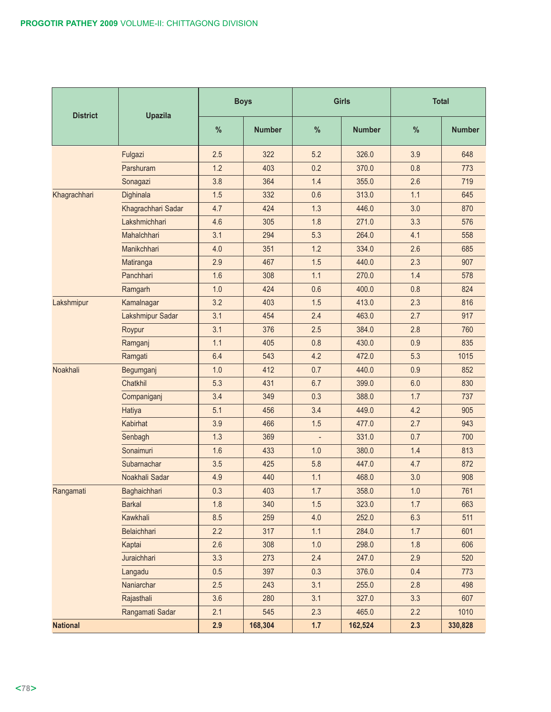|                 |                    |         | <b>Boys</b>   |         | <b>Girls</b>  | <b>Total</b> |               |
|-----------------|--------------------|---------|---------------|---------|---------------|--------------|---------------|
| <b>District</b> | <b>Upazila</b>     | %       | <b>Number</b> | %       | <b>Number</b> | %            | <b>Number</b> |
|                 | Fulgazi            | 2.5     | 322           | 5.2     | 326.0         | 3.9          | 648           |
|                 | Parshuram          | 1.2     | 403           | 0.2     | 370.0         | 0.8          | 773           |
|                 | Sonagazi           | 3.8     | 364           | 1.4     | 355.0         | 2.6          | 719           |
| Khagrachhari    | Dighinala          | 1.5     | 332           | 0.6     | 313.0         | 1.1          | 645           |
|                 | Khagrachhari Sadar | 4.7     | 424           | 1.3     | 446.0         | 3.0          | 870           |
|                 | Lakshmichhari      | 4.6     | 305           | 1.8     | 271.0         | 3.3          | 576           |
|                 | Mahalchhari        | 3.1     | 294           | 5.3     | 264.0         | 4.1          | 558           |
|                 | Manikchhari        | 4.0     | 351           | 1.2     | 334.0         | 2.6          | 685           |
|                 | Matiranga          | 2.9     | 467           | 1.5     | 440.0         | 2.3          | 907           |
|                 | Panchhari          | 1.6     | 308           | 1.1     | 270.0         | 1.4          | 578           |
|                 | Ramgarh            | 1.0     | 424           | 0.6     | 400.0         | 0.8          | 824           |
| Lakshmipur      | Kamalnagar         | 3.2     | 403           | 1.5     | 413.0         | 2.3          | 816           |
|                 | Lakshmipur Sadar   | 3.1     | 454           | 2.4     | 463.0         | 2.7          | 917           |
|                 | Roypur             | 3.1     | 376           | 2.5     | 384.0         | 2.8          | 760           |
|                 | Ramganj            | 1.1     | 405           | 0.8     | 430.0         | 0.9          | 835           |
|                 | Ramgati            | 6.4     | 543           | 4.2     | 472.0         | 5.3          | 1015          |
| Noakhali        | Begumganj          | 1.0     | 412           | 0.7     | 440.0         | 0.9          | 852           |
|                 | Chatkhil           | 5.3     | 431           | 6.7     | 399.0         | 6.0          | 830           |
|                 | Companiganj        | 3.4     | 349           | 0.3     | 388.0         | 1.7          | 737           |
|                 | Hatiya             | 5.1     | 456           | 3.4     | 449.0         | 4.2          | 905           |
|                 | Kabirhat           | 3.9     | 466           | 1.5     | 477.0         | 2.7          | 943           |
|                 | Senbagh            | 1.3     | 369           |         | 331.0         | 0.7          | 700           |
|                 | Sonaimuri          | 1.6     | 433           | 1.0     | 380.0         | 1.4          | 813           |
|                 | Subarnachar        | 3.5     | 425           | 5.8     | 447.0         | 4.7          | 872           |
|                 | Noakhali Sadar     | 4.9     | 440           | 1.1     | 468.0         | 3.0          | 908           |
| Rangamati       | Baghaichhari       | 0.3     | 403           | 1.7     | 358.0         | 1.0          | 761           |
|                 | <b>Barkal</b>      | 1.8     | 340           | 1.5     | 323.0         | 1.7          | 663           |
|                 | Kawkhali           | 8.5     | 259           | $4.0\,$ | 252.0         | 6.3          | 511           |
|                 | Belaichhari        | 2.2     | 317           | 1.1     | 284.0         | 1.7          | 601           |
|                 | Kaptai             | 2.6     | 308           | 1.0     | 298.0         | 1.8          | 606           |
|                 | Juraichhari        | 3.3     | 273           | 2.4     | 247.0         | 2.9          | 520           |
|                 | Langadu            | 0.5     | 397           | 0.3     | 376.0         | 0.4          | 773           |
|                 | Naniarchar         | $2.5\,$ | 243           | 3.1     | 255.0         | 2.8          | 498           |
|                 | Rajasthali         | 3.6     | 280           | 3.1     | 327.0         | 3.3          | 607           |
|                 | Rangamati Sadar    | 2.1     | 545           | 2.3     | 465.0         | 2.2          | 1010          |
| <b>National</b> |                    | 2.9     | 168,304       | 1.7     | 162,524       | 2.3          | 330,828       |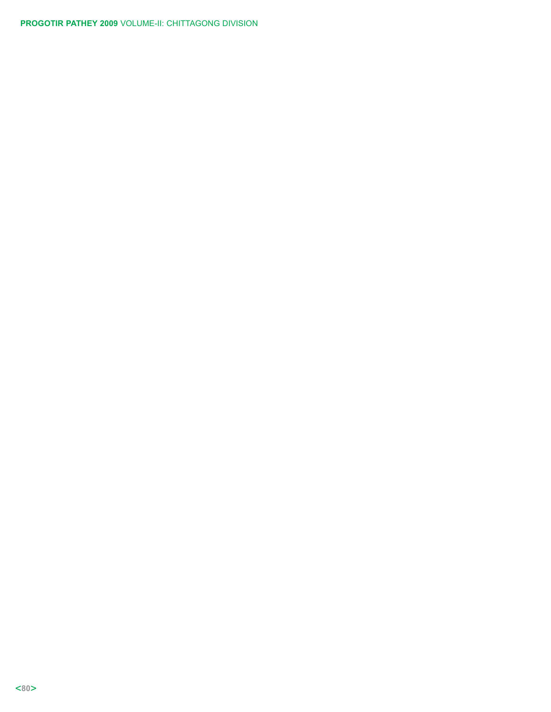**PROGOTIR PATHEY 2009** VOLUME-II: CHITTAGONG DIVISION